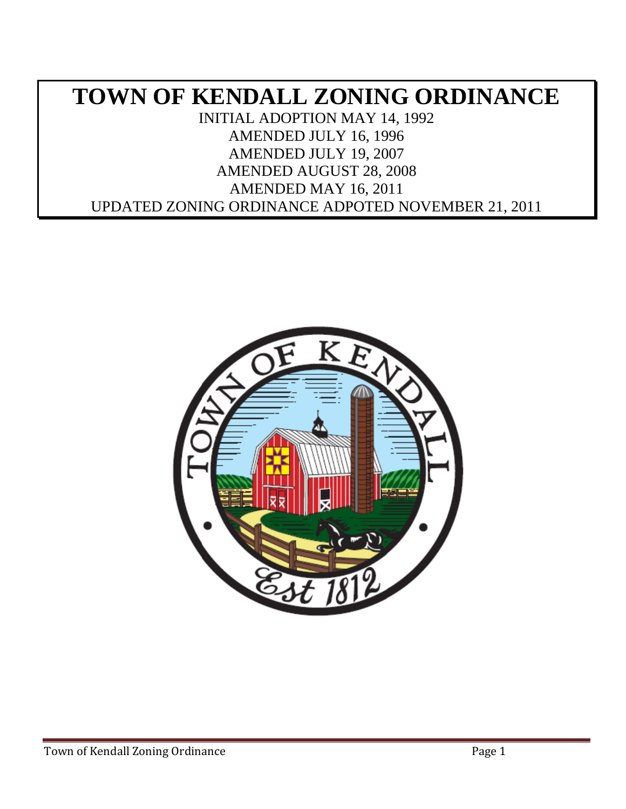# **TOWN OF KENDALL ZONING ORDINANCE** INITIAL ADOPTION MAY 14, 1992 AMENDED JULY 16, 1996 AMENDED JULY 19, 2007 AMENDED AUGUST 28, 2008 AMENDED MAY 16, 2011 UPDATED ZONING ORDINANCE ADPOTED NOVEMBER 21, 2011

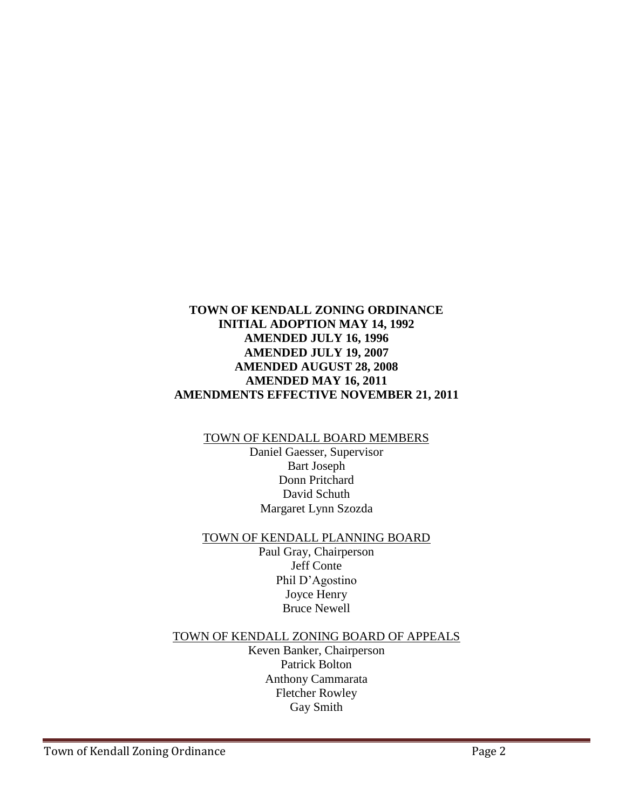### **TOWN OF KENDALL ZONING ORDINANCE INITIAL ADOPTION MAY 14, 1992 AMENDED JULY 16, 1996 AMENDED JULY 19, 2007 AMENDED AUGUST 28, 2008 AMENDED MAY 16, 2011 AMENDMENTS EFFECTIVE NOVEMBER 21, 2011**

### TOWN OF KENDALL BOARD MEMBERS

Daniel Gaesser, Supervisor Bart Joseph Donn Pritchard David Schuth Margaret Lynn Szozda

#### TOWN OF KENDALL PLANNING BOARD

Paul Gray, Chairperson Jeff Conte Phil D'Agostino Joyce Henry Bruce Newell

#### TOWN OF KENDALL ZONING BOARD OF APPEALS

Keven Banker, Chairperson Patrick Bolton Anthony Cammarata Fletcher Rowley Gay Smith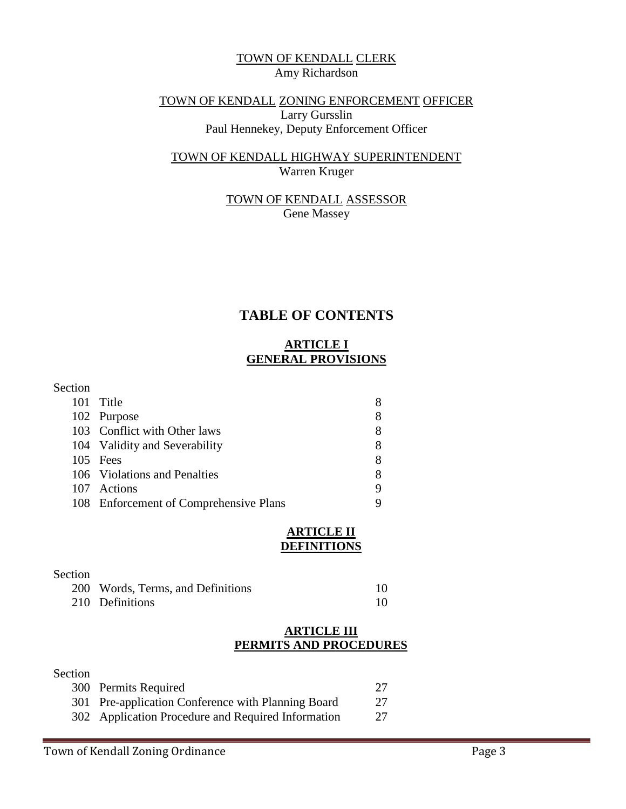### TOWN OF KENDALL CLERK Amy Richardson

### TOWN OF KENDALL ZONING ENFORCEMENT OFFICER Larry Gursslin Paul Hennekey, Deputy Enforcement Officer

### TOWN OF KENDALL HIGHWAY SUPERINTENDENT Warren Kruger

### TOWN OF KENDALL ASSESSOR Gene Massey

## **TABLE OF CONTENTS**

## **ARTICLE I GENERAL PROVISIONS**

### Section

| 101 Title                              | 8 |
|----------------------------------------|---|
| 102 Purpose                            | 8 |
| 103 Conflict with Other laws           | 8 |
| 104 Validity and Severability          | 8 |
| 105 Fees                               | 8 |
| 106 Violations and Penalties           | 8 |
| 107 Actions                            | 9 |
| 108 Enforcement of Comprehensive Plans |   |

#### **ARTICLE II DEFINITIONS**

### Section 200 Words, Terms, and Definitions 10 210 Definitions 10

#### **ARTICLE III PERMITS AND PROCEDURES**

#### Section

| 300 Permits Required                               | 27 |
|----------------------------------------------------|----|
| 301 Pre-application Conference with Planning Board | 27 |
| 302 Application Procedure and Required Information | 27 |
|                                                    |    |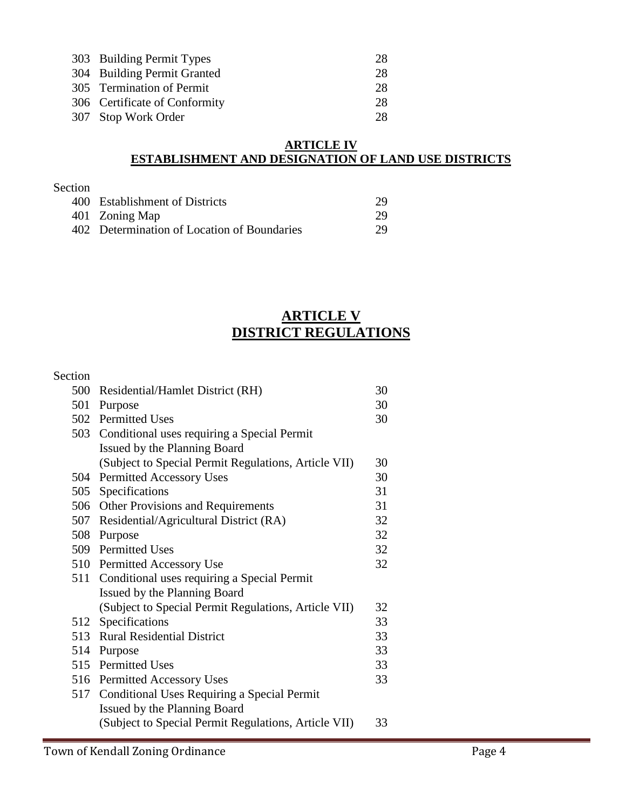| 303 Building Permit Types     | 28 |
|-------------------------------|----|
| 304 Building Permit Granted   | 28 |
| 305 Termination of Permit     | 28 |
| 306 Certificate of Conformity | 28 |
| 307 Stop Work Order           | 28 |

### **ARTICLE IV ESTABLISHMENT AND DESIGNATION OF LAND USE DISTRICTS**

| Section |                                             |    |
|---------|---------------------------------------------|----|
|         | 400 Establishment of Districts              | 29 |
|         | 401 Zoning Map                              | 29 |
|         | 402 Determination of Location of Boundaries | 29 |

## **ARTICLE V DISTRICT REGULATIONS**

| Section |                                                      |    |  |
|---------|------------------------------------------------------|----|--|
|         | 500 Residential/Hamlet District (RH)                 | 30 |  |
|         | 30<br>501 Purpose                                    |    |  |
|         | 502 Permitted Uses                                   | 30 |  |
|         | 503 Conditional uses requiring a Special Permit      |    |  |
|         | Issued by the Planning Board                         |    |  |
|         | (Subject to Special Permit Regulations, Article VII) | 30 |  |
| 504     | <b>Permitted Accessory Uses</b>                      | 30 |  |
| 505     | Specifications                                       | 31 |  |
|         | 506 Other Provisions and Requirements                | 31 |  |
|         | 507 Residential/Agricultural District (RA)           | 32 |  |
|         | 508 Purpose                                          | 32 |  |
|         | 509 Permitted Uses                                   | 32 |  |
|         | 510 Permitted Accessory Use                          | 32 |  |
|         | 511 Conditional uses requiring a Special Permit      |    |  |
|         | Issued by the Planning Board                         |    |  |
|         | (Subject to Special Permit Regulations, Article VII) | 32 |  |
|         | 512 Specifications                                   | 33 |  |
|         | 513 Rural Residential District                       | 33 |  |
|         | 514 Purpose                                          | 33 |  |
|         | 515 Permitted Uses                                   | 33 |  |
|         | 516 Permitted Accessory Uses                         | 33 |  |
| 517     | Conditional Uses Requiring a Special Permit          |    |  |
|         | Issued by the Planning Board                         |    |  |
|         | (Subject to Special Permit Regulations, Article VII) | 33 |  |
|         |                                                      |    |  |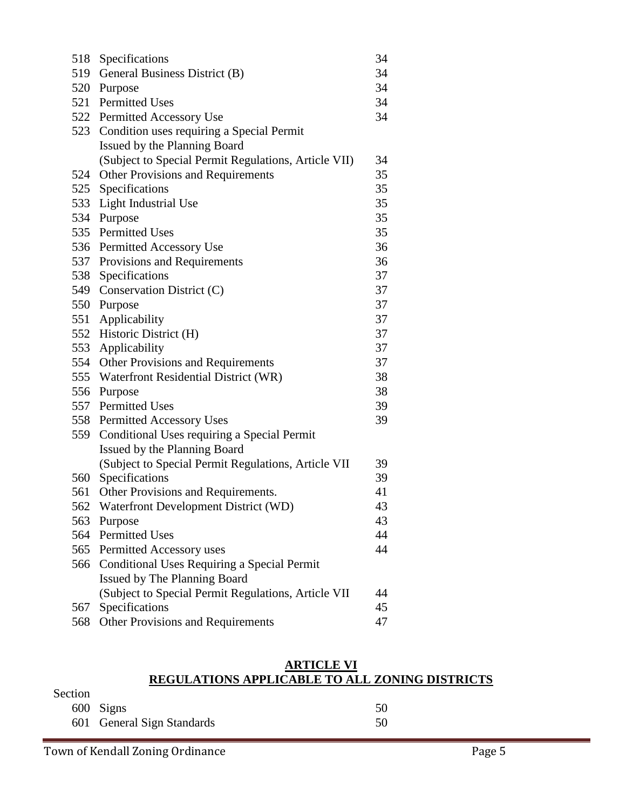| 518 | Specifications                                       | 34 |
|-----|------------------------------------------------------|----|
|     | 519 General Business District (B)                    | 34 |
| 520 | Purpose                                              | 34 |
|     | 521 Permitted Uses                                   | 34 |
|     | 522 Permitted Accessory Use                          | 34 |
|     | 523 Condition uses requiring a Special Permit        |    |
|     | Issued by the Planning Board                         |    |
|     | (Subject to Special Permit Regulations, Article VII) | 34 |
| 524 | <b>Other Provisions and Requirements</b>             | 35 |
|     | 525 Specifications                                   | 35 |
|     | 533 Light Industrial Use                             | 35 |
|     | 534 Purpose                                          | 35 |
|     | 535 Permitted Uses                                   | 35 |
|     | 536 Permitted Accessory Use                          | 36 |
| 537 | Provisions and Requirements                          | 36 |
| 538 | Specifications                                       | 37 |
| 549 | Conservation District (C)                            | 37 |
|     | 550 Purpose                                          | 37 |
|     | 551 Applicability                                    | 37 |
|     | 552 Historic District (H)                            | 37 |
|     | 553 Applicability                                    | 37 |
|     | 554 Other Provisions and Requirements                | 37 |
|     | 555 Waterfront Residential District (WR)             | 38 |
| 556 | Purpose                                              | 38 |
| 557 | <b>Permitted Uses</b>                                | 39 |
| 558 | <b>Permitted Accessory Uses</b>                      | 39 |
| 559 | Conditional Uses requiring a Special Permit          |    |
|     | Issued by the Planning Board                         |    |
|     | (Subject to Special Permit Regulations, Article VII  | 39 |
|     | 560 Specifications                                   | 39 |
| 561 | Other Provisions and Requirements.                   | 41 |
| 562 | Waterfront Development District (WD)                 | 43 |
|     | 563 Purpose                                          | 43 |
|     | 564 Permitted Uses                                   | 44 |
| 565 | Permitted Accessory uses                             | 44 |
|     | 566 Conditional Uses Requiring a Special Permit      |    |
|     | <b>Issued by The Planning Board</b>                  |    |
|     | (Subject to Special Permit Regulations, Article VII  | 44 |
| 567 | Specifications                                       | 45 |
| 568 | <b>Other Provisions and Requirements</b>             | 47 |

#### **ARTICLE VI REGULATIONS APPLICABLE TO ALL ZONING DISTRICTS**

| Section |                            |    |
|---------|----------------------------|----|
|         | 600 Signs                  | 50 |
|         | 601 General Sign Standards | 50 |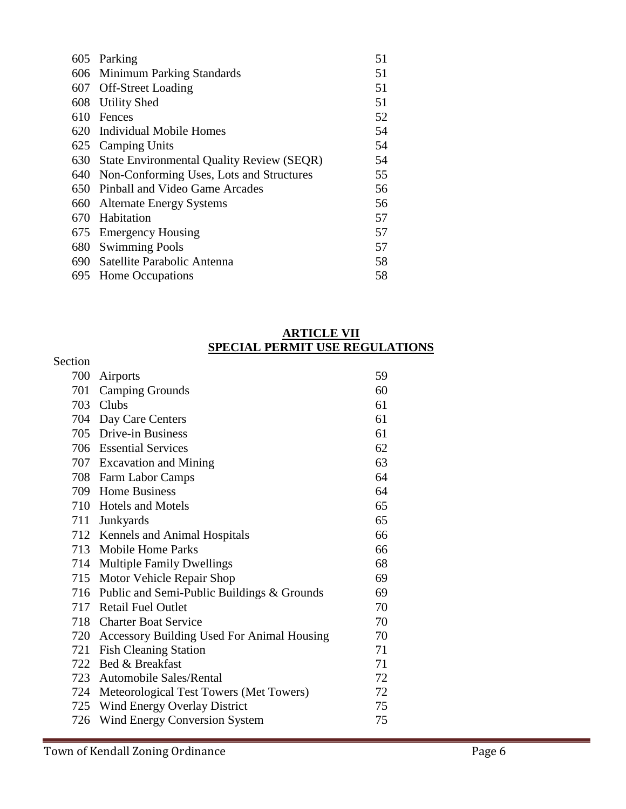| 605 | Parking                                          | 51 |
|-----|--------------------------------------------------|----|
|     | 606 Minimum Parking Standards                    | 51 |
|     | 607 Off-Street Loading                           | 51 |
|     | 608 Utility Shed                                 | 51 |
| 610 | Fences                                           | 52 |
|     | 620 Individual Mobile Homes                      | 54 |
|     | 625 Camping Units                                | 54 |
| 630 | <b>State Environmental Quality Review (SEQR)</b> | 54 |
| 640 | Non-Conforming Uses, Lots and Structures         | 55 |
| 650 | Pinball and Video Game Arcades                   | 56 |
| 660 | <b>Alternate Energy Systems</b>                  | 56 |
| 670 | Habitation                                       | 57 |
|     | 675 Emergency Housing                            | 57 |
| 680 | <b>Swimming Pools</b>                            | 57 |
|     | 690 Satellite Parabolic Antenna                  | 58 |
|     | 695 Home Occupations                             | 58 |

### **ARTICLE VII SPECIAL PERMIT USE REGULATIONS**

| Section |                                                |    |
|---------|------------------------------------------------|----|
| 700     | Airports                                       | 59 |
|         | 701 Camping Grounds                            | 60 |
|         | 703 Clubs                                      | 61 |
|         | 704 Day Care Centers                           | 61 |
|         | 705 Drive-in Business                          | 61 |
|         | 706 Essential Services                         | 62 |
|         | 707 Excavation and Mining                      | 63 |
|         | 708 Farm Labor Camps                           | 64 |
|         | 709 Home Business                              | 64 |
|         | 710 Hotels and Motels                          | 65 |
|         | 711 Junkyards                                  | 65 |
|         | 712 Kennels and Animal Hospitals               | 66 |
|         | 713 Mobile Home Parks                          | 66 |
|         | 714 Multiple Family Dwellings                  | 68 |
|         | 715 Motor Vehicle Repair Shop                  | 69 |
|         | 716 Public and Semi-Public Buildings & Grounds | 69 |
|         | 717 Retail Fuel Outlet                         | 70 |
|         | 718 Charter Boat Service                       | 70 |
|         | 720 Accessory Building Used For Animal Housing | 70 |
|         | 721 Fish Cleaning Station                      | 71 |
|         | 722 Bed & Breakfast                            | 71 |
|         | 723 Automobile Sales/Rental                    | 72 |
|         | 724 Meteorological Test Towers (Met Towers)    | 72 |
|         | 725 Wind Energy Overlay District               | 75 |
| 726     | Wind Energy Conversion System                  | 75 |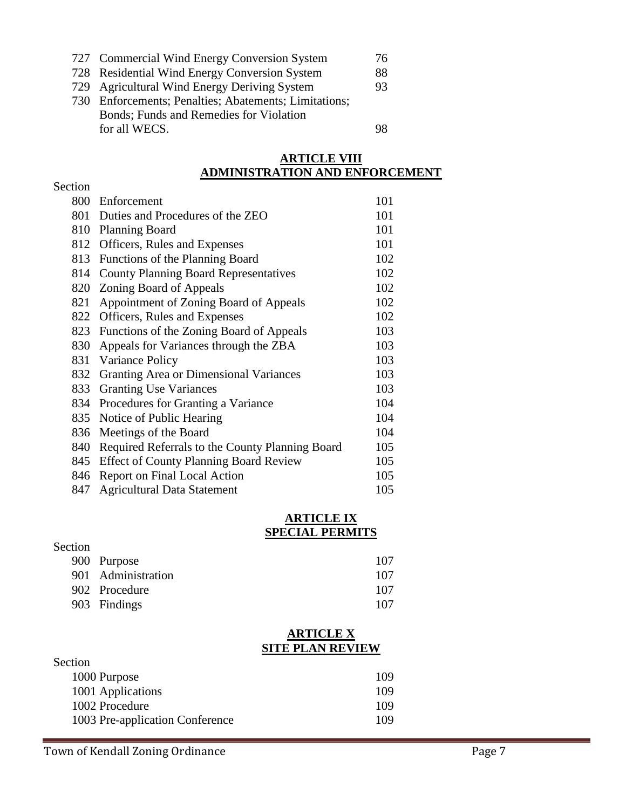|  | 727 Commercial Wind Energy Conversion System |  |  |  |  | 76 |
|--|----------------------------------------------|--|--|--|--|----|
|--|----------------------------------------------|--|--|--|--|----|

- Residential Wind Energy Conversion System 88
- Agricultural Wind Energy Deriving System 93
- Enforcements; Penalties; Abatements; Limitations; Bonds; Funds and Remedies for Violation for all WECS. 98

### **ARTICLE VIII ADMINISTRATION AND ENFORCEMENT**

| Section |                                                 |     |
|---------|-------------------------------------------------|-----|
| 800     | Enforcement                                     | 101 |
| 801     | Duties and Procedures of the ZEO                | 101 |
| 810     | <b>Planning Board</b>                           | 101 |
| 812     | Officers, Rules and Expenses                    | 101 |
| 813     | Functions of the Planning Board                 | 102 |
| 814     | <b>County Planning Board Representatives</b>    | 102 |
| 820     | Zoning Board of Appeals                         | 102 |
| 821     | Appointment of Zoning Board of Appeals          | 102 |
|         | 822 Officers, Rules and Expenses                | 102 |
| 823     | Functions of the Zoning Board of Appeals        | 103 |
| 830     | Appeals for Variances through the ZBA           | 103 |
| 831     | Variance Policy                                 | 103 |
| 832     | Granting Area or Dimensional Variances          | 103 |
| 833     | <b>Granting Use Variances</b>                   | 103 |
| 834     | Procedures for Granting a Variance              | 104 |
| 835     | Notice of Public Hearing                        | 104 |
| 836     | Meetings of the Board                           | 104 |
| 840     | Required Referrals to the County Planning Board | 105 |
| 845     | <b>Effect of County Planning Board Review</b>   | 105 |
| 846     | Report on Final Local Action                    | 105 |
| 847     | <b>Agricultural Data Statement</b>              | 105 |

#### **ARTICLE IX SPECIAL PERMITS**

| Section |                    |     |
|---------|--------------------|-----|
|         | 900 Purpose        | 107 |
|         | 901 Administration | 107 |
|         | 902 Procedure      | 107 |
|         | 903 Findings       | 107 |

#### **ARTICLE X SITE PLAN REVIEW**

| Section                         |     |
|---------------------------------|-----|
| 1000 Purpose                    | 109 |
| 1001 Applications               | 109 |
| 1002 Procedure                  | 109 |
| 1003 Pre-application Conference | 109 |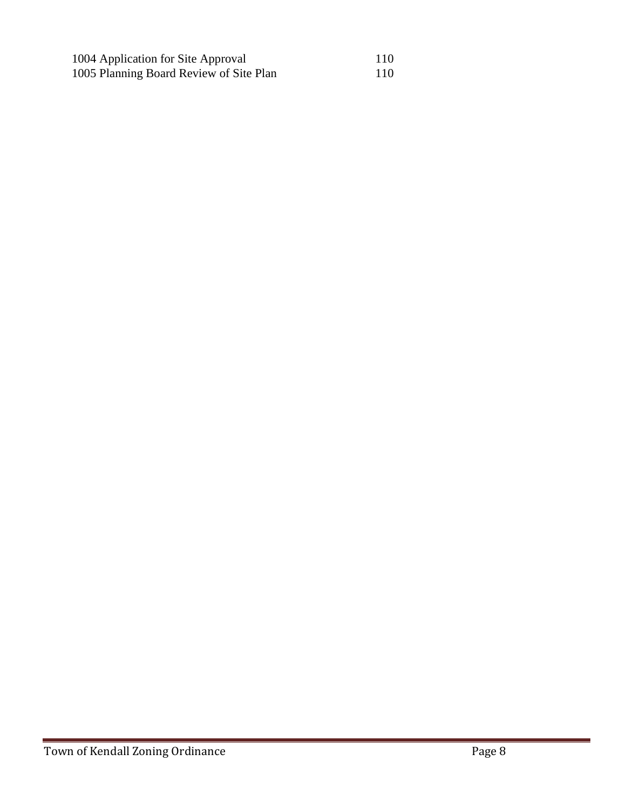| 1004 Application for Site Approval      | 110 |
|-----------------------------------------|-----|
| 1005 Planning Board Review of Site Plan | 110 |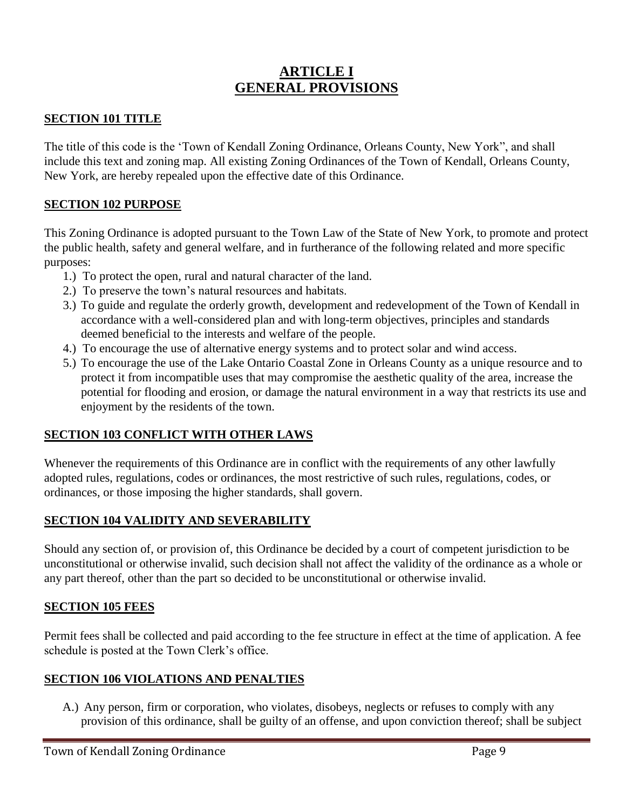## **ARTICLE I GENERAL PROVISIONS**

## **SECTION 101 TITLE**

The title of this code is the 'Town of Kendall Zoning Ordinance, Orleans County, New York", and shall include this text and zoning map. All existing Zoning Ordinances of the Town of Kendall, Orleans County, New York, are hereby repealed upon the effective date of this Ordinance.

## **SECTION 102 PURPOSE**

This Zoning Ordinance is adopted pursuant to the Town Law of the State of New York, to promote and protect the public health, safety and general welfare, and in furtherance of the following related and more specific purposes:

- 1.) To protect the open, rural and natural character of the land.
- 2.) To preserve the town's natural resources and habitats.
- 3.) To guide and regulate the orderly growth, development and redevelopment of the Town of Kendall in accordance with a well-considered plan and with long-term objectives, principles and standards deemed beneficial to the interests and welfare of the people.
- 4.) To encourage the use of alternative energy systems and to protect solar and wind access.
- 5.) To encourage the use of the Lake Ontario Coastal Zone in Orleans County as a unique resource and to protect it from incompatible uses that may compromise the aesthetic quality of the area, increase the potential for flooding and erosion, or damage the natural environment in a way that restricts its use and enjoyment by the residents of the town.

## **SECTION 103 CONFLICT WITH OTHER LAWS**

Whenever the requirements of this Ordinance are in conflict with the requirements of any other lawfully adopted rules, regulations, codes or ordinances, the most restrictive of such rules, regulations, codes, or ordinances, or those imposing the higher standards, shall govern.

## **SECTION 104 VALIDITY AND SEVERABILITY**

Should any section of, or provision of, this Ordinance be decided by a court of competent jurisdiction to be unconstitutional or otherwise invalid, such decision shall not affect the validity of the ordinance as a whole or any part thereof, other than the part so decided to be unconstitutional or otherwise invalid.

### **SECTION 105 FEES**

Permit fees shall be collected and paid according to the fee structure in effect at the time of application. A fee schedule is posted at the Town Clerk's office.

### **SECTION 106 VIOLATIONS AND PENALTIES**

A.) Any person, firm or corporation, who violates, disobeys, neglects or refuses to comply with any provision of this ordinance, shall be guilty of an offense, and upon conviction thereof; shall be subject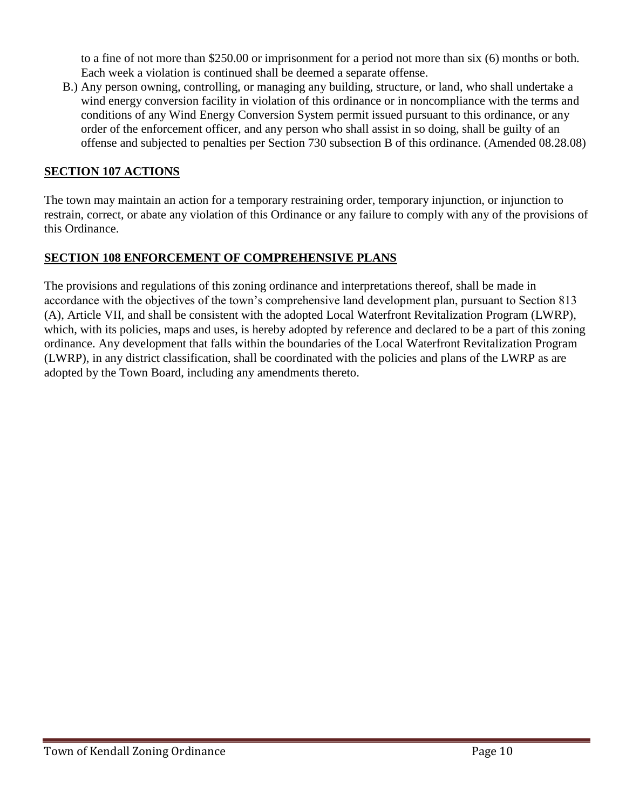to a fine of not more than \$250.00 or imprisonment for a period not more than six (6) months or both. Each week a violation is continued shall be deemed a separate offense.

B.) Any person owning, controlling, or managing any building, structure, or land, who shall undertake a wind energy conversion facility in violation of this ordinance or in noncompliance with the terms and conditions of any Wind Energy Conversion System permit issued pursuant to this ordinance, or any order of the enforcement officer, and any person who shall assist in so doing, shall be guilty of an offense and subjected to penalties per Section 730 subsection B of this ordinance. (Amended 08.28.08)

## **SECTION 107 ACTIONS**

The town may maintain an action for a temporary restraining order, temporary injunction, or injunction to restrain, correct, or abate any violation of this Ordinance or any failure to comply with any of the provisions of this Ordinance.

## **SECTION 108 ENFORCEMENT OF COMPREHENSIVE PLANS**

The provisions and regulations of this zoning ordinance and interpretations thereof, shall be made in accordance with the objectives of the town's comprehensive land development plan, pursuant to Section 813 (A), Article VII, and shall be consistent with the adopted Local Waterfront Revitalization Program (LWRP), which, with its policies, maps and uses, is hereby adopted by reference and declared to be a part of this zoning ordinance. Any development that falls within the boundaries of the Local Waterfront Revitalization Program (LWRP), in any district classification, shall be coordinated with the policies and plans of the LWRP as are adopted by the Town Board, including any amendments thereto.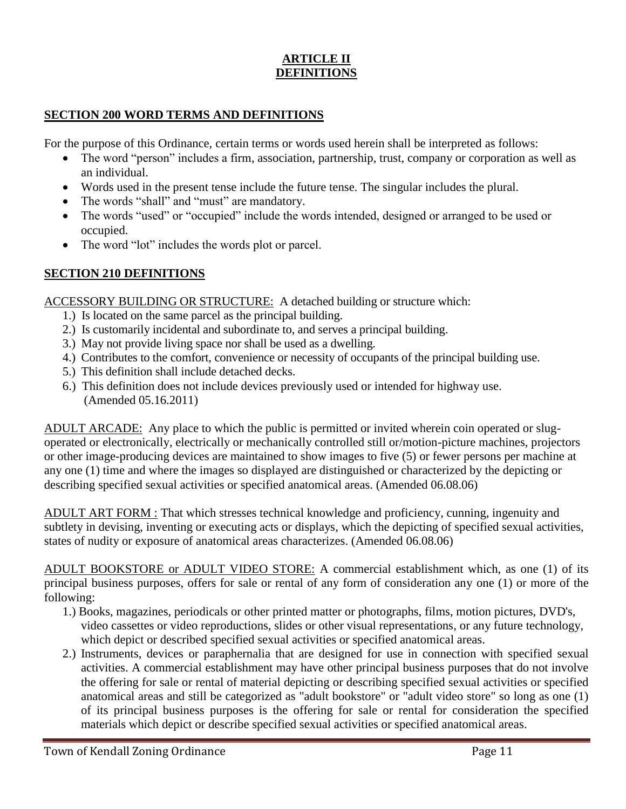## **ARTICLE II DEFINITIONS**

### **SECTION 200 WORD TERMS AND DEFINITIONS**

For the purpose of this Ordinance, certain terms or words used herein shall be interpreted as follows:

- The word "person" includes a firm, association, partnership, trust, company or corporation as well as an individual.
- Words used in the present tense include the future tense. The singular includes the plural.
- The words "shall" and "must" are mandatory.
- The words "used" or "occupied" include the words intended, designed or arranged to be used or occupied.
- The word "lot" includes the words plot or parcel.

## **SECTION 210 DEFINITIONS**

ACCESSORY BUILDING OR STRUCTURE: A detached building or structure which:

- 1.) Is located on the same parcel as the principal building.
- 2.) Is customarily incidental and subordinate to, and serves a principal building.
- 3.) May not provide living space nor shall be used as a dwelling.
- 4.) Contributes to the comfort, convenience or necessity of occupants of the principal building use.
- 5.) This definition shall include detached decks.
- 6.) This definition does not include devices previously used or intended for highway use. (Amended 05.16.2011)

ADULT ARCADE: Any place to which the public is permitted or invited wherein coin operated or slugoperated or electronically, electrically or mechanically controlled still or/motion-picture machines, projectors or other image-producing devices are maintained to show images to five (5) or fewer persons per machine at any one (1) time and where the images so displayed are distinguished or characterized by the depicting or describing specified sexual activities or specified anatomical areas. (Amended 06.08.06)

ADULT ART FORM : That which stresses technical knowledge and proficiency, cunning, ingenuity and subtlety in devising, inventing or executing acts or displays, which the depicting of specified sexual activities, states of nudity or exposure of anatomical areas characterizes. (Amended 06.08.06)

ADULT BOOKSTORE or ADULT VIDEO STORE: A commercial establishment which, as one (1) of its principal business purposes, offers for sale or rental of any form of consideration any one (1) or more of the following:

- 1.) Books, magazines, periodicals or other printed matter or photographs, films, motion pictures, DVD's, video cassettes or video reproductions, slides or other visual representations, or any future technology, which depict or described specified sexual activities or specified anatomical areas.
- 2.) Instruments, devices or paraphernalia that are designed for use in connection with specified sexual activities. A commercial establishment may have other principal business purposes that do not involve the offering for sale or rental of material depicting or describing specified sexual activities or specified anatomical areas and still be categorized as "adult bookstore" or "adult video store" so long as one (1) of its principal business purposes is the offering for sale or rental for consideration the specified materials which depict or describe specified sexual activities or specified anatomical areas.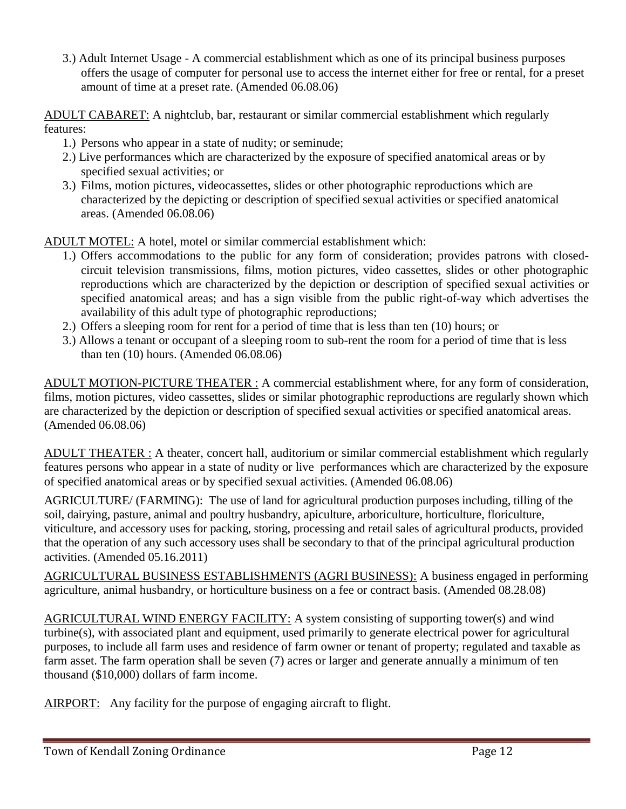3.) Adult Internet Usage - A commercial establishment which as one of its principal business purposes offers the usage of computer for personal use to access the internet either for free or rental, for a preset amount of time at a preset rate. (Amended 06.08.06)

ADULT CABARET: A nightclub, bar, restaurant or similar commercial establishment which regularly features:

- 1.) Persons who appear in a state of nudity; or seminude;
- 2.) Live performances which are characterized by the exposure of specified anatomical areas or by specified sexual activities; or
- 3.) Films, motion pictures, videocassettes, slides or other photographic reproductions which are characterized by the depicting or description of specified sexual activities or specified anatomical areas. (Amended 06.08.06)

ADULT MOTEL: A hotel, motel or similar commercial establishment which:

- 1.) Offers accommodations to the public for any form of consideration; provides patrons with closedcircuit television transmissions, films, motion pictures, video cassettes, slides or other photographic reproductions which are characterized by the depiction or description of specified sexual activities or specified anatomical areas; and has a sign visible from the public right-of-way which advertises the availability of this adult type of photographic reproductions;
- 2.) Offers a sleeping room for rent for a period of time that is less than ten (10) hours; or
- 3.) Allows a tenant or occupant of a sleeping room to sub-rent the room for a period of time that is less than ten (10) hours. (Amended 06.08.06)

ADULT MOTION-PICTURE THEATER : A commercial establishment where, for any form of consideration, films, motion pictures, video cassettes, slides or similar photographic reproductions are regularly shown which are characterized by the depiction or description of specified sexual activities or specified anatomical areas. (Amended 06.08.06)

ADULT THEATER : A theater, concert hall, auditorium or similar commercial establishment which regularly features persons who appear in a state of nudity or live performances which are characterized by the exposure of specified anatomical areas or by specified sexual activities. (Amended 06.08.06)

AGRICULTURE/ (FARMING): The use of land for agricultural production purposes including, tilling of the soil, dairying, pasture, animal and poultry husbandry, apiculture, arboriculture, horticulture, floriculture, viticulture, and accessory uses for packing, storing, processing and retail sales of agricultural products, provided that the operation of any such accessory uses shall be secondary to that of the principal agricultural production activities. (Amended 05.16.2011)

AGRICULTURAL BUSINESS ESTABLISHMENTS (AGRI BUSINESS): A business engaged in performing agriculture, animal husbandry, or horticulture business on a fee or contract basis. (Amended 08.28.08)

AGRICULTURAL WIND ENERGY FACILITY: A system consisting of supporting tower(s) and wind turbine(s), with associated plant and equipment, used primarily to generate electrical power for agricultural purposes, to include all farm uses and residence of farm owner or tenant of property; regulated and taxable as farm asset. The farm operation shall be seven (7) acres or larger and generate annually a minimum of ten thousand (\$10,000) dollars of farm income.

AIRPORT: Any facility for the purpose of engaging aircraft to flight.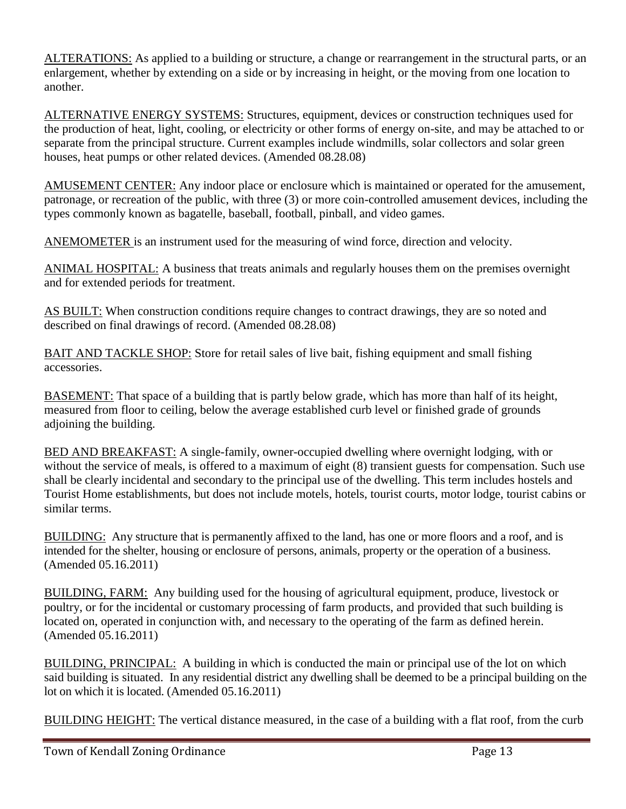ALTERATIONS: As applied to a building or structure, a change or rearrangement in the structural parts, or an enlargement, whether by extending on a side or by increasing in height, or the moving from one location to another.

ALTERNATIVE ENERGY SYSTEMS: Structures, equipment, devices or construction techniques used for the production of heat, light, cooling, or electricity or other forms of energy on-site, and may be attached to or separate from the principal structure. Current examples include windmills, solar collectors and solar green houses, heat pumps or other related devices. (Amended 08.28.08)

AMUSEMENT CENTER: Any indoor place or enclosure which is maintained or operated for the amusement, patronage, or recreation of the public, with three (3) or more coin-controlled amusement devices, including the types commonly known as bagatelle, baseball, football, pinball, and video games.

ANEMOMETER is an instrument used for the measuring of wind force, direction and velocity.

ANIMAL HOSPITAL: A business that treats animals and regularly houses them on the premises overnight and for extended periods for treatment.

AS BUILT: When construction conditions require changes to contract drawings, they are so noted and described on final drawings of record. (Amended 08.28.08)

BAIT AND TACKLE SHOP: Store for retail sales of live bait, fishing equipment and small fishing accessories.

BASEMENT: That space of a building that is partly below grade, which has more than half of its height, measured from floor to ceiling, below the average established curb level or finished grade of grounds adjoining the building.

BED AND BREAKFAST: A single-family, owner-occupied dwelling where overnight lodging, with or without the service of meals, is offered to a maximum of eight  $(8)$  transient guests for compensation. Such use shall be clearly incidental and secondary to the principal use of the dwelling. This term includes hostels and Tourist Home establishments, but does not include motels, hotels, tourist courts, motor lodge, tourist cabins or similar terms.

BUILDING: Any structure that is permanently affixed to the land, has one or more floors and a roof, and is intended for the shelter, housing or enclosure of persons, animals, property or the operation of a business. (Amended 05.16.2011)

BUILDING, FARM: Any building used for the housing of agricultural equipment, produce, livestock or poultry, or for the incidental or customary processing of farm products, and provided that such building is located on, operated in conjunction with, and necessary to the operating of the farm as defined herein. (Amended 05.16.2011)

BUILDING, PRINCIPAL: A building in which is conducted the main or principal use of the lot on which said building is situated. In any residential district any dwelling shall be deemed to be a principal building on the lot on which it is located. (Amended 05.16.2011)

BUILDING HEIGHT: The vertical distance measured, in the case of a building with a flat roof, from the curb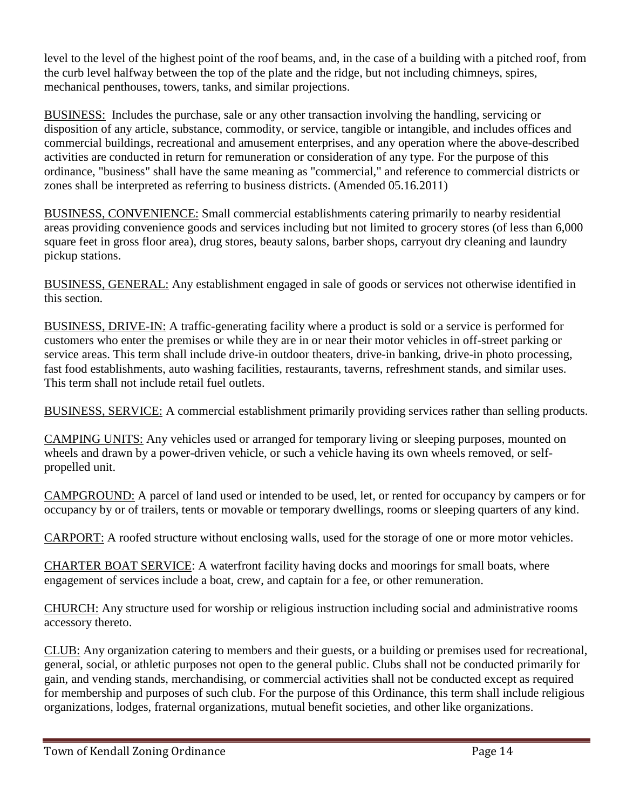level to the level of the highest point of the roof beams, and, in the case of a building with a pitched roof, from the curb level halfway between the top of the plate and the ridge, but not including chimneys, spires, mechanical penthouses, towers, tanks, and similar projections.

BUSINESS: Includes the purchase, sale or any other transaction involving the handling, servicing or disposition of any article, substance, commodity, or service, tangible or intangible, and includes offices and commercial buildings, recreational and amusement enterprises, and any operation where the above-described activities are conducted in return for remuneration or consideration of any type. For the purpose of this ordinance, "business" shall have the same meaning as "commercial," and reference to commercial districts or zones shall be interpreted as referring to business districts. (Amended 05.16.2011)

BUSINESS, CONVENIENCE: Small commercial establishments catering primarily to nearby residential areas providing convenience goods and services including but not limited to grocery stores (of less than 6,000 square feet in gross floor area), drug stores, beauty salons, barber shops, carryout dry cleaning and laundry pickup stations.

BUSINESS, GENERAL: Any establishment engaged in sale of goods or services not otherwise identified in this section.

BUSINESS, DRIVE-IN: A traffic-generating facility where a product is sold or a service is performed for customers who enter the premises or while they are in or near their motor vehicles in off-street parking or service areas. This term shall include drive-in outdoor theaters, drive-in banking, drive-in photo processing, fast food establishments, auto washing facilities, restaurants, taverns, refreshment stands, and similar uses. This term shall not include retail fuel outlets.

BUSINESS, SERVICE: A commercial establishment primarily providing services rather than selling products.

CAMPING UNITS: Any vehicles used or arranged for temporary living or sleeping purposes, mounted on wheels and drawn by a power-driven vehicle, or such a vehicle having its own wheels removed, or selfpropelled unit.

CAMPGROUND: A parcel of land used or intended to be used, let, or rented for occupancy by campers or for occupancy by or of trailers, tents or movable or temporary dwellings, rooms or sleeping quarters of any kind.

CARPORT: A roofed structure without enclosing walls, used for the storage of one or more motor vehicles.

CHARTER BOAT SERVICE: A waterfront facility having docks and moorings for small boats, where engagement of services include a boat, crew, and captain for a fee, or other remuneration.

CHURCH: Any structure used for worship or religious instruction including social and administrative rooms accessory thereto.

CLUB: Any organization catering to members and their guests, or a building or premises used for recreational, general, social, or athletic purposes not open to the general public. Clubs shall not be conducted primarily for gain, and vending stands, merchandising, or commercial activities shall not be conducted except as required for membership and purposes of such club. For the purpose of this Ordinance, this term shall include religious organizations, lodges, fraternal organizations, mutual benefit societies, and other like organizations.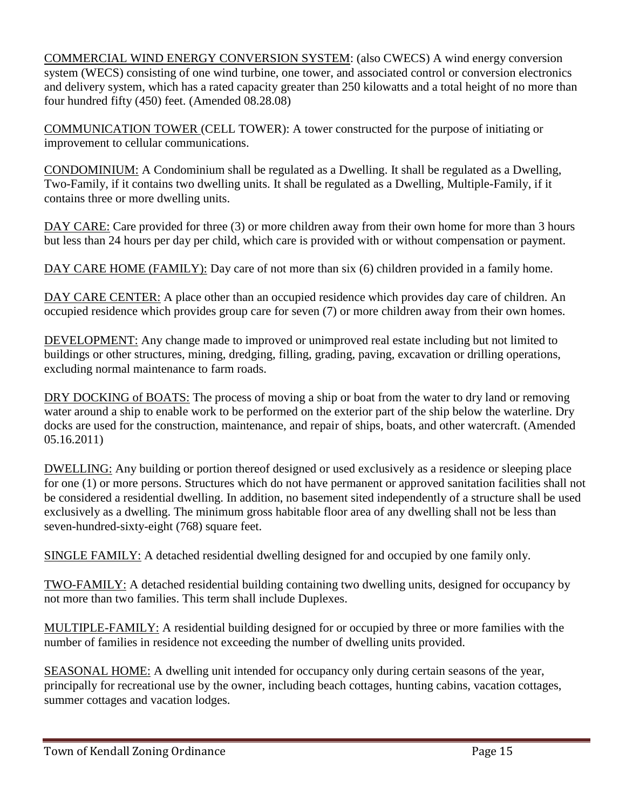COMMERCIAL WIND ENERGY CONVERSION SYSTEM: (also CWECS) A wind energy conversion system (WECS) consisting of one wind turbine, one tower, and associated control or conversion electronics and delivery system, which has a rated capacity greater than 250 kilowatts and a total height of no more than four hundred fifty (450) feet. (Amended 08.28.08)

COMMUNICATION TOWER (CELL TOWER): A tower constructed for the purpose of initiating or improvement to cellular communications.

CONDOMINIUM: A Condominium shall be regulated as a Dwelling. It shall be regulated as a Dwelling, Two-Family, if it contains two dwelling units. It shall be regulated as a Dwelling, Multiple-Family, if it contains three or more dwelling units.

DAY CARE: Care provided for three (3) or more children away from their own home for more than 3 hours but less than 24 hours per day per child, which care is provided with or without compensation or payment.

DAY CARE HOME (FAMILY): Day care of not more than six (6) children provided in a family home.

DAY CARE CENTER: A place other than an occupied residence which provides day care of children. An occupied residence which provides group care for seven (7) or more children away from their own homes.

DEVELOPMENT: Any change made to improved or unimproved real estate including but not limited to buildings or other structures, mining, dredging, filling, grading, paving, excavation or drilling operations, excluding normal maintenance to farm roads.

DRY DOCKING of BOATS: The process of moving a ship or boat from the water to dry land or removing water around a ship to enable work to be performed on the exterior part of the ship below the waterline. Dry docks are used for the construction, maintenance, and repair of ships, boats, and other watercraft. (Amended 05.16.2011)

DWELLING: Any building or portion thereof designed or used exclusively as a residence or sleeping place for one (1) or more persons. Structures which do not have permanent or approved sanitation facilities shall not be considered a residential dwelling. In addition, no basement sited independently of a structure shall be used exclusively as a dwelling. The minimum gross habitable floor area of any dwelling shall not be less than seven-hundred-sixty-eight (768) square feet.

SINGLE FAMILY: A detached residential dwelling designed for and occupied by one family only.

TWO-FAMILY: A detached residential building containing two dwelling units, designed for occupancy by not more than two families. This term shall include Duplexes.

MULTIPLE-FAMILY: A residential building designed for or occupied by three or more families with the number of families in residence not exceeding the number of dwelling units provided.

SEASONAL HOME: A dwelling unit intended for occupancy only during certain seasons of the year, principally for recreational use by the owner, including beach cottages, hunting cabins, vacation cottages, summer cottages and vacation lodges.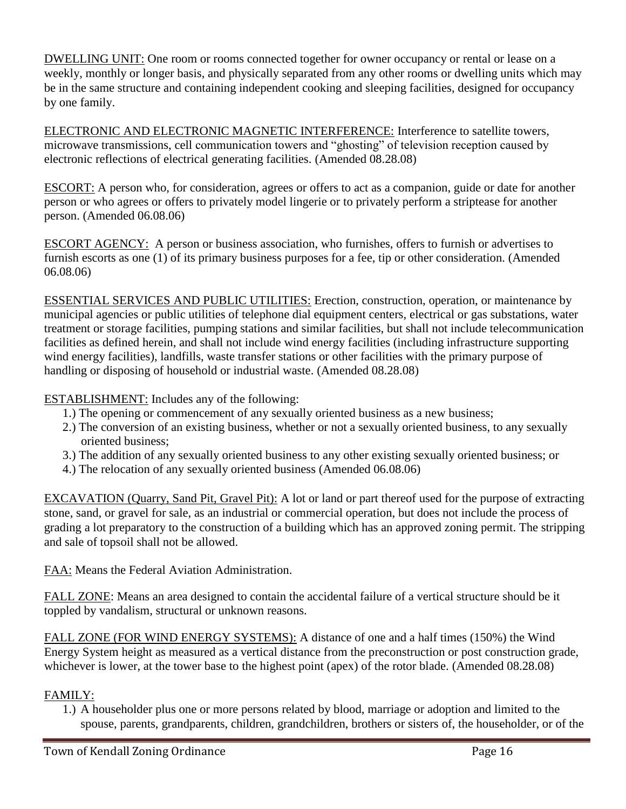DWELLING UNIT: One room or rooms connected together for owner occupancy or rental or lease on a weekly, monthly or longer basis, and physically separated from any other rooms or dwelling units which may be in the same structure and containing independent cooking and sleeping facilities, designed for occupancy by one family.

ELECTRONIC AND ELECTRONIC MAGNETIC INTERFERENCE: Interference to satellite towers, microwave transmissions, cell communication towers and "ghosting" of television reception caused by electronic reflections of electrical generating facilities. (Amended 08.28.08)

ESCORT: A person who, for consideration, agrees or offers to act as a companion, guide or date for another person or who agrees or offers to privately model lingerie or to privately perform a striptease for another person. (Amended 06.08.06)

ESCORT AGENCY: A person or business association, who furnishes, offers to furnish or advertises to furnish escorts as one (1) of its primary business purposes for a fee, tip or other consideration. (Amended 06.08.06)

ESSENTIAL SERVICES AND PUBLIC UTILITIES: Erection, construction, operation, or maintenance by municipal agencies or public utilities of telephone dial equipment centers, electrical or gas substations, water treatment or storage facilities, pumping stations and similar facilities, but shall not include telecommunication facilities as defined herein, and shall not include wind energy facilities (including infrastructure supporting wind energy facilities), landfills, waste transfer stations or other facilities with the primary purpose of handling or disposing of household or industrial waste. (Amended 08.28.08)

ESTABLISHMENT: Includes any of the following:

- 1.) The opening or commencement of any sexually oriented business as a new business;
- 2.) The conversion of an existing business, whether or not a sexually oriented business, to any sexually oriented business;
- 3.) The addition of any sexually oriented business to any other existing sexually oriented business; or
- 4.) The relocation of any sexually oriented business (Amended 06.08.06)

EXCAVATION (Quarry, Sand Pit, Gravel Pit): A lot or land or part thereof used for the purpose of extracting stone, sand, or gravel for sale, as an industrial or commercial operation, but does not include the process of grading a lot preparatory to the construction of a building which has an approved zoning permit. The stripping and sale of topsoil shall not be allowed.

FAA: Means the Federal Aviation Administration.

FALL ZONE: Means an area designed to contain the accidental failure of a vertical structure should be it toppled by vandalism, structural or unknown reasons.

FALL ZONE (FOR WIND ENERGY SYSTEMS): A distance of one and a half times (150%) the Wind Energy System height as measured as a vertical distance from the preconstruction or post construction grade, whichever is lower, at the tower base to the highest point (apex) of the rotor blade. (Amended 08.28.08)

## FAMILY:

1.) A householder plus one or more persons related by blood, marriage or adoption and limited to the spouse, parents, grandparents, children, grandchildren, brothers or sisters of, the householder, or of the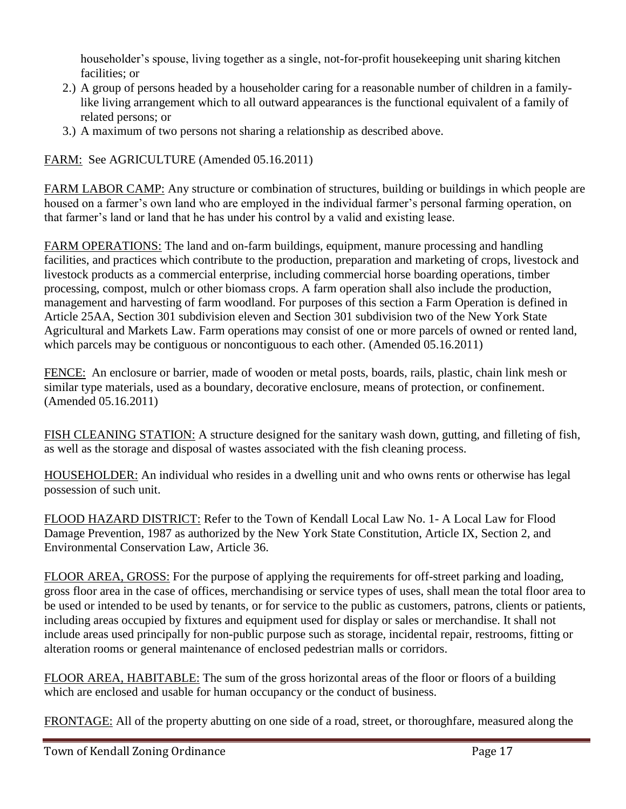householder's spouse, living together as a single, not-for-profit housekeeping unit sharing kitchen facilities; or

- 2.) A group of persons headed by a householder caring for a reasonable number of children in a familylike living arrangement which to all outward appearances is the functional equivalent of a family of related persons; or
- 3.) A maximum of two persons not sharing a relationship as described above.

FARM: See AGRICULTURE (Amended 05.16.2011)

FARM LABOR CAMP: Any structure or combination of structures, building or buildings in which people are housed on a farmer's own land who are employed in the individual farmer's personal farming operation, on that farmer's land or land that he has under his control by a valid and existing lease.

FARM OPERATIONS: The land and on-farm buildings, equipment, manure processing and handling facilities, and practices which contribute to the production, preparation and marketing of crops, livestock and livestock products as a commercial enterprise, including commercial horse boarding operations, timber processing, compost, mulch or other biomass crops. A farm operation shall also include the production, management and harvesting of farm woodland. For purposes of this section a Farm Operation is defined in Article 25AA, Section 301 subdivision eleven and Section 301 subdivision two of the New York State Agricultural and Markets Law. Farm operations may consist of one or more parcels of owned or rented land, which parcels may be contiguous or noncontiguous to each other. (Amended 05.16.2011)

FENCE: An enclosure or barrier, made of wooden or metal posts, boards, rails, plastic, chain link mesh or similar type materials, used as a boundary, decorative enclosure, means of protection, or confinement. (Amended 05.16.2011)

FISH CLEANING STATION: A structure designed for the sanitary wash down, gutting, and filleting of fish, as well as the storage and disposal of wastes associated with the fish cleaning process.

HOUSEHOLDER: An individual who resides in a dwelling unit and who owns rents or otherwise has legal possession of such unit.

FLOOD HAZARD DISTRICT: Refer to the Town of Kendall Local Law No. 1- A Local Law for Flood Damage Prevention, 1987 as authorized by the New York State Constitution, Article IX, Section 2, and Environmental Conservation Law, Article 36.

FLOOR AREA, GROSS: For the purpose of applying the requirements for off-street parking and loading, gross floor area in the case of offices, merchandising or service types of uses, shall mean the total floor area to be used or intended to be used by tenants, or for service to the public as customers, patrons, clients or patients, including areas occupied by fixtures and equipment used for display or sales or merchandise. It shall not include areas used principally for non-public purpose such as storage, incidental repair, restrooms, fitting or alteration rooms or general maintenance of enclosed pedestrian malls or corridors.

FLOOR AREA, HABITABLE: The sum of the gross horizontal areas of the floor or floors of a building which are enclosed and usable for human occupancy or the conduct of business.

FRONTAGE: All of the property abutting on one side of a road, street, or thoroughfare, measured along the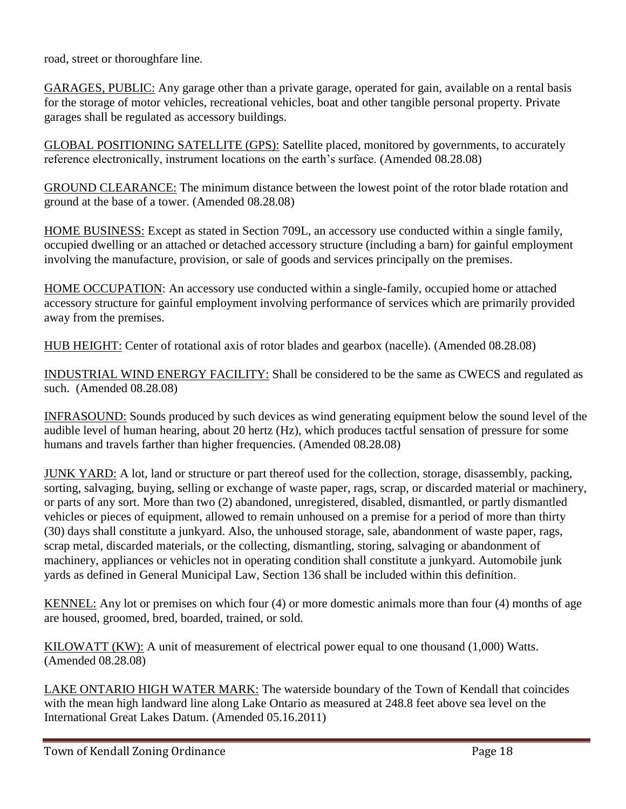road, street or thoroughfare line.

GARAGES, PUBLIC: Any garage other than a private garage, operated for gain, available on a rental basis for the storage of motor vehicles, recreational vehicles, boat and other tangible personal property. Private garages shall be regulated as accessory buildings.

GLOBAL POSITIONING SATELLITE (GPS): Satellite placed, monitored by governments, to accurately reference electronically, instrument locations on the earth's surface. (Amended 08.28.08)

GROUND CLEARANCE: The minimum distance between the lowest point of the rotor blade rotation and ground at the base of a tower. (Amended 08.28.08)

HOME BUSINESS: Except as stated in Section 709L, an accessory use conducted within a single family, occupied dwelling or an attached or detached accessory structure (including a barn) for gainful employment involving the manufacture, provision, or sale of goods and services principally on the premises.

HOME OCCUPATION: An accessory use conducted within a single-family, occupied home or attached accessory structure for gainful employment involving performance of services which are primarily provided away from the premises.

HUB HEIGHT: Center of rotational axis of rotor blades and gearbox (nacelle). (Amended 08.28.08)

INDUSTRIAL WIND ENERGY FACILITY: Shall be considered to be the same as CWECS and regulated as such. (Amended 08.28.08)

INFRASOUND: Sounds produced by such devices as wind generating equipment below the sound level of the audible level of human hearing, about 20 hertz (Hz), which produces tactful sensation of pressure for some humans and travels farther than higher frequencies. (Amended 08.28.08)

JUNK YARD: A lot, land or structure or part thereof used for the collection, storage, disassembly, packing, sorting, salvaging, buying, selling or exchange of waste paper, rags, scrap, or discarded material or machinery, or parts of any sort. More than two (2) abandoned, unregistered, disabled, dismantled, or partly dismantled vehicles or pieces of equipment, allowed to remain unhoused on a premise for a period of more than thirty (30) days shall constitute a junkyard. Also, the unhoused storage, sale, abandonment of waste paper, rags, scrap metal, discarded materials, or the collecting, dismantling, storing, salvaging or abandonment of machinery, appliances or vehicles not in operating condition shall constitute a junkyard. Automobile junk yards as defined in General Municipal Law, Section 136 shall be included within this definition.

KENNEL: Any lot or premises on which four (4) or more domestic animals more than four (4) months of age are housed, groomed, bred, boarded, trained, or sold.

KILOWATT (KW): A unit of measurement of electrical power equal to one thousand (1,000) Watts. (Amended 08.28.08)

LAKE ONTARIO HIGH WATER MARK: The waterside boundary of the Town of Kendall that coincides with the mean high landward line along Lake Ontario as measured at 248.8 feet above sea level on the International Great Lakes Datum. (Amended 05.16.2011)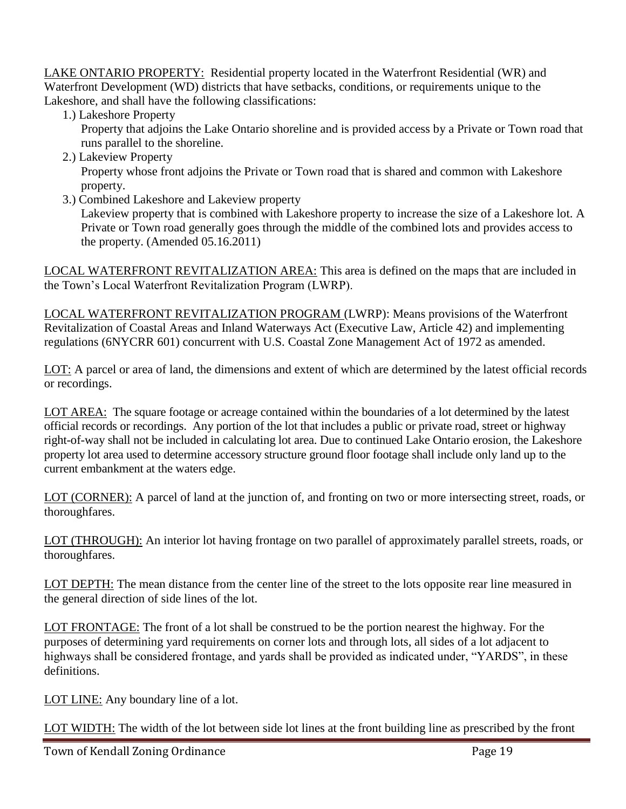LAKE ONTARIO PROPERTY: Residential property located in the Waterfront Residential (WR) and Waterfront Development (WD) districts that have setbacks, conditions, or requirements unique to the Lakeshore, and shall have the following classifications:

1.) Lakeshore Property

Property that adjoins the Lake Ontario shoreline and is provided access by a Private or Town road that runs parallel to the shoreline.

2.) Lakeview Property

Property whose front adjoins the Private or Town road that is shared and common with Lakeshore property.

3.) Combined Lakeshore and Lakeview property

Lakeview property that is combined with Lakeshore property to increase the size of a Lakeshore lot. A Private or Town road generally goes through the middle of the combined lots and provides access to the property. (Amended 05.16.2011)

LOCAL WATERFRONT REVITALIZATION AREA: This area is defined on the maps that are included in the Town's Local Waterfront Revitalization Program (LWRP).

LOCAL WATERFRONT REVITALIZATION PROGRAM (LWRP): Means provisions of the Waterfront Revitalization of Coastal Areas and Inland Waterways Act (Executive Law, Article 42) and implementing regulations (6NYCRR 601) concurrent with U.S. Coastal Zone Management Act of 1972 as amended.

LOT: A parcel or area of land, the dimensions and extent of which are determined by the latest official records or recordings.

LOT AREA: The square footage or acreage contained within the boundaries of a lot determined by the latest official records or recordings. Any portion of the lot that includes a public or private road, street or highway right-of-way shall not be included in calculating lot area. Due to continued Lake Ontario erosion, the Lakeshore property lot area used to determine accessory structure ground floor footage shall include only land up to the current embankment at the waters edge.

LOT (CORNER): A parcel of land at the junction of, and fronting on two or more intersecting street, roads, or thoroughfares.

LOT (THROUGH): An interior lot having frontage on two parallel of approximately parallel streets, roads, or thoroughfares.

LOT DEPTH: The mean distance from the center line of the street to the lots opposite rear line measured in the general direction of side lines of the lot.

LOT FRONTAGE: The front of a lot shall be construed to be the portion nearest the highway. For the purposes of determining yard requirements on corner lots and through lots, all sides of a lot adjacent to highways shall be considered frontage, and yards shall be provided as indicated under, "YARDS", in these definitions.

LOT LINE: Any boundary line of a lot.

LOT WIDTH: The width of the lot between side lot lines at the front building line as prescribed by the front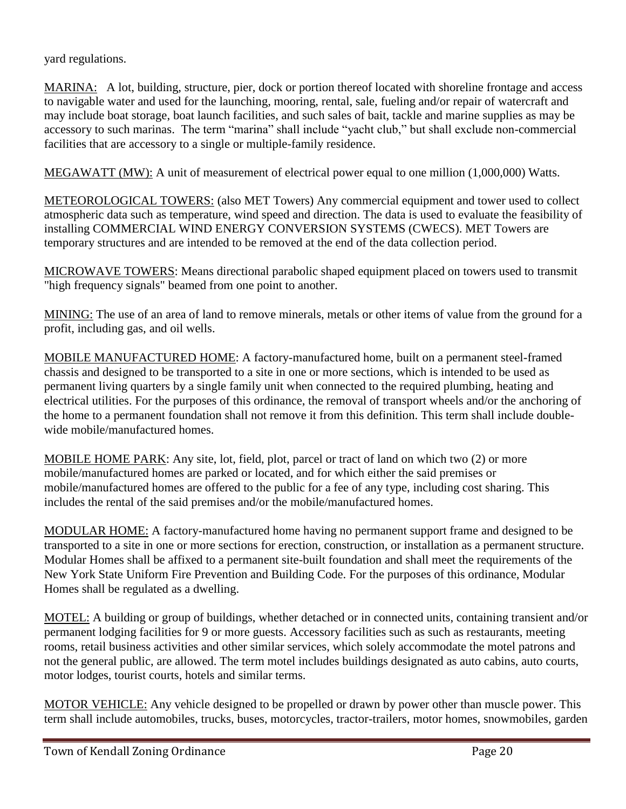yard regulations.

MARINA: A lot, building, structure, pier, dock or portion thereof located with shoreline frontage and access to navigable water and used for the launching, mooring, rental, sale, fueling and/or repair of watercraft and may include boat storage, boat launch facilities, and such sales of bait, tackle and marine supplies as may be accessory to such marinas. The term "marina" shall include "yacht club," but shall exclude non-commercial facilities that are accessory to a single or multiple-family residence.

MEGAWATT (MW): A unit of measurement of electrical power equal to one million (1,000,000) Watts.

METEOROLOGICAL TOWERS: (also MET Towers) Any commercial equipment and tower used to collect atmospheric data such as temperature, wind speed and direction. The data is used to evaluate the feasibility of installing COMMERCIAL WIND ENERGY CONVERSION SYSTEMS (CWECS). MET Towers are temporary structures and are intended to be removed at the end of the data collection period.

MICROWAVE TOWERS: Means directional parabolic shaped equipment placed on towers used to transmit "high frequency signals" beamed from one point to another.

MINING: The use of an area of land to remove minerals, metals or other items of value from the ground for a profit, including gas, and oil wells.

MOBILE MANUFACTURED HOME: A factory-manufactured home, built on a permanent steel-framed chassis and designed to be transported to a site in one or more sections, which is intended to be used as permanent living quarters by a single family unit when connected to the required plumbing, heating and electrical utilities. For the purposes of this ordinance, the removal of transport wheels and/or the anchoring of the home to a permanent foundation shall not remove it from this definition. This term shall include doublewide mobile/manufactured homes.

MOBILE HOME PARK: Any site, lot, field, plot, parcel or tract of land on which two (2) or more mobile/manufactured homes are parked or located, and for which either the said premises or mobile/manufactured homes are offered to the public for a fee of any type, including cost sharing. This includes the rental of the said premises and/or the mobile/manufactured homes.

MODULAR HOME: A factory-manufactured home having no permanent support frame and designed to be transported to a site in one or more sections for erection, construction, or installation as a permanent structure. Modular Homes shall be affixed to a permanent site-built foundation and shall meet the requirements of the New York State Uniform Fire Prevention and Building Code. For the purposes of this ordinance, Modular Homes shall be regulated as a dwelling.

MOTEL: A building or group of buildings, whether detached or in connected units, containing transient and/or permanent lodging facilities for 9 or more guests. Accessory facilities such as such as restaurants, meeting rooms, retail business activities and other similar services, which solely accommodate the motel patrons and not the general public, are allowed. The term motel includes buildings designated as auto cabins, auto courts, motor lodges, tourist courts, hotels and similar terms.

MOTOR VEHICLE: Any vehicle designed to be propelled or drawn by power other than muscle power. This term shall include automobiles, trucks, buses, motorcycles, tractor-trailers, motor homes, snowmobiles, garden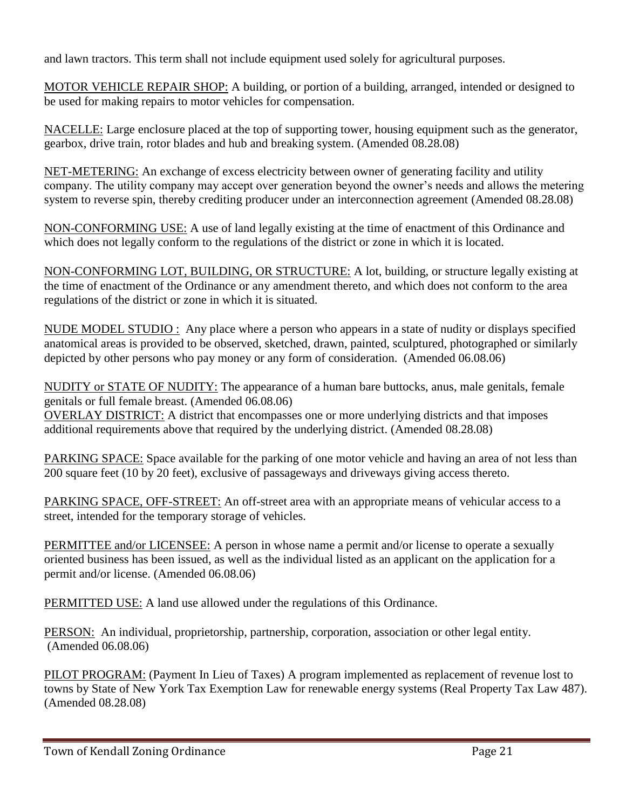and lawn tractors. This term shall not include equipment used solely for agricultural purposes.

MOTOR VEHICLE REPAIR SHOP: A building, or portion of a building, arranged, intended or designed to be used for making repairs to motor vehicles for compensation.

NACELLE: Large enclosure placed at the top of supporting tower, housing equipment such as the generator, gearbox, drive train, rotor blades and hub and breaking system. (Amended 08.28.08)

NET-METERING: An exchange of excess electricity between owner of generating facility and utility company. The utility company may accept over generation beyond the owner's needs and allows the metering system to reverse spin, thereby crediting producer under an interconnection agreement (Amended 08.28.08)

NON-CONFORMING USE: A use of land legally existing at the time of enactment of this Ordinance and which does not legally conform to the regulations of the district or zone in which it is located.

NON-CONFORMING LOT, BUILDING, OR STRUCTURE: A lot, building, or structure legally existing at the time of enactment of the Ordinance or any amendment thereto, and which does not conform to the area regulations of the district or zone in which it is situated.

NUDE MODEL STUDIO : Any place where a person who appears in a state of nudity or displays specified anatomical areas is provided to be observed, sketched, drawn, painted, sculptured, photographed or similarly depicted by other persons who pay money or any form of consideration. (Amended 06.08.06)

NUDITY or STATE OF NUDITY: The appearance of a human bare buttocks, anus, male genitals, female genitals or full female breast. (Amended 06.08.06)

OVERLAY DISTRICT: A district that encompasses one or more underlying districts and that imposes additional requirements above that required by the underlying district. (Amended 08.28.08)

PARKING SPACE: Space available for the parking of one motor vehicle and having an area of not less than 200 square feet (10 by 20 feet), exclusive of passageways and driveways giving access thereto.

PARKING SPACE, OFF-STREET: An off-street area with an appropriate means of vehicular access to a street, intended for the temporary storage of vehicles.

PERMITTEE and/or LICENSEE: A person in whose name a permit and/or license to operate a sexually oriented business has been issued, as well as the individual listed as an applicant on the application for a permit and/or license. (Amended 06.08.06)

PERMITTED USE: A land use allowed under the regulations of this Ordinance.

PERSON: An individual, proprietorship, partnership, corporation, association or other legal entity. (Amended 06.08.06)

PILOT PROGRAM: (Payment In Lieu of Taxes) A program implemented as replacement of revenue lost to towns by State of New York Tax Exemption Law for renewable energy systems (Real Property Tax Law 487). (Amended 08.28.08)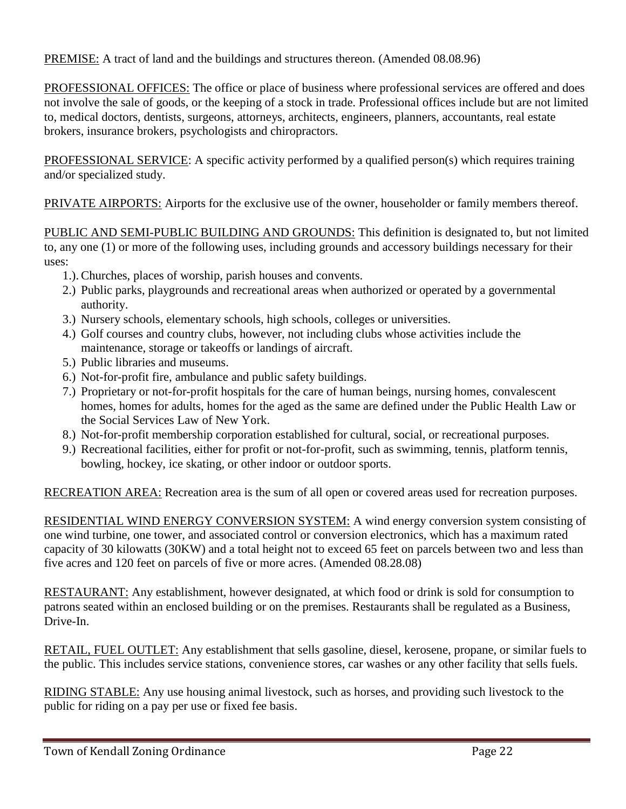PREMISE: A tract of land and the buildings and structures thereon. (Amended 08.08.96)

PROFESSIONAL OFFICES: The office or place of business where professional services are offered and does not involve the sale of goods, or the keeping of a stock in trade. Professional offices include but are not limited to, medical doctors, dentists, surgeons, attorneys, architects, engineers, planners, accountants, real estate brokers, insurance brokers, psychologists and chiropractors.

PROFESSIONAL SERVICE: A specific activity performed by a qualified person(s) which requires training and/or specialized study.

PRIVATE AIRPORTS: Airports for the exclusive use of the owner, householder or family members thereof.

PUBLIC AND SEMI-PUBLIC BUILDING AND GROUNDS: This definition is designated to, but not limited to, any one (1) or more of the following uses, including grounds and accessory buildings necessary for their uses:

- 1.). Churches, places of worship, parish houses and convents.
- 2.) Public parks, playgrounds and recreational areas when authorized or operated by a governmental authority.
- 3.) Nursery schools, elementary schools, high schools, colleges or universities.
- 4.) Golf courses and country clubs, however, not including clubs whose activities include the maintenance, storage or takeoffs or landings of aircraft.
- 5.) Public libraries and museums.
- 6.) Not-for-profit fire, ambulance and public safety buildings.
- 7.) Proprietary or not-for-profit hospitals for the care of human beings, nursing homes, convalescent homes, homes for adults, homes for the aged as the same are defined under the Public Health Law or the Social Services Law of New York.
- 8.) Not-for-profit membership corporation established for cultural, social, or recreational purposes.
- 9.) Recreational facilities, either for profit or not-for-profit, such as swimming, tennis, platform tennis, bowling, hockey, ice skating, or other indoor or outdoor sports.

RECREATION AREA: Recreation area is the sum of all open or covered areas used for recreation purposes.

RESIDENTIAL WIND ENERGY CONVERSION SYSTEM: A wind energy conversion system consisting of one wind turbine, one tower, and associated control or conversion electronics, which has a maximum rated capacity of 30 kilowatts (30KW) and a total height not to exceed 65 feet on parcels between two and less than five acres and 120 feet on parcels of five or more acres. (Amended 08.28.08)

RESTAURANT: Any establishment, however designated, at which food or drink is sold for consumption to patrons seated within an enclosed building or on the premises. Restaurants shall be regulated as a Business, Drive-In.

RETAIL, FUEL OUTLET: Any establishment that sells gasoline, diesel, kerosene, propane, or similar fuels to the public. This includes service stations, convenience stores, car washes or any other facility that sells fuels.

RIDING STABLE: Any use housing animal livestock, such as horses, and providing such livestock to the public for riding on a pay per use or fixed fee basis.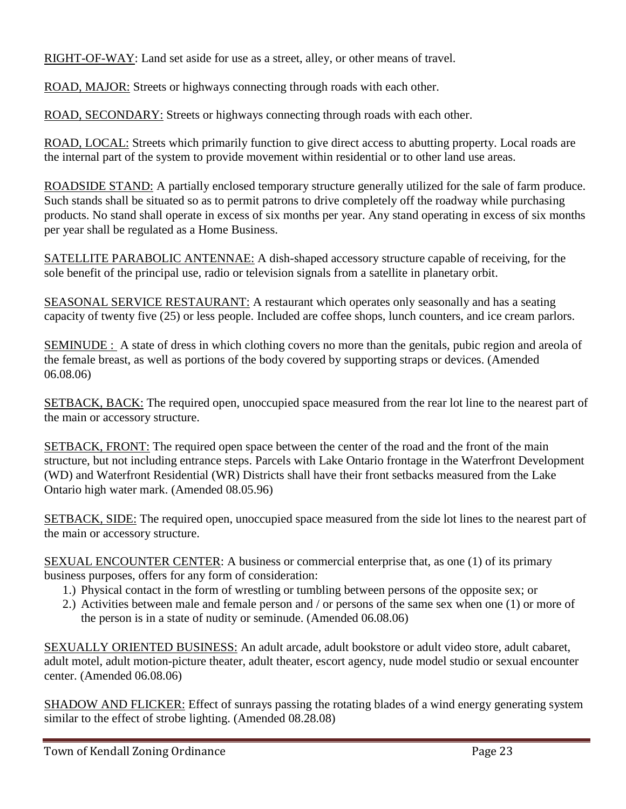RIGHT-OF-WAY: Land set aside for use as a street, alley, or other means of travel.

ROAD, MAJOR: Streets or highways connecting through roads with each other.

ROAD, SECONDARY: Streets or highways connecting through roads with each other.

ROAD, LOCAL: Streets which primarily function to give direct access to abutting property. Local roads are the internal part of the system to provide movement within residential or to other land use areas.

ROADSIDE STAND: A partially enclosed temporary structure generally utilized for the sale of farm produce. Such stands shall be situated so as to permit patrons to drive completely off the roadway while purchasing products. No stand shall operate in excess of six months per year. Any stand operating in excess of six months per year shall be regulated as a Home Business.

SATELLITE PARABOLIC ANTENNAE: A dish-shaped accessory structure capable of receiving, for the sole benefit of the principal use, radio or television signals from a satellite in planetary orbit.

SEASONAL SERVICE RESTAURANT: A restaurant which operates only seasonally and has a seating capacity of twenty five (25) or less people. Included are coffee shops, lunch counters, and ice cream parlors.

SEMINUDE : A state of dress in which clothing covers no more than the genitals, pubic region and areola of the female breast, as well as portions of the body covered by supporting straps or devices. (Amended 06.08.06)

SETBACK, BACK: The required open, unoccupied space measured from the rear lot line to the nearest part of the main or accessory structure.

SETBACK, FRONT: The required open space between the center of the road and the front of the main structure, but not including entrance steps. Parcels with Lake Ontario frontage in the Waterfront Development (WD) and Waterfront Residential (WR) Districts shall have their front setbacks measured from the Lake Ontario high water mark. (Amended 08.05.96)

SETBACK, SIDE: The required open, unoccupied space measured from the side lot lines to the nearest part of the main or accessory structure.

SEXUAL ENCOUNTER CENTER: A business or commercial enterprise that, as one (1) of its primary business purposes, offers for any form of consideration:

- 1.) Physical contact in the form of wrestling or tumbling between persons of the opposite sex; or
- 2.) Activities between male and female person and / or persons of the same sex when one (1) or more of the person is in a state of nudity or seminude. (Amended 06.08.06)

SEXUALLY ORIENTED BUSINESS: An adult arcade, adult bookstore or adult video store, adult cabaret, adult motel, adult motion-picture theater, adult theater, escort agency, nude model studio or sexual encounter center. (Amended 06.08.06)

SHADOW AND FLICKER: Effect of sunrays passing the rotating blades of a wind energy generating system similar to the effect of strobe lighting. (Amended 08.28.08)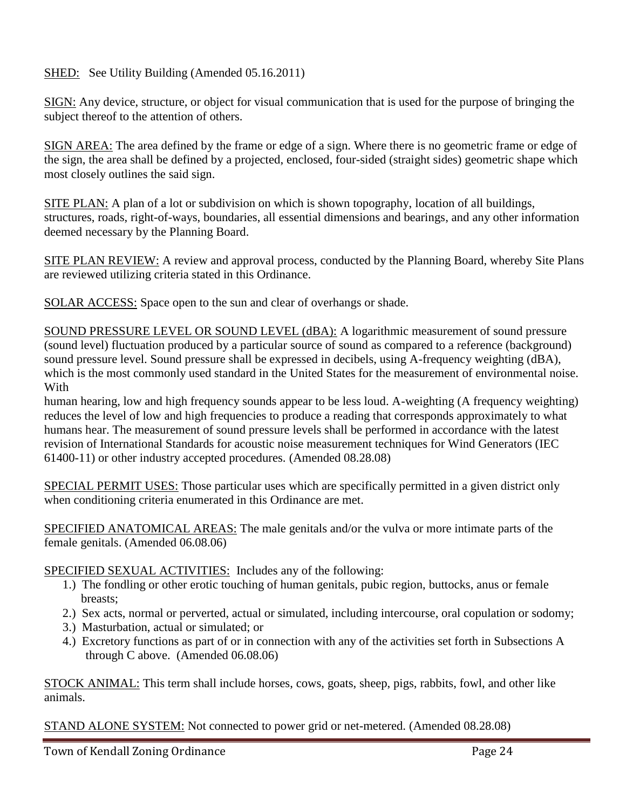## SHED: See Utility Building (Amended 05.16.2011)

SIGN: Any device, structure, or object for visual communication that is used for the purpose of bringing the subject thereof to the attention of others.

SIGN AREA: The area defined by the frame or edge of a sign. Where there is no geometric frame or edge of the sign, the area shall be defined by a projected, enclosed, four-sided (straight sides) geometric shape which most closely outlines the said sign.

SITE PLAN: A plan of a lot or subdivision on which is shown topography, location of all buildings, structures, roads, right-of-ways, boundaries, all essential dimensions and bearings, and any other information deemed necessary by the Planning Board.

SITE PLAN REVIEW: A review and approval process, conducted by the Planning Board, whereby Site Plans are reviewed utilizing criteria stated in this Ordinance.

SOLAR ACCESS: Space open to the sun and clear of overhangs or shade.

SOUND PRESSURE LEVEL OR SOUND LEVEL (dBA): A logarithmic measurement of sound pressure (sound level) fluctuation produced by a particular source of sound as compared to a reference (background) sound pressure level. Sound pressure shall be expressed in decibels, using A-frequency weighting (dBA), which is the most commonly used standard in the United States for the measurement of environmental noise. With

human hearing, low and high frequency sounds appear to be less loud. A-weighting (A frequency weighting) reduces the level of low and high frequencies to produce a reading that corresponds approximately to what humans hear. The measurement of sound pressure levels shall be performed in accordance with the latest revision of International Standards for acoustic noise measurement techniques for Wind Generators (IEC 61400-11) or other industry accepted procedures. (Amended 08.28.08)

SPECIAL PERMIT USES: Those particular uses which are specifically permitted in a given district only when conditioning criteria enumerated in this Ordinance are met.

SPECIFIED ANATOMICAL AREAS: The male genitals and/or the vulva or more intimate parts of the female genitals. (Amended 06.08.06)

SPECIFIED SEXUAL ACTIVITIES: Includes any of the following:

- 1.) The fondling or other erotic touching of human genitals, pubic region, buttocks, anus or female breasts;
- 2.) Sex acts, normal or perverted, actual or simulated, including intercourse, oral copulation or sodomy;
- 3.) Masturbation, actual or simulated; or
- 4.) Excretory functions as part of or in connection with any of the activities set forth in Subsections A through C above. (Amended 06.08.06)

STOCK ANIMAL: This term shall include horses, cows, goats, sheep, pigs, rabbits, fowl, and other like animals.

STAND ALONE SYSTEM: Not connected to power grid or net-metered. (Amended 08.28.08)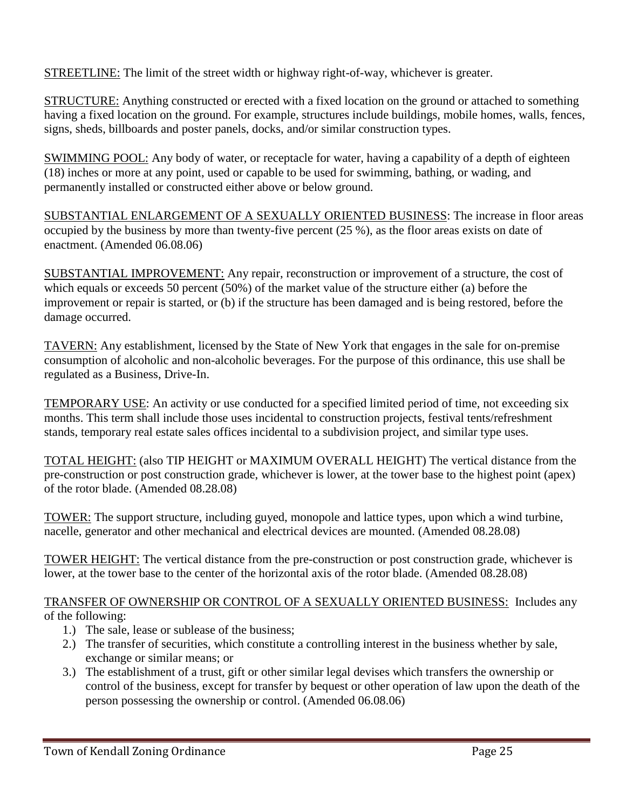**STREETLINE:** The limit of the street width or highway right-of-way, whichever is greater.

STRUCTURE: Anything constructed or erected with a fixed location on the ground or attached to something having a fixed location on the ground. For example, structures include buildings, mobile homes, walls, fences, signs, sheds, billboards and poster panels, docks, and/or similar construction types.

SWIMMING POOL: Any body of water, or receptacle for water, having a capability of a depth of eighteen (18) inches or more at any point, used or capable to be used for swimming, bathing, or wading, and permanently installed or constructed either above or below ground.

SUBSTANTIAL ENLARGEMENT OF A SEXUALLY ORIENTED BUSINESS: The increase in floor areas occupied by the business by more than twenty-five percent (25 %), as the floor areas exists on date of enactment. (Amended 06.08.06)

SUBSTANTIAL IMPROVEMENT: Any repair, reconstruction or improvement of a structure, the cost of which equals or exceeds 50 percent (50%) of the market value of the structure either (a) before the improvement or repair is started, or (b) if the structure has been damaged and is being restored, before the damage occurred.

TAVERN: Any establishment, licensed by the State of New York that engages in the sale for on-premise consumption of alcoholic and non-alcoholic beverages. For the purpose of this ordinance, this use shall be regulated as a Business, Drive-In.

TEMPORARY USE: An activity or use conducted for a specified limited period of time, not exceeding six months. This term shall include those uses incidental to construction projects, festival tents/refreshment stands, temporary real estate sales offices incidental to a subdivision project, and similar type uses.

TOTAL HEIGHT: (also TIP HEIGHT or MAXIMUM OVERALL HEIGHT) The vertical distance from the pre-construction or post construction grade, whichever is lower, at the tower base to the highest point (apex) of the rotor blade. (Amended 08.28.08)

TOWER: The support structure, including guyed, monopole and lattice types, upon which a wind turbine, nacelle, generator and other mechanical and electrical devices are mounted. (Amended 08.28.08)

TOWER HEIGHT: The vertical distance from the pre-construction or post construction grade, whichever is lower, at the tower base to the center of the horizontal axis of the rotor blade. (Amended 08.28.08)

### TRANSFER OF OWNERSHIP OR CONTROL OF A SEXUALLY ORIENTED BUSINESS: Includes any of the following:

- 1.) The sale, lease or sublease of the business;
- 2.) The transfer of securities, which constitute a controlling interest in the business whether by sale, exchange or similar means; or
- 3.) The establishment of a trust, gift or other similar legal devises which transfers the ownership or control of the business, except for transfer by bequest or other operation of law upon the death of the person possessing the ownership or control. (Amended 06.08.06)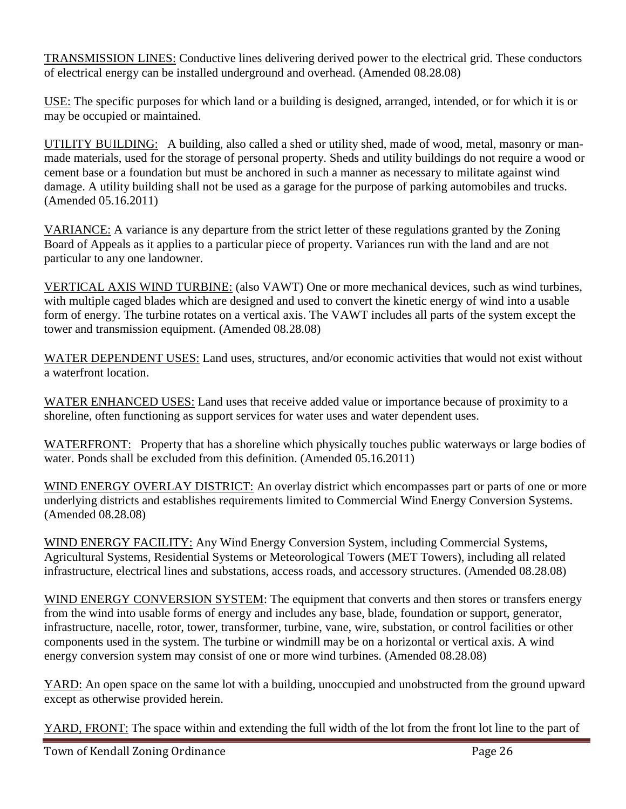TRANSMISSION LINES: Conductive lines delivering derived power to the electrical grid. These conductors of electrical energy can be installed underground and overhead. (Amended 08.28.08)

USE: The specific purposes for which land or a building is designed, arranged, intended, or for which it is or may be occupied or maintained.

UTILITY BUILDING: A building, also called a shed or utility shed, made of wood, metal, masonry or manmade materials, used for the storage of personal property. Sheds and utility buildings do not require a wood or cement base or a foundation but must be anchored in such a manner as necessary to militate against wind damage. A utility building shall not be used as a garage for the purpose of parking automobiles and trucks. (Amended 05.16.2011)

VARIANCE: A variance is any departure from the strict letter of these regulations granted by the Zoning Board of Appeals as it applies to a particular piece of property. Variances run with the land and are not particular to any one landowner.

VERTICAL AXIS WIND TURBINE: (also VAWT) One or more mechanical devices, such as wind turbines, with multiple caged blades which are designed and used to convert the kinetic energy of wind into a usable form of energy. The turbine rotates on a vertical axis. The VAWT includes all parts of the system except the tower and transmission equipment. (Amended 08.28.08)

WATER DEPENDENT USES: Land uses, structures, and/or economic activities that would not exist without a waterfront location.

WATER ENHANCED USES: Land uses that receive added value or importance because of proximity to a shoreline, often functioning as support services for water uses and water dependent uses.

WATERFRONT: Property that has a shoreline which physically touches public waterways or large bodies of water. Ponds shall be excluded from this definition. (Amended 05.16.2011)

WIND ENERGY OVERLAY DISTRICT: An overlay district which encompasses part or parts of one or more underlying districts and establishes requirements limited to Commercial Wind Energy Conversion Systems. (Amended 08.28.08)

WIND ENERGY FACILITY: Any Wind Energy Conversion System, including Commercial Systems, Agricultural Systems, Residential Systems or Meteorological Towers (MET Towers), including all related infrastructure, electrical lines and substations, access roads, and accessory structures. (Amended 08.28.08)

WIND ENERGY CONVERSION SYSTEM: The equipment that converts and then stores or transfers energy from the wind into usable forms of energy and includes any base, blade, foundation or support, generator, infrastructure, nacelle, rotor, tower, transformer, turbine, vane, wire, substation, or control facilities or other components used in the system. The turbine or windmill may be on a horizontal or vertical axis. A wind energy conversion system may consist of one or more wind turbines. (Amended 08.28.08)

YARD: An open space on the same lot with a building, unoccupied and unobstructed from the ground upward except as otherwise provided herein.

YARD, FRONT: The space within and extending the full width of the lot from the front lot line to the part of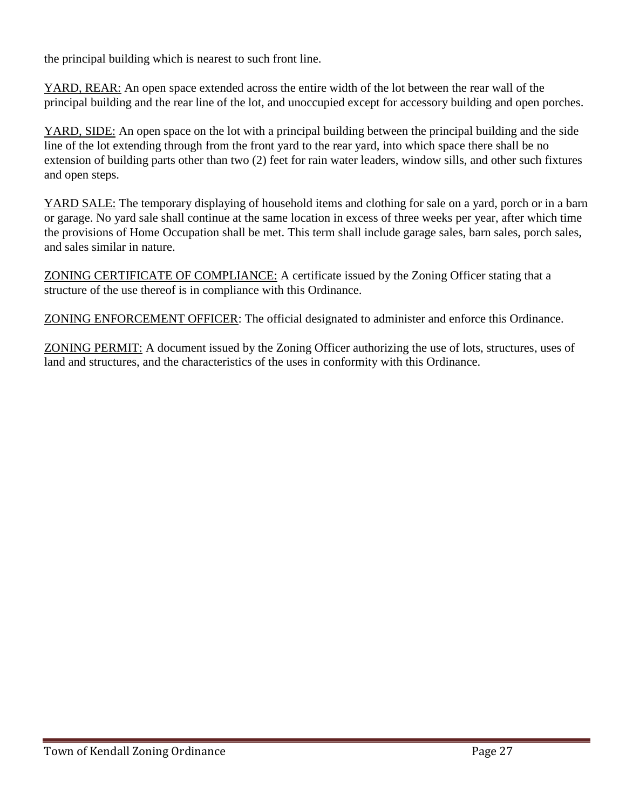the principal building which is nearest to such front line.

YARD, REAR: An open space extended across the entire width of the lot between the rear wall of the principal building and the rear line of the lot, and unoccupied except for accessory building and open porches.

YARD, SIDE: An open space on the lot with a principal building between the principal building and the side line of the lot extending through from the front yard to the rear yard, into which space there shall be no extension of building parts other than two (2) feet for rain water leaders, window sills, and other such fixtures and open steps.

YARD SALE: The temporary displaying of household items and clothing for sale on a yard, porch or in a barn or garage. No yard sale shall continue at the same location in excess of three weeks per year, after which time the provisions of Home Occupation shall be met. This term shall include garage sales, barn sales, porch sales, and sales similar in nature.

ZONING CERTIFICATE OF COMPLIANCE: A certificate issued by the Zoning Officer stating that a structure of the use thereof is in compliance with this Ordinance.

ZONING ENFORCEMENT OFFICER: The official designated to administer and enforce this Ordinance.

ZONING PERMIT: A document issued by the Zoning Officer authorizing the use of lots, structures, uses of land and structures, and the characteristics of the uses in conformity with this Ordinance.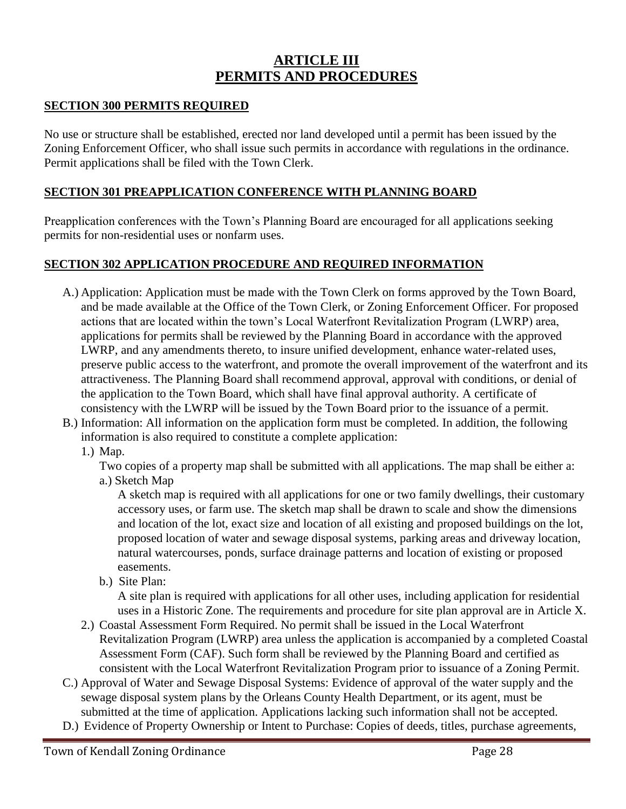## **ARTICLE III PERMITS AND PROCEDURES**

## **SECTION 300 PERMITS REQUIRED**

No use or structure shall be established, erected nor land developed until a permit has been issued by the Zoning Enforcement Officer, who shall issue such permits in accordance with regulations in the ordinance. Permit applications shall be filed with the Town Clerk.

### **SECTION 301 PREAPPLICATION CONFERENCE WITH PLANNING BOARD**

Preapplication conferences with the Town's Planning Board are encouraged for all applications seeking permits for non-residential uses or nonfarm uses.

## **SECTION 302 APPLICATION PROCEDURE AND REQUIRED INFORMATION**

- A.) Application: Application must be made with the Town Clerk on forms approved by the Town Board, and be made available at the Office of the Town Clerk, or Zoning Enforcement Officer. For proposed actions that are located within the town's Local Waterfront Revitalization Program (LWRP) area, applications for permits shall be reviewed by the Planning Board in accordance with the approved LWRP, and any amendments thereto, to insure unified development, enhance water-related uses, preserve public access to the waterfront, and promote the overall improvement of the waterfront and its attractiveness. The Planning Board shall recommend approval, approval with conditions, or denial of the application to the Town Board, which shall have final approval authority. A certificate of consistency with the LWRP will be issued by the Town Board prior to the issuance of a permit.
- B.) Information: All information on the application form must be completed. In addition, the following information is also required to constitute a complete application:
	- 1.) Map.

Two copies of a property map shall be submitted with all applications. The map shall be either a: a.) Sketch Map

A sketch map is required with all applications for one or two family dwellings, their customary accessory uses, or farm use. The sketch map shall be drawn to scale and show the dimensions and location of the lot, exact size and location of all existing and proposed buildings on the lot, proposed location of water and sewage disposal systems, parking areas and driveway location, natural watercourses, ponds, surface drainage patterns and location of existing or proposed easements.

b.) Site Plan:

A site plan is required with applications for all other uses, including application for residential uses in a Historic Zone. The requirements and procedure for site plan approval are in Article X.

- 2.) Coastal Assessment Form Required. No permit shall be issued in the Local Waterfront Revitalization Program (LWRP) area unless the application is accompanied by a completed Coastal Assessment Form (CAF). Such form shall be reviewed by the Planning Board and certified as consistent with the Local Waterfront Revitalization Program prior to issuance of a Zoning Permit.
- C.) Approval of Water and Sewage Disposal Systems: Evidence of approval of the water supply and the sewage disposal system plans by the Orleans County Health Department, or its agent, must be submitted at the time of application. Applications lacking such information shall not be accepted.
- D.) Evidence of Property Ownership or Intent to Purchase: Copies of deeds, titles, purchase agreements,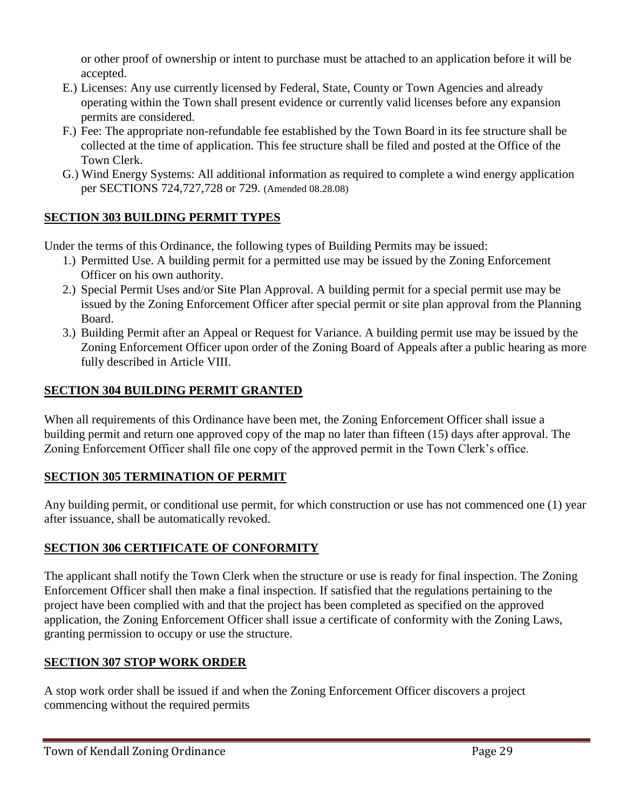or other proof of ownership or intent to purchase must be attached to an application before it will be accepted.

- E.) Licenses: Any use currently licensed by Federal, State, County or Town Agencies and already operating within the Town shall present evidence or currently valid licenses before any expansion permits are considered.
- F.) Fee: The appropriate non-refundable fee established by the Town Board in its fee structure shall be collected at the time of application. This fee structure shall be filed and posted at the Office of the Town Clerk.
- G.) Wind Energy Systems: All additional information as required to complete a wind energy application per SECTIONS 724,727,728 or 729. (Amended 08.28.08)

## **SECTION 303 BUILDING PERMIT TYPES**

Under the terms of this Ordinance, the following types of Building Permits may be issued:

- 1.) Permitted Use. A building permit for a permitted use may be issued by the Zoning Enforcement Officer on his own authority.
- 2.) Special Permit Uses and/or Site Plan Approval. A building permit for a special permit use may be issued by the Zoning Enforcement Officer after special permit or site plan approval from the Planning Board.
- 3.) Building Permit after an Appeal or Request for Variance. A building permit use may be issued by the Zoning Enforcement Officer upon order of the Zoning Board of Appeals after a public hearing as more fully described in Article VIII.

## **SECTION 304 BUILDING PERMIT GRANTED**

When all requirements of this Ordinance have been met, the Zoning Enforcement Officer shall issue a building permit and return one approved copy of the map no later than fifteen (15) days after approval. The Zoning Enforcement Officer shall file one copy of the approved permit in the Town Clerk's office.

## **SECTION 305 TERMINATION OF PERMIT**

Any building permit, or conditional use permit, for which construction or use has not commenced one (1) year after issuance, shall be automatically revoked.

## **SECTION 306 CERTIFICATE OF CONFORMITY**

The applicant shall notify the Town Clerk when the structure or use is ready for final inspection. The Zoning Enforcement Officer shall then make a final inspection. If satisfied that the regulations pertaining to the project have been complied with and that the project has been completed as specified on the approved application, the Zoning Enforcement Officer shall issue a certificate of conformity with the Zoning Laws, granting permission to occupy or use the structure.

## **SECTION 307 STOP WORK ORDER**

A stop work order shall be issued if and when the Zoning Enforcement Officer discovers a project commencing without the required permits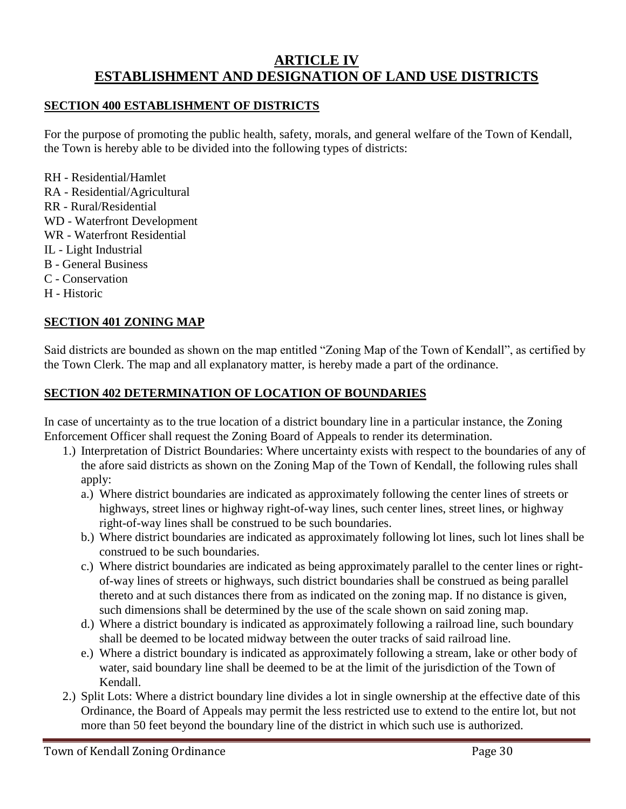## **ARTICLE IV ESTABLISHMENT AND DESIGNATION OF LAND USE DISTRICTS**

### **SECTION 400 ESTABLISHMENT OF DISTRICTS**

For the purpose of promoting the public health, safety, morals, and general welfare of the Town of Kendall, the Town is hereby able to be divided into the following types of districts:

RH - Residential/Hamlet RA - Residential/Agricultural RR - Rural/Residential WD - Waterfront Development WR - Waterfront Residential IL - Light Industrial B - General Business C - Conservation H - Historic

## **SECTION 401 ZONING MAP**

Said districts are bounded as shown on the map entitled "Zoning Map of the Town of Kendall", as certified by the Town Clerk. The map and all explanatory matter, is hereby made a part of the ordinance.

### **SECTION 402 DETERMINATION OF LOCATION OF BOUNDARIES**

In case of uncertainty as to the true location of a district boundary line in a particular instance, the Zoning Enforcement Officer shall request the Zoning Board of Appeals to render its determination.

- 1.) Interpretation of District Boundaries: Where uncertainty exists with respect to the boundaries of any of the afore said districts as shown on the Zoning Map of the Town of Kendall, the following rules shall apply:
	- a.) Where district boundaries are indicated as approximately following the center lines of streets or highways, street lines or highway right-of-way lines, such center lines, street lines, or highway right-of-way lines shall be construed to be such boundaries.
	- b.) Where district boundaries are indicated as approximately following lot lines, such lot lines shall be construed to be such boundaries.
	- c.) Where district boundaries are indicated as being approximately parallel to the center lines or rightof-way lines of streets or highways, such district boundaries shall be construed as being parallel thereto and at such distances there from as indicated on the zoning map. If no distance is given, such dimensions shall be determined by the use of the scale shown on said zoning map.
	- d.) Where a district boundary is indicated as approximately following a railroad line, such boundary shall be deemed to be located midway between the outer tracks of said railroad line.
	- e.) Where a district boundary is indicated as approximately following a stream, lake or other body of water, said boundary line shall be deemed to be at the limit of the jurisdiction of the Town of Kendall.
- 2.) Split Lots: Where a district boundary line divides a lot in single ownership at the effective date of this Ordinance, the Board of Appeals may permit the less restricted use to extend to the entire lot, but not more than 50 feet beyond the boundary line of the district in which such use is authorized.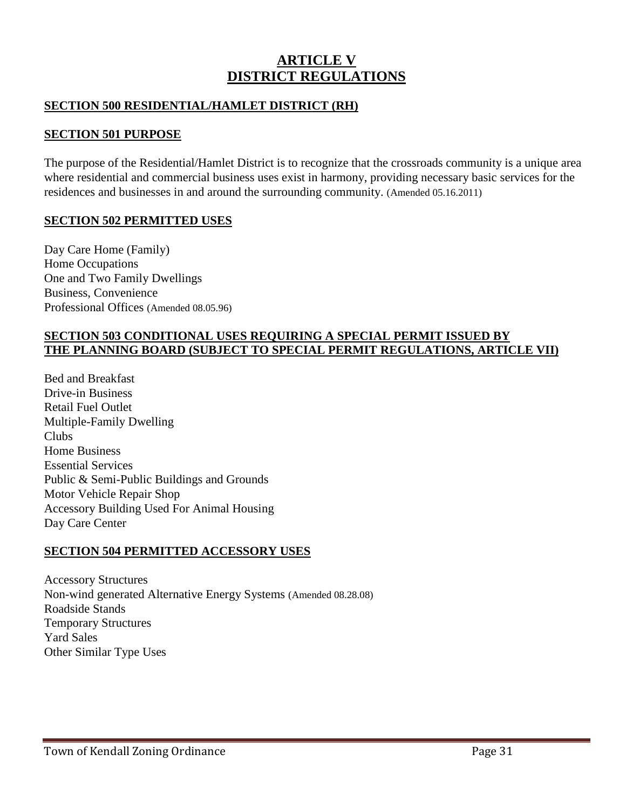## **ARTICLE V DISTRICT REGULATIONS**

### **SECTION 500 RESIDENTIAL/HAMLET DISTRICT (RH)**

## **SECTION 501 PURPOSE**

The purpose of the Residential/Hamlet District is to recognize that the crossroads community is a unique area where residential and commercial business uses exist in harmony, providing necessary basic services for the residences and businesses in and around the surrounding community. (Amended 05.16.2011)

### **SECTION 502 PERMITTED USES**

Day Care Home (Family) Home Occupations One and Two Family Dwellings Business, Convenience Professional Offices (Amended 08.05.96)

### **SECTION 503 CONDITIONAL USES REQUIRING A SPECIAL PERMIT ISSUED BY THE PLANNING BOARD (SUBJECT TO SPECIAL PERMIT REGULATIONS, ARTICLE VII)**

Bed and Breakfast Drive-in Business Retail Fuel Outlet Multiple-Family Dwelling Clubs Home Business Essential Services Public & Semi-Public Buildings and Grounds Motor Vehicle Repair Shop Accessory Building Used For Animal Housing Day Care Center

### **SECTION 504 PERMITTED ACCESSORY USES**

Accessory Structures Non-wind generated Alternative Energy Systems (Amended 08.28.08) Roadside Stands Temporary Structures Yard Sales Other Similar Type Uses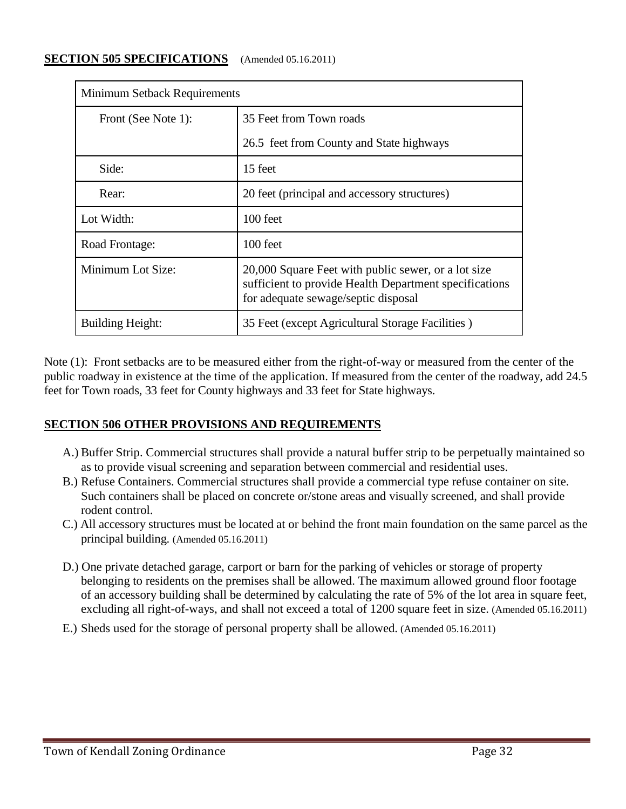### **SECTION 505 SPECIFICATIONS** (Amended 05.16.2011)

| <b>Minimum Setback Requirements</b> |                                                                                                                                                      |  |
|-------------------------------------|------------------------------------------------------------------------------------------------------------------------------------------------------|--|
| Front (See Note 1):                 | 35 Feet from Town roads                                                                                                                              |  |
|                                     | 26.5 feet from County and State highways                                                                                                             |  |
| Side:                               | 15 feet                                                                                                                                              |  |
| Rear:                               | 20 feet (principal and accessory structures)                                                                                                         |  |
| Lot Width:                          | $100$ feet                                                                                                                                           |  |
| Road Frontage:                      | $100$ feet                                                                                                                                           |  |
| Minimum Lot Size:                   | 20,000 Square Feet with public sewer, or a lot size<br>sufficient to provide Health Department specifications<br>for adequate sewage/septic disposal |  |
| <b>Building Height:</b>             | 35 Feet (except Agricultural Storage Facilities)                                                                                                     |  |

Note (1): Front setbacks are to be measured either from the right-of-way or measured from the center of the public roadway in existence at the time of the application. If measured from the center of the roadway, add 24.5 feet for Town roads, 33 feet for County highways and 33 feet for State highways.

## **SECTION 506 OTHER PROVISIONS AND REQUIREMENTS**

- A.) Buffer Strip. Commercial structures shall provide a natural buffer strip to be perpetually maintained so as to provide visual screening and separation between commercial and residential uses.
- B.) Refuse Containers. Commercial structures shall provide a commercial type refuse container on site. Such containers shall be placed on concrete or/stone areas and visually screened, and shall provide rodent control.
- C.) All accessory structures must be located at or behind the front main foundation on the same parcel as the principal building. (Amended 05.16.2011)
- D.) One private detached garage, carport or barn for the parking of vehicles or storage of property belonging to residents on the premises shall be allowed. The maximum allowed ground floor footage of an accessory building shall be determined by calculating the rate of 5% of the lot area in square feet, excluding all right-of-ways, and shall not exceed a total of 1200 square feet in size. (Amended 05.16.2011)
- E.) Sheds used for the storage of personal property shall be allowed. (Amended 05.16.2011)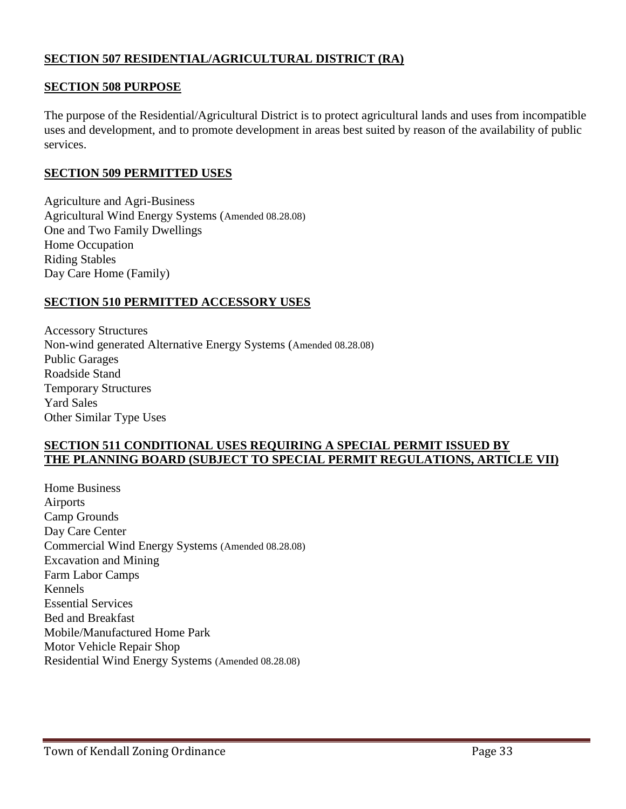## **SECTION 507 RESIDENTIAL/AGRICULTURAL DISTRICT (RA)**

### **SECTION 508 PURPOSE**

The purpose of the Residential/Agricultural District is to protect agricultural lands and uses from incompatible uses and development, and to promote development in areas best suited by reason of the availability of public services.

### **SECTION 509 PERMITTED USES**

Agriculture and Agri-Business Agricultural Wind Energy Systems (Amended 08.28.08) One and Two Family Dwellings Home Occupation Riding Stables Day Care Home (Family)

### **SECTION 510 PERMITTED ACCESSORY USES**

Accessory Structures Non-wind generated Alternative Energy Systems (Amended 08.28.08) Public Garages Roadside Stand Temporary Structures Yard Sales Other Similar Type Uses

### **SECTION 511 CONDITIONAL USES REQUIRING A SPECIAL PERMIT ISSUED BY THE PLANNING BOARD (SUBJECT TO SPECIAL PERMIT REGULATIONS, ARTICLE VII)**

Home Business Airports Camp Grounds Day Care Center Commercial Wind Energy Systems (Amended 08.28.08) Excavation and Mining Farm Labor Camps Kennels Essential Services Bed and Breakfast Mobile/Manufactured Home Park Motor Vehicle Repair Shop Residential Wind Energy Systems (Amended 08.28.08)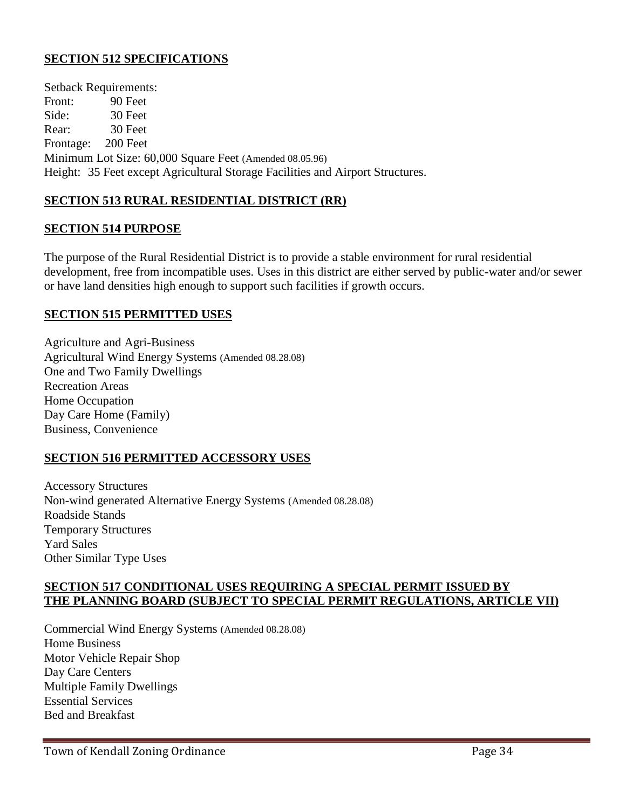## **SECTION 512 SPECIFICATIONS**

Setback Requirements: Front: 90 Feet Side: 30 Feet Rear: 30 Feet Frontage: 200 Feet Minimum Lot Size: 60,000 Square Feet (Amended 08.05.96) Height: 35 Feet except Agricultural Storage Facilities and Airport Structures.

## **SECTION 513 RURAL RESIDENTIAL DISTRICT (RR)**

### **SECTION 514 PURPOSE**

The purpose of the Rural Residential District is to provide a stable environment for rural residential development, free from incompatible uses. Uses in this district are either served by public-water and/or sewer or have land densities high enough to support such facilities if growth occurs.

### **SECTION 515 PERMITTED USES**

Agriculture and Agri-Business Agricultural Wind Energy Systems (Amended 08.28.08) One and Two Family Dwellings Recreation Areas Home Occupation Day Care Home (Family) Business, Convenience

### **SECTION 516 PERMITTED ACCESSORY USES**

Accessory Structures Non-wind generated Alternative Energy Systems (Amended 08.28.08) Roadside Stands Temporary Structures Yard Sales Other Similar Type Uses

### **SECTION 517 CONDITIONAL USES REQUIRING A SPECIAL PERMIT ISSUED BY THE PLANNING BOARD (SUBJECT TO SPECIAL PERMIT REGULATIONS, ARTICLE VII)**

Commercial Wind Energy Systems (Amended 08.28.08) Home Business Motor Vehicle Repair Shop Day Care Centers Multiple Family Dwellings Essential Services Bed and Breakfast

Town of Kendall Zoning Ordinance **Page 34**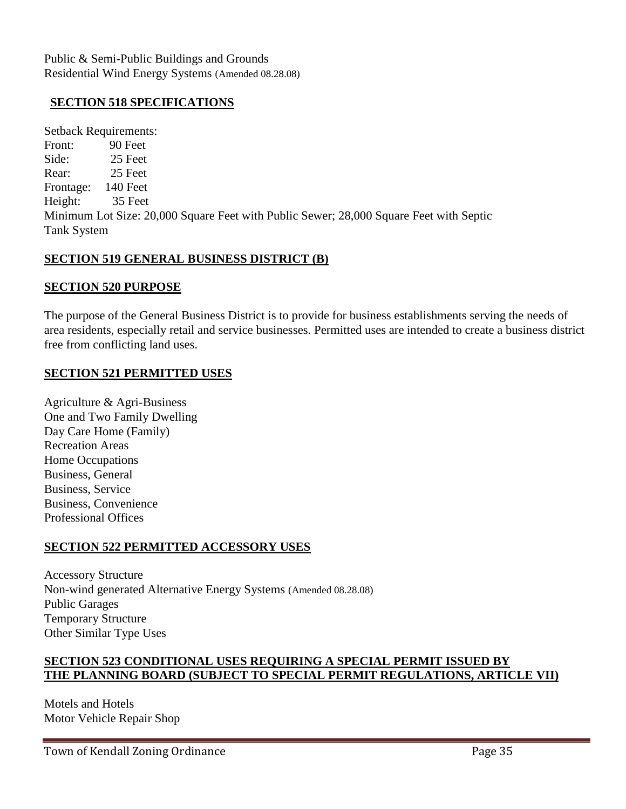Public & Semi-Public Buildings and Grounds Residential Wind Energy Systems (Amended 08.28.08)

### **SECTION 518 SPECIFICATIONS**

Setback Requirements: Front: 90 Feet Side: 25 Feet Rear: 25 Feet Frontage: 140 Feet Height: 35 Feet Minimum Lot Size: 20,000 Square Feet with Public Sewer; 28,000 Square Feet with Septic Tank System

### **SECTION 519 GENERAL BUSINESS DISTRICT (B)**

### **SECTION 520 PURPOSE**

The purpose of the General Business District is to provide for business establishments serving the needs of area residents, especially retail and service businesses. Permitted uses are intended to create a business district free from conflicting land uses.

### **SECTION 521 PERMITTED USES**

Agriculture & Agri-Business One and Two Family Dwelling Day Care Home (Family) Recreation Areas Home Occupations Business, General Business, Service Business, Convenience Professional Offices

### **SECTION 522 PERMITTED ACCESSORY USES**

Accessory Structure Non-wind generated Alternative Energy Systems (Amended 08.28.08) Public Garages Temporary Structure Other Similar Type Uses

### **SECTION 523 CONDITIONAL USES REQUIRING A SPECIAL PERMIT ISSUED BY THE PLANNING BOARD (SUBJECT TO SPECIAL PERMIT REGULATIONS, ARTICLE VII)**

Motels and Hotels Motor Vehicle Repair Shop

Town of Kendall Zoning Ordinance **Page 35**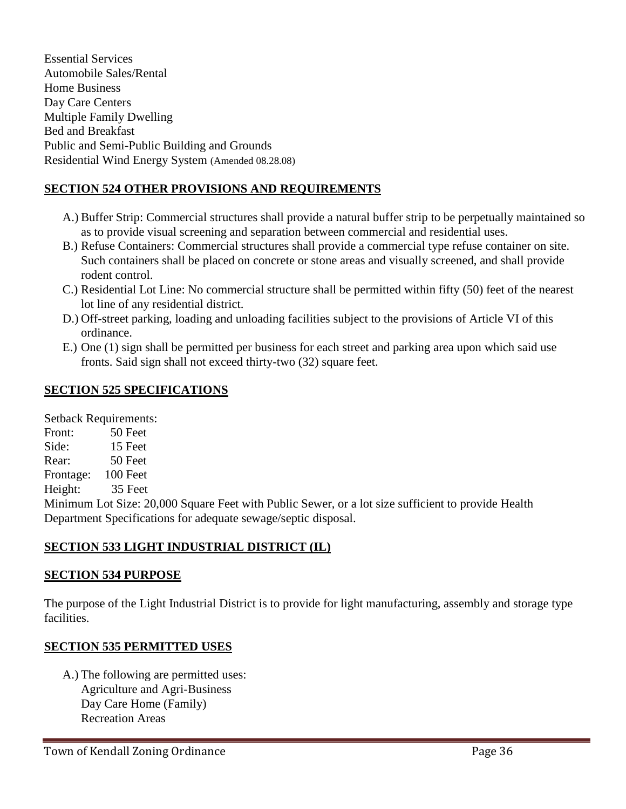Essential Services Automobile Sales/Rental Home Business Day Care Centers Multiple Family Dwelling Bed and Breakfast Public and Semi-Public Building and Grounds Residential Wind Energy System (Amended 08.28.08)

## **SECTION 524 OTHER PROVISIONS AND REQUIREMENTS**

- A.) Buffer Strip: Commercial structures shall provide a natural buffer strip to be perpetually maintained so as to provide visual screening and separation between commercial and residential uses.
- B.) Refuse Containers: Commercial structures shall provide a commercial type refuse container on site. Such containers shall be placed on concrete or stone areas and visually screened, and shall provide rodent control.
- C.) Residential Lot Line: No commercial structure shall be permitted within fifty (50) feet of the nearest lot line of any residential district.
- D.) Off-street parking, loading and unloading facilities subject to the provisions of Article VI of this ordinance.
- E.) One (1) sign shall be permitted per business for each street and parking area upon which said use fronts. Said sign shall not exceed thirty-two (32) square feet.

## **SECTION 525 SPECIFICATIONS**

Setback Requirements:

Front: 50 Feet Side: 15 Feet Rear: 50 Feet Frontage: 100 Feet

Height: 35 Feet

Minimum Lot Size: 20,000 Square Feet with Public Sewer, or a lot size sufficient to provide Health Department Specifications for adequate sewage/septic disposal.

## **SECTION 533 LIGHT INDUSTRIAL DISTRICT (IL)**

## **SECTION 534 PURPOSE**

The purpose of the Light Industrial District is to provide for light manufacturing, assembly and storage type facilities.

## **SECTION 535 PERMITTED USES**

A.) The following are permitted uses: Agriculture and Agri-Business Day Care Home (Family) Recreation Areas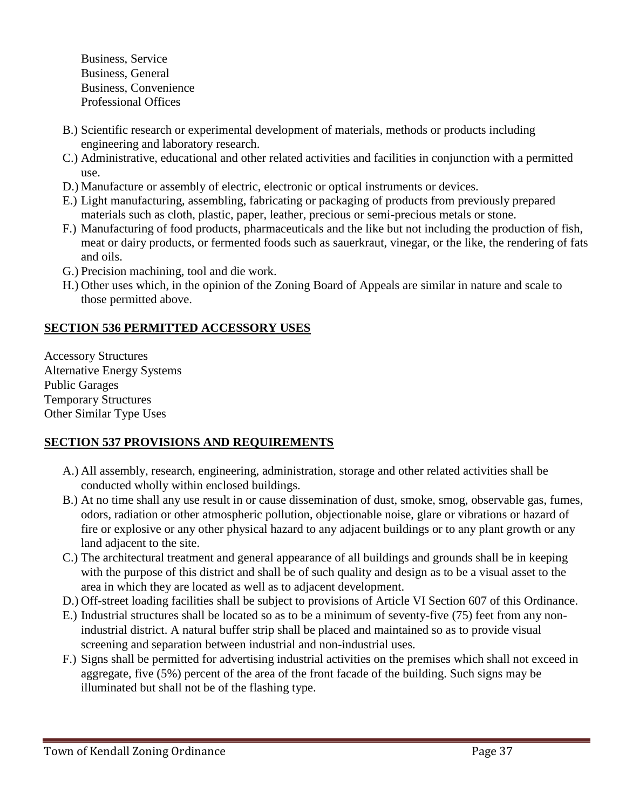Business, Service Business, General Business, Convenience Professional Offices

- B.) Scientific research or experimental development of materials, methods or products including engineering and laboratory research.
- C.) Administrative, educational and other related activities and facilities in conjunction with a permitted use.
- D.) Manufacture or assembly of electric, electronic or optical instruments or devices.
- E.) Light manufacturing, assembling, fabricating or packaging of products from previously prepared materials such as cloth, plastic, paper, leather, precious or semi-precious metals or stone.
- F.) Manufacturing of food products, pharmaceuticals and the like but not including the production of fish, meat or dairy products, or fermented foods such as sauerkraut, vinegar, or the like, the rendering of fats and oils.
- G.) Precision machining, tool and die work.
- H.) Other uses which, in the opinion of the Zoning Board of Appeals are similar in nature and scale to those permitted above.

## **SECTION 536 PERMITTED ACCESSORY USES**

Accessory Structures Alternative Energy Systems Public Garages Temporary Structures Other Similar Type Uses

## **SECTION 537 PROVISIONS AND REQUIREMENTS**

- A.) All assembly, research, engineering, administration, storage and other related activities shall be conducted wholly within enclosed buildings.
- B.) At no time shall any use result in or cause dissemination of dust, smoke, smog, observable gas, fumes, odors, radiation or other atmospheric pollution, objectionable noise, glare or vibrations or hazard of fire or explosive or any other physical hazard to any adjacent buildings or to any plant growth or any land adjacent to the site.
- C.) The architectural treatment and general appearance of all buildings and grounds shall be in keeping with the purpose of this district and shall be of such quality and design as to be a visual asset to the area in which they are located as well as to adjacent development.
- D.) Off-street loading facilities shall be subject to provisions of Article VI Section 607 of this Ordinance.
- E.) Industrial structures shall be located so as to be a minimum of seventy-five (75) feet from any nonindustrial district. A natural buffer strip shall be placed and maintained so as to provide visual screening and separation between industrial and non-industrial uses.
- F.) Signs shall be permitted for advertising industrial activities on the premises which shall not exceed in aggregate, five (5%) percent of the area of the front facade of the building. Such signs may be illuminated but shall not be of the flashing type.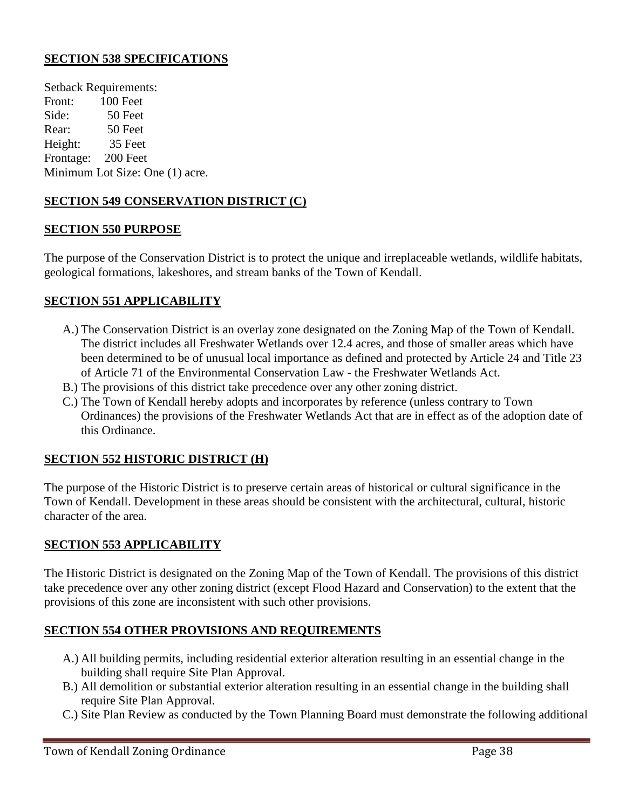### **SECTION 538 SPECIFICATIONS**

Setback Requirements: Front: 100 Feet Side: 50 Feet Rear: 50 Feet Height: 35 Feet Frontage: 200 Feet Minimum Lot Size: One (1) acre.

### **SECTION 549 CONSERVATION DISTRICT (C)**

#### **SECTION 550 PURPOSE**

The purpose of the Conservation District is to protect the unique and irreplaceable wetlands, wildlife habitats, geological formations, lakeshores, and stream banks of the Town of Kendall.

#### **SECTION 551 APPLICABILITY**

- A.) The Conservation District is an overlay zone designated on the Zoning Map of the Town of Kendall. The district includes all Freshwater Wetlands over 12.4 acres, and those of smaller areas which have been determined to be of unusual local importance as defined and protected by Article 24 and Title 23 of Article 71 of the Environmental Conservation Law - the Freshwater Wetlands Act.
- B.) The provisions of this district take precedence over any other zoning district.
- C.) The Town of Kendall hereby adopts and incorporates by reference (unless contrary to Town Ordinances) the provisions of the Freshwater Wetlands Act that are in effect as of the adoption date of this Ordinance.

#### **SECTION 552 HISTORIC DISTRICT (H)**

The purpose of the Historic District is to preserve certain areas of historical or cultural significance in the Town of Kendall. Development in these areas should be consistent with the architectural, cultural, historic character of the area.

#### **SECTION 553 APPLICABILITY**

The Historic District is designated on the Zoning Map of the Town of Kendall. The provisions of this district take precedence over any other zoning district (except Flood Hazard and Conservation) to the extent that the provisions of this zone are inconsistent with such other provisions.

#### **SECTION 554 OTHER PROVISIONS AND REQUIREMENTS**

- A.) All building permits, including residential exterior alteration resulting in an essential change in the building shall require Site Plan Approval.
- B.) All demolition or substantial exterior alteration resulting in an essential change in the building shall require Site Plan Approval.
- C.) Site Plan Review as conducted by the Town Planning Board must demonstrate the following additional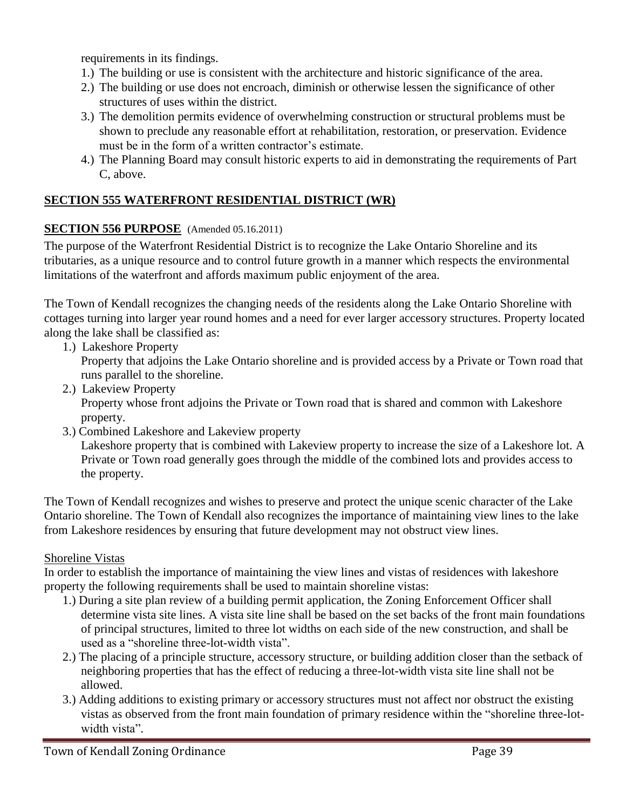requirements in its findings.

- 1.) The building or use is consistent with the architecture and historic significance of the area.
- 2.) The building or use does not encroach, diminish or otherwise lessen the significance of other structures of uses within the district.
- 3.) The demolition permits evidence of overwhelming construction or structural problems must be shown to preclude any reasonable effort at rehabilitation, restoration, or preservation. Evidence must be in the form of a written contractor's estimate.
- 4.) The Planning Board may consult historic experts to aid in demonstrating the requirements of Part C, above.

## **SECTION 555 WATERFRONT RESIDENTIAL DISTRICT (WR)**

### **SECTION 556 PURPOSE** (Amended 05.16.2011)

The purpose of the Waterfront Residential District is to recognize the Lake Ontario Shoreline and its tributaries, as a unique resource and to control future growth in a manner which respects the environmental limitations of the waterfront and affords maximum public enjoyment of the area.

The Town of Kendall recognizes the changing needs of the residents along the Lake Ontario Shoreline with cottages turning into larger year round homes and a need for ever larger accessory structures. Property located along the lake shall be classified as:

- 1.) Lakeshore Property Property that adjoins the Lake Ontario shoreline and is provided access by a Private or Town road that runs parallel to the shoreline.
- 2.) Lakeview Property Property whose front adjoins the Private or Town road that is shared and common with Lakeshore property.
- 3.) Combined Lakeshore and Lakeview property

Lakeshore property that is combined with Lakeview property to increase the size of a Lakeshore lot. A Private or Town road generally goes through the middle of the combined lots and provides access to the property.

The Town of Kendall recognizes and wishes to preserve and protect the unique scenic character of the Lake Ontario shoreline. The Town of Kendall also recognizes the importance of maintaining view lines to the lake from Lakeshore residences by ensuring that future development may not obstruct view lines.

### Shoreline Vistas

In order to establish the importance of maintaining the view lines and vistas of residences with lakeshore property the following requirements shall be used to maintain shoreline vistas:

- 1.) During a site plan review of a building permit application, the Zoning Enforcement Officer shall determine vista site lines. A vista site line shall be based on the set backs of the front main foundations of principal structures, limited to three lot widths on each side of the new construction, and shall be used as a "shoreline three-lot-width vista".
- 2.) The placing of a principle structure, accessory structure, or building addition closer than the setback of neighboring properties that has the effect of reducing a three-lot-width vista site line shall not be allowed.
- 3.) Adding additions to existing primary or accessory structures must not affect nor obstruct the existing vistas as observed from the front main foundation of primary residence within the "shoreline three-lotwidth vista".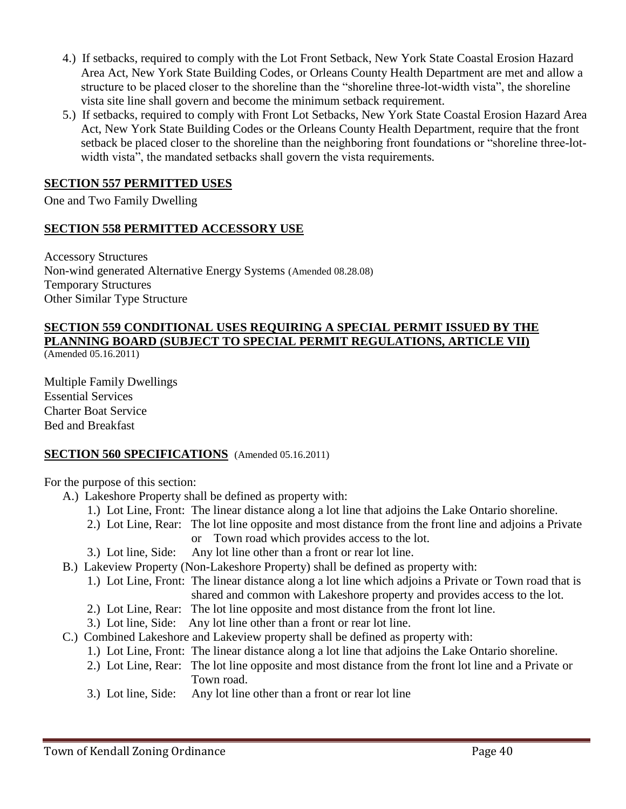- 4.) If setbacks, required to comply with the Lot Front Setback, New York State Coastal Erosion Hazard Area Act, New York State Building Codes, or Orleans County Health Department are met and allow a structure to be placed closer to the shoreline than the "shoreline three-lot-width vista", the shoreline vista site line shall govern and become the minimum setback requirement.
- 5.)If setbacks, required to comply with Front Lot Setbacks, New York State Coastal Erosion Hazard Area Act, New York State Building Codes or the Orleans County Health Department, require that the front setback be placed closer to the shoreline than the neighboring front foundations or "shoreline three-lotwidth vista", the mandated setbacks shall govern the vista requirements*.*

#### **SECTION 557 PERMITTED USES**

One and Two Family Dwelling

#### **SECTION 558 PERMITTED ACCESSORY USE**

Accessory Structures Non-wind generated Alternative Energy Systems (Amended 08.28.08) Temporary Structures Other Similar Type Structure

# **SECTION 559 CONDITIONAL USES REQUIRING A SPECIAL PERMIT ISSUED BY THE PLANNING BOARD (SUBJECT TO SPECIAL PERMIT REGULATIONS, ARTICLE VII)**

(Amended 05.16.2011)

Multiple Family Dwellings Essential Services Charter Boat Service Bed and Breakfast

### **SECTION 560 SPECIFICATIONS** (Amended 05.16.2011)

For the purpose of this section:

- A.) Lakeshore Property shall be defined as property with:
	- 1.) Lot Line, Front: The linear distance along a lot line that adjoins the Lake Ontario shoreline.
	- 2.) Lot Line, Rear: The lot line opposite and most distance from the front line and adjoins a Private or Town road which provides access to the lot.
	- 3.) Lot line, Side: Any lot line other than a front or rear lot line.
- B.) Lakeview Property (Non-Lakeshore Property) shall be defined as property with:
	- 1.) Lot Line, Front: The linear distance along a lot line which adjoins a Private or Town road that is shared and common with Lakeshore property and provides access to the lot.
	- 2.) Lot Line, Rear: The lot line opposite and most distance from the front lot line.
	- 3.) Lot line, Side: Any lot line other than a front or rear lot line.
- C.) Combined Lakeshore and Lakeview property shall be defined as property with:
	- 1.) Lot Line, Front: The linear distance along a lot line that adjoins the Lake Ontario shoreline.
	- 2.) Lot Line, Rear: The lot line opposite and most distance from the front lot line and a Private or Town road.
	- 3.) Lot line, Side: Any lot line other than a front or rear lot line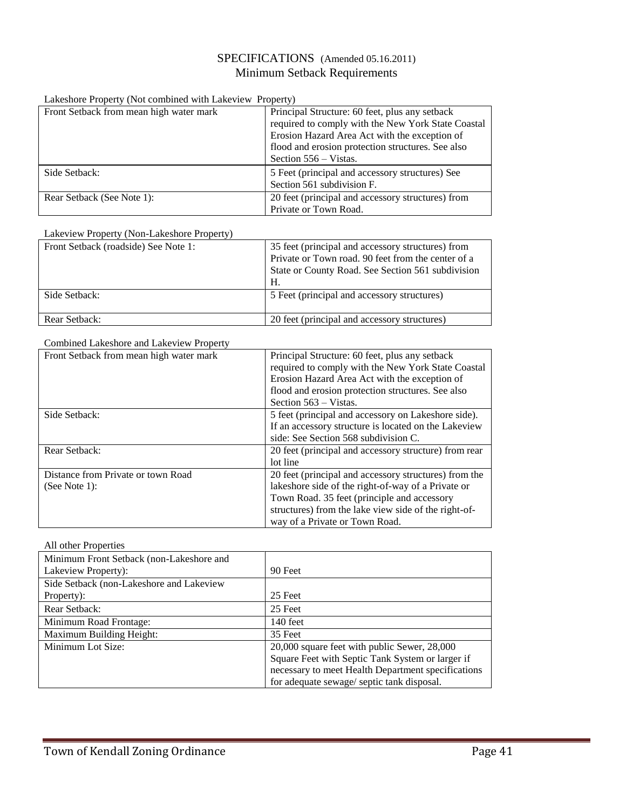#### SPECIFICATIONS (Amended 05.16.2011) Minimum Setback Requirements

#### Lakeshore Property (Not combined with Lakeview Property)

| Front Setback from mean high water mark | Principal Structure: 60 feet, plus any setback     |
|-----------------------------------------|----------------------------------------------------|
|                                         | required to comply with the New York State Coastal |
|                                         | Erosion Hazard Area Act with the exception of      |
|                                         | flood and erosion protection structures. See also  |
|                                         | Section 556 – Vistas.                              |
| Side Setback:                           | 5 Feet (principal and accessory structures) See    |
|                                         | Section 561 subdivision F.                         |
| Rear Setback (See Note 1):              | 20 feet (principal and accessory structures) from  |
|                                         | Private or Town Road.                              |

#### Lakeview Property (Non-Lakeshore Property)

| Front Setback (roadside) See Note 1: | 35 feet (principal and accessory structures) from<br>Private or Town road. 90 feet from the center of a<br>State or County Road. See Section 561 subdivision<br>Н. |
|--------------------------------------|--------------------------------------------------------------------------------------------------------------------------------------------------------------------|
| Side Setback:                        | 5 Feet (principal and accessory structures)                                                                                                                        |
| Rear Setback:                        | 20 feet (principal and accessory structures)                                                                                                                       |

#### Combined Lakeshore and Lakeview Property

| Front Setback from mean high water mark             | Principal Structure: 60 feet, plus any setback<br>required to comply with the New York State Coastal<br>Erosion Hazard Area Act with the exception of                                                                                                |
|-----------------------------------------------------|------------------------------------------------------------------------------------------------------------------------------------------------------------------------------------------------------------------------------------------------------|
|                                                     | flood and erosion protection structures. See also<br>Section 563 – Vistas.                                                                                                                                                                           |
| Side Setback:                                       | 5 feet (principal and accessory on Lakeshore side).<br>If an accessory structure is located on the Lakeview<br>side: See Section 568 subdivision C.                                                                                                  |
| Rear Setback:                                       | 20 feet (principal and accessory structure) from rear<br>lot line                                                                                                                                                                                    |
| Distance from Private or town Road<br>(See Note 1): | 20 feet (principal and accessory structures) from the<br>lakeshore side of the right-of-way of a Private or<br>Town Road. 35 feet (principle and accessory<br>structures) from the lake view side of the right-of-<br>way of a Private or Town Road. |

#### All other Properties

| Minimum Front Setback (non-Lakeshore and<br>Lakeview Property): | 90 Feet                                            |
|-----------------------------------------------------------------|----------------------------------------------------|
| Side Setback (non-Lakeshore and Lakeview)                       |                                                    |
| Property):                                                      | 25 Feet                                            |
| Rear Setback:                                                   | 25 Feet                                            |
| Minimum Road Frontage:                                          | 140 feet                                           |
| Maximum Building Height:                                        | 35 Feet                                            |
| Minimum Lot Size:                                               | 20,000 square feet with public Sewer, 28,000       |
|                                                                 | Square Feet with Septic Tank System or larger if   |
|                                                                 | necessary to meet Health Department specifications |
|                                                                 | for adequate sewage/ septic tank disposal.         |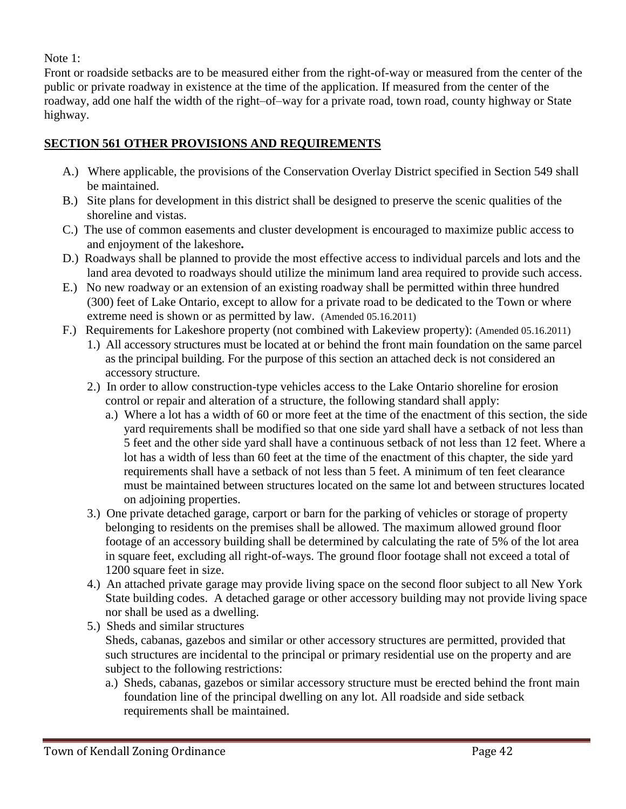Note 1:

Front or roadside setbacks are to be measured either from the right-of-way or measured from the center of the public or private roadway in existence at the time of the application. If measured from the center of the roadway, add one half the width of the right–of–way for a private road, town road, county highway or State highway.

### **SECTION 561 OTHER PROVISIONS AND REQUIREMENTS**

- A.) Where applicable, the provisions of the Conservation Overlay District specified in Section 549 shall be maintained.
- B.) Site plans for development in this district shall be designed to preserve the scenic qualities of the shoreline and vistas.
- C.) The use of common easements and cluster development is encouraged to maximize public access to and enjoyment of the lakeshore**.**
- D.) Roadways shall be planned to provide the most effective access to individual parcels and lots and the land area devoted to roadways should utilize the minimum land area required to provide such access.
- E.) No new roadway or an extension of an existing roadway shall be permitted within three hundred (300) feet of Lake Ontario, except to allow for a private road to be dedicated to the Town or where extreme need is shown or as permitted by law. (Amended 05.16.2011)
- F.) Requirements for Lakeshore property (not combined with Lakeview property): (Amended 05.16.2011)
	- 1.) All accessory structures must be located at or behind the front main foundation on the same parcel as the principal building. For the purpose of this section an attached deck is not considered an accessory structure.
	- 2.) In order to allow construction-type vehicles access to the Lake Ontario shoreline for erosion control or repair and alteration of a structure, the following standard shall apply:
		- a.) Where a lot has a width of 60 or more feet at the time of the enactment of this section, the side yard requirements shall be modified so that one side yard shall have a setback of not less than 5 feet and the other side yard shall have a continuous setback of not less than 12 feet. Where a lot has a width of less than 60 feet at the time of the enactment of this chapter, the side yard requirements shall have a setback of not less than 5 feet. A minimum of ten feet clearance must be maintained between structures located on the same lot and between structures located on adjoining properties.
	- 3.) One private detached garage, carport or barn for the parking of vehicles or storage of property belonging to residents on the premises shall be allowed. The maximum allowed ground floor footage of an accessory building shall be determined by calculating the rate of 5% of the lot area in square feet, excluding all right-of-ways. The ground floor footage shall not exceed a total of 1200 square feet in size.
	- 4.) An attached private garage may provide living space on the second floor subject to all New York State building codes. A detached garage or other accessory building may not provide living space nor shall be used as a dwelling.
	- 5.) Sheds and similar structures Sheds, cabanas, gazebos and similar or other accessory structures are permitted, provided that such structures are incidental to the principal or primary residential use on the property and are subject to the following restrictions:
		- a.) Sheds, cabanas, gazebos or similar accessory structure must be erected behind the front main foundation line of the principal dwelling on any lot. All roadside and side setback requirements shall be maintained.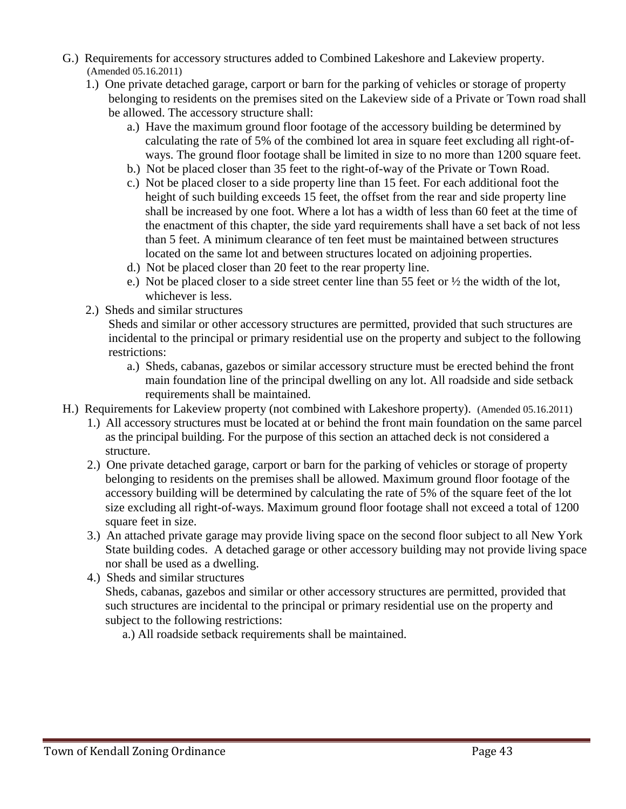- G.) Requirements for accessory structures added to Combined Lakeshore and Lakeview property. (Amended 05.16.2011)
	- 1.) One private detached garage, carport or barn for the parking of vehicles or storage of property belonging to residents on the premises sited on the Lakeview side of a Private or Town road shall be allowed. The accessory structure shall:
		- a.) Have the maximum ground floor footage of the accessory building be determined by calculating the rate of 5% of the combined lot area in square feet excluding all right-ofways. The ground floor footage shall be limited in size to no more than 1200 square feet.
		- b.) Not be placed closer than 35 feet to the right-of-way of the Private or Town Road.
		- c.) Not be placed closer to a side property line than 15 feet. For each additional foot the height of such building exceeds 15 feet, the offset from the rear and side property line shall be increased by one foot. Where a lot has a width of less than 60 feet at the time of the enactment of this chapter, the side yard requirements shall have a set back of not less than 5 feet. A minimum clearance of ten feet must be maintained between structures located on the same lot and between structures located on adjoining properties.
		- d.) Not be placed closer than 20 feet to the rear property line.
		- e.) Not be placed closer to a side street center line than 55 feet or ½ the width of the lot, whichever is less.
	- 2.) Sheds and similar structures

Sheds and similar or other accessory structures are permitted, provided that such structures are incidental to the principal or primary residential use on the property and subject to the following restrictions:

- a.) Sheds, cabanas, gazebos or similar accessory structure must be erected behind the front main foundation line of the principal dwelling on any lot. All roadside and side setback requirements shall be maintained.
- H.) Requirements for Lakeview property (not combined with Lakeshore property).(Amended 05.16.2011)
	- 1.) All accessory structures must be located at or behind the front main foundation on the same parcel as the principal building. For the purpose of this section an attached deck is not considered a structure.
	- 2.) One private detached garage, carport or barn for the parking of vehicles or storage of property belonging to residents on the premises shall be allowed. Maximum ground floor footage of the accessory building will be determined by calculating the rate of 5% of the square feet of the lot size excluding all right-of-ways. Maximum ground floor footage shall not exceed a total of 1200 square feet in size.
	- 3.) An attached private garage may provide living space on the second floor subject to all New York State building codes. A detached garage or other accessory building may not provide living space nor shall be used as a dwelling.
	- 4.) Sheds and similar structures

Sheds, cabanas, gazebos and similar or other accessory structures are permitted, provided that such structures are incidental to the principal or primary residential use on the property and subject to the following restrictions:

a.) All roadside setback requirements shall be maintained.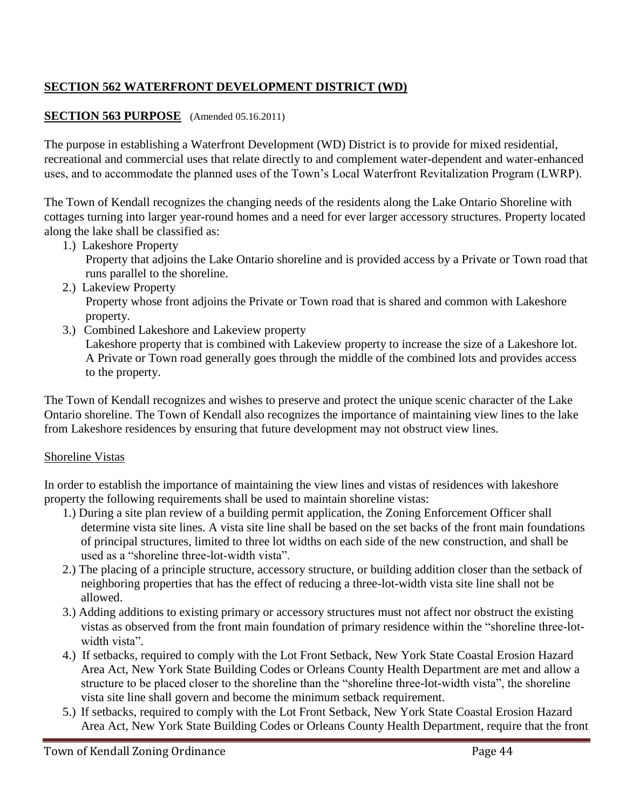# **SECTION 562 WATERFRONT DEVELOPMENT DISTRICT (WD)**

### **SECTION 563 PURPOSE** (Amended 05.16.2011)

The purpose in establishing a Waterfront Development (WD) District is to provide for mixed residential, recreational and commercial uses that relate directly to and complement water-dependent and water-enhanced uses, and to accommodate the planned uses of the Town's Local Waterfront Revitalization Program (LWRP).

The Town of Kendall recognizes the changing needs of the residents along the Lake Ontario Shoreline with cottages turning into larger year-round homes and a need for ever larger accessory structures. Property located along the lake shall be classified as:

1.) Lakeshore Property

Property that adjoins the Lake Ontario shoreline and is provided access by a Private or Town road that runs parallel to the shoreline.

2.) Lakeview Property

Property whose front adjoins the Private or Town road that is shared and common with Lakeshore property.

3.) Combined Lakeshore and Lakeview property

Lakeshore property that is combined with Lakeview property to increase the size of a Lakeshore lot. A Private or Town road generally goes through the middle of the combined lots and provides access to the property.

The Town of Kendall recognizes and wishes to preserve and protect the unique scenic character of the Lake Ontario shoreline. The Town of Kendall also recognizes the importance of maintaining view lines to the lake from Lakeshore residences by ensuring that future development may not obstruct view lines.

### Shoreline Vistas

In order to establish the importance of maintaining the view lines and vistas of residences with lakeshore property the following requirements shall be used to maintain shoreline vistas:

- 1.) During a site plan review of a building permit application, the Zoning Enforcement Officer shall determine vista site lines. A vista site line shall be based on the set backs of the front main foundations of principal structures, limited to three lot widths on each side of the new construction, and shall be used as a "shoreline three-lot-width vista".
- 2.) The placing of a principle structure, accessory structure, or building addition closer than the setback of neighboring properties that has the effect of reducing a three-lot-width vista site line shall not be allowed.
- 3.) Adding additions to existing primary or accessory structures must not affect nor obstruct the existing vistas as observed from the front main foundation of primary residence within the "shoreline three-lotwidth vista".
- 4.) If setbacks, required to comply with the Lot Front Setback, New York State Coastal Erosion Hazard Area Act, New York State Building Codes or Orleans County Health Department are met and allow a structure to be placed closer to the shoreline than the "shoreline three-lot-width vista", the shoreline vista site line shall govern and become the minimum setback requirement.
- 5.) If setbacks, required to comply with the Lot Front Setback, New York State Coastal Erosion Hazard Area Act, New York State Building Codes or Orleans County Health Department, require that the front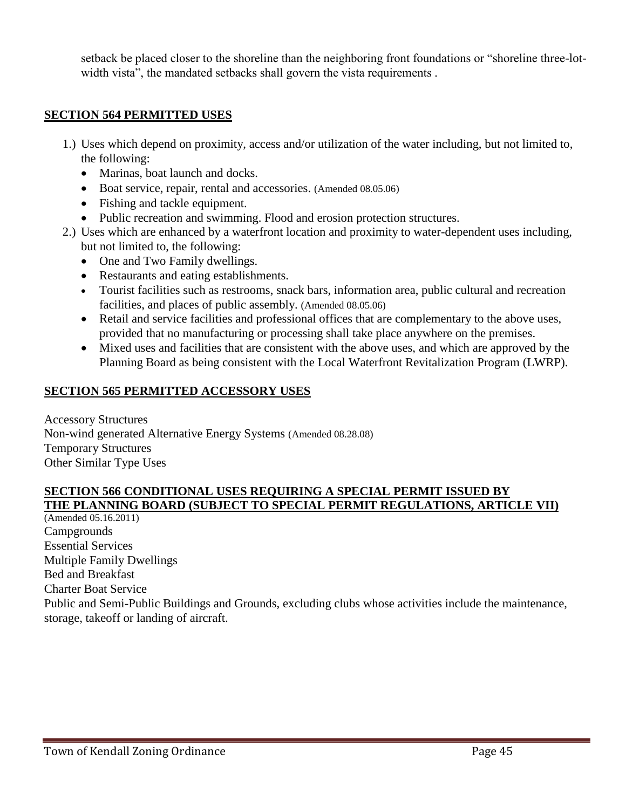setback be placed closer to the shoreline than the neighboring front foundations or "shoreline three-lotwidth vista", the mandated setbacks shall govern the vista requirements *.*

### **SECTION 564 PERMITTED USES**

- 1.) Uses which depend on proximity, access and/or utilization of the water including, but not limited to, the following:
	- Marinas, boat launch and docks.
	- Boat service, repair, rental and accessories. (Amended 08.05.06)
	- Fishing and tackle equipment.
	- Public recreation and swimming. Flood and erosion protection structures.
- 2.) Uses which are enhanced by a waterfront location and proximity to water-dependent uses including, but not limited to, the following:
	- One and Two Family dwellings.
	- Restaurants and eating establishments.
	- Tourist facilities such as restrooms, snack bars, information area, public cultural and recreation facilities, and places of public assembly. (Amended 08.05.06)
	- Retail and service facilities and professional offices that are complementary to the above uses, provided that no manufacturing or processing shall take place anywhere on the premises.
	- Mixed uses and facilities that are consistent with the above uses, and which are approved by the Planning Board as being consistent with the Local Waterfront Revitalization Program (LWRP).

### **SECTION 565 PERMITTED ACCESSORY USES**

Accessory Structures Non-wind generated Alternative Energy Systems (Amended 08.28.08) Temporary Structures Other Similar Type Uses

### **SECTION 566 CONDITIONAL USES REQUIRING A SPECIAL PERMIT ISSUED BY THE PLANNING BOARD (SUBJECT TO SPECIAL PERMIT REGULATIONS, ARTICLE VII)**

(Amended 05.16.2011) **Campgrounds** Essential Services Multiple Family Dwellings Bed and Breakfast Charter Boat Service Public and Semi-Public Buildings and Grounds, excluding clubs whose activities include the maintenance, storage, takeoff or landing of aircraft.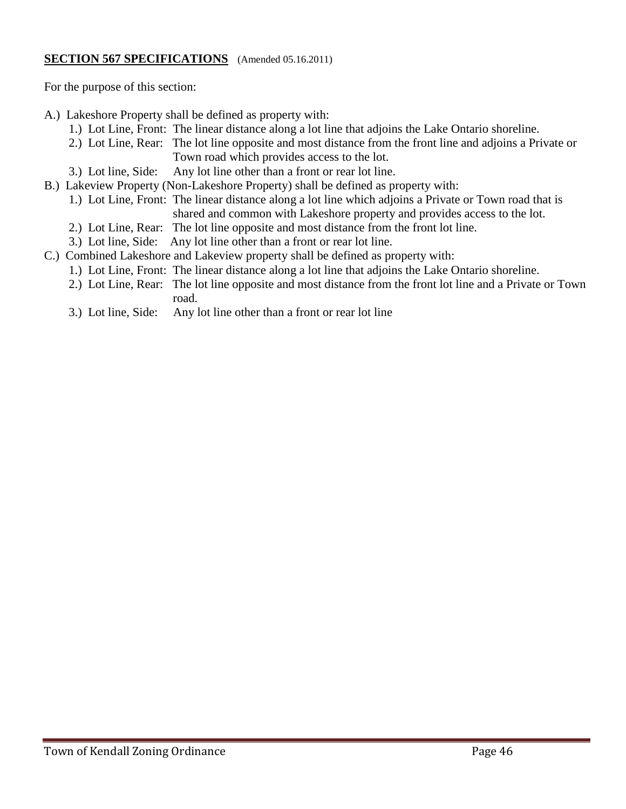### **SECTION 567 SPECIFICATIONS** (Amended 05.16.2011)

For the purpose of this section:

- A.) Lakeshore Property shall be defined as property with:
	- 1.) Lot Line, Front: The linear distance along a lot line that adjoins the Lake Ontario shoreline.
	- 2.) Lot Line, Rear: The lot line opposite and most distance from the front line and adjoins a Private or Town road which provides access to the lot.
	- 3.) Lot line, Side: Any lot line other than a front or rear lot line.
- B.) Lakeview Property (Non-Lakeshore Property) shall be defined as property with:
	- 1.) Lot Line, Front: The linear distance along a lot line which adjoins a Private or Town road that is shared and common with Lakeshore property and provides access to the lot.
	- 2.) Lot Line, Rear: The lot line opposite and most distance from the front lot line.
	- 3.) Lot line, Side: Any lot line other than a front or rear lot line.
- C.) Combined Lakeshore and Lakeview property shall be defined as property with:
	- 1.) Lot Line, Front: The linear distance along a lot line that adjoins the Lake Ontario shoreline.
	- 2.) Lot Line, Rear: The lot line opposite and most distance from the front lot line and a Private or Town road.
	- 3.) Lot line, Side: Any lot line other than a front or rear lot line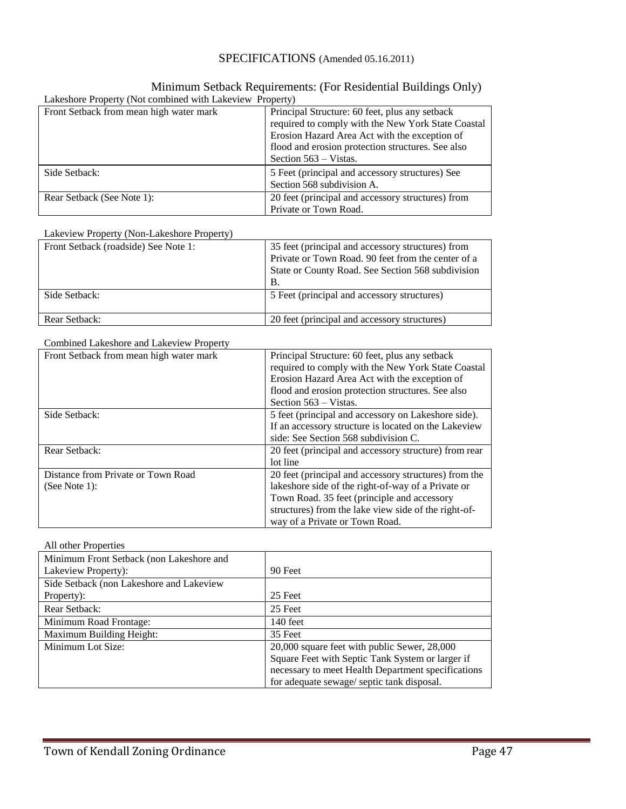### SPECIFICATIONS (Amended 05.16.2011)

## Minimum Setback Requirements: (For Residential Buildings Only)

| Lakeshore Property (Not combined with Lakeview Property) |                                                                                                                                                                                                            |
|----------------------------------------------------------|------------------------------------------------------------------------------------------------------------------------------------------------------------------------------------------------------------|
| Front Setback from mean high water mark                  | Principal Structure: 60 feet, plus any setback<br>required to comply with the New York State Coastal<br>Erosion Hazard Area Act with the exception of<br>flood and erosion protection structures. See also |
|                                                          | Section 563 – Vistas.                                                                                                                                                                                      |
| Side Setback:                                            | 5 Feet (principal and accessory structures) See<br>Section 568 subdivision A.                                                                                                                              |
| Rear Setback (See Note 1):                               | 20 feet (principal and accessory structures) from<br>Private or Town Road.                                                                                                                                 |

#### Lakeview Property (Non-Lakeshore Property)

| Front Setback (roadside) See Note 1: | 35 feet (principal and accessory structures) from<br>Private or Town Road. 90 feet from the center of a<br>State or County Road. See Section 568 subdivision<br>В. |
|--------------------------------------|--------------------------------------------------------------------------------------------------------------------------------------------------------------------|
| Side Setback:                        | 5 Feet (principal and accessory structures)                                                                                                                        |
| Rear Setback:                        | 20 feet (principal and accessory structures)                                                                                                                       |

#### Combined Lakeshore and Lakeview Property

| Front Setback from mean high water mark             | Principal Structure: 60 feet, plus any setback<br>required to comply with the New York State Coastal<br>Erosion Hazard Area Act with the exception of<br>flood and erosion protection structures. See also                                           |
|-----------------------------------------------------|------------------------------------------------------------------------------------------------------------------------------------------------------------------------------------------------------------------------------------------------------|
|                                                     | Section 563 – Vistas.                                                                                                                                                                                                                                |
| Side Setback:                                       | 5 feet (principal and accessory on Lakeshore side).<br>If an accessory structure is located on the Lakeview<br>side: See Section 568 subdivision C.                                                                                                  |
| Rear Setback:                                       | 20 feet (principal and accessory structure) from rear<br>lot line                                                                                                                                                                                    |
| Distance from Private or Town Road<br>(See Note 1): | 20 feet (principal and accessory structures) from the<br>lakeshore side of the right-of-way of a Private or<br>Town Road. 35 feet (principle and accessory<br>structures) from the lake view side of the right-of-<br>way of a Private or Town Road. |

#### All other Properties

| Minimum Front Setback (non Lakeshore and<br>Lakeview Property): | 90 Feet                                            |
|-----------------------------------------------------------------|----------------------------------------------------|
| Side Setback (non Lakeshore and Lakeview)                       |                                                    |
| Property):                                                      | 25 Feet                                            |
| Rear Setback:                                                   | 25 Feet                                            |
| Minimum Road Frontage:                                          | 140 feet                                           |
| Maximum Building Height:                                        | 35 Feet                                            |
| Minimum Lot Size:                                               | 20,000 square feet with public Sewer, 28,000       |
|                                                                 | Square Feet with Septic Tank System or larger if   |
|                                                                 | necessary to meet Health Department specifications |
|                                                                 | for adequate sewage/ septic tank disposal.         |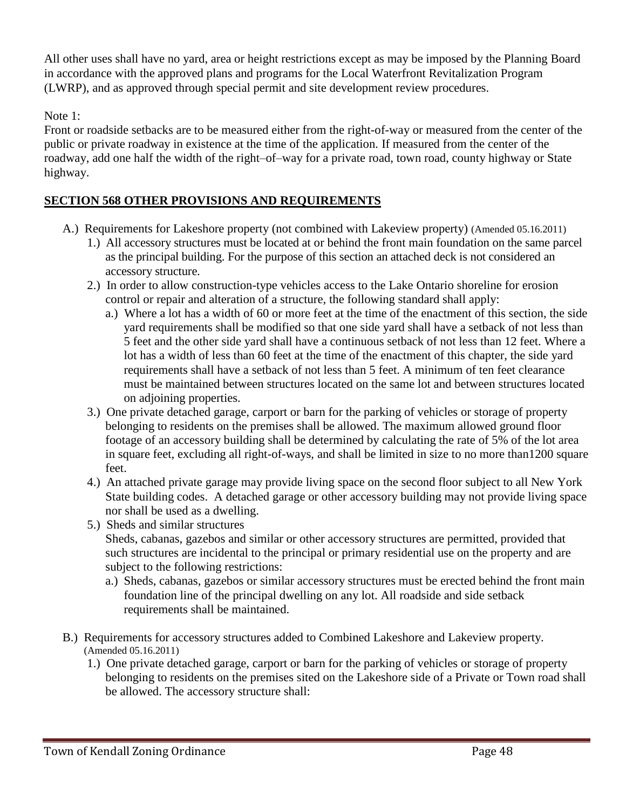All other uses shall have no yard, area or height restrictions except as may be imposed by the Planning Board in accordance with the approved plans and programs for the Local Waterfront Revitalization Program (LWRP), and as approved through special permit and site development review procedures.

### Note 1:

Front or roadside setbacks are to be measured either from the right-of-way or measured from the center of the public or private roadway in existence at the time of the application. If measured from the center of the roadway, add one half the width of the right–of–way for a private road, town road, county highway or State highway.

### **SECTION 568 OTHER PROVISIONS AND REQUIREMENTS**

- A.) Requirements for Lakeshore property (not combined with Lakeview property) (Amended 05.16.2011)
	- 1.) All accessory structures must be located at or behind the front main foundation on the same parcel as the principal building. For the purpose of this section an attached deck is not considered an accessory structure.
	- 2.) In order to allow construction-type vehicles access to the Lake Ontario shoreline for erosion control or repair and alteration of a structure, the following standard shall apply:
		- a.) Where a lot has a width of 60 or more feet at the time of the enactment of this section, the side yard requirements shall be modified so that one side yard shall have a setback of not less than 5 feet and the other side yard shall have a continuous setback of not less than 12 feet. Where a lot has a width of less than 60 feet at the time of the enactment of this chapter, the side yard requirements shall have a setback of not less than 5 feet. A minimum of ten feet clearance must be maintained between structures located on the same lot and between structures located on adjoining properties.
	- 3.) One private detached garage, carport or barn for the parking of vehicles or storage of property belonging to residents on the premises shall be allowed. The maximum allowed ground floor footage of an accessory building shall be determined by calculating the rate of 5% of the lot area in square feet, excluding all right-of-ways, and shall be limited in size to no more than1200 square feet.
	- 4.) An attached private garage may provide living space on the second floor subject to all New York State building codes. A detached garage or other accessory building may not provide living space nor shall be used as a dwelling.
	- 5.) Sheds and similar structures

Sheds, cabanas, gazebos and similar or other accessory structures are permitted, provided that such structures are incidental to the principal or primary residential use on the property and are subject to the following restrictions:

- a.) Sheds, cabanas, gazebos or similar accessory structures must be erected behind the front main foundation line of the principal dwelling on any lot. All roadside and side setback requirements shall be maintained.
- B.) Requirements for accessory structures added to Combined Lakeshore and Lakeview property. (Amended 05.16.2011)
	- 1.) One private detached garage, carport or barn for the parking of vehicles or storage of property belonging to residents on the premises sited on the Lakeshore side of a Private or Town road shall be allowed. The accessory structure shall: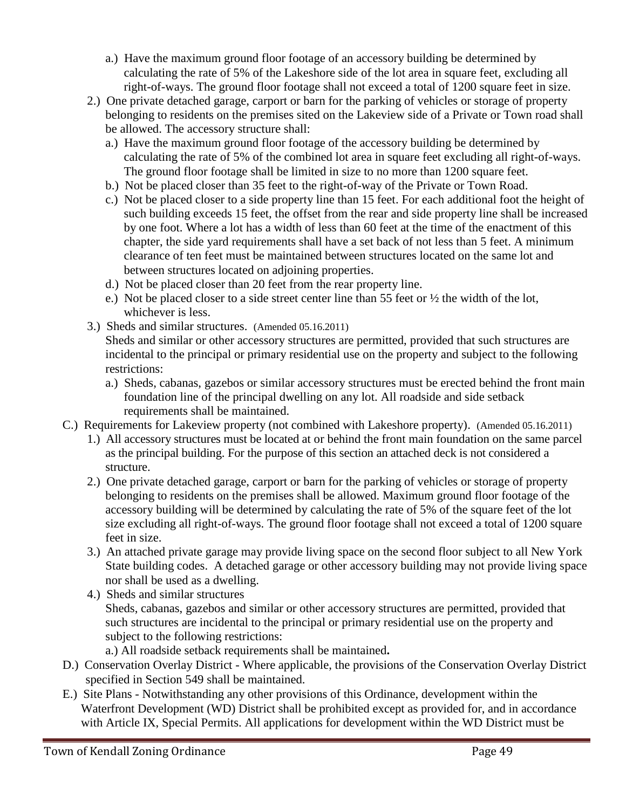- a.) Have the maximum ground floor footage of an accessory building be determined by calculating the rate of 5% of the Lakeshore side of the lot area in square feet, excluding all right-of-ways. The ground floor footage shall not exceed a total of 1200 square feet in size.
- 2.) One private detached garage, carport or barn for the parking of vehicles or storage of property belonging to residents on the premises sited on the Lakeview side of a Private or Town road shall be allowed. The accessory structure shall:
	- a.) Have the maximum ground floor footage of the accessory building be determined by calculating the rate of 5% of the combined lot area in square feet excluding all right-of-ways. The ground floor footage shall be limited in size to no more than 1200 square feet.
	- b.) Not be placed closer than 35 feet to the right-of-way of the Private or Town Road.
	- c.) Not be placed closer to a side property line than 15 feet. For each additional foot the height of such building exceeds 15 feet, the offset from the rear and side property line shall be increased by one foot. Where a lot has a width of less than 60 feet at the time of the enactment of this chapter, the side yard requirements shall have a set back of not less than 5 feet. A minimum clearance of ten feet must be maintained between structures located on the same lot and between structures located on adjoining properties.
	- d.) Not be placed closer than 20 feet from the rear property line.
	- e.) Not be placed closer to a side street center line than 55 feet or ½ the width of the lot, whichever is less.
- 3.) Sheds and similar structures. (Amended 05.16.2011)

Sheds and similar or other accessory structures are permitted, provided that such structures are incidental to the principal or primary residential use on the property and subject to the following restrictions:

- a.) Sheds, cabanas, gazebos or similar accessory structures must be erected behind the front main foundation line of the principal dwelling on any lot. All roadside and side setback requirements shall be maintained.
- C.) Requirements for Lakeview property (not combined with Lakeshore property).(Amended 05.16.2011)
	- 1.) All accessory structures must be located at or behind the front main foundation on the same parcel as the principal building. For the purpose of this section an attached deck is not considered a structure.
	- 2.) One private detached garage, carport or barn for the parking of vehicles or storage of property belonging to residents on the premises shall be allowed. Maximum ground floor footage of the accessory building will be determined by calculating the rate of 5% of the square feet of the lot size excluding all right-of-ways. The ground floor footage shall not exceed a total of 1200 square feet in size.
	- 3.) An attached private garage may provide living space on the second floor subject to all New York State building codes. A detached garage or other accessory building may not provide living space nor shall be used as a dwelling.
	- 4.) Sheds and similar structures Sheds, cabanas, gazebos and similar or other accessory structures are permitted, provided that such structures are incidental to the principal or primary residential use on the property and subject to the following restrictions:
		- a.) All roadside setback requirements shall be maintained**.**
- D.) Conservation Overlay District Where applicable, the provisions of the Conservation Overlay District specified in Section 549 shall be maintained.
- E.) Site Plans Notwithstanding any other provisions of this Ordinance, development within the Waterfront Development (WD) District shall be prohibited except as provided for, and in accordance with Article IX, Special Permits. All applications for development within the WD District must be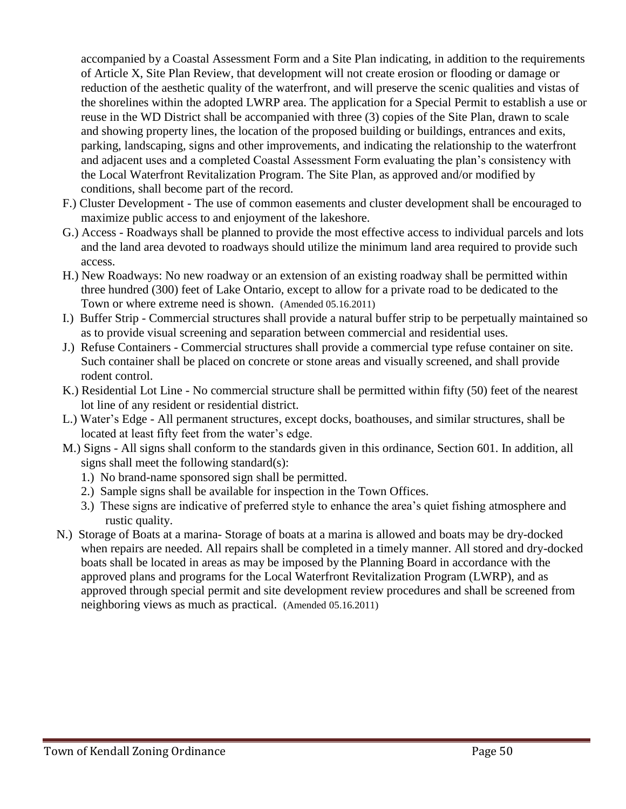accompanied by a Coastal Assessment Form and a Site Plan indicating, in addition to the requirements of Article X, Site Plan Review, that development will not create erosion or flooding or damage or reduction of the aesthetic quality of the waterfront, and will preserve the scenic qualities and vistas of the shorelines within the adopted LWRP area. The application for a Special Permit to establish a use or reuse in the WD District shall be accompanied with three (3) copies of the Site Plan, drawn to scale and showing property lines, the location of the proposed building or buildings, entrances and exits, parking, landscaping, signs and other improvements, and indicating the relationship to the waterfront and adjacent uses and a completed Coastal Assessment Form evaluating the plan's consistency with the Local Waterfront Revitalization Program. The Site Plan, as approved and/or modified by conditions, shall become part of the record.

- F.) Cluster Development The use of common easements and cluster development shall be encouraged to maximize public access to and enjoyment of the lakeshore.
- G.) Access Roadways shall be planned to provide the most effective access to individual parcels and lots and the land area devoted to roadways should utilize the minimum land area required to provide such access.
- H.) New Roadways: No new roadway or an extension of an existing roadway shall be permitted within three hundred (300) feet of Lake Ontario, except to allow for a private road to be dedicated to the Town or where extreme need is shown. (Amended 05.16.2011)
- I.) Buffer Strip Commercial structures shall provide a natural buffer strip to be perpetually maintained so as to provide visual screening and separation between commercial and residential uses.
- J.) Refuse Containers Commercial structures shall provide a commercial type refuse container on site. Such container shall be placed on concrete or stone areas and visually screened, and shall provide rodent control.
- K.) Residential Lot Line No commercial structure shall be permitted within fifty (50) feet of the nearest lot line of any resident or residential district.
- L.) Water's Edge All permanent structures, except docks, boathouses, and similar structures, shall be located at least fifty feet from the water's edge.
- M.) Signs All signs shall conform to the standards given in this ordinance, Section 601. In addition, all signs shall meet the following standard(s):
	- 1.) No brand-name sponsored sign shall be permitted.
	- 2.) Sample signs shall be available for inspection in the Town Offices.
	- 3.) These signs are indicative of preferred style to enhance the area's quiet fishing atmosphere and rustic quality.
- N.) Storage of Boats at a marina- Storage of boats at a marina is allowed and boats may be dry-docked when repairs are needed. All repairs shall be completed in a timely manner. All stored and dry-docked boats shall be located in areas as may be imposed by the Planning Board in accordance with the approved plans and programs for the Local Waterfront Revitalization Program (LWRP), and as approved through special permit and site development review procedures and shall be screened from neighboring views as much as practical. (Amended 05.16.2011)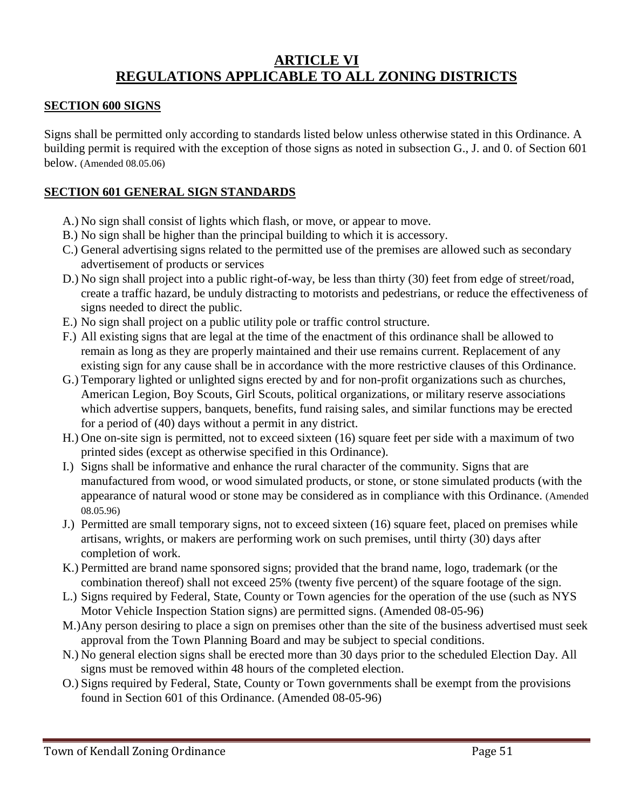# **ARTICLE VI REGULATIONS APPLICABLE TO ALL ZONING DISTRICTS**

#### **SECTION 600 SIGNS**

Signs shall be permitted only according to standards listed below unless otherwise stated in this Ordinance. A building permit is required with the exception of those signs as noted in subsection G., J. and 0. of Section 601 below. (Amended 08.05.06)

### **SECTION 601 GENERAL SIGN STANDARDS**

- A.) No sign shall consist of lights which flash, or move, or appear to move.
- B.) No sign shall be higher than the principal building to which it is accessory.
- C.) General advertising signs related to the permitted use of the premises are allowed such as secondary advertisement of products or services
- D.) No sign shall project into a public right-of-way, be less than thirty (30) feet from edge of street/road, create a traffic hazard, be unduly distracting to motorists and pedestrians, or reduce the effectiveness of signs needed to direct the public.
- E.) No sign shall project on a public utility pole or traffic control structure.
- F.) All existing signs that are legal at the time of the enactment of this ordinance shall be allowed to remain as long as they are properly maintained and their use remains current. Replacement of any existing sign for any cause shall be in accordance with the more restrictive clauses of this Ordinance.
- G.) Temporary lighted or unlighted signs erected by and for non-profit organizations such as churches, American Legion, Boy Scouts, Girl Scouts, political organizations, or military reserve associations which advertise suppers, banquets, benefits, fund raising sales, and similar functions may be erected for a period of (40) days without a permit in any district.
- H.) One on-site sign is permitted, not to exceed sixteen (16) square feet per side with a maximum of two printed sides (except as otherwise specified in this Ordinance).
- I.) Signs shall be informative and enhance the rural character of the community. Signs that are manufactured from wood, or wood simulated products, or stone, or stone simulated products (with the appearance of natural wood or stone may be considered as in compliance with this Ordinance. (Amended 08.05.96)
- J.) Permitted are small temporary signs, not to exceed sixteen (16) square feet, placed on premises while artisans, wrights, or makers are performing work on such premises, until thirty (30) days after completion of work.
- K.) Permitted are brand name sponsored signs; provided that the brand name, logo, trademark (or the combination thereof) shall not exceed 25% (twenty five percent) of the square footage of the sign.
- L.) Signs required by Federal, State, County or Town agencies for the operation of the use (such as NYS Motor Vehicle Inspection Station signs) are permitted signs. (Amended 08-05-96)
- M.)Any person desiring to place a sign on premises other than the site of the business advertised must seek approval from the Town Planning Board and may be subject to special conditions.
- N.) No general election signs shall be erected more than 30 days prior to the scheduled Election Day. All signs must be removed within 48 hours of the completed election.
- O.) Signs required by Federal, State, County or Town governments shall be exempt from the provisions found in Section 601 of this Ordinance. (Amended 08-05-96)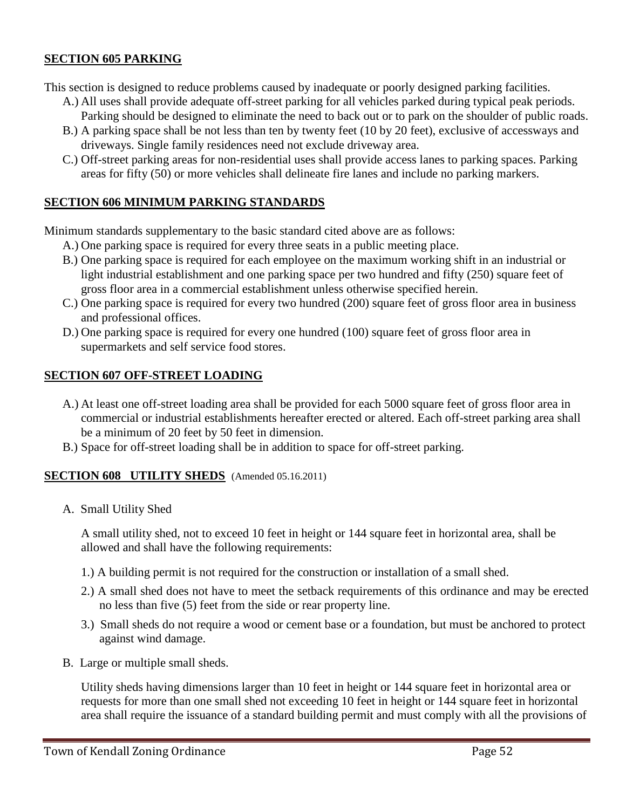### **SECTION 605 PARKING**

This section is designed to reduce problems caused by inadequate or poorly designed parking facilities.

- A.) All uses shall provide adequate off-street parking for all vehicles parked during typical peak periods. Parking should be designed to eliminate the need to back out or to park on the shoulder of public roads.
- B.) A parking space shall be not less than ten by twenty feet (10 by 20 feet), exclusive of accessways and driveways. Single family residences need not exclude driveway area.
- C.) Off-street parking areas for non-residential uses shall provide access lanes to parking spaces. Parking areas for fifty (50) or more vehicles shall delineate fire lanes and include no parking markers.

### **SECTION 606 MINIMUM PARKING STANDARDS**

Minimum standards supplementary to the basic standard cited above are as follows:

- A.) One parking space is required for every three seats in a public meeting place.
- B.) One parking space is required for each employee on the maximum working shift in an industrial or light industrial establishment and one parking space per two hundred and fifty (250) square feet of gross floor area in a commercial establishment unless otherwise specified herein.
- C.) One parking space is required for every two hundred (200) square feet of gross floor area in business and professional offices.
- D.) One parking space is required for every one hundred (100) square feet of gross floor area in supermarkets and self service food stores.

### **SECTION 607 OFF-STREET LOADING**

- A.) At least one off-street loading area shall be provided for each 5000 square feet of gross floor area in commercial or industrial establishments hereafter erected or altered. Each off-street parking area shall be a minimum of 20 feet by 50 feet in dimension.
- B.) Space for off-street loading shall be in addition to space for off-street parking.

#### **SECTION 608 UTILITY SHEDS** (Amended 05.16.2011)

A. Small Utility Shed

A small utility shed, not to exceed 10 feet in height or 144 square feet in horizontal area, shall be allowed and shall have the following requirements:

- 1.) A building permit is not required for the construction or installation of a small shed.
- 2.) A small shed does not have to meet the setback requirements of this ordinance and may be erected no less than five (5) feet from the side or rear property line.
- 3.) Small sheds do not require a wood or cement base or a foundation, but must be anchored to protect against wind damage.
- B. Large or multiple small sheds.

Utility sheds having dimensions larger than 10 feet in height or 144 square feet in horizontal area or requests for more than one small shed not exceeding 10 feet in height or 144 square feet in horizontal area shall require the issuance of a standard building permit and must comply with all the provisions of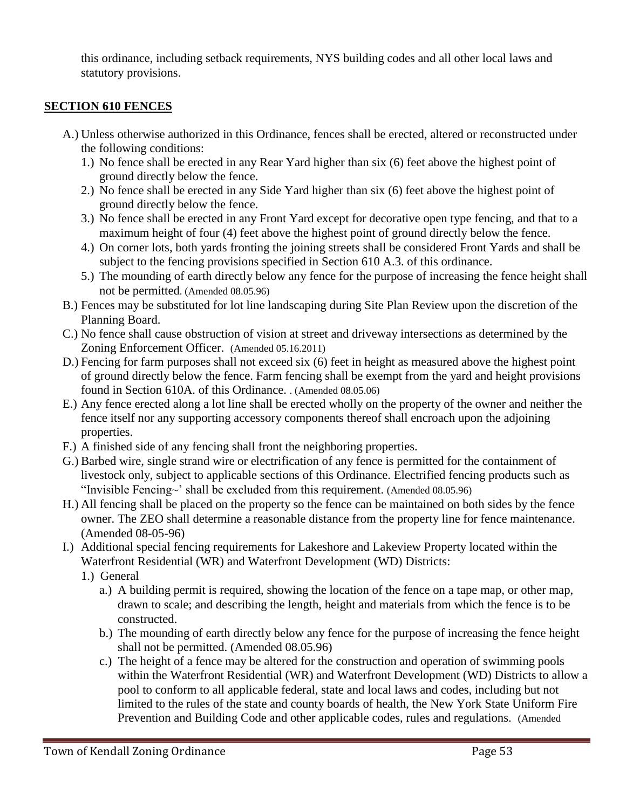this ordinance, including setback requirements, NYS building codes and all other local laws and statutory provisions.

### **SECTION 610 FENCES**

- A.) Unless otherwise authorized in this Ordinance, fences shall be erected, altered or reconstructed under the following conditions:
	- 1.) No fence shall be erected in any Rear Yard higher than six (6) feet above the highest point of ground directly below the fence.
	- 2.) No fence shall be erected in any Side Yard higher than six (6) feet above the highest point of ground directly below the fence.
	- 3.) No fence shall be erected in any Front Yard except for decorative open type fencing, and that to a maximum height of four (4) feet above the highest point of ground directly below the fence.
	- 4.) On corner lots, both yards fronting the joining streets shall be considered Front Yards and shall be subject to the fencing provisions specified in Section 610 A.3. of this ordinance.
	- 5.) The mounding of earth directly below any fence for the purpose of increasing the fence height shall not be permitted. (Amended 08.05.96)
- B.) Fences may be substituted for lot line landscaping during Site Plan Review upon the discretion of the Planning Board.
- C.) No fence shall cause obstruction of vision at street and driveway intersections as determined by the Zoning Enforcement Officer. (Amended 05.16.2011)
- D.) Fencing for farm purposes shall not exceed six (6) feet in height as measured above the highest point of ground directly below the fence. Farm fencing shall be exempt from the yard and height provisions found in Section 610A. of this Ordinance. . (Amended 08.05.06)
- E.) Any fence erected along a lot line shall be erected wholly on the property of the owner and neither the fence itself nor any supporting accessory components thereof shall encroach upon the adjoining properties.
- F.) A finished side of any fencing shall front the neighboring properties.
- G.) Barbed wire, single strand wire or electrification of any fence is permitted for the containment of livestock only, subject to applicable sections of this Ordinance. Electrified fencing products such as "Invisible Fencing $\sim$ ' shall be excluded from this requirement. (Amended 08.05.96)
- H.) All fencing shall be placed on the property so the fence can be maintained on both sides by the fence owner. The ZEO shall determine a reasonable distance from the property line for fence maintenance. (Amended 08-05-96)
- I.) Additional special fencing requirements for Lakeshore and Lakeview Property located within the Waterfront Residential (WR) and Waterfront Development (WD) Districts:
	- 1.) General
		- a.) A building permit is required, showing the location of the fence on a tape map, or other map, drawn to scale; and describing the length, height and materials from which the fence is to be constructed.
		- b.) The mounding of earth directly below any fence for the purpose of increasing the fence height shall not be permitted. (Amended 08.05.96)
		- c.) The height of a fence may be altered for the construction and operation of swimming pools within the Waterfront Residential (WR) and Waterfront Development (WD) Districts to allow a pool to conform to all applicable federal, state and local laws and codes, including but not limited to the rules of the state and county boards of health, the New York State Uniform Fire Prevention and Building Code and other applicable codes, rules and regulations. (Amended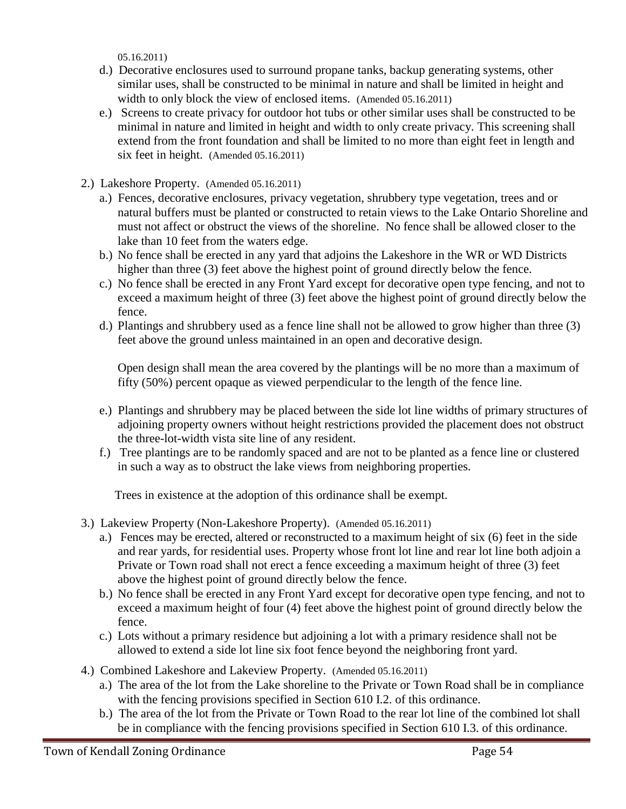05.16.2011)

- d.) Decorative enclosures used to surround propane tanks, backup generating systems, other similar uses, shall be constructed to be minimal in nature and shall be limited in height and width to only block the view of enclosed items. (Amended 05.16.2011)
- e.) Screens to create privacy for outdoor hot tubs or other similar uses shall be constructed to be minimal in nature and limited in height and width to only create privacy. This screening shall extend from the front foundation and shall be limited to no more than eight feet in length and six feet in height. (Amended 05.16.2011)
- 2.) Lakeshore Property. (Amended 05.16.2011)
	- a.) Fences, decorative enclosures, privacy vegetation, shrubbery type vegetation, trees and or natural buffers must be planted or constructed to retain views to the Lake Ontario Shoreline and must not affect or obstruct the views of the shoreline. No fence shall be allowed closer to the lake than 10 feet from the waters edge.
	- b.) No fence shall be erected in any yard that adjoins the Lakeshore in the WR or WD Districts higher than three (3) feet above the highest point of ground directly below the fence.
	- c.) No fence shall be erected in any Front Yard except for decorative open type fencing, and not to exceed a maximum height of three (3) feet above the highest point of ground directly below the fence.
	- d.) Plantings and shrubbery used as a fence line shall not be allowed to grow higher than three (3) feet above the ground unless maintained in an open and decorative design.

 Open design shall mean the area covered by the plantings will be no more than a maximum of fifty (50%) percent opaque as viewed perpendicular to the length of the fence line.

- e.) Plantings and shrubbery may be placed between the side lot line widths of primary structures of adjoining property owners without height restrictions provided the placement does not obstruct the three-lot-width vista site line of any resident.
- f.) Tree plantings are to be randomly spaced and are not to be planted as a fence line or clustered in such a way as to obstruct the lake views from neighboring properties.

Trees in existence at the adoption of this ordinance shall be exempt.

- 3.) Lakeview Property (Non-Lakeshore Property). (Amended 05.16.2011)
	- a.) Fences may be erected, altered or reconstructed to a maximum height of six (6) feet in the side and rear yards, for residential uses. Property whose front lot line and rear lot line both adjoin a Private or Town road shall not erect a fence exceeding a maximum height of three (3) feet above the highest point of ground directly below the fence.
	- b.) No fence shall be erected in any Front Yard except for decorative open type fencing, and not to exceed a maximum height of four (4) feet above the highest point of ground directly below the fence.
	- c.) Lots without a primary residence but adjoining a lot with a primary residence shall not be allowed to extend a side lot line six foot fence beyond the neighboring front yard.
- 4.) Combined Lakeshore and Lakeview Property. (Amended 05.16.2011)
	- a.) The area of the lot from the Lake shoreline to the Private or Town Road shall be in compliance with the fencing provisions specified in Section 610 I.2. of this ordinance.
	- b.) The area of the lot from the Private or Town Road to the rear lot line of the combined lot shall be in compliance with the fencing provisions specified in Section 610 I.3. of this ordinance.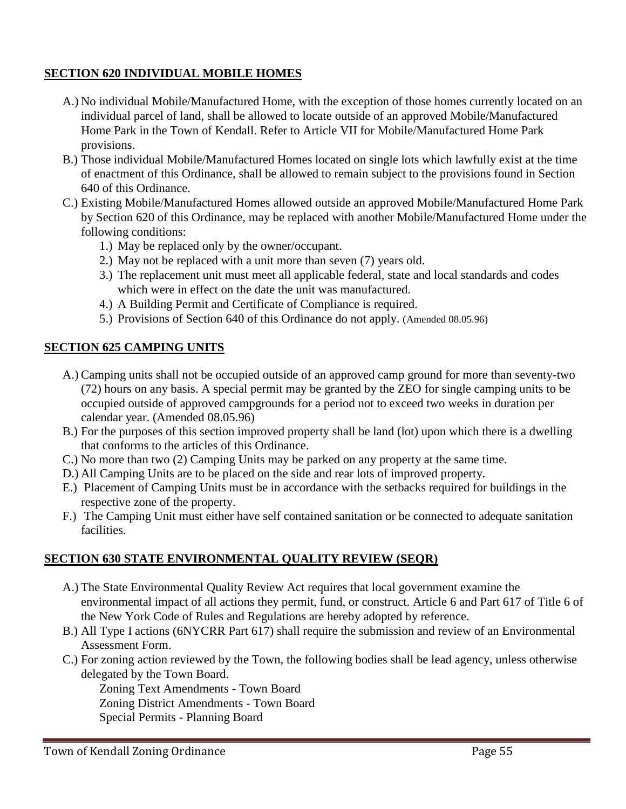### **SECTION 620 INDIVIDUAL MOBILE HOMES**

- A.) No individual Mobile/Manufactured Home, with the exception of those homes currently located on an individual parcel of land, shall be allowed to locate outside of an approved Mobile/Manufactured Home Park in the Town of Kendall. Refer to Article VII for Mobile/Manufactured Home Park provisions.
- B.) Those individual Mobile/Manufactured Homes located on single lots which lawfully exist at the time of enactment of this Ordinance, shall be allowed to remain subject to the provisions found in Section 640 of this Ordinance.
- C.) Existing Mobile/Manufactured Homes allowed outside an approved Mobile/Manufactured Home Park by Section 620 of this Ordinance, may be replaced with another Mobile/Manufactured Home under the following conditions:
	- 1.) May be replaced only by the owner/occupant.
	- 2.) May not be replaced with a unit more than seven (7) years old.
	- 3.) The replacement unit must meet all applicable federal, state and local standards and codes which were in effect on the date the unit was manufactured.
	- 4.) A Building Permit and Certificate of Compliance is required.
	- 5.) Provisions of Section 640 of this Ordinance do not apply. (Amended 08.05.96)

### **SECTION 625 CAMPING UNITS**

- A.) Camping units shall not be occupied outside of an approved camp ground for more than seventy-two (72) hours on any basis. A special permit may be granted by the ZEO for single camping units to be occupied outside of approved campgrounds for a period not to exceed two weeks in duration per calendar year. (Amended 08.05.96)
- B.) For the purposes of this section improved property shall be land (lot) upon which there is a dwelling that conforms to the articles of this Ordinance.
- C.) No more than two (2) Camping Units may be parked on any property at the same time.
- D.) All Camping Units are to be placed on the side and rear lots of improved property.
- E.) Placement of Camping Units must be in accordance with the setbacks required for buildings in the respective zone of the property.
- F.) The Camping Unit must either have self contained sanitation or be connected to adequate sanitation facilities.

## **SECTION 630 STATE ENVIRONMENTAL QUALITY REVIEW (SEQR)**

- A.) The State Environmental Quality Review Act requires that local government examine the environmental impact of all actions they permit, fund, or construct. Article 6 and Part 617 of Title 6 of the New York Code of Rules and Regulations are hereby adopted by reference.
- B.) All Type I actions (6NYCRR Part 617) shall require the submission and review of an Environmental Assessment Form.
- C.) For zoning action reviewed by the Town, the following bodies shall be lead agency, unless otherwise delegated by the Town Board.

Zoning Text Amendments - Town Board Zoning District Amendments - Town Board Special Permits - Planning Board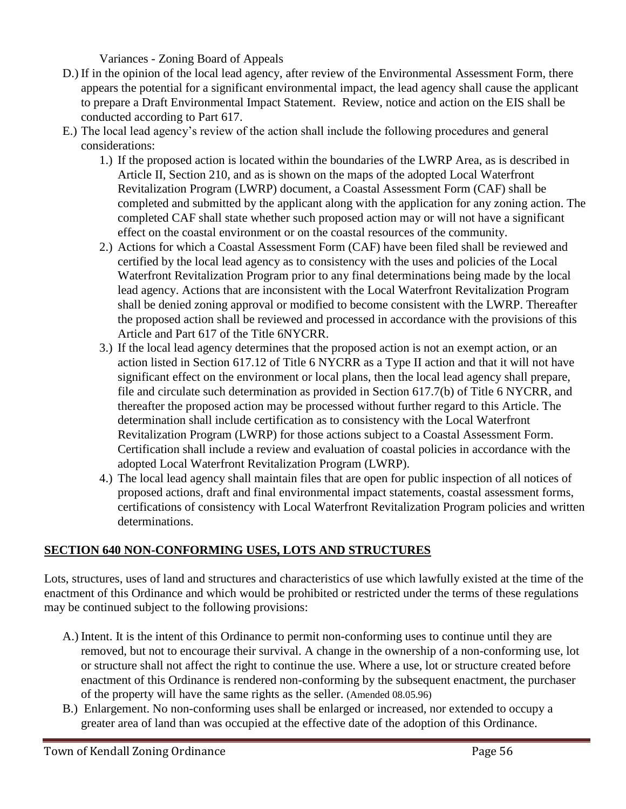Variances - Zoning Board of Appeals

- D.) If in the opinion of the local lead agency, after review of the Environmental Assessment Form, there appears the potential for a significant environmental impact, the lead agency shall cause the applicant to prepare a Draft Environmental Impact Statement. Review, notice and action on the EIS shall be conducted according to Part 617.
- E.) The local lead agency's review of the action shall include the following procedures and general considerations:
	- 1.) If the proposed action is located within the boundaries of the LWRP Area, as is described in Article II, Section 210, and as is shown on the maps of the adopted Local Waterfront Revitalization Program (LWRP) document, a Coastal Assessment Form (CAF) shall be completed and submitted by the applicant along with the application for any zoning action. The completed CAF shall state whether such proposed action may or will not have a significant effect on the coastal environment or on the coastal resources of the community.
	- 2.) Actions for which a Coastal Assessment Form (CAF) have been filed shall be reviewed and certified by the local lead agency as to consistency with the uses and policies of the Local Waterfront Revitalization Program prior to any final determinations being made by the local lead agency. Actions that are inconsistent with the Local Waterfront Revitalization Program shall be denied zoning approval or modified to become consistent with the LWRP. Thereafter the proposed action shall be reviewed and processed in accordance with the provisions of this Article and Part 617 of the Title 6NYCRR.
	- 3.) If the local lead agency determines that the proposed action is not an exempt action, or an action listed in Section 617.12 of Title 6 NYCRR as a Type II action and that it will not have significant effect on the environment or local plans, then the local lead agency shall prepare, file and circulate such determination as provided in Section 617.7(b) of Title 6 NYCRR, and thereafter the proposed action may be processed without further regard to this Article. The determination shall include certification as to consistency with the Local Waterfront Revitalization Program (LWRP) for those actions subject to a Coastal Assessment Form. Certification shall include a review and evaluation of coastal policies in accordance with the adopted Local Waterfront Revitalization Program (LWRP).
	- 4.) The local lead agency shall maintain files that are open for public inspection of all notices of proposed actions, draft and final environmental impact statements, coastal assessment forms, certifications of consistency with Local Waterfront Revitalization Program policies and written determinations.

## **SECTION 640 NON-CONFORMING USES, LOTS AND STRUCTURES**

Lots, structures, uses of land and structures and characteristics of use which lawfully existed at the time of the enactment of this Ordinance and which would be prohibited or restricted under the terms of these regulations may be continued subject to the following provisions:

- A.) Intent. It is the intent of this Ordinance to permit non-conforming uses to continue until they are removed, but not to encourage their survival. A change in the ownership of a non-conforming use, lot or structure shall not affect the right to continue the use. Where a use, lot or structure created before enactment of this Ordinance is rendered non-conforming by the subsequent enactment, the purchaser of the property will have the same rights as the seller. (Amended 08.05.96)
- B.) Enlargement. No non-conforming uses shall be enlarged or increased, nor extended to occupy a greater area of land than was occupied at the effective date of the adoption of this Ordinance.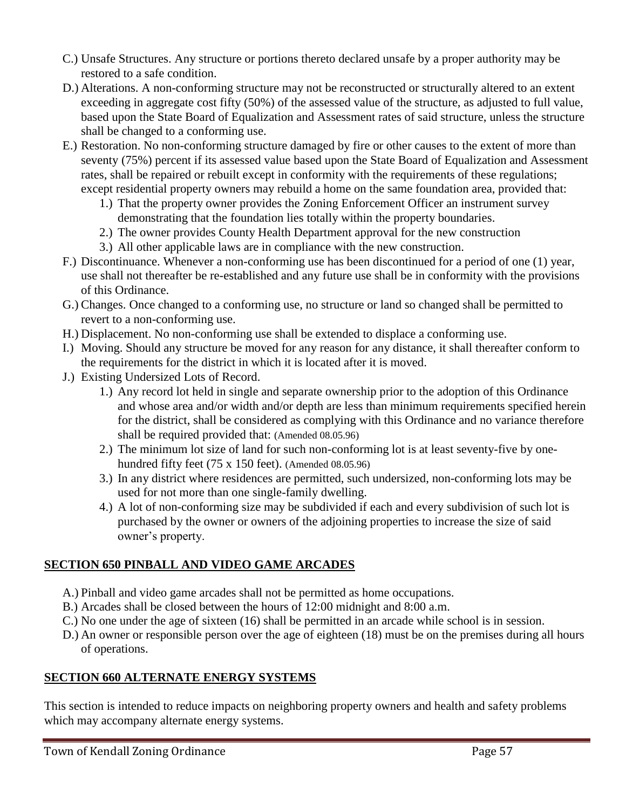- C.) Unsafe Structures. Any structure or portions thereto declared unsafe by a proper authority may be restored to a safe condition.
- D.) Alterations. A non-conforming structure may not be reconstructed or structurally altered to an extent exceeding in aggregate cost fifty (50%) of the assessed value of the structure, as adjusted to full value, based upon the State Board of Equalization and Assessment rates of said structure, unless the structure shall be changed to a conforming use.
- E.) Restoration. No non-conforming structure damaged by fire or other causes to the extent of more than seventy (75%) percent if its assessed value based upon the State Board of Equalization and Assessment rates, shall be repaired or rebuilt except in conformity with the requirements of these regulations; except residential property owners may rebuild a home on the same foundation area, provided that:
	- 1.) That the property owner provides the Zoning Enforcement Officer an instrument survey demonstrating that the foundation lies totally within the property boundaries.
	- 2.) The owner provides County Health Department approval for the new construction
	- 3.) All other applicable laws are in compliance with the new construction.
- F.) Discontinuance. Whenever a non-conforming use has been discontinued for a period of one (1) year, use shall not thereafter be re-established and any future use shall be in conformity with the provisions of this Ordinance.
- G.) Changes. Once changed to a conforming use, no structure or land so changed shall be permitted to revert to a non-conforming use.
- H.) Displacement. No non-conforming use shall be extended to displace a conforming use.
- I.) Moving. Should any structure be moved for any reason for any distance, it shall thereafter conform to the requirements for the district in which it is located after it is moved.
- J.) Existing Undersized Lots of Record.
	- 1.) Any record lot held in single and separate ownership prior to the adoption of this Ordinance and whose area and/or width and/or depth are less than minimum requirements specified herein for the district, shall be considered as complying with this Ordinance and no variance therefore shall be required provided that: (Amended 08.05.96)
	- 2.) The minimum lot size of land for such non-conforming lot is at least seventy-five by onehundred fifty feet (75 x 150 feet). (Amended 08.05.96)
	- 3.) In any district where residences are permitted, such undersized, non-conforming lots may be used for not more than one single-family dwelling.
	- 4.) A lot of non-conforming size may be subdivided if each and every subdivision of such lot is purchased by the owner or owners of the adjoining properties to increase the size of said owner's property.

# **SECTION 650 PINBALL AND VIDEO GAME ARCADES**

- A.) Pinball and video game arcades shall not be permitted as home occupations.
- B.) Arcades shall be closed between the hours of 12:00 midnight and 8:00 a.m.
- C.) No one under the age of sixteen (16) shall be permitted in an arcade while school is in session.
- D.) An owner or responsible person over the age of eighteen (18) must be on the premises during all hours of operations.

## **SECTION 660 ALTERNATE ENERGY SYSTEMS**

This section is intended to reduce impacts on neighboring property owners and health and safety problems which may accompany alternate energy systems.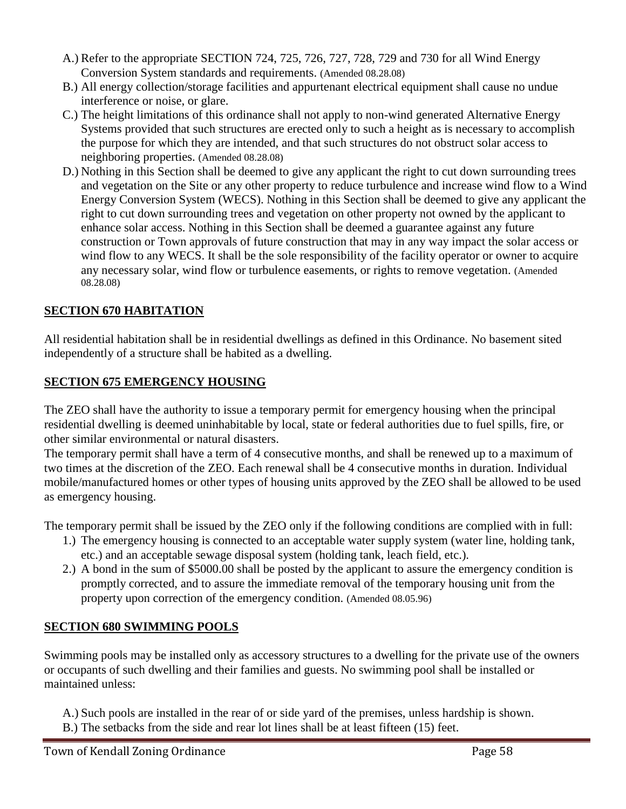- A.) Refer to the appropriate SECTION 724, 725, 726, 727, 728, 729 and 730 for all Wind Energy Conversion System standards and requirements. (Amended 08.28.08)
- B.) All energy collection/storage facilities and appurtenant electrical equipment shall cause no undue interference or noise, or glare.
- C.) The height limitations of this ordinance shall not apply to non-wind generated Alternative Energy Systems provided that such structures are erected only to such a height as is necessary to accomplish the purpose for which they are intended, and that such structures do not obstruct solar access to neighboring properties. (Amended 08.28.08)
- D.) Nothing in this Section shall be deemed to give any applicant the right to cut down surrounding trees and vegetation on the Site or any other property to reduce turbulence and increase wind flow to a Wind Energy Conversion System (WECS). Nothing in this Section shall be deemed to give any applicant the right to cut down surrounding trees and vegetation on other property not owned by the applicant to enhance solar access. Nothing in this Section shall be deemed a guarantee against any future construction or Town approvals of future construction that may in any way impact the solar access or wind flow to any WECS. It shall be the sole responsibility of the facility operator or owner to acquire any necessary solar, wind flow or turbulence easements, or rights to remove vegetation. (Amended 08.28.08)

# **SECTION 670 HABITATION**

All residential habitation shall be in residential dwellings as defined in this Ordinance. No basement sited independently of a structure shall be habited as a dwelling.

### **SECTION 675 EMERGENCY HOUSING**

The ZEO shall have the authority to issue a temporary permit for emergency housing when the principal residential dwelling is deemed uninhabitable by local, state or federal authorities due to fuel spills, fire, or other similar environmental or natural disasters.

The temporary permit shall have a term of 4 consecutive months, and shall be renewed up to a maximum of two times at the discretion of the ZEO. Each renewal shall be 4 consecutive months in duration. Individual mobile/manufactured homes or other types of housing units approved by the ZEO shall be allowed to be used as emergency housing.

The temporary permit shall be issued by the ZEO only if the following conditions are complied with in full:

- 1.) The emergency housing is connected to an acceptable water supply system (water line, holding tank, etc.) and an acceptable sewage disposal system (holding tank, leach field, etc.).
- 2.) A bond in the sum of \$5000.00 shall be posted by the applicant to assure the emergency condition is promptly corrected, and to assure the immediate removal of the temporary housing unit from the property upon correction of the emergency condition. (Amended 08.05.96)

## **SECTION 680 SWIMMING POOLS**

Swimming pools may be installed only as accessory structures to a dwelling for the private use of the owners or occupants of such dwelling and their families and guests. No swimming pool shall be installed or maintained unless:

- A.) Such pools are installed in the rear of or side yard of the premises, unless hardship is shown.
- B.) The setbacks from the side and rear lot lines shall be at least fifteen (15) feet.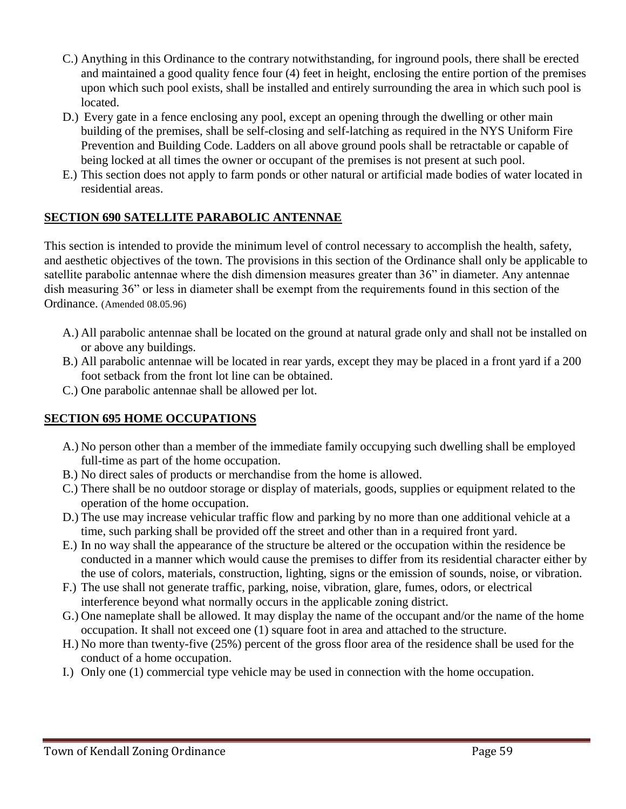- C.) Anything in this Ordinance to the contrary notwithstanding, for inground pools, there shall be erected and maintained a good quality fence four (4) feet in height, enclosing the entire portion of the premises upon which such pool exists, shall be installed and entirely surrounding the area in which such pool is located.
- D.) Every gate in a fence enclosing any pool, except an opening through the dwelling or other main building of the premises, shall be self-closing and self-latching as required in the NYS Uniform Fire Prevention and Building Code. Ladders on all above ground pools shall be retractable or capable of being locked at all times the owner or occupant of the premises is not present at such pool.
- E.) This section does not apply to farm ponds or other natural or artificial made bodies of water located in residential areas.

### **SECTION 690 SATELLITE PARABOLIC ANTENNAE**

This section is intended to provide the minimum level of control necessary to accomplish the health, safety, and aesthetic objectives of the town. The provisions in this section of the Ordinance shall only be applicable to satellite parabolic antennae where the dish dimension measures greater than 36" in diameter. Any antennae dish measuring 36" or less in diameter shall be exempt from the requirements found in this section of the Ordinance. (Amended 08.05.96)

- A.) All parabolic antennae shall be located on the ground at natural grade only and shall not be installed on or above any buildings.
- B.) All parabolic antennae will be located in rear yards, except they may be placed in a front yard if a 200 foot setback from the front lot line can be obtained.
- C.) One parabolic antennae shall be allowed per lot.

## **SECTION 695 HOME OCCUPATIONS**

- A.) No person other than a member of the immediate family occupying such dwelling shall be employed full-time as part of the home occupation.
- B.) No direct sales of products or merchandise from the home is allowed.
- C.) There shall be no outdoor storage or display of materials, goods, supplies or equipment related to the operation of the home occupation.
- D.) The use may increase vehicular traffic flow and parking by no more than one additional vehicle at a time, such parking shall be provided off the street and other than in a required front yard.
- E.) In no way shall the appearance of the structure be altered or the occupation within the residence be conducted in a manner which would cause the premises to differ from its residential character either by the use of colors, materials, construction, lighting, signs or the emission of sounds, noise, or vibration.
- F.) The use shall not generate traffic, parking, noise, vibration, glare, fumes, odors, or electrical interference beyond what normally occurs in the applicable zoning district.
- G.) One nameplate shall be allowed. It may display the name of the occupant and/or the name of the home occupation. It shall not exceed one (1) square foot in area and attached to the structure.
- H.) No more than twenty-five (25%) percent of the gross floor area of the residence shall be used for the conduct of a home occupation.
- I.) Only one (1) commercial type vehicle may be used in connection with the home occupation.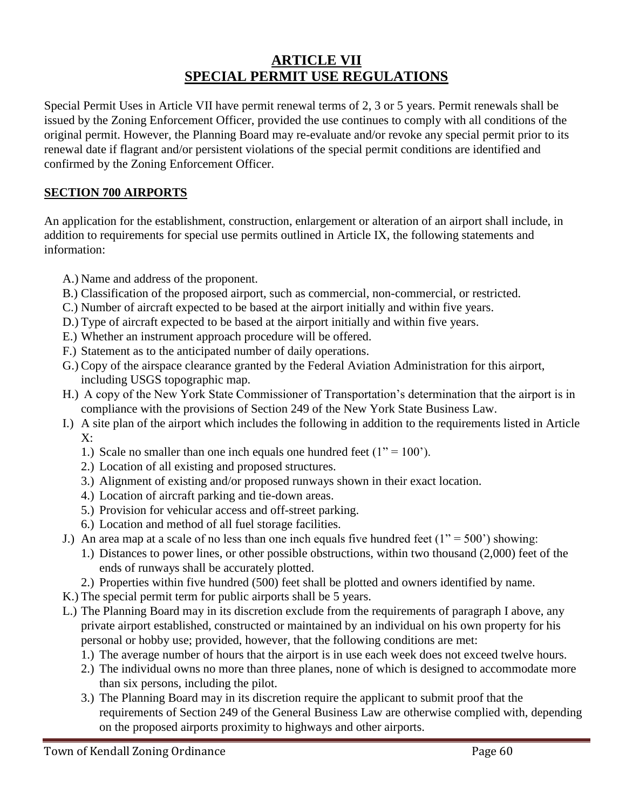# **ARTICLE VII SPECIAL PERMIT USE REGULATIONS**

Special Permit Uses in Article VII have permit renewal terms of 2, 3 or 5 years. Permit renewals shall be issued by the Zoning Enforcement Officer, provided the use continues to comply with all conditions of the original permit. However, the Planning Board may re-evaluate and/or revoke any special permit prior to its renewal date if flagrant and/or persistent violations of the special permit conditions are identified and confirmed by the Zoning Enforcement Officer.

### **SECTION 700 AIRPORTS**

An application for the establishment, construction, enlargement or alteration of an airport shall include, in addition to requirements for special use permits outlined in Article IX, the following statements and information:

- A.) Name and address of the proponent.
- B.) Classification of the proposed airport, such as commercial, non-commercial, or restricted.
- C.) Number of aircraft expected to be based at the airport initially and within five years.
- D.) Type of aircraft expected to be based at the airport initially and within five years.
- E.) Whether an instrument approach procedure will be offered.
- F.) Statement as to the anticipated number of daily operations.
- G.) Copy of the airspace clearance granted by the Federal Aviation Administration for this airport, including USGS topographic map.
- H.) A copy of the New York State Commissioner of Transportation's determination that the airport is in compliance with the provisions of Section 249 of the New York State Business Law.
- I.) A site plan of the airport which includes the following in addition to the requirements listed in Article  $X^{\cdot}$ 
	- 1.) Scale no smaller than one inch equals one hundred feet  $(1" = 100")$ .
	- 2.) Location of all existing and proposed structures.
	- 3.) Alignment of existing and/or proposed runways shown in their exact location.
	- 4.) Location of aircraft parking and tie-down areas.
	- 5.) Provision for vehicular access and off-street parking.
	- 6.) Location and method of all fuel storage facilities.
- J.) An area map at a scale of no less than one inch equals five hundred feet  $(1'' = 500' )$  showing:
	- 1.) Distances to power lines, or other possible obstructions, within two thousand (2,000) feet of the ends of runways shall be accurately plotted.
	- 2.) Properties within five hundred (500) feet shall be plotted and owners identified by name.
- K.) The special permit term for public airports shall be 5 years.
- L.) The Planning Board may in its discretion exclude from the requirements of paragraph I above, any private airport established, constructed or maintained by an individual on his own property for his personal or hobby use; provided, however, that the following conditions are met:
	- 1.) The average number of hours that the airport is in use each week does not exceed twelve hours.
	- 2.) The individual owns no more than three planes, none of which is designed to accommodate more than six persons, including the pilot.
	- 3.) The Planning Board may in its discretion require the applicant to submit proof that the requirements of Section 249 of the General Business Law are otherwise complied with, depending on the proposed airports proximity to highways and other airports.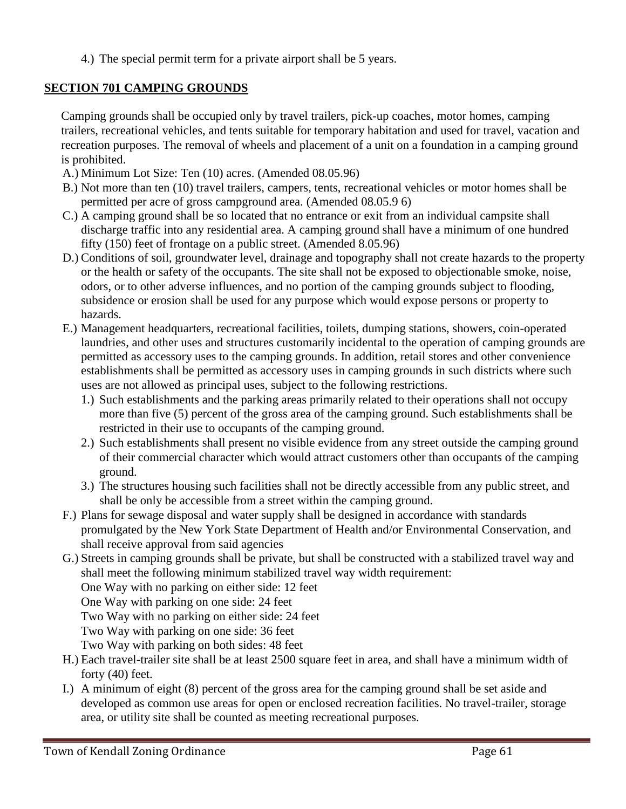4.) The special permit term for a private airport shall be 5 years.

### **SECTION 701 CAMPING GROUNDS**

Camping grounds shall be occupied only by travel trailers, pick-up coaches, motor homes, camping trailers, recreational vehicles, and tents suitable for temporary habitation and used for travel, vacation and recreation purposes. The removal of wheels and placement of a unit on a foundation in a camping ground is prohibited.

- A.) Minimum Lot Size: Ten (10) acres. (Amended 08.05.96)
- B.) Not more than ten (10) travel trailers, campers, tents, recreational vehicles or motor homes shall be permitted per acre of gross campground area. (Amended 08.05.9 6)
- C.) A camping ground shall be so located that no entrance or exit from an individual campsite shall discharge traffic into any residential area. A camping ground shall have a minimum of one hundred fifty (150) feet of frontage on a public street. (Amended 8.05.96)
- D.) Conditions of soil, groundwater level, drainage and topography shall not create hazards to the property or the health or safety of the occupants. The site shall not be exposed to objectionable smoke, noise, odors, or to other adverse influences, and no portion of the camping grounds subject to flooding, subsidence or erosion shall be used for any purpose which would expose persons or property to hazards.
- E.) Management headquarters, recreational facilities, toilets, dumping stations, showers, coin-operated laundries, and other uses and structures customarily incidental to the operation of camping grounds are permitted as accessory uses to the camping grounds. In addition, retail stores and other convenience establishments shall be permitted as accessory uses in camping grounds in such districts where such uses are not allowed as principal uses, subject to the following restrictions.
	- 1.) Such establishments and the parking areas primarily related to their operations shall not occupy more than five (5) percent of the gross area of the camping ground. Such establishments shall be restricted in their use to occupants of the camping ground.
	- 2.) Such establishments shall present no visible evidence from any street outside the camping ground of their commercial character which would attract customers other than occupants of the camping ground.
	- 3.) The structures housing such facilities shall not be directly accessible from any public street, and shall be only be accessible from a street within the camping ground.
- F.) Plans for sewage disposal and water supply shall be designed in accordance with standards promulgated by the New York State Department of Health and/or Environmental Conservation, and shall receive approval from said agencies
- G.) Streets in camping grounds shall be private, but shall be constructed with a stabilized travel way and shall meet the following minimum stabilized travel way width requirement:

One Way with no parking on either side: 12 feet

One Way with parking on one side: 24 feet

Two Way with no parking on either side: 24 feet

Two Way with parking on one side: 36 feet

- Two Way with parking on both sides: 48 feet
- H.) Each travel-trailer site shall be at least 2500 square feet in area, and shall have a minimum width of forty (40) feet.
- I.) A minimum of eight (8) percent of the gross area for the camping ground shall be set aside and developed as common use areas for open or enclosed recreation facilities. No travel-trailer, storage area, or utility site shall be counted as meeting recreational purposes.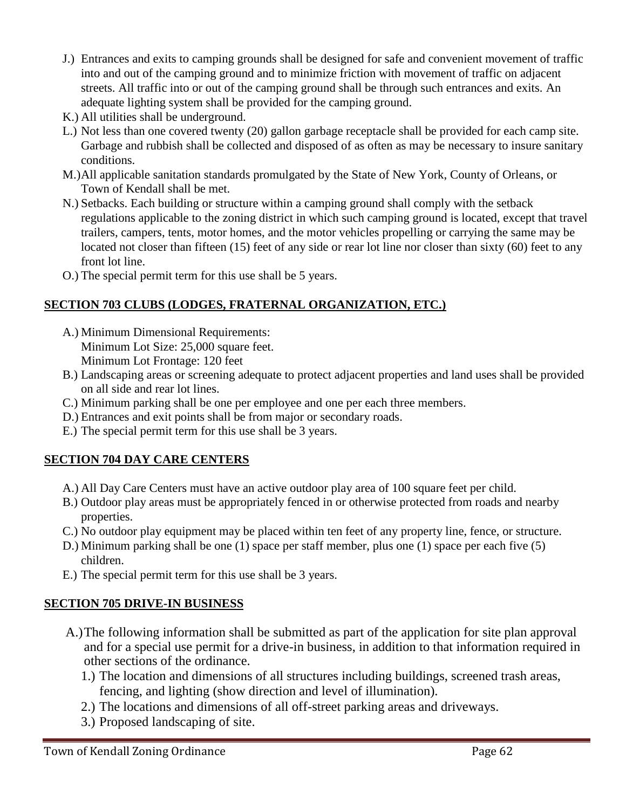- J.) Entrances and exits to camping grounds shall be designed for safe and convenient movement of traffic into and out of the camping ground and to minimize friction with movement of traffic on adjacent streets. All traffic into or out of the camping ground shall be through such entrances and exits. An adequate lighting system shall be provided for the camping ground.
- K.) All utilities shall be underground.
- L.) Not less than one covered twenty (20) gallon garbage receptacle shall be provided for each camp site. Garbage and rubbish shall be collected and disposed of as often as may be necessary to insure sanitary conditions.
- M.)All applicable sanitation standards promulgated by the State of New York, County of Orleans, or Town of Kendall shall be met.
- N.) Setbacks. Each building or structure within a camping ground shall comply with the setback regulations applicable to the zoning district in which such camping ground is located, except that travel trailers, campers, tents, motor homes, and the motor vehicles propelling or carrying the same may be located not closer than fifteen (15) feet of any side or rear lot line nor closer than sixty (60) feet to any front lot line.
- O.) The special permit term for this use shall be 5 years.

## **SECTION 703 CLUBS (LODGES, FRATERNAL ORGANIZATION, ETC.)**

- A.) Minimum Dimensional Requirements: Minimum Lot Size: 25,000 square feet. Minimum Lot Frontage: 120 feet
- B.) Landscaping areas or screening adequate to protect adjacent properties and land uses shall be provided on all side and rear lot lines.
- C.) Minimum parking shall be one per employee and one per each three members.
- D.) Entrances and exit points shall be from major or secondary roads.
- E.) The special permit term for this use shall be 3 years.

# **SECTION 704 DAY CARE CENTERS**

- A.) All Day Care Centers must have an active outdoor play area of 100 square feet per child.
- B.) Outdoor play areas must be appropriately fenced in or otherwise protected from roads and nearby properties.
- C.) No outdoor play equipment may be placed within ten feet of any property line, fence, or structure.
- D.) Minimum parking shall be one (1) space per staff member, plus one (1) space per each five (5) children.
- E.) The special permit term for this use shall be 3 years.

# **SECTION 705 DRIVE-IN BUSINESS**

- A.)The following information shall be submitted as part of the application for site plan approval and for a special use permit for a drive-in business, in addition to that information required in other sections of the ordinance.
	- 1.) The location and dimensions of all structures including buildings, screened trash areas, fencing, and lighting (show direction and level of illumination).
	- 2.) The locations and dimensions of all off-street parking areas and driveways.
	- 3.) Proposed landscaping of site.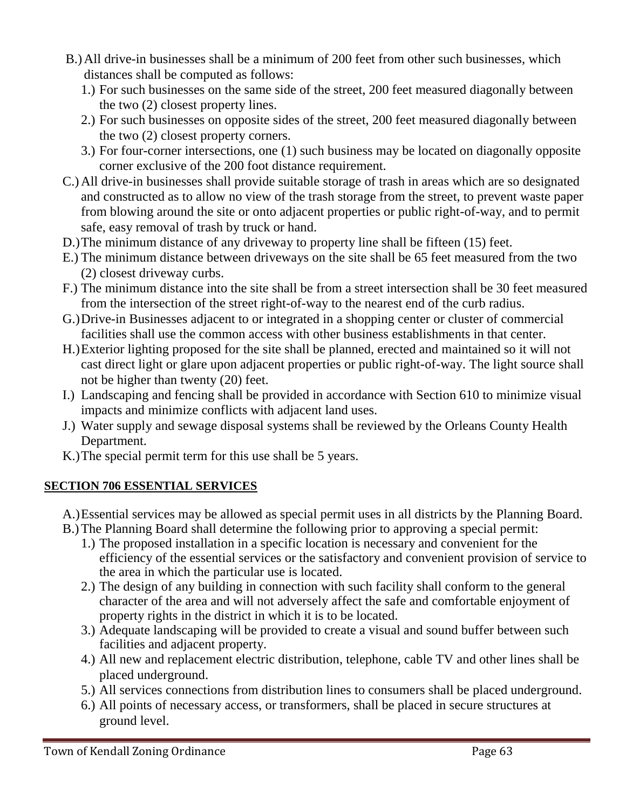- B.)All drive-in businesses shall be a minimum of 200 feet from other such businesses, which distances shall be computed as follows:
	- 1.) For such businesses on the same side of the street, 200 feet measured diagonally between the two (2) closest property lines.
	- 2.) For such businesses on opposite sides of the street, 200 feet measured diagonally between the two (2) closest property corners.
	- 3.) For four-corner intersections, one (1) such business may be located on diagonally opposite corner exclusive of the 200 foot distance requirement.
- C.)All drive-in businesses shall provide suitable storage of trash in areas which are so designated and constructed as to allow no view of the trash storage from the street, to prevent waste paper from blowing around the site or onto adjacent properties or public right-of-way, and to permit safe, easy removal of trash by truck or hand.
- D.)The minimum distance of any driveway to property line shall be fifteen (15) feet.
- E.) The minimum distance between driveways on the site shall be 65 feet measured from the two (2) closest driveway curbs.
- F.) The minimum distance into the site shall be from a street intersection shall be 30 feet measured from the intersection of the street right-of-way to the nearest end of the curb radius.
- G.)Drive-in Businesses adjacent to or integrated in a shopping center or cluster of commercial facilities shall use the common access with other business establishments in that center.
- H.)Exterior lighting proposed for the site shall be planned, erected and maintained so it will not cast direct light or glare upon adjacent properties or public right-of-way. The light source shall not be higher than twenty (20) feet.
- I.) Landscaping and fencing shall be provided in accordance with Section 610 to minimize visual impacts and minimize conflicts with adjacent land uses.
- J.) Water supply and sewage disposal systems shall be reviewed by the Orleans County Health Department.
- K.)The special permit term for this use shall be 5 years.

# **SECTION 706 ESSENTIAL SERVICES**

- A.)Essential services may be allowed as special permit uses in all districts by the Planning Board.
- B.)The Planning Board shall determine the following prior to approving a special permit:
	- 1.) The proposed installation in a specific location is necessary and convenient for the efficiency of the essential services or the satisfactory and convenient provision of service to the area in which the particular use is located.
	- 2.) The design of any building in connection with such facility shall conform to the general character of the area and will not adversely affect the safe and comfortable enjoyment of property rights in the district in which it is to be located.
	- 3.) Adequate landscaping will be provided to create a visual and sound buffer between such facilities and adjacent property.
	- 4.) All new and replacement electric distribution, telephone, cable TV and other lines shall be placed underground.
	- 5.) All services connections from distribution lines to consumers shall be placed underground.
	- 6.) All points of necessary access, or transformers, shall be placed in secure structures at ground level.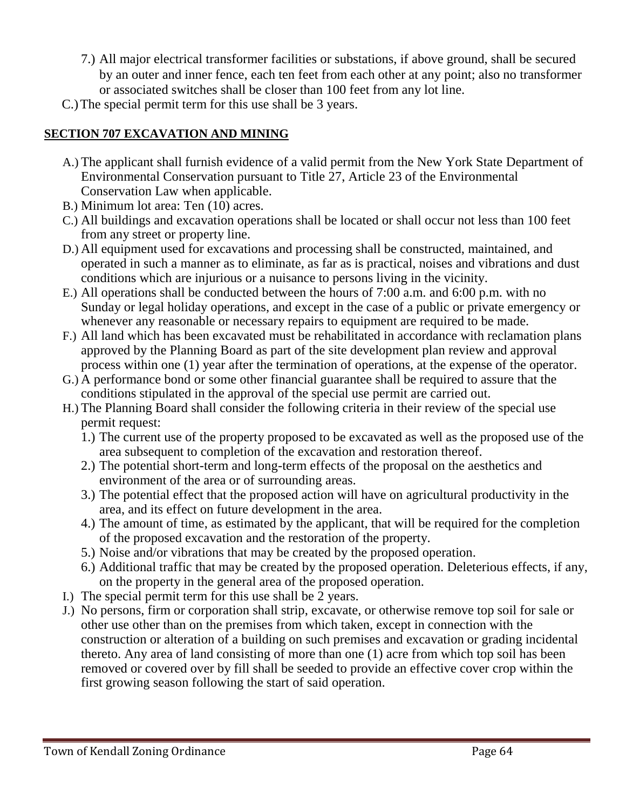- 7.) All major electrical transformer facilities or substations, if above ground, shall be secured by an outer and inner fence, each ten feet from each other at any point; also no transformer or associated switches shall be closer than 100 feet from any lot line.
- C.)The special permit term for this use shall be 3 years.

# **SECTION 707 EXCAVATION AND MINING**

- A.) The applicant shall furnish evidence of a valid permit from the New York State Department of Environmental Conservation pursuant to Title 27, Article 23 of the Environmental Conservation Law when applicable.
- B.) Minimum lot area: Ten (10) acres.
- C.) All buildings and excavation operations shall be located or shall occur not less than 100 feet from any street or property line.
- D.) All equipment used for excavations and processing shall be constructed, maintained, and operated in such a manner as to eliminate, as far as is practical, noises and vibrations and dust conditions which are injurious or a nuisance to persons living in the vicinity.
- E.) All operations shall be conducted between the hours of 7:00 a.m. and 6:00 p.m. with no Sunday or legal holiday operations, and except in the case of a public or private emergency or whenever any reasonable or necessary repairs to equipment are required to be made.
- F.) All land which has been excavated must be rehabilitated in accordance with reclamation plans approved by the Planning Board as part of the site development plan review and approval process within one (1) year after the termination of operations, at the expense of the operator.
- G.) A performance bond or some other financial guarantee shall be required to assure that the conditions stipulated in the approval of the special use permit are carried out.
- H.) The Planning Board shall consider the following criteria in their review of the special use permit request:
	- 1.) The current use of the property proposed to be excavated as well as the proposed use of the area subsequent to completion of the excavation and restoration thereof.
	- 2.) The potential short-term and long-term effects of the proposal on the aesthetics and environment of the area or of surrounding areas.
	- 3.) The potential effect that the proposed action will have on agricultural productivity in the area, and its effect on future development in the area.
	- 4.) The amount of time, as estimated by the applicant, that will be required for the completion of the proposed excavation and the restoration of the property.
	- 5.) Noise and/or vibrations that may be created by the proposed operation.
	- 6.) Additional traffic that may be created by the proposed operation. Deleterious effects, if any, on the property in the general area of the proposed operation.
- I.) The special permit term for this use shall be 2 years.
- J.) No persons, firm or corporation shall strip, excavate, or otherwise remove top soil for sale or other use other than on the premises from which taken, except in connection with the construction or alteration of a building on such premises and excavation or grading incidental thereto. Any area of land consisting of more than one (1) acre from which top soil has been removed or covered over by fill shall be seeded to provide an effective cover crop within the first growing season following the start of said operation.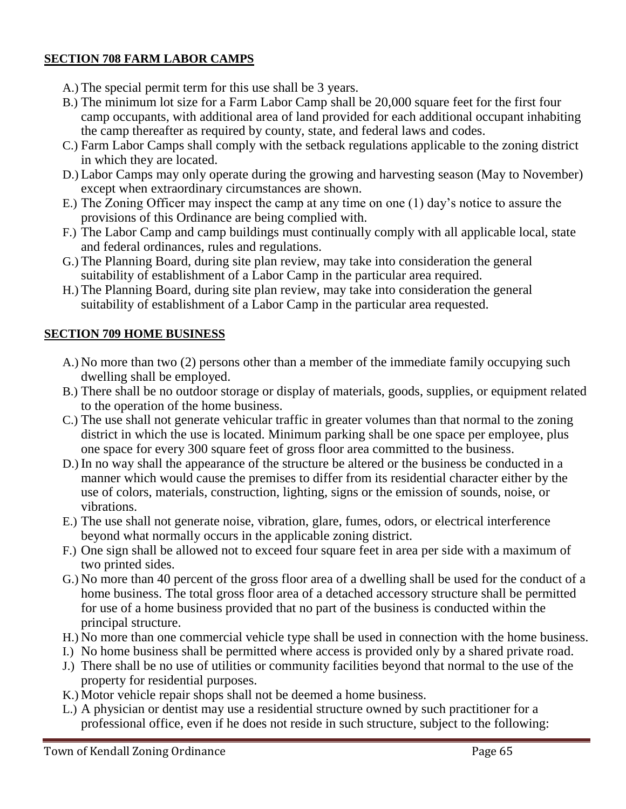### **SECTION 708 FARM LABOR CAMPS**

- A.) The special permit term for this use shall be 3 years.
- B.) The minimum lot size for a Farm Labor Camp shall be 20,000 square feet for the first four camp occupants, with additional area of land provided for each additional occupant inhabiting the camp thereafter as required by county, state, and federal laws and codes.
- C.) Farm Labor Camps shall comply with the setback regulations applicable to the zoning district in which they are located.
- D.) Labor Camps may only operate during the growing and harvesting season (May to November) except when extraordinary circumstances are shown.
- E.) The Zoning Officer may inspect the camp at any time on one (1) day's notice to assure the provisions of this Ordinance are being complied with.
- F.) The Labor Camp and camp buildings must continually comply with all applicable local, state and federal ordinances, rules and regulations.
- G.) The Planning Board, during site plan review, may take into consideration the general suitability of establishment of a Labor Camp in the particular area required.
- H.) The Planning Board, during site plan review, may take into consideration the general suitability of establishment of a Labor Camp in the particular area requested.

### **SECTION 709 HOME BUSINESS**

- A.) No more than two (2) persons other than a member of the immediate family occupying such dwelling shall be employed.
- B.) There shall be no outdoor storage or display of materials, goods, supplies, or equipment related to the operation of the home business.
- C.) The use shall not generate vehicular traffic in greater volumes than that normal to the zoning district in which the use is located. Minimum parking shall be one space per employee, plus one space for every 300 square feet of gross floor area committed to the business.
- D.) In no way shall the appearance of the structure be altered or the business be conducted in a manner which would cause the premises to differ from its residential character either by the use of colors, materials, construction, lighting, signs or the emission of sounds, noise, or vibrations.
- E.) The use shall not generate noise, vibration, glare, fumes, odors, or electrical interference beyond what normally occurs in the applicable zoning district.
- F.) One sign shall be allowed not to exceed four square feet in area per side with a maximum of two printed sides.
- G.) No more than 40 percent of the gross floor area of a dwelling shall be used for the conduct of a home business. The total gross floor area of a detached accessory structure shall be permitted for use of a home business provided that no part of the business is conducted within the principal structure.
- H.) No more than one commercial vehicle type shall be used in connection with the home business.
- I.) No home business shall be permitted where access is provided only by a shared private road.
- J.) There shall be no use of utilities or community facilities beyond that normal to the use of the property for residential purposes.
- K.) Motor vehicle repair shops shall not be deemed a home business.
- L.) A physician or dentist may use a residential structure owned by such practitioner for a professional office, even if he does not reside in such structure, subject to the following: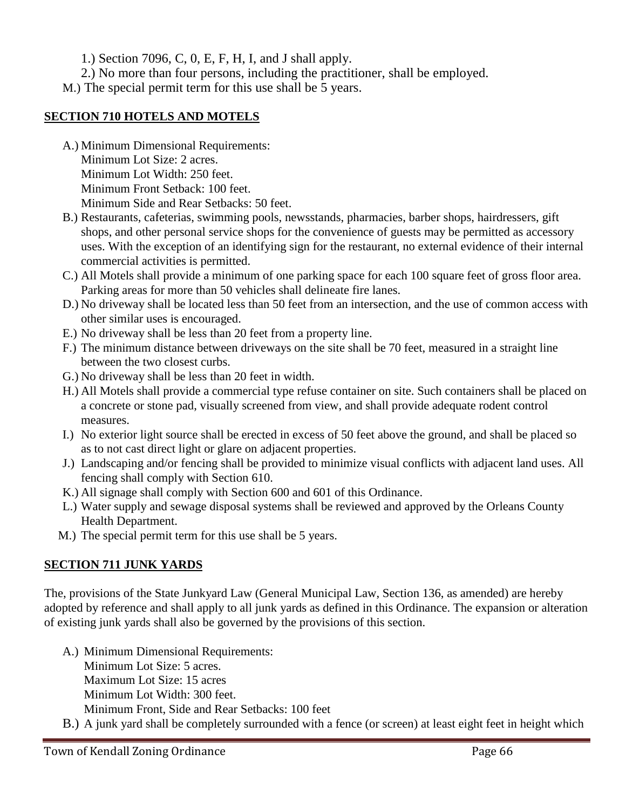1.) Section 7096, C, 0, E, F, H, I, and J shall apply.

2.) No more than four persons, including the practitioner, shall be employed.

M.) The special permit term for this use shall be 5 years.

### **SECTION 710 HOTELS AND MOTELS**

A.) Minimum Dimensional Requirements: Minimum Lot Size: 2 acres. Minimum Lot Width: 250 feet. Minimum Front Setback: 100 feet.

Minimum Side and Rear Setbacks: 50 feet.

- B.) Restaurants, cafeterias, swimming pools, newsstands, pharmacies, barber shops, hairdressers, gift shops, and other personal service shops for the convenience of guests may be permitted as accessory uses. With the exception of an identifying sign for the restaurant, no external evidence of their internal commercial activities is permitted.
- C.) All Motels shall provide a minimum of one parking space for each 100 square feet of gross floor area. Parking areas for more than 50 vehicles shall delineate fire lanes.
- D.) No driveway shall be located less than 50 feet from an intersection, and the use of common access with other similar uses is encouraged.
- E.) No driveway shall be less than 20 feet from a property line.
- F.) The minimum distance between driveways on the site shall be 70 feet, measured in a straight line between the two closest curbs.
- G.) No driveway shall be less than 20 feet in width.
- H.) All Motels shall provide a commercial type refuse container on site. Such containers shall be placed on a concrete or stone pad, visually screened from view, and shall provide adequate rodent control measures.
- I.) No exterior light source shall be erected in excess of 50 feet above the ground, and shall be placed so as to not cast direct light or glare on adjacent properties.
- J.) Landscaping and/or fencing shall be provided to minimize visual conflicts with adjacent land uses. All fencing shall comply with Section 610.
- K.) All signage shall comply with Section 600 and 601 of this Ordinance.
- L.) Water supply and sewage disposal systems shall be reviewed and approved by the Orleans County Health Department.
- M.) The special permit term for this use shall be 5 years.

# **SECTION 711 JUNK YARDS**

The, provisions of the State Junkyard Law (General Municipal Law, Section 136, as amended) are hereby adopted by reference and shall apply to all junk yards as defined in this Ordinance. The expansion or alteration of existing junk yards shall also be governed by the provisions of this section.

- A.) Minimum Dimensional Requirements: Minimum Lot Size: 5 acres. Maximum Lot Size: 15 acres Minimum Lot Width: 300 feet. Minimum Front, Side and Rear Setbacks: 100 feet
- B.) A junk yard shall be completely surrounded with a fence (or screen) at least eight feet in height which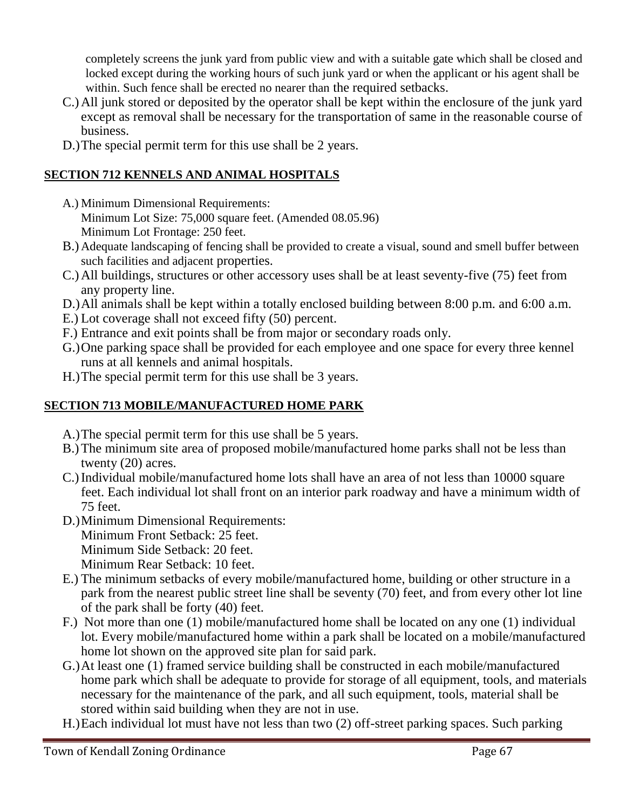completely screens the junk yard from public view and with a suitable gate which shall be closed and locked except during the working hours of such junk yard or when the applicant or his agent shall be within. Such fence shall be erected no nearer than the required setbacks.

- C.)All junk stored or deposited by the operator shall be kept within the enclosure of the junk yard except as removal shall be necessary for the transportation of same in the reasonable course of business.
- D.)The special permit term for this use shall be 2 years.

# **SECTION 712 KENNELS AND ANIMAL HOSPITALS**

- A.) Minimum Dimensional Requirements: Minimum Lot Size: 75,000 square feet. (Amended 08.05.96) Minimum Lot Frontage: 250 feet.
- B.) Adequate landscaping of fencing shall be provided to create a visual, sound and smell buffer between such facilities and adjacent properties.
- C.)All buildings, structures or other accessory uses shall be at least seventy-five (75) feet from any property line.
- D.)All animals shall be kept within a totally enclosed building between 8:00 p.m. and 6:00 a.m.
- E.) Lot coverage shall not exceed fifty (50) percent.
- F.) Entrance and exit points shall be from major or secondary roads only.
- G.)One parking space shall be provided for each employee and one space for every three kennel runs at all kennels and animal hospitals.
- H.)The special permit term for this use shall be 3 years.

# **SECTION 713 MOBILE/MANUFACTURED HOME PARK**

- A.)The special permit term for this use shall be 5 years.
- B.)The minimum site area of proposed mobile/manufactured home parks shall not be less than twenty (20) acres.
- C.)Individual mobile/manufactured home lots shall have an area of not less than 10000 square feet. Each individual lot shall front on an interior park roadway and have a minimum width of 75 feet.
- D.)Minimum Dimensional Requirements: Minimum Front Setback: 25 feet. Minimum Side Setback: 20 feet. Minimum Rear Setback: 10 feet.
- E.) The minimum setbacks of every mobile/manufactured home, building or other structure in a park from the nearest public street line shall be seventy (70) feet, and from every other lot line of the park shall be forty (40) feet.
- F.) Not more than one (1) mobile/manufactured home shall be located on any one (1) individual lot. Every mobile/manufactured home within a park shall be located on a mobile/manufactured home lot shown on the approved site plan for said park.
- G.)At least one (1) framed service building shall be constructed in each mobile/manufactured home park which shall be adequate to provide for storage of all equipment, tools, and materials necessary for the maintenance of the park, and all such equipment, tools, material shall be stored within said building when they are not in use.
- H.)Each individual lot must have not less than two (2) off-street parking spaces. Such parking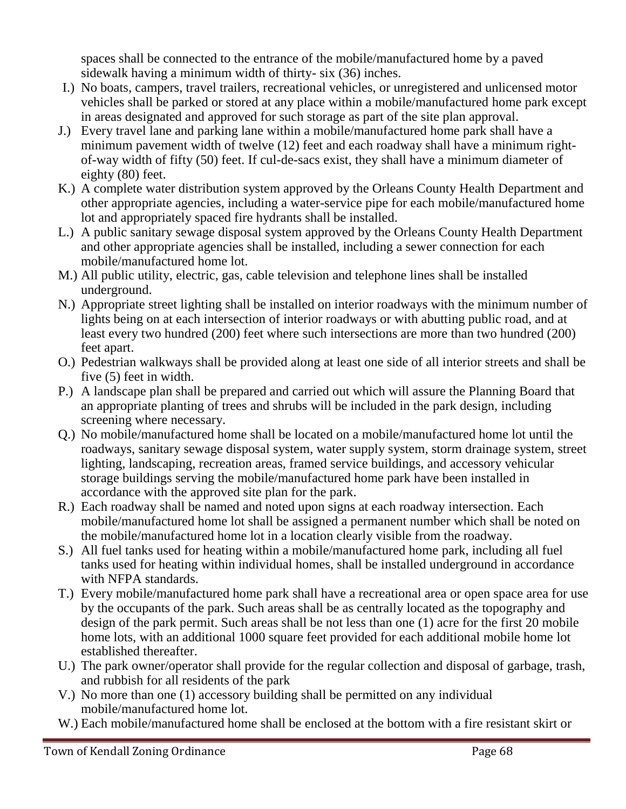spaces shall be connected to the entrance of the mobile/manufactured home by a paved sidewalk having a minimum width of thirty- six (36) inches.

- I.) No boats, campers, travel trailers, recreational vehicles, or unregistered and unlicensed motor vehicles shall be parked or stored at any place within a mobile/manufactured home park except in areas designated and approved for such storage as part of the site plan approval.
- J.) Every travel lane and parking lane within a mobile/manufactured home park shall have a minimum pavement width of twelve (12) feet and each roadway shall have a minimum rightof-way width of fifty (50) feet. If cul-de-sacs exist, they shall have a minimum diameter of eighty (80) feet.
- K.) A complete water distribution system approved by the Orleans County Health Department and other appropriate agencies, including a water-service pipe for each mobile/manufactured home lot and appropriately spaced fire hydrants shall be installed.
- L.) A public sanitary sewage disposal system approved by the Orleans County Health Department and other appropriate agencies shall be installed, including a sewer connection for each mobile/manufactured home lot.
- M.) All public utility, electric, gas, cable television and telephone lines shall be installed underground.
- N.) Appropriate street lighting shall be installed on interior roadways with the minimum number of lights being on at each intersection of interior roadways or with abutting public road, and at least every two hundred (200) feet where such intersections are more than two hundred (200) feet apart.
- O.) Pedestrian walkways shall be provided along at least one side of all interior streets and shall be five (5) feet in width.
- P.) A landscape plan shall be prepared and carried out which will assure the Planning Board that an appropriate planting of trees and shrubs will be included in the park design, including screening where necessary.
- Q.) No mobile/manufactured home shall be located on a mobile/manufactured home lot until the roadways, sanitary sewage disposal system, water supply system, storm drainage system, street lighting, landscaping, recreation areas, framed service buildings, and accessory vehicular storage buildings serving the mobile/manufactured home park have been installed in accordance with the approved site plan for the park.
- R.) Each roadway shall be named and noted upon signs at each roadway intersection. Each mobile/manufactured home lot shall be assigned a permanent number which shall be noted on the mobile/manufactured home lot in a location clearly visible from the roadway.
- S.) All fuel tanks used for heating within a mobile/manufactured home park, including all fuel tanks used for heating within individual homes, shall be installed underground in accordance with NFPA standards.
- T.) Every mobile/manufactured home park shall have a recreational area or open space area for use by the occupants of the park. Such areas shall be as centrally located as the topography and design of the park permit. Such areas shall be not less than one (1) acre for the first 20 mobile home lots, with an additional 1000 square feet provided for each additional mobile home lot established thereafter.
- U.) The park owner/operator shall provide for the regular collection and disposal of garbage, trash, and rubbish for all residents of the park
- V.) No more than one (1) accessory building shall be permitted on any individual mobile/manufactured home lot.
- W.) Each mobile/manufactured home shall be enclosed at the bottom with a fire resistant skirt or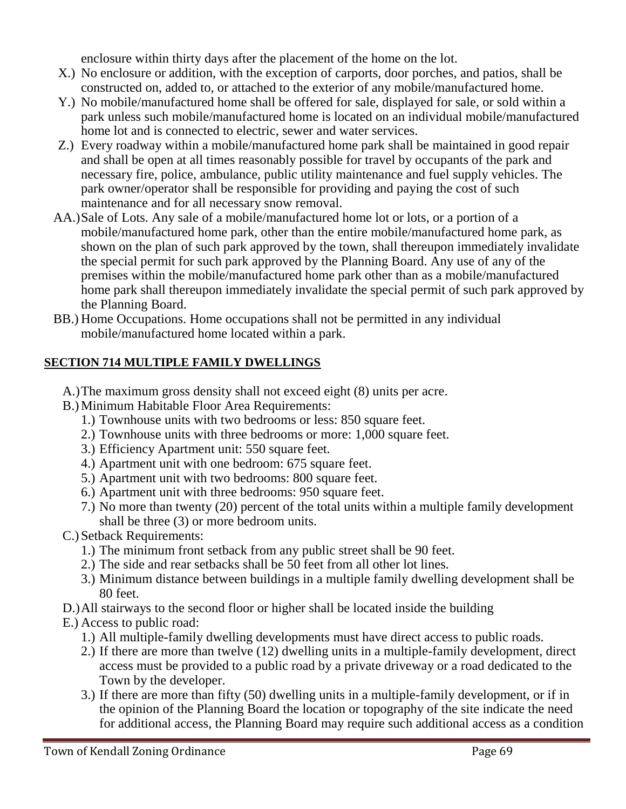enclosure within thirty days after the placement of the home on the lot.

- X.) No enclosure or addition, with the exception of carports, door porches, and patios, shall be constructed on, added to, or attached to the exterior of any mobile/manufactured home.
- Y.) No mobile/manufactured home shall be offered for sale, displayed for sale, or sold within a park unless such mobile/manufactured home is located on an individual mobile/manufactured home lot and is connected to electric, sewer and water services.
- Z.) Every roadway within a mobile/manufactured home park shall be maintained in good repair and shall be open at all times reasonably possible for travel by occupants of the park and necessary fire, police, ambulance, public utility maintenance and fuel supply vehicles. The park owner/operator shall be responsible for providing and paying the cost of such maintenance and for all necessary snow removal.
- AA.)Sale of Lots. Any sale of a mobile/manufactured home lot or lots, or a portion of a mobile/manufactured home park, other than the entire mobile/manufactured home park, as shown on the plan of such park approved by the town, shall thereupon immediately invalidate the special permit for such park approved by the Planning Board. Any use of any of the premises within the mobile/manufactured home park other than as a mobile/manufactured home park shall thereupon immediately invalidate the special permit of such park approved by the Planning Board.
- BB.) Home Occupations. Home occupations shall not be permitted in any individual mobile/manufactured home located within a park.

# **SECTION 714 MULTIPLE FAMILY DWELLINGS**

- A.)The maximum gross density shall not exceed eight (8) units per acre.
- B.)Minimum Habitable Floor Area Requirements:
	- 1.) Townhouse units with two bedrooms or less: 850 square feet.
	- 2.) Townhouse units with three bedrooms or more: 1,000 square feet.
	- 3.) Efficiency Apartment unit: 550 square feet.
	- 4.) Apartment unit with one bedroom: 675 square feet.
	- 5.) Apartment unit with two bedrooms: 800 square feet.
	- 6.) Apartment unit with three bedrooms: 950 square feet.
	- 7.) No more than twenty (20) percent of the total units within a multiple family development shall be three (3) or more bedroom units.
- C.) Setback Requirements:
	- 1.) The minimum front setback from any public street shall be 90 feet.
	- 2.) The side and rear setbacks shall be 50 feet from all other lot lines.
	- 3.) Minimum distance between buildings in a multiple family dwelling development shall be 80 feet.
- D.)All stairways to the second floor or higher shall be located inside the building
- E.) Access to public road:
	- 1.) All multiple-family dwelling developments must have direct access to public roads.
	- 2.) If there are more than twelve (12) dwelling units in a multiple-family development, direct access must be provided to a public road by a private driveway or a road dedicated to the Town by the developer.
	- 3.) If there are more than fifty (50) dwelling units in a multiple-family development, or if in the opinion of the Planning Board the location or topography of the site indicate the need for additional access, the Planning Board may require such additional access as a condition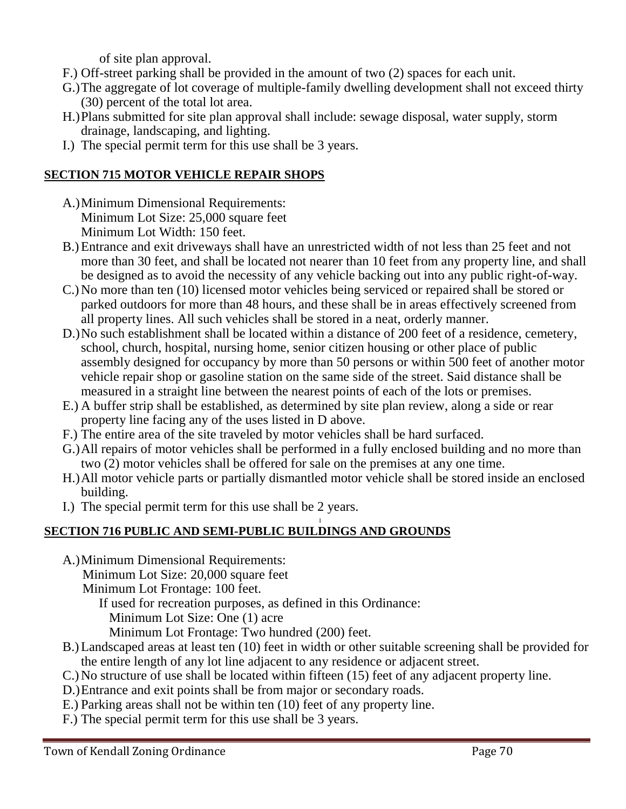of site plan approval.

- F.) Off-street parking shall be provided in the amount of two (2) spaces for each unit.
- G.)The aggregate of lot coverage of multiple-family dwelling development shall not exceed thirty (30) percent of the total lot area.
- H.)Plans submitted for site plan approval shall include: sewage disposal, water supply, storm drainage, landscaping, and lighting.
- I.) The special permit term for this use shall be 3 years.

## **SECTION 715 MOTOR VEHICLE REPAIR SHOPS**

- A.)Minimum Dimensional Requirements: Minimum Lot Size: 25,000 square feet Minimum Lot Width: 150 feet.
- B.)Entrance and exit driveways shall have an unrestricted width of not less than 25 feet and not more than 30 feet, and shall be located not nearer than 10 feet from any property line, and shall be designed as to avoid the necessity of any vehicle backing out into any public right-of-way.
- C.)No more than ten (10) licensed motor vehicles being serviced or repaired shall be stored or parked outdoors for more than 48 hours, and these shall be in areas effectively screened from all property lines. All such vehicles shall be stored in a neat, orderly manner.
- D.)No such establishment shall be located within a distance of 200 feet of a residence, cemetery, school, church, hospital, nursing home, senior citizen housing or other place of public assembly designed for occupancy by more than 50 persons or within 500 feet of another motor vehicle repair shop or gasoline station on the same side of the street. Said distance shall be measured in a straight line between the nearest points of each of the lots or premises.
- E.) A buffer strip shall be established, as determined by site plan review, along a side or rear property line facing any of the uses listed in D above.
- F.) The entire area of the site traveled by motor vehicles shall be hard surfaced.
- G.)All repairs of motor vehicles shall be performed in a fully enclosed building and no more than two (2) motor vehicles shall be offered for sale on the premises at any one time.
- H.)All motor vehicle parts or partially dismantled motor vehicle shall be stored inside an enclosed building.
- I.) The special permit term for this use shall be 2 years.

#### I **SECTION 716 PUBLIC AND SEMI-PUBLIC BUILDINGS AND GROUNDS**

- A.)Minimum Dimensional Requirements: Minimum Lot Size: 20,000 square feet
	- Minimum Lot Frontage: 100 feet.

If used for recreation purposes, as defined in this Ordinance:

Minimum Lot Size: One (1) acre

- Minimum Lot Frontage: Two hundred (200) feet.
- B.)Landscaped areas at least ten (10) feet in width or other suitable screening shall be provided for the entire length of any lot line adjacent to any residence or adjacent street.
- C.)No structure of use shall be located within fifteen (15) feet of any adjacent property line.
- D.)Entrance and exit points shall be from major or secondary roads.
- E.) Parking areas shall not be within ten (10) feet of any property line.
- F.) The special permit term for this use shall be 3 years.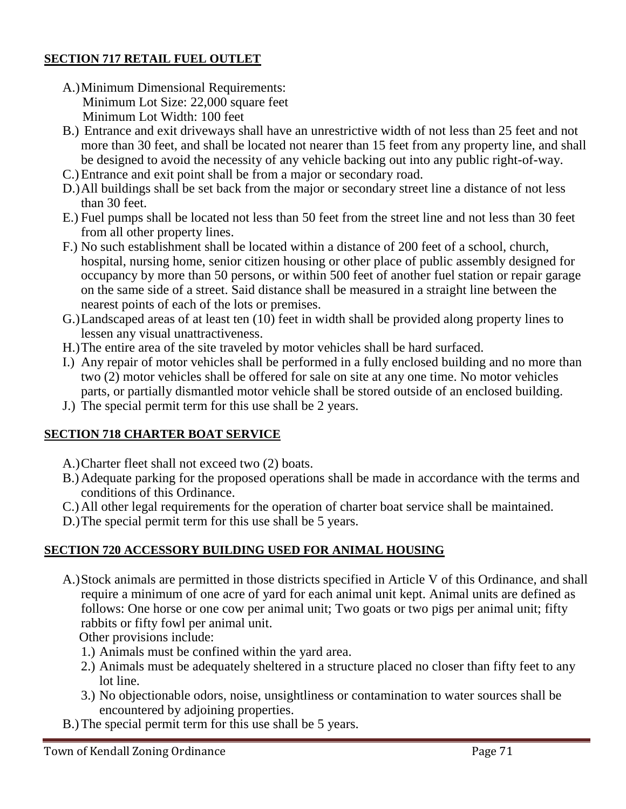## **SECTION 717 RETAIL FUEL OUTLET**

- A.)Minimum Dimensional Requirements: Minimum Lot Size: 22,000 square feet Minimum Lot Width: 100 feet
- B.) Entrance and exit driveways shall have an unrestrictive width of not less than 25 feet and not more than 30 feet, and shall be located not nearer than 15 feet from any property line, and shall be designed to avoid the necessity of any vehicle backing out into any public right-of-way.
- C.)Entrance and exit point shall be from a major or secondary road.
- D.)All buildings shall be set back from the major or secondary street line a distance of not less than 30 feet.
- E.) Fuel pumps shall be located not less than 50 feet from the street line and not less than 30 feet from all other property lines.
- F.) No such establishment shall be located within a distance of 200 feet of a school, church, hospital, nursing home, senior citizen housing or other place of public assembly designed for occupancy by more than 50 persons, or within 500 feet of another fuel station or repair garage on the same side of a street. Said distance shall be measured in a straight line between the nearest points of each of the lots or premises.
- G.)Landscaped areas of at least ten (10) feet in width shall be provided along property lines to lessen any visual unattractiveness.
- H.)The entire area of the site traveled by motor vehicles shall be hard surfaced.
- I.) Any repair of motor vehicles shall be performed in a fully enclosed building and no more than two (2) motor vehicles shall be offered for sale on site at any one time. No motor vehicles parts, or partially dismantled motor vehicle shall be stored outside of an enclosed building.
- J.) The special permit term for this use shall be 2 years.

## **SECTION 718 CHARTER BOAT SERVICE**

- A.)Charter fleet shall not exceed two (2) boats.
- B.)Adequate parking for the proposed operations shall be made in accordance with the terms and conditions of this Ordinance.
- C.)All other legal requirements for the operation of charter boat service shall be maintained.
- D.)The special permit term for this use shall be 5 years.

## **SECTION 720 ACCESSORY BUILDING USED FOR ANIMAL HOUSING**

A.)Stock animals are permitted in those districts specified in Article V of this Ordinance, and shall require a minimum of one acre of yard for each animal unit kept. Animal units are defined as follows: One horse or one cow per animal unit; Two goats or two pigs per animal unit; fifty rabbits or fifty fowl per animal unit.

Other provisions include:

- 1.) Animals must be confined within the yard area.
- 2.) Animals must be adequately sheltered in a structure placed no closer than fifty feet to any lot line.
- 3.) No objectionable odors, noise, unsightliness or contamination to water sources shall be encountered by adjoining properties.
- B.)The special permit term for this use shall be 5 years.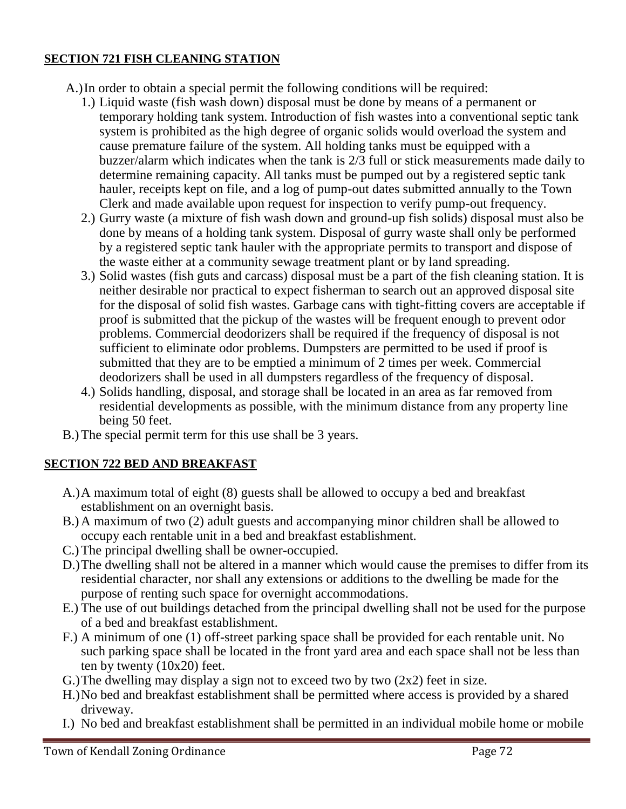## **SECTION 721 FISH CLEANING STATION**

A.)In order to obtain a special permit the following conditions will be required:

- 1.) Liquid waste (fish wash down) disposal must be done by means of a permanent or temporary holding tank system. Introduction of fish wastes into a conventional septic tank system is prohibited as the high degree of organic solids would overload the system and cause premature failure of the system. All holding tanks must be equipped with a buzzer/alarm which indicates when the tank is 2/3 full or stick measurements made daily to determine remaining capacity. All tanks must be pumped out by a registered septic tank hauler, receipts kept on file, and a log of pump-out dates submitted annually to the Town Clerk and made available upon request for inspection to verify pump-out frequency.
- 2.) Gurry waste (a mixture of fish wash down and ground-up fish solids) disposal must also be done by means of a holding tank system. Disposal of gurry waste shall only be performed by a registered septic tank hauler with the appropriate permits to transport and dispose of the waste either at a community sewage treatment plant or by land spreading.
- 3.) Solid wastes (fish guts and carcass) disposal must be a part of the fish cleaning station. It is neither desirable nor practical to expect fisherman to search out an approved disposal site for the disposal of solid fish wastes. Garbage cans with tight-fitting covers are acceptable if proof is submitted that the pickup of the wastes will be frequent enough to prevent odor problems. Commercial deodorizers shall be required if the frequency of disposal is not sufficient to eliminate odor problems. Dumpsters are permitted to be used if proof is submitted that they are to be emptied a minimum of 2 times per week. Commercial deodorizers shall be used in all dumpsters regardless of the frequency of disposal.
- 4.) Solids handling, disposal, and storage shall be located in an area as far removed from residential developments as possible, with the minimum distance from any property line being 50 feet.
- B.)The special permit term for this use shall be 3 years.

## **SECTION 722 BED AND BREAKFAST**

- A.)A maximum total of eight (8) guests shall be allowed to occupy a bed and breakfast establishment on an overnight basis.
- B.)A maximum of two (2) adult guests and accompanying minor children shall be allowed to occupy each rentable unit in a bed and breakfast establishment.
- C.)The principal dwelling shall be owner-occupied.
- D.)The dwelling shall not be altered in a manner which would cause the premises to differ from its residential character, nor shall any extensions or additions to the dwelling be made for the purpose of renting such space for overnight accommodations.
- E.) The use of out buildings detached from the principal dwelling shall not be used for the purpose of a bed and breakfast establishment.
- F.) A minimum of one (1) off-street parking space shall be provided for each rentable unit. No such parking space shall be located in the front yard area and each space shall not be less than ten by twenty (10x20) feet.
- G.) The dwelling may display a sign not to exceed two by two  $(2x2)$  feet in size.
- H.)No bed and breakfast establishment shall be permitted where access is provided by a shared driveway.
- I.) No bed and breakfast establishment shall be permitted in an individual mobile home or mobile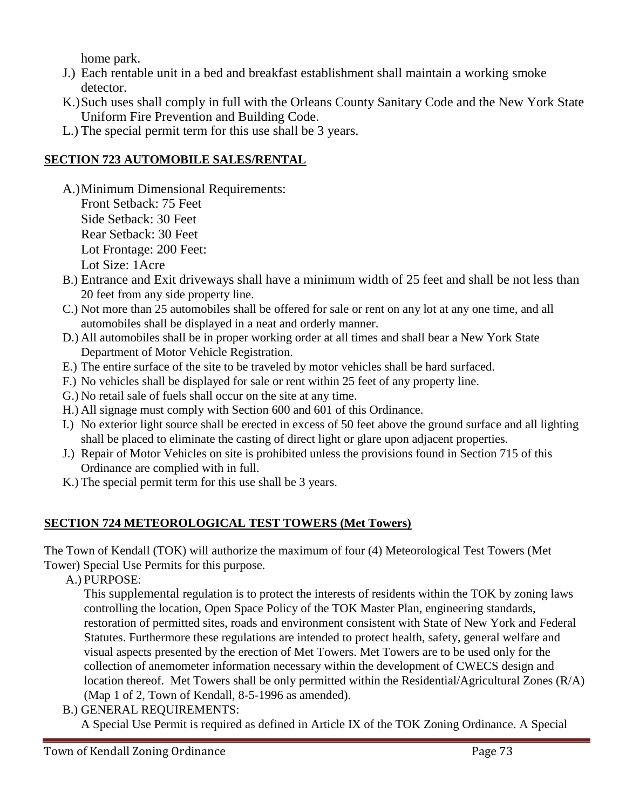home park.

- J.) Each rentable unit in a bed and breakfast establishment shall maintain a working smoke detector.
- K.)Such uses shall comply in full with the Orleans County Sanitary Code and the New York State Uniform Fire Prevention and Building Code.
- L.) The special permit term for this use shall be 3 years.

# **SECTION 723 AUTOMOBILE SALES/RENTAL**

- A.)Minimum Dimensional Requirements: Front Setback: 75 Feet Side Setback: 30 Feet Rear Setback: 30 Feet Lot Frontage: 200 Feet: Lot Size: 1Acre
- B.) Entrance and Exit driveways shall have a minimum width of 25 feet and shall be not less than 20 feet from any side property line.
- C.) Not more than 25 automobiles shall be offered for sale or rent on any lot at any one time, and all automobiles shall be displayed in a neat and orderly manner.
- D.) All automobiles shall be in proper working order at all times and shall bear a New York State Department of Motor Vehicle Registration.
- E.) The entire surface of the site to be traveled by motor vehicles shall be hard surfaced.
- F.) No vehicles shall be displayed for sale or rent within 25 feet of any property line.
- G.) No retail sale of fuels shall occur on the site at any time.
- H.) All signage must comply with Section 600 and 601 of this Ordinance.
- I.) No exterior light source shall be erected in excess of 50 feet above the ground surface and all lighting shall be placed to eliminate the casting of direct light or glare upon adjacent properties.
- J.) Repair of Motor Vehicles on site is prohibited unless the provisions found in Section 715 of this Ordinance are complied with in full.
- K.) The special permit term for this use shall be 3 years.

# **SECTION 724 METEOROLOGICAL TEST TOWERS (Met Towers)**

The Town of Kendall (TOK) will authorize the maximum of four (4) Meteorological Test Towers (Met Tower) Special Use Permits for this purpose.

A.) PURPOSE:

This supplemental regulation is to protect the interests of residents within the TOK by zoning laws controlling the location, Open Space Policy of the TOK Master Plan, engineering standards, restoration of permitted sites, roads and environment consistent with State of New York and Federal Statutes. Furthermore these regulations are intended to protect health, safety, general welfare and visual aspects presented by the erection of Met Towers. Met Towers are to be used only for the collection of anemometer information necessary within the development of CWECS design and location thereof. Met Towers shall be only permitted within the Residential/Agricultural Zones (R/A) (Map 1 of 2, Town of Kendall, 8-5-1996 as amended).

B.) GENERAL REQUIREMENTS:

A Special Use Permit is required as defined in Article IX of the TOK Zoning Ordinance. A Special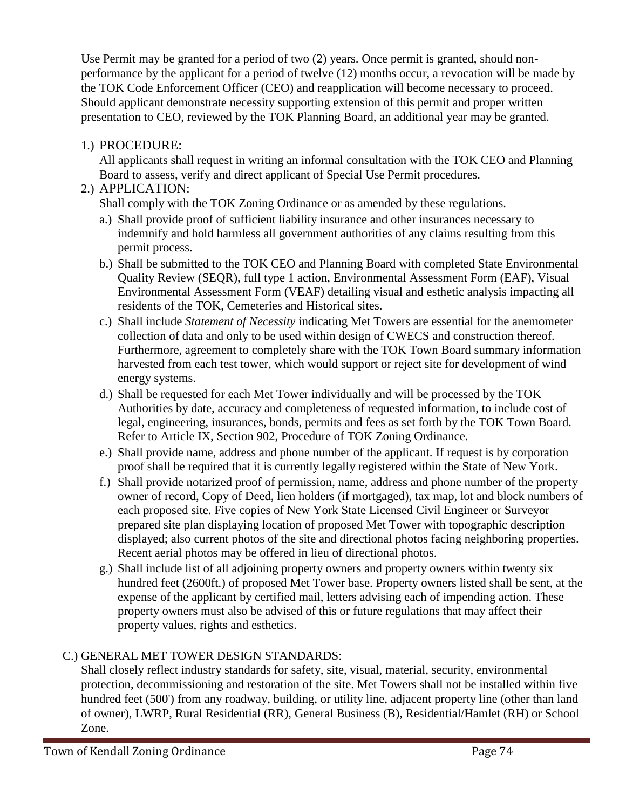Use Permit may be granted for a period of two (2) years. Once permit is granted, should nonperformance by the applicant for a period of twelve (12) months occur, a revocation will be made by the TOK Code Enforcement Officer (CEO) and reapplication will become necessary to proceed. Should applicant demonstrate necessity supporting extension of this permit and proper written presentation to CEO, reviewed by the TOK Planning Board, an additional year may be granted.

# 1.) PROCEDURE:

All applicants shall request in writing an informal consultation with the TOK CEO and Planning Board to assess, verify and direct applicant of Special Use Permit procedures.

# 2.) APPLICATION:

Shall comply with the TOK Zoning Ordinance or as amended by these regulations.

- a.) Shall provide proof of sufficient liability insurance and other insurances necessary to indemnify and hold harmless all government authorities of any claims resulting from this permit process.
- b.) Shall be submitted to the TOK CEO and Planning Board with completed State Environmental Quality Review (SEQR), full type 1 action, Environmental Assessment Form (EAF), Visual Environmental Assessment Form (VEAF) detailing visual and esthetic analysis impacting all residents of the TOK, Cemeteries and Historical sites.
- c.) Shall include *Statement of Necessity* indicating Met Towers are essential for the anemometer collection of data and only to be used within design of CWECS and construction thereof. Furthermore, agreement to completely share with the TOK Town Board summary information harvested from each test tower, which would support or reject site for development of wind energy systems.
- d.) Shall be requested for each Met Tower individually and will be processed by the TOK Authorities by date, accuracy and completeness of requested information, to include cost of legal, engineering, insurances, bonds, permits and fees as set forth by the TOK Town Board. Refer to Article IX, Section 902, Procedure of TOK Zoning Ordinance.
- e.) Shall provide name, address and phone number of the applicant. If request is by corporation proof shall be required that it is currently legally registered within the State of New York.
- f.) Shall provide notarized proof of permission, name, address and phone number of the property owner of record, Copy of Deed, lien holders (if mortgaged), tax map, lot and block numbers of each proposed site. Five copies of New York State Licensed Civil Engineer or Surveyor prepared site plan displaying location of proposed Met Tower with topographic description displayed; also current photos of the site and directional photos facing neighboring properties. Recent aerial photos may be offered in lieu of directional photos.
- g.) Shall include list of all adjoining property owners and property owners within twenty six hundred feet (2600ft.) of proposed Met Tower base. Property owners listed shall be sent, at the expense of the applicant by certified mail, letters advising each of impending action. These property owners must also be advised of this or future regulations that may affect their property values, rights and esthetics.

# C.) GENERAL MET TOWER DESIGN STANDARDS:

Shall closely reflect industry standards for safety, site, visual, material, security, environmental protection, decommissioning and restoration of the site. Met Towers shall not be installed within five hundred feet (500') from any roadway, building, or utility line, adjacent property line (other than land of owner), LWRP, Rural Residential (RR), General Business (B), Residential/Hamlet (RH) or School Zone.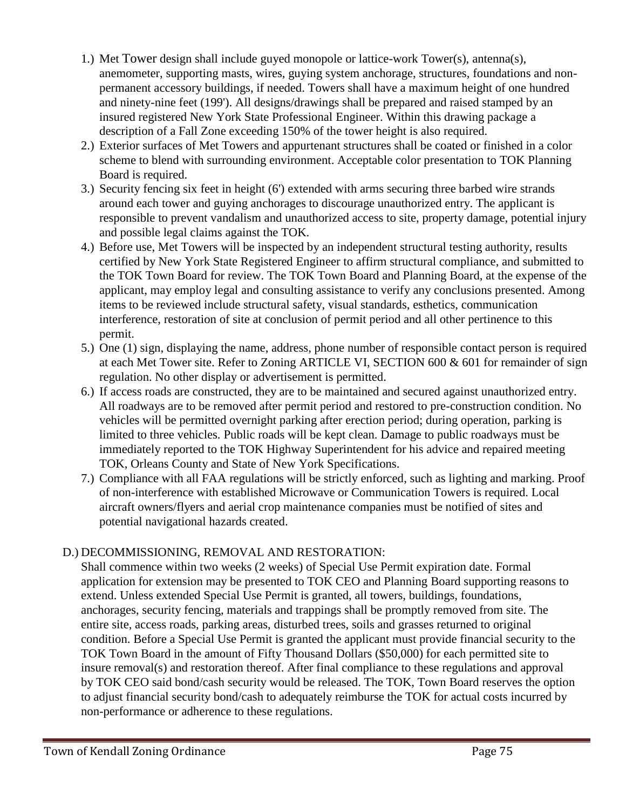- 1.) Met Tower design shall include guyed monopole or lattice-work Tower(s), antenna(s), anemometer, supporting masts, wires, guying system anchorage, structures, foundations and nonpermanent accessory buildings, if needed. Towers shall have a maximum height of one hundred and ninety-nine feet (199'). All designs/drawings shall be prepared and raised stamped by an insured registered New York State Professional Engineer. Within this drawing package a description of a Fall Zone exceeding 150% of the tower height is also required.
- 2.) Exterior surfaces of Met Towers and appurtenant structures shall be coated or finished in a color scheme to blend with surrounding environment. Acceptable color presentation to TOK Planning Board is required.
- 3.) Security fencing six feet in height (6') extended with arms securing three barbed wire strands around each tower and guying anchorages to discourage unauthorized entry. The applicant is responsible to prevent vandalism and unauthorized access to site, property damage, potential injury and possible legal claims against the TOK.
- 4.) Before use, Met Towers will be inspected by an independent structural testing authority, results certified by New York State Registered Engineer to affirm structural compliance, and submitted to the TOK Town Board for review. The TOK Town Board and Planning Board, at the expense of the applicant, may employ legal and consulting assistance to verify any conclusions presented. Among items to be reviewed include structural safety, visual standards, esthetics, communication interference, restoration of site at conclusion of permit period and all other pertinence to this permit.
- 5.) One (1) sign, displaying the name, address, phone number of responsible contact person is required at each Met Tower site. Refer to Zoning ARTICLE VI, SECTION 600 & 601 for remainder of sign regulation. No other display or advertisement is permitted.
- 6.) If access roads are constructed, they are to be maintained and secured against unauthorized entry. All roadways are to be removed after permit period and restored to pre-construction condition. No vehicles will be permitted overnight parking after erection period; during operation, parking is limited to three vehicles. Public roads will be kept clean. Damage to public roadways must be immediately reported to the TOK Highway Superintendent for his advice and repaired meeting TOK, Orleans County and State of New York Specifications.
- 7.) Compliance with all FAA regulations will be strictly enforced, such as lighting and marking. Proof of non-interference with established Microwave or Communication Towers is required. Local aircraft owners/flyers and aerial crop maintenance companies must be notified of sites and potential navigational hazards created.

# D.) DECOMMISSIONING, REMOVAL AND RESTORATION:

Shall commence within two weeks (2 weeks) of Special Use Permit expiration date. Formal application for extension may be presented to TOK CEO and Planning Board supporting reasons to extend. Unless extended Special Use Permit is granted, all towers, buildings, foundations, anchorages, security fencing, materials and trappings shall be promptly removed from site. The entire site, access roads, parking areas, disturbed trees, soils and grasses returned to original condition. Before a Special Use Permit is granted the applicant must provide financial security to the TOK Town Board in the amount of Fifty Thousand Dollars (\$50,000) for each permitted site to insure removal(s) and restoration thereof. After final compliance to these regulations and approval by TOK CEO said bond/cash security would be released. The TOK, Town Board reserves the option to adjust financial security bond/cash to adequately reimburse the TOK for actual costs incurred by non-performance or adherence to these regulations.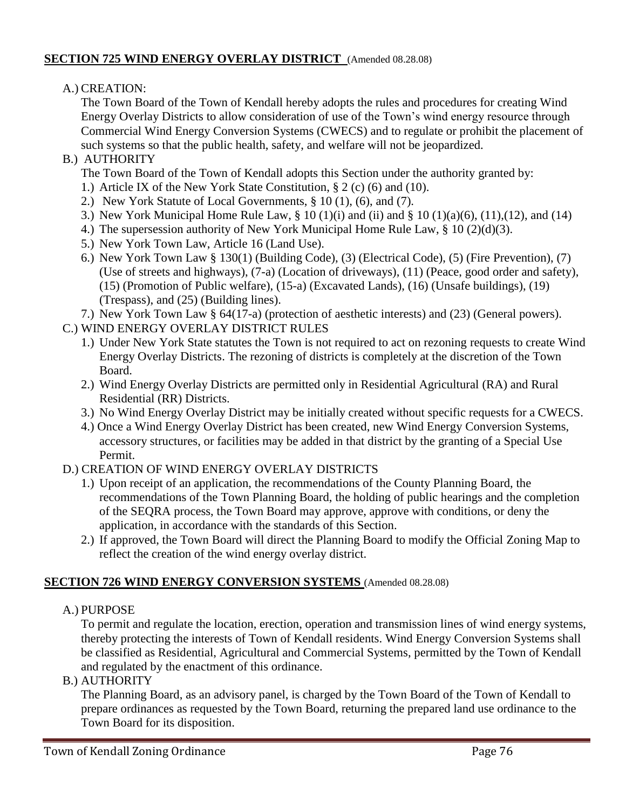# **SECTION 725 WIND ENERGY OVERLAY DISTRICT** (Amended 08.28.08)

### A.) CREATION:

The Town Board of the Town of Kendall hereby adopts the rules and procedures for creating Wind Energy Overlay Districts to allow consideration of use of the Town's wind energy resource through Commercial Wind Energy Conversion Systems (CWECS) and to regulate or prohibit the placement of such systems so that the public health, safety, and welfare will not be jeopardized.

# B.) AUTHORITY

The Town Board of the Town of Kendall adopts this Section under the authority granted by:

- 1.) Article IX of the New York State Constitution, § 2 (c) (6) and (10).
- 2.) New York Statute of Local Governments, § 10 (1), (6), and (7).
- 3.) New York Municipal Home Rule Law, § 10 (1)(i) and (ii) and § 10 (1)(a)(6), (11),(12), and (14)
- 4.) The supersession authority of New York Municipal Home Rule Law, § 10 (2)(d)(3).
- 5.) New York Town Law, Article 16 (Land Use).
- 6.) New York Town Law § 130(1) (Building Code), (3) (Electrical Code), (5) (Fire Prevention), (7) (Use of streets and highways), (7-a) (Location of driveways), (11) (Peace, good order and safety), (15) (Promotion of Public welfare), (15-a) (Excavated Lands), (16) (Unsafe buildings), (19) (Trespass), and (25) (Building lines).
- 7.) New York Town Law § 64(17-a) (protection of aesthetic interests) and (23) (General powers).
- C.) WIND ENERGY OVERLAY DISTRICT RULES
	- 1.) Under New York State statutes the Town is not required to act on rezoning requests to create Wind Energy Overlay Districts. The rezoning of districts is completely at the discretion of the Town Board.
	- 2.) Wind Energy Overlay Districts are permitted only in Residential Agricultural (RA) and Rural Residential (RR) Districts.
	- 3.) No Wind Energy Overlay District may be initially created without specific requests for a CWECS.
	- 4.) Once a Wind Energy Overlay District has been created, new Wind Energy Conversion Systems, accessory structures, or facilities may be added in that district by the granting of a Special Use Permit.
- D.) CREATION OF WIND ENERGY OVERLAY DISTRICTS
	- 1.) Upon receipt of an application, the recommendations of the County Planning Board, the recommendations of the Town Planning Board, the holding of public hearings and the completion of the SEQRA process, the Town Board may approve, approve with conditions, or deny the application, in accordance with the standards of this Section.
	- 2.) If approved, the Town Board will direct the Planning Board to modify the Official Zoning Map to reflect the creation of the wind energy overlay district.

# **SECTION 726 WIND ENERGY CONVERSION SYSTEMS** (Amended 08.28.08)

A.) PURPOSE

To permit and regulate the location, erection, operation and transmission lines of wind energy systems, thereby protecting the interests of Town of Kendall residents. Wind Energy Conversion Systems shall be classified as Residential, Agricultural and Commercial Systems, permitted by the Town of Kendall and regulated by the enactment of this ordinance.

B.) AUTHORITY

The Planning Board, as an advisory panel, is charged by the Town Board of the Town of Kendall to prepare ordinances as requested by the Town Board, returning the prepared land use ordinance to the Town Board for its disposition.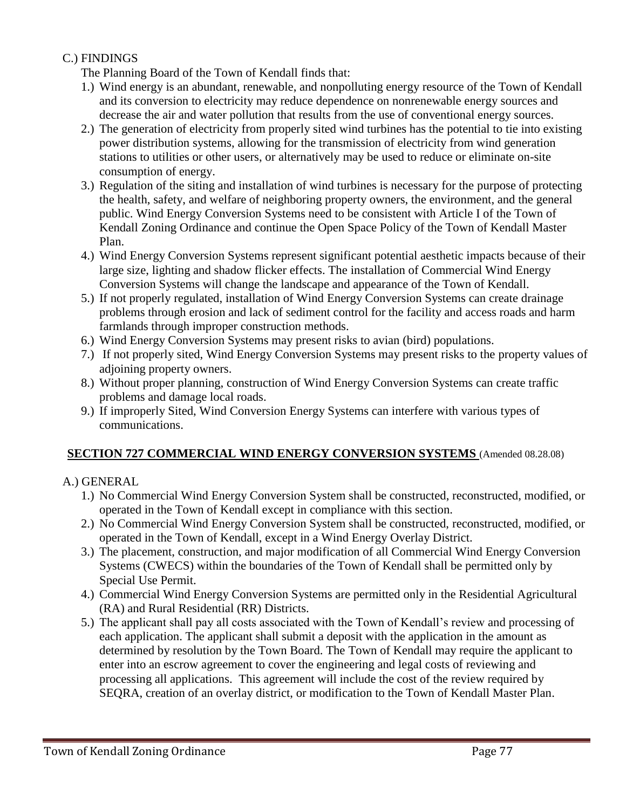## C.) FINDINGS

The Planning Board of the Town of Kendall finds that:

- 1.) Wind energy is an abundant, renewable, and nonpolluting energy resource of the Town of Kendall and its conversion to electricity may reduce dependence on nonrenewable energy sources and decrease the air and water pollution that results from the use of conventional energy sources.
- 2.) The generation of electricity from properly sited wind turbines has the potential to tie into existing power distribution systems, allowing for the transmission of electricity from wind generation stations to utilities or other users, or alternatively may be used to reduce or eliminate on-site consumption of energy.
- 3.) Regulation of the siting and installation of wind turbines is necessary for the purpose of protecting the health, safety, and welfare of neighboring property owners, the environment, and the general public. Wind Energy Conversion Systems need to be consistent with Article I of the Town of Kendall Zoning Ordinance and continue the Open Space Policy of the Town of Kendall Master Plan.
- 4.) Wind Energy Conversion Systems represent significant potential aesthetic impacts because of their large size, lighting and shadow flicker effects. The installation of Commercial Wind Energy Conversion Systems will change the landscape and appearance of the Town of Kendall.
- 5.) If not properly regulated, installation of Wind Energy Conversion Systems can create drainage problems through erosion and lack of sediment control for the facility and access roads and harm farmlands through improper construction methods.
- 6.) Wind Energy Conversion Systems may present risks to avian (bird) populations.
- 7.) If not properly sited, Wind Energy Conversion Systems may present risks to the property values of adjoining property owners.
- 8.) Without proper planning, construction of Wind Energy Conversion Systems can create traffic problems and damage local roads.
- 9.) If improperly Sited, Wind Conversion Energy Systems can interfere with various types of communications.

# **SECTION 727 COMMERCIAL WIND ENERGY CONVERSION SYSTEMS** (Amended 08.28.08)

# A.) GENERAL

- 1.) No Commercial Wind Energy Conversion System shall be constructed, reconstructed, modified, or operated in the Town of Kendall except in compliance with this section.
- 2.) No Commercial Wind Energy Conversion System shall be constructed, reconstructed, modified, or operated in the Town of Kendall, except in a Wind Energy Overlay District.
- 3.) The placement, construction, and major modification of all Commercial Wind Energy Conversion Systems (CWECS) within the boundaries of the Town of Kendall shall be permitted only by Special Use Permit.
- 4.) Commercial Wind Energy Conversion Systems are permitted only in the Residential Agricultural (RA) and Rural Residential (RR) Districts.
- 5.) The applicant shall pay all costs associated with the Town of Kendall's review and processing of each application. The applicant shall submit a deposit with the application in the amount as determined by resolution by the Town Board. The Town of Kendall may require the applicant to enter into an escrow agreement to cover the engineering and legal costs of reviewing and processing all applications. This agreement will include the cost of the review required by SEQRA, creation of an overlay district, or modification to the Town of Kendall Master Plan.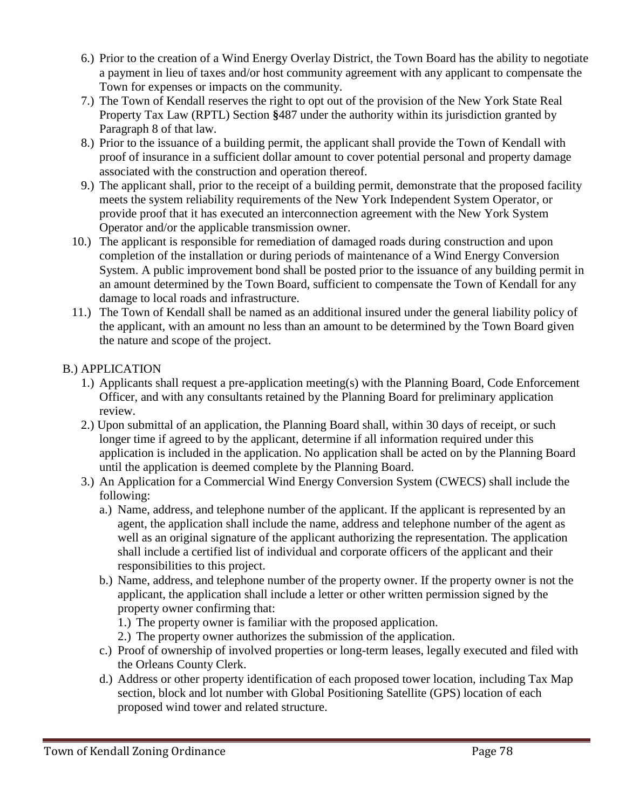- 6.) Prior to the creation of a Wind Energy Overlay District, the Town Board has the ability to negotiate a payment in lieu of taxes and/or host community agreement with any applicant to compensate the Town for expenses or impacts on the community.
- 7.) The Town of Kendall reserves the right to opt out of the provision of the New York State Real Property Tax Law (RPTL) Section **§**487 under the authority within its jurisdiction granted by Paragraph 8 of that law.
- 8.) Prior to the issuance of a building permit, the applicant shall provide the Town of Kendall with proof of insurance in a sufficient dollar amount to cover potential personal and property damage associated with the construction and operation thereof.
- 9.) The applicant shall, prior to the receipt of a building permit, demonstrate that the proposed facility meets the system reliability requirements of the New York Independent System Operator, or provide proof that it has executed an interconnection agreement with the New York System Operator and/or the applicable transmission owner.
- 10.) The applicant is responsible for remediation of damaged roads during construction and upon completion of the installation or during periods of maintenance of a Wind Energy Conversion System. A public improvement bond shall be posted prior to the issuance of any building permit in an amount determined by the Town Board, sufficient to compensate the Town of Kendall for any damage to local roads and infrastructure.
- 11.) The Town of Kendall shall be named as an additional insured under the general liability policy of the applicant, with an amount no less than an amount to be determined by the Town Board given the nature and scope of the project.

# B.) APPLICATION

- 1.) Applicants shall request a pre-application meeting(s) with the Planning Board, Code Enforcement Officer, and with any consultants retained by the Planning Board for preliminary application review.
- 2.) Upon submittal of an application, the Planning Board shall, within 30 days of receipt, or such longer time if agreed to by the applicant, determine if all information required under this application is included in the application. No application shall be acted on by the Planning Board until the application is deemed complete by the Planning Board.
- 3.) An Application for a Commercial Wind Energy Conversion System (CWECS) shall include the following:
	- a.) Name, address, and telephone number of the applicant. If the applicant is represented by an agent, the application shall include the name, address and telephone number of the agent as well as an original signature of the applicant authorizing the representation. The application shall include a certified list of individual and corporate officers of the applicant and their responsibilities to this project.
	- b.) Name, address, and telephone number of the property owner. If the property owner is not the applicant, the application shall include a letter or other written permission signed by the property owner confirming that:
		- 1.) The property owner is familiar with the proposed application.
		- 2.) The property owner authorizes the submission of the application.
	- c.) Proof of ownership of involved properties or long-term leases, legally executed and filed with the Orleans County Clerk.
	- d.) Address or other property identification of each proposed tower location, including Tax Map section, block and lot number with Global Positioning Satellite (GPS) location of each proposed wind tower and related structure.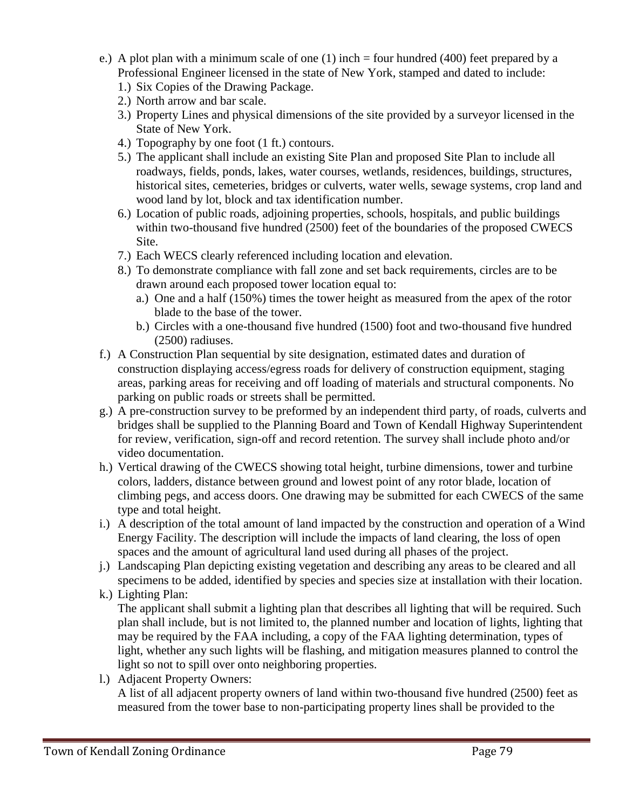- e.) A plot plan with a minimum scale of one (1) inch = four hundred (400) feet prepared by a Professional Engineer licensed in the state of New York, stamped and dated to include:
	- 1.) Six Copies of the Drawing Package.
	- 2.) North arrow and bar scale.
	- 3.) Property Lines and physical dimensions of the site provided by a surveyor licensed in the State of New York.
	- 4.) Topography by one foot (1 ft.) contours.
	- 5.) The applicant shall include an existing Site Plan and proposed Site Plan to include all roadways, fields, ponds, lakes, water courses, wetlands, residences, buildings, structures, historical sites, cemeteries, bridges or culverts, water wells, sewage systems, crop land and wood land by lot, block and tax identification number.
	- 6.) Location of public roads, adjoining properties, schools, hospitals, and public buildings within two-thousand five hundred (2500) feet of the boundaries of the proposed CWECS Site.
	- 7.) Each WECS clearly referenced including location and elevation.
	- 8.) To demonstrate compliance with fall zone and set back requirements, circles are to be drawn around each proposed tower location equal to:
		- a.) One and a half (150%) times the tower height as measured from the apex of the rotor blade to the base of the tower.
		- b.) Circles with a one-thousand five hundred (1500) foot and two-thousand five hundred (2500) radiuses.
- f.) A Construction Plan sequential by site designation, estimated dates and duration of construction displaying access/egress roads for delivery of construction equipment, staging areas, parking areas for receiving and off loading of materials and structural components. No parking on public roads or streets shall be permitted.
- g.) A pre-construction survey to be preformed by an independent third party, of roads, culverts and bridges shall be supplied to the Planning Board and Town of Kendall Highway Superintendent for review, verification, sign-off and record retention. The survey shall include photo and/or video documentation.
- h.) Vertical drawing of the CWECS showing total height, turbine dimensions, tower and turbine colors, ladders, distance between ground and lowest point of any rotor blade, location of climbing pegs, and access doors. One drawing may be submitted for each CWECS of the same type and total height.
- i.) A description of the total amount of land impacted by the construction and operation of a Wind Energy Facility. The description will include the impacts of land clearing, the loss of open spaces and the amount of agricultural land used during all phases of the project.
- j.) Landscaping Plan depicting existing vegetation and describing any areas to be cleared and all specimens to be added, identified by species and species size at installation with their location.
- k.) Lighting Plan:

The applicant shall submit a lighting plan that describes all lighting that will be required. Such plan shall include, but is not limited to, the planned number and location of lights, lighting that may be required by the FAA including, a copy of the FAA lighting determination, types of light, whether any such lights will be flashing, and mitigation measures planned to control the light so not to spill over onto neighboring properties.

l.) Adjacent Property Owners:

A list of all adjacent property owners of land within two-thousand five hundred (2500) feet as measured from the tower base to non-participating property lines shall be provided to the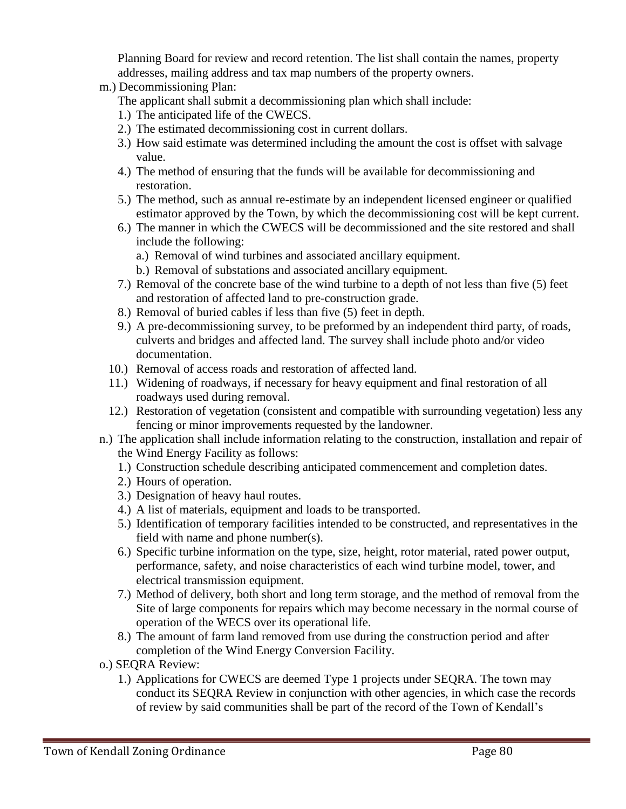Planning Board for review and record retention. The list shall contain the names, property addresses, mailing address and tax map numbers of the property owners.

m.) Decommissioning Plan:

The applicant shall submit a decommissioning plan which shall include:

- 1.) The anticipated life of the CWECS.
- 2.) The estimated decommissioning cost in current dollars.
- 3.) How said estimate was determined including the amount the cost is offset with salvage value.
- 4.) The method of ensuring that the funds will be available for decommissioning and restoration.
- 5.) The method, such as annual re-estimate by an independent licensed engineer or qualified estimator approved by the Town, by which the decommissioning cost will be kept current.
- 6.) The manner in which the CWECS will be decommissioned and the site restored and shall include the following:
	- a.) Removal of wind turbines and associated ancillary equipment.
	- b.) Removal of substations and associated ancillary equipment.
- 7.) Removal of the concrete base of the wind turbine to a depth of not less than five (5) feet and restoration of affected land to pre-construction grade.
- 8.) Removal of buried cables if less than five (5) feet in depth.
- 9.) A pre-decommissioning survey, to be preformed by an independent third party, of roads, culverts and bridges and affected land. The survey shall include photo and/or video documentation.
- 10.) Removal of access roads and restoration of affected land.
- 11.) Widening of roadways, if necessary for heavy equipment and final restoration of all roadways used during removal.
- 12.) Restoration of vegetation (consistent and compatible with surrounding vegetation) less any fencing or minor improvements requested by the landowner.
- n.) The application shall include information relating to the construction, installation and repair of the Wind Energy Facility as follows:
	- 1.) Construction schedule describing anticipated commencement and completion dates.
	- 2.) Hours of operation.
	- 3.) Designation of heavy haul routes.
	- 4.) A list of materials, equipment and loads to be transported.
	- 5.) Identification of temporary facilities intended to be constructed, and representatives in the field with name and phone number(s).
	- 6.) Specific turbine information on the type, size, height, rotor material, rated power output, performance, safety, and noise characteristics of each wind turbine model, tower, and electrical transmission equipment.
	- 7.) Method of delivery, both short and long term storage, and the method of removal from the Site of large components for repairs which may become necessary in the normal course of operation of the WECS over its operational life.
	- 8.) The amount of farm land removed from use during the construction period and after completion of the Wind Energy Conversion Facility.
- o.) SEQRA Review:
	- 1.) Applications for CWECS are deemed Type 1 projects under SEQRA. The town may conduct its SEQRA Review in conjunction with other agencies, in which case the records of review by said communities shall be part of the record of the Town of Kendall's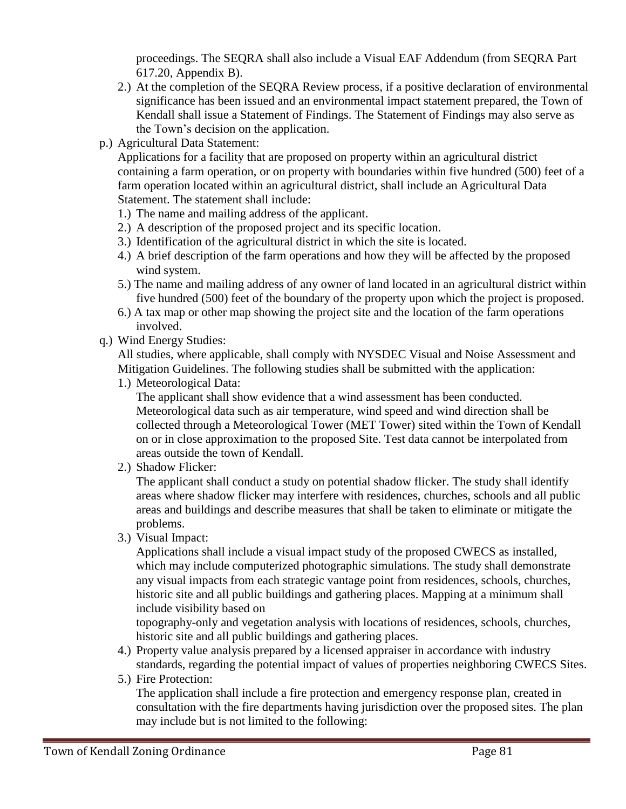proceedings. The SEQRA shall also include a Visual EAF Addendum (from SEQRA Part 617.20, Appendix B).

- 2.) At the completion of the SEQRA Review process, if a positive declaration of environmental significance has been issued and an environmental impact statement prepared, the Town of Kendall shall issue a Statement of Findings. The Statement of Findings may also serve as the Town's decision on the application.
- p.) Agricultural Data Statement:

Applications for a facility that are proposed on property within an agricultural district containing a farm operation, or on property with boundaries within five hundred (500) feet of a farm operation located within an agricultural district, shall include an Agricultural Data Statement. The statement shall include:

- 1.) The name and mailing address of the applicant.
- 2.) A description of the proposed project and its specific location.
- 3.) Identification of the agricultural district in which the site is located.
- 4.) A brief description of the farm operations and how they will be affected by the proposed wind system.
- 5.) The name and mailing address of any owner of land located in an agricultural district within five hundred (500) feet of the boundary of the property upon which the project is proposed.
- 6.) A tax map or other map showing the project site and the location of the farm operations involved.
- q.) Wind Energy Studies:

All studies, where applicable, shall comply with NYSDEC Visual and Noise Assessment and Mitigation Guidelines. The following studies shall be submitted with the application:

1.) Meteorological Data:

The applicant shall show evidence that a wind assessment has been conducted. Meteorological data such as air temperature, wind speed and wind direction shall be collected through a Meteorological Tower (MET Tower) sited within the Town of Kendall on or in close approximation to the proposed Site. Test data cannot be interpolated from areas outside the town of Kendall.

2.) Shadow Flicker:

The applicant shall conduct a study on potential shadow flicker. The study shall identify areas where shadow flicker may interfere with residences, churches, schools and all public areas and buildings and describe measures that shall be taken to eliminate or mitigate the problems.

3.) Visual Impact:

Applications shall include a visual impact study of the proposed CWECS as installed, which may include computerized photographic simulations. The study shall demonstrate any visual impacts from each strategic vantage point from residences, schools, churches, historic site and all public buildings and gathering places. Mapping at a minimum shall include visibility based on

topography-only and vegetation analysis with locations of residences, schools, churches, historic site and all public buildings and gathering places.

- 4.) Property value analysis prepared by a licensed appraiser in accordance with industry standards, regarding the potential impact of values of properties neighboring CWECS Sites.
- 5.) Fire Protection:

The application shall include a fire protection and emergency response plan, created in consultation with the fire departments having jurisdiction over the proposed sites. The plan may include but is not limited to the following: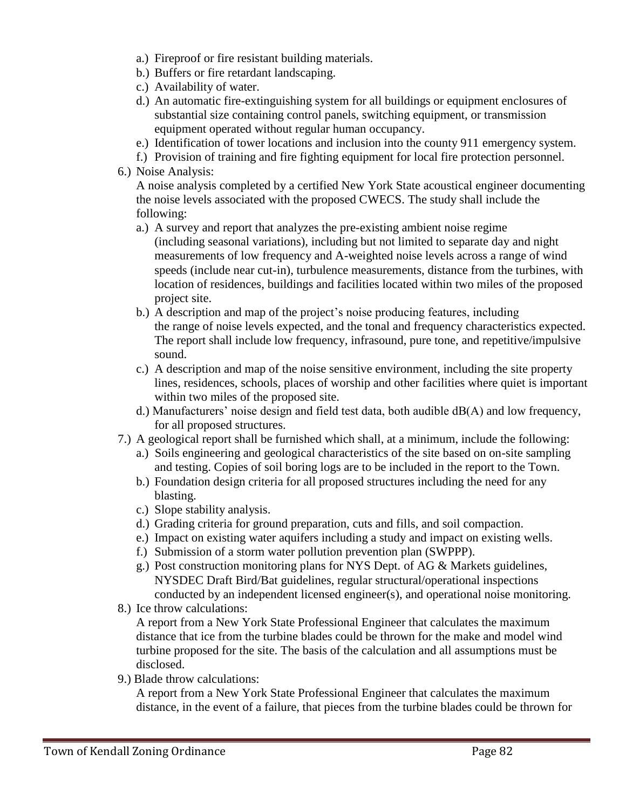- a.) Fireproof or fire resistant building materials.
- b.) Buffers or fire retardant landscaping.
- c.) Availability of water.
- d.) An automatic fire-extinguishing system for all buildings or equipment enclosures of substantial size containing control panels, switching equipment, or transmission equipment operated without regular human occupancy.
- e.) Identification of tower locations and inclusion into the county 911 emergency system.
- f.) Provision of training and fire fighting equipment for local fire protection personnel.
- 6.) Noise Analysis:

A noise analysis completed by a certified New York State acoustical engineer documenting the noise levels associated with the proposed CWECS. The study shall include the following:

- a.) A survey and report that analyzes the pre-existing ambient noise regime (including seasonal variations), including but not limited to separate day and night measurements of low frequency and A-weighted noise levels across a range of wind speeds (include near cut-in), turbulence measurements, distance from the turbines, with location of residences, buildings and facilities located within two miles of the proposed project site.
- b.) A description and map of the project's noise producing features, including the range of noise levels expected, and the tonal and frequency characteristics expected. The report shall include low frequency, infrasound, pure tone, and repetitive/impulsive sound.
- c.) A description and map of the noise sensitive environment, including the site property lines, residences, schools, places of worship and other facilities where quiet is important within two miles of the proposed site.
- d.) Manufacturers' noise design and field test data, both audible dB(A) and low frequency, for all proposed structures.
- 7.) A geological report shall be furnished which shall, at a minimum, include the following:
	- a.) Soils engineering and geological characteristics of the site based on on-site sampling and testing. Copies of soil boring logs are to be included in the report to the Town.
	- b.) Foundation design criteria for all proposed structures including the need for any blasting.
	- c.) Slope stability analysis.
	- d.) Grading criteria for ground preparation, cuts and fills, and soil compaction.
	- e.) Impact on existing water aquifers including a study and impact on existing wells.
	- f.) Submission of a storm water pollution prevention plan (SWPPP).
	- g.) Post construction monitoring plans for NYS Dept. of AG & Markets guidelines, NYSDEC Draft Bird/Bat guidelines, regular structural/operational inspections conducted by an independent licensed engineer(s), and operational noise monitoring.
- 8.) Ice throw calculations:

A report from a New York State Professional Engineer that calculates the maximum distance that ice from the turbine blades could be thrown for the make and model wind turbine proposed for the site. The basis of the calculation and all assumptions must be disclosed.

9.) Blade throw calculations:

A report from a New York State Professional Engineer that calculates the maximum distance, in the event of a failure, that pieces from the turbine blades could be thrown for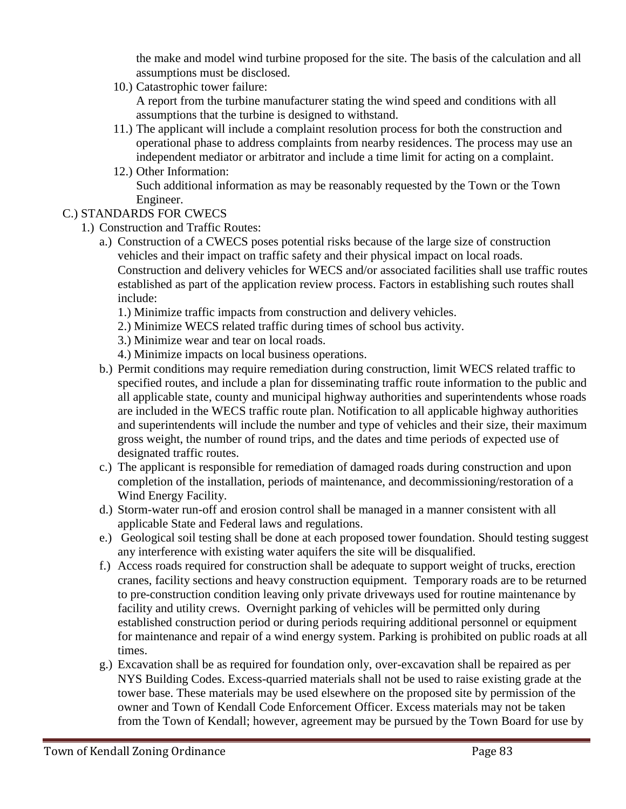the make and model wind turbine proposed for the site. The basis of the calculation and all assumptions must be disclosed.

10.) Catastrophic tower failure:

A report from the turbine manufacturer stating the wind speed and conditions with all assumptions that the turbine is designed to withstand.

- 11.) The applicant will include a complaint resolution process for both the construction and operational phase to address complaints from nearby residences. The process may use an independent mediator or arbitrator and include a time limit for acting on a complaint.
- 12.) Other Information: Such additional information as may be reasonably requested by the Town or the Town Engineer.

### C.) STANDARDS FOR CWECS

- 1.) Construction and Traffic Routes:
	- a.) Construction of a CWECS poses potential risks because of the large size of construction vehicles and their impact on traffic safety and their physical impact on local roads. Construction and delivery vehicles for WECS and/or associated facilities shall use traffic routes established as part of the application review process. Factors in establishing such routes shall include:
		- 1.) Minimize traffic impacts from construction and delivery vehicles.
		- 2.) Minimize WECS related traffic during times of school bus activity.
		- 3.) Minimize wear and tear on local roads.
		- 4.) Minimize impacts on local business operations.
	- b.) Permit conditions may require remediation during construction, limit WECS related traffic to specified routes, and include a plan for disseminating traffic route information to the public and all applicable state, county and municipal highway authorities and superintendents whose roads are included in the WECS traffic route plan. Notification to all applicable highway authorities and superintendents will include the number and type of vehicles and their size, their maximum gross weight, the number of round trips, and the dates and time periods of expected use of designated traffic routes.
	- c.) The applicant is responsible for remediation of damaged roads during construction and upon completion of the installation, periods of maintenance, and decommissioning/restoration of a Wind Energy Facility.
	- d.) Storm-water run-off and erosion control shall be managed in a manner consistent with all applicable State and Federal laws and regulations.
	- e.) Geological soil testing shall be done at each proposed tower foundation. Should testing suggest any interference with existing water aquifers the site will be disqualified.
	- f.) Access roads required for construction shall be adequate to support weight of trucks, erection cranes, facility sections and heavy construction equipment. Temporary roads are to be returned to pre-construction condition leaving only private driveways used for routine maintenance by facility and utility crews. Overnight parking of vehicles will be permitted only during established construction period or during periods requiring additional personnel or equipment for maintenance and repair of a wind energy system. Parking is prohibited on public roads at all times.
	- g.) Excavation shall be as required for foundation only, over-excavation shall be repaired as per NYS Building Codes. Excess-quarried materials shall not be used to raise existing grade at the tower base. These materials may be used elsewhere on the proposed site by permission of the owner and Town of Kendall Code Enforcement Officer. Excess materials may not be taken from the Town of Kendall; however, agreement may be pursued by the Town Board for use by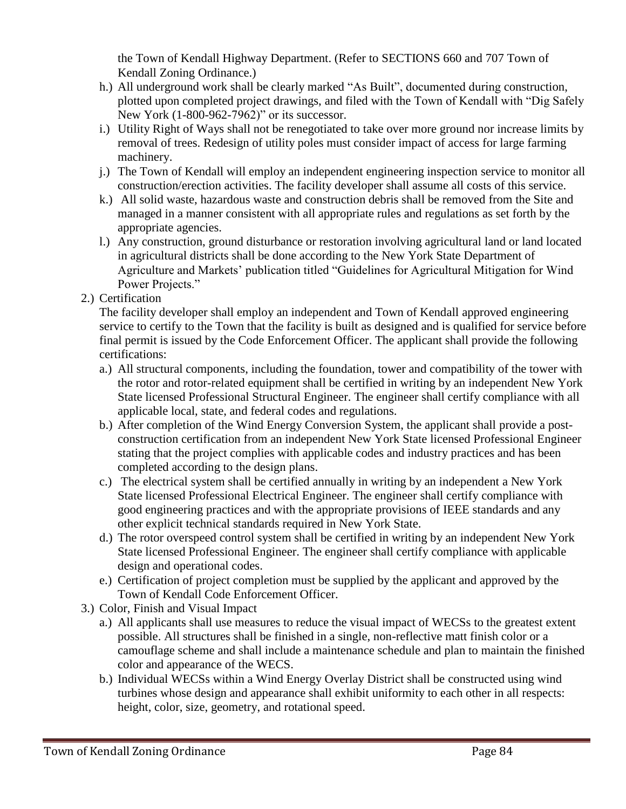the Town of Kendall Highway Department. (Refer to SECTIONS 660 and 707 Town of Kendall Zoning Ordinance.)

- h.) All underground work shall be clearly marked "As Built", documented during construction, plotted upon completed project drawings, and filed with the Town of Kendall with "Dig Safely New York (1-800-962-7962)" or its successor.
- i.) Utility Right of Ways shall not be renegotiated to take over more ground nor increase limits by removal of trees. Redesign of utility poles must consider impact of access for large farming machinery.
- j.) The Town of Kendall will employ an independent engineering inspection service to monitor all construction/erection activities. The facility developer shall assume all costs of this service.
- k.) All solid waste, hazardous waste and construction debris shall be removed from the Site and managed in a manner consistent with all appropriate rules and regulations as set forth by the appropriate agencies.
- l.) Any construction, ground disturbance or restoration involving agricultural land or land located in agricultural districts shall be done according to the New York State Department of Agriculture and Markets' publication titled "Guidelines for Agricultural Mitigation for Wind Power Projects."
- 2.) Certification

The facility developer shall employ an independent and Town of Kendall approved engineering service to certify to the Town that the facility is built as designed and is qualified for service before final permit is issued by the Code Enforcement Officer. The applicant shall provide the following certifications:

- a.) All structural components, including the foundation, tower and compatibility of the tower with the rotor and rotor-related equipment shall be certified in writing by an independent New York State licensed Professional Structural Engineer. The engineer shall certify compliance with all applicable local, state, and federal codes and regulations.
- b.) After completion of the Wind Energy Conversion System, the applicant shall provide a postconstruction certification from an independent New York State licensed Professional Engineer stating that the project complies with applicable codes and industry practices and has been completed according to the design plans.
- c.) The electrical system shall be certified annually in writing by an independent a New York State licensed Professional Electrical Engineer. The engineer shall certify compliance with good engineering practices and with the appropriate provisions of IEEE standards and any other explicit technical standards required in New York State.
- d.) The rotor overspeed control system shall be certified in writing by an independent New York State licensed Professional Engineer. The engineer shall certify compliance with applicable design and operational codes.
- e.) Certification of project completion must be supplied by the applicant and approved by the Town of Kendall Code Enforcement Officer.
- 3.) Color, Finish and Visual Impact
	- a.) All applicants shall use measures to reduce the visual impact of WECSs to the greatest extent possible. All structures shall be finished in a single, non-reflective matt finish color or a camouflage scheme and shall include a maintenance schedule and plan to maintain the finished color and appearance of the WECS.
	- b.) Individual WECSs within a Wind Energy Overlay District shall be constructed using wind turbines whose design and appearance shall exhibit uniformity to each other in all respects: height, color, size, geometry, and rotational speed.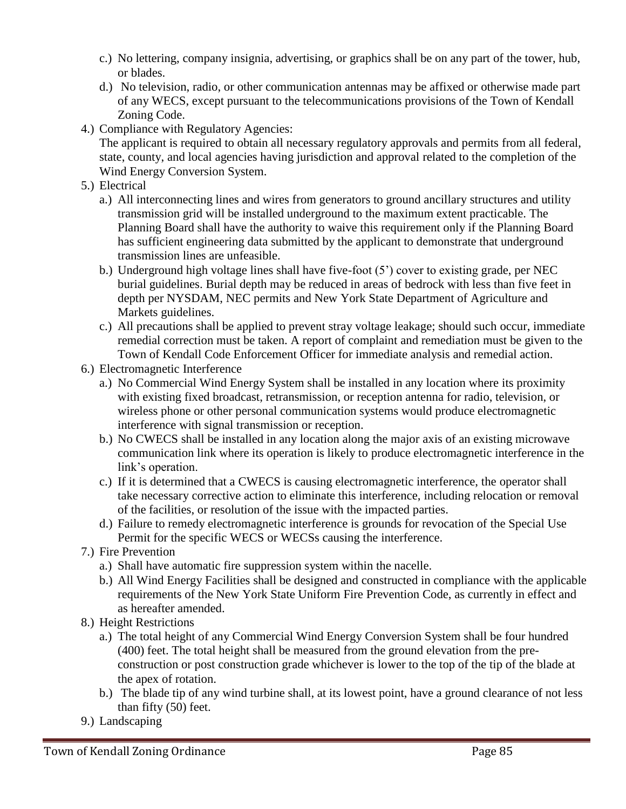- c.) No lettering, company insignia, advertising, or graphics shall be on any part of the tower, hub, or blades.
- d.) No television, radio, or other communication antennas may be affixed or otherwise made part of any WECS, except pursuant to the telecommunications provisions of the Town of Kendall Zoning Code.
- 4.) Compliance with Regulatory Agencies:

The applicant is required to obtain all necessary regulatory approvals and permits from all federal, state, county, and local agencies having jurisdiction and approval related to the completion of the Wind Energy Conversion System.

- 5.) Electrical
	- a.) All interconnecting lines and wires from generators to ground ancillary structures and utility transmission grid will be installed underground to the maximum extent practicable. The Planning Board shall have the authority to waive this requirement only if the Planning Board has sufficient engineering data submitted by the applicant to demonstrate that underground transmission lines are unfeasible.
	- b.) Underground high voltage lines shall have five-foot (5') cover to existing grade, per NEC burial guidelines. Burial depth may be reduced in areas of bedrock with less than five feet in depth per NYSDAM, NEC permits and New York State Department of Agriculture and Markets guidelines.
	- c.) All precautions shall be applied to prevent stray voltage leakage; should such occur, immediate remedial correction must be taken. A report of complaint and remediation must be given to the Town of Kendall Code Enforcement Officer for immediate analysis and remedial action.
- 6.) Electromagnetic Interference
	- a.) No Commercial Wind Energy System shall be installed in any location where its proximity with existing fixed broadcast, retransmission, or reception antenna for radio, television, or wireless phone or other personal communication systems would produce electromagnetic interference with signal transmission or reception.
	- b.) No CWECS shall be installed in any location along the major axis of an existing microwave communication link where its operation is likely to produce electromagnetic interference in the link's operation.
	- c.) If it is determined that a CWECS is causing electromagnetic interference, the operator shall take necessary corrective action to eliminate this interference, including relocation or removal of the facilities, or resolution of the issue with the impacted parties.
	- d.) Failure to remedy electromagnetic interference is grounds for revocation of the Special Use Permit for the specific WECS or WECSs causing the interference.
- 7.) Fire Prevention
	- a.) Shall have automatic fire suppression system within the nacelle.
	- b.) All Wind Energy Facilities shall be designed and constructed in compliance with the applicable requirements of the New York State Uniform Fire Prevention Code, as currently in effect and as hereafter amended.
- 8.) Height Restrictions
	- a.) The total height of any Commercial Wind Energy Conversion System shall be four hundred (400) feet. The total height shall be measured from the ground elevation from the preconstruction or post construction grade whichever is lower to the top of the tip of the blade at the apex of rotation.
	- b.) The blade tip of any wind turbine shall, at its lowest point, have a ground clearance of not less than fifty (50) feet.
- 9.) Landscaping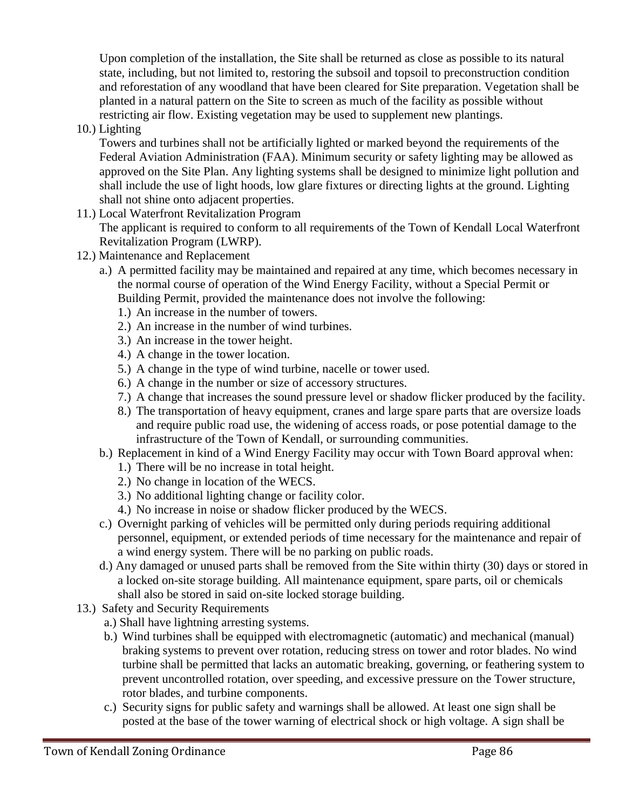Upon completion of the installation, the Site shall be returned as close as possible to its natural state, including, but not limited to, restoring the subsoil and topsoil to preconstruction condition and reforestation of any woodland that have been cleared for Site preparation. Vegetation shall be planted in a natural pattern on the Site to screen as much of the facility as possible without restricting air flow. Existing vegetation may be used to supplement new plantings.

10.) Lighting

Towers and turbines shall not be artificially lighted or marked beyond the requirements of the Federal Aviation Administration (FAA). Minimum security or safety lighting may be allowed as approved on the Site Plan. Any lighting systems shall be designed to minimize light pollution and shall include the use of light hoods, low glare fixtures or directing lights at the ground. Lighting shall not shine onto adjacent properties.

- 11.) Local Waterfront Revitalization Program The applicant is required to conform to all requirements of the Town of Kendall Local Waterfront Revitalization Program (LWRP).
- 12.) Maintenance and Replacement
	- a.) A permitted facility may be maintained and repaired at any time, which becomes necessary in the normal course of operation of the Wind Energy Facility, without a Special Permit or Building Permit, provided the maintenance does not involve the following:
		- 1.) An increase in the number of towers.
		- 2.) An increase in the number of wind turbines.
		- 3.) An increase in the tower height.
		- 4.) A change in the tower location.
		- 5.) A change in the type of wind turbine, nacelle or tower used.
		- 6.) A change in the number or size of accessory structures.
		- 7.) A change that increases the sound pressure level or shadow flicker produced by the facility.
		- 8.) The transportation of heavy equipment, cranes and large spare parts that are oversize loads and require public road use, the widening of access roads, or pose potential damage to the infrastructure of the Town of Kendall, or surrounding communities.
	- b.) Replacement in kind of a Wind Energy Facility may occur with Town Board approval when:
		- 1.) There will be no increase in total height.
		- 2.) No change in location of the WECS.
		- 3.) No additional lighting change or facility color.
		- 4.) No increase in noise or shadow flicker produced by the WECS.
	- c.) Overnight parking of vehicles will be permitted only during periods requiring additional personnel, equipment, or extended periods of time necessary for the maintenance and repair of a wind energy system. There will be no parking on public roads.
	- d.) Any damaged or unused parts shall be removed from the Site within thirty (30) days or stored in a locked on-site storage building. All maintenance equipment, spare parts, oil or chemicals shall also be stored in said on-site locked storage building.
- 13.) Safety and Security Requirements
	- a.) Shall have lightning arresting systems.
	- b.) Wind turbines shall be equipped with electromagnetic (automatic) and mechanical (manual) braking systems to prevent over rotation, reducing stress on tower and rotor blades. No wind turbine shall be permitted that lacks an automatic breaking, governing, or feathering system to prevent uncontrolled rotation, over speeding, and excessive pressure on the Tower structure, rotor blades, and turbine components.
	- c.) Security signs for public safety and warnings shall be allowed. At least one sign shall be posted at the base of the tower warning of electrical shock or high voltage. A sign shall be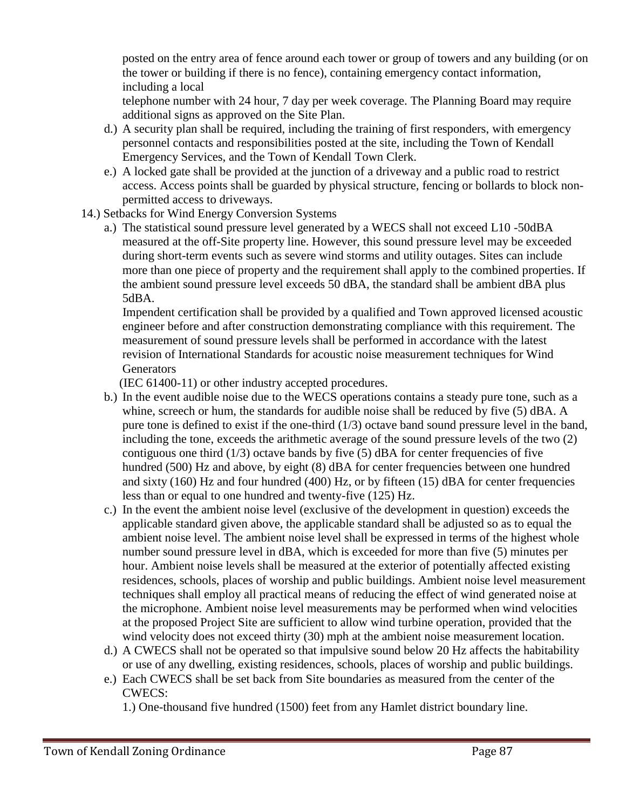posted on the entry area of fence around each tower or group of towers and any building (or on the tower or building if there is no fence), containing emergency contact information, including a local

 telephone number with 24 hour, 7 day per week coverage. The Planning Board may require additional signs as approved on the Site Plan.

- d.) A security plan shall be required, including the training of first responders, with emergency personnel contacts and responsibilities posted at the site, including the Town of Kendall Emergency Services, and the Town of Kendall Town Clerk.
- e.) A locked gate shall be provided at the junction of a driveway and a public road to restrict access. Access points shall be guarded by physical structure, fencing or bollards to block nonpermitted access to driveways.
- 14.) Setbacks for Wind Energy Conversion Systems
	- a.) The statistical sound pressure level generated by a WECS shall not exceed L10 -50dBA measured at the off-Site property line. However, this sound pressure level may be exceeded during short-term events such as severe wind storms and utility outages. Sites can include more than one piece of property and the requirement shall apply to the combined properties. If the ambient sound pressure level exceeds 50 dBA, the standard shall be ambient dBA plus 5dBA.

 Impendent certification shall be provided by a qualified and Town approved licensed acoustic engineer before and after construction demonstrating compliance with this requirement. The measurement of sound pressure levels shall be performed in accordance with the latest revision of International Standards for acoustic noise measurement techniques for Wind **Generators** 

(IEC 61400-11) or other industry accepted procedures.

- b.) In the event audible noise due to the WECS operations contains a steady pure tone, such as a whine, screech or hum, the standards for audible noise shall be reduced by five (5) dBA. A pure tone is defined to exist if the one-third  $(1/3)$  octave band sound pressure level in the band, including the tone, exceeds the arithmetic average of the sound pressure levels of the two (2) contiguous one third  $(1/3)$  octave bands by five  $(5)$  dBA for center frequencies of five hundred (500) Hz and above, by eight (8) dBA for center frequencies between one hundred and sixty (160) Hz and four hundred (400) Hz, or by fifteen (15) dBA for center frequencies less than or equal to one hundred and twenty-five (125) Hz.
- c.) In the event the ambient noise level (exclusive of the development in question) exceeds the applicable standard given above, the applicable standard shall be adjusted so as to equal the ambient noise level. The ambient noise level shall be expressed in terms of the highest whole number sound pressure level in dBA, which is exceeded for more than five (5) minutes per hour. Ambient noise levels shall be measured at the exterior of potentially affected existing residences, schools, places of worship and public buildings. Ambient noise level measurement techniques shall employ all practical means of reducing the effect of wind generated noise at the microphone. Ambient noise level measurements may be performed when wind velocities at the proposed Project Site are sufficient to allow wind turbine operation, provided that the wind velocity does not exceed thirty (30) mph at the ambient noise measurement location.
- d.) A CWECS shall not be operated so that impulsive sound below 20 Hz affects the habitability or use of any dwelling, existing residences, schools, places of worship and public buildings.
- e.) Each CWECS shall be set back from Site boundaries as measured from the center of the CWECS:

1.) One-thousand five hundred (1500) feet from any Hamlet district boundary line.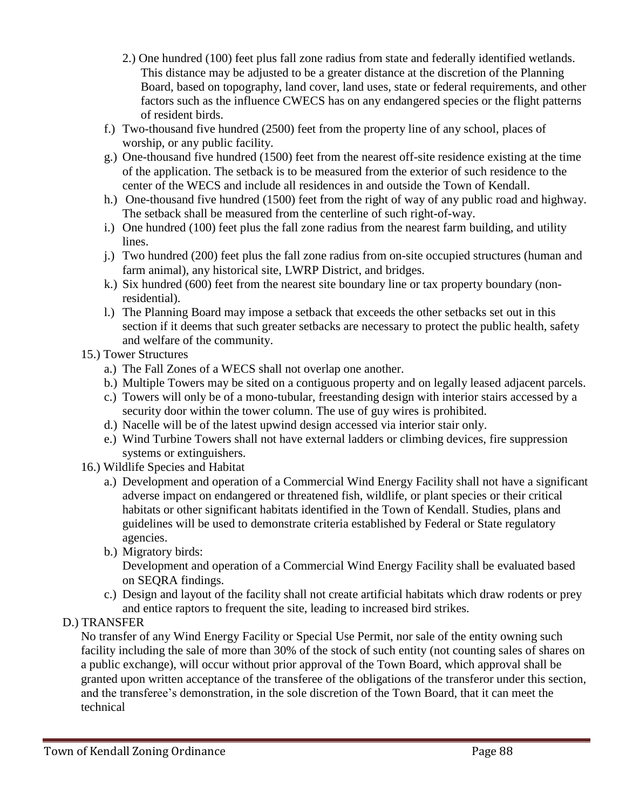- 2.) One hundred (100) feet plus fall zone radius from state and federally identified wetlands. This distance may be adjusted to be a greater distance at the discretion of the Planning Board, based on topography, land cover, land uses, state or federal requirements, and other factors such as the influence CWECS has on any endangered species or the flight patterns of resident birds.
- f.) Two-thousand five hundred (2500) feet from the property line of any school, places of worship, or any public facility.
- g.) One-thousand five hundred (1500) feet from the nearest off-site residence existing at the time of the application. The setback is to be measured from the exterior of such residence to the center of the WECS and include all residences in and outside the Town of Kendall.
- h.) One-thousand five hundred (1500) feet from the right of way of any public road and highway. The setback shall be measured from the centerline of such right-of-way.
- i.) One hundred (100) feet plus the fall zone radius from the nearest farm building, and utility lines.
- j.) Two hundred (200) feet plus the fall zone radius from on-site occupied structures (human and farm animal), any historical site, LWRP District, and bridges.
- k.) Six hundred (600) feet from the nearest site boundary line or tax property boundary (nonresidential).
- l.) The Planning Board may impose a setback that exceeds the other setbacks set out in this section if it deems that such greater setbacks are necessary to protect the public health, safety and welfare of the community.
- 15.) Tower Structures
	- a.) The Fall Zones of a WECS shall not overlap one another.
	- b.) Multiple Towers may be sited on a contiguous property and on legally leased adjacent parcels.
	- c.) Towers will only be of a mono-tubular, freestanding design with interior stairs accessed by a security door within the tower column. The use of guy wires is prohibited.
	- d.) Nacelle will be of the latest upwind design accessed via interior stair only.
	- e.) Wind Turbine Towers shall not have external ladders or climbing devices, fire suppression systems or extinguishers.
- 16.) Wildlife Species and Habitat
	- a.) Development and operation of a Commercial Wind Energy Facility shall not have a significant adverse impact on endangered or threatened fish, wildlife, or plant species or their critical habitats or other significant habitats identified in the Town of Kendall. Studies, plans and guidelines will be used to demonstrate criteria established by Federal or State regulatory agencies.
	- b.) Migratory birds:

 Development and operation of a Commercial Wind Energy Facility shall be evaluated based on SEQRA findings.

- c.) Design and layout of the facility shall not create artificial habitats which draw rodents or prey and entice raptors to frequent the site, leading to increased bird strikes.
- D.) TRANSFER

No transfer of any Wind Energy Facility or Special Use Permit, nor sale of the entity owning such facility including the sale of more than 30% of the stock of such entity (not counting sales of shares on a public exchange), will occur without prior approval of the Town Board, which approval shall be granted upon written acceptance of the transferee of the obligations of the transferor under this section, and the transferee's demonstration, in the sole discretion of the Town Board, that it can meet the technical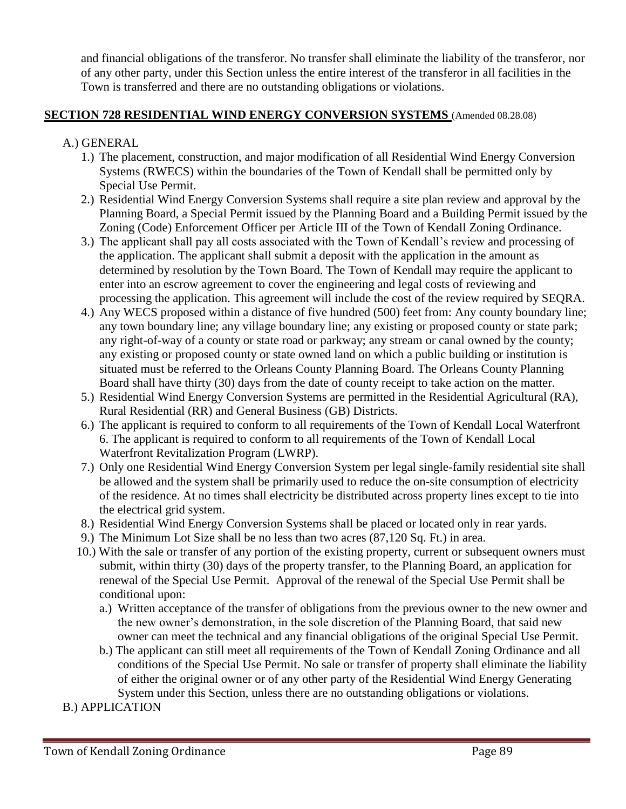and financial obligations of the transferor. No transfer shall eliminate the liability of the transferor, nor of any other party, under this Section unless the entire interest of the transferor in all facilities in the Town is transferred and there are no outstanding obligations or violations.

#### **SECTION 728 RESIDENTIAL WIND ENERGY CONVERSION SYSTEMS** (Amended 08.28.08)

- A.) GENERAL
	- 1.) The placement, construction, and major modification of all Residential Wind Energy Conversion Systems (RWECS) within the boundaries of the Town of Kendall shall be permitted only by Special Use Permit.
	- 2.) Residential Wind Energy Conversion Systems shall require a site plan review and approval by the Planning Board, a Special Permit issued by the Planning Board and a Building Permit issued by the Zoning (Code) Enforcement Officer per Article III of the Town of Kendall Zoning Ordinance.
	- 3.) The applicant shall pay all costs associated with the Town of Kendall's review and processing of the application. The applicant shall submit a deposit with the application in the amount as determined by resolution by the Town Board. The Town of Kendall may require the applicant to enter into an escrow agreement to cover the engineering and legal costs of reviewing and processing the application. This agreement will include the cost of the review required by SEQRA.
	- 4.) Any WECS proposed within a distance of five hundred (500) feet from: Any county boundary line; any town boundary line; any village boundary line; any existing or proposed county or state park; any right-of-way of a county or state road or parkway; any stream or canal owned by the county; any existing or proposed county or state owned land on which a public building or institution is situated must be referred to the Orleans County Planning Board. The Orleans County Planning Board shall have thirty (30) days from the date of county receipt to take action on the matter.
	- 5.) Residential Wind Energy Conversion Systems are permitted in the Residential Agricultural (RA), Rural Residential (RR) and General Business (GB) Districts.
	- 6.) The applicant is required to conform to all requirements of the Town of Kendall Local Waterfront 6. The applicant is required to conform to all requirements of the Town of Kendall Local Waterfront Revitalization Program (LWRP).
	- 7.) Only one Residential Wind Energy Conversion System per legal single-family residential site shall be allowed and the system shall be primarily used to reduce the on-site consumption of electricity of the residence. At no times shall electricity be distributed across property lines except to tie into the electrical grid system.
	- 8.) Residential Wind Energy Conversion Systems shall be placed or located only in rear yards.
	- 9.) The Minimum Lot Size shall be no less than two acres (87,120 Sq. Ft.) in area.
	- 10.) With the sale or transfer of any portion of the existing property, current or subsequent owners must submit, within thirty (30) days of the property transfer, to the Planning Board, an application for renewal of the Special Use Permit. Approval of the renewal of the Special Use Permit shall be conditional upon:
		- a.) Written acceptance of the transfer of obligations from the previous owner to the new owner and the new owner's demonstration, in the sole discretion of the Planning Board, that said new owner can meet the technical and any financial obligations of the original Special Use Permit.
		- b.) The applicant can still meet all requirements of the Town of Kendall Zoning Ordinance and all conditions of the Special Use Permit. No sale or transfer of property shall eliminate the liability of either the original owner or of any other party of the Residential Wind Energy Generating System under this Section, unless there are no outstanding obligations or violations.
- B.) APPLICATION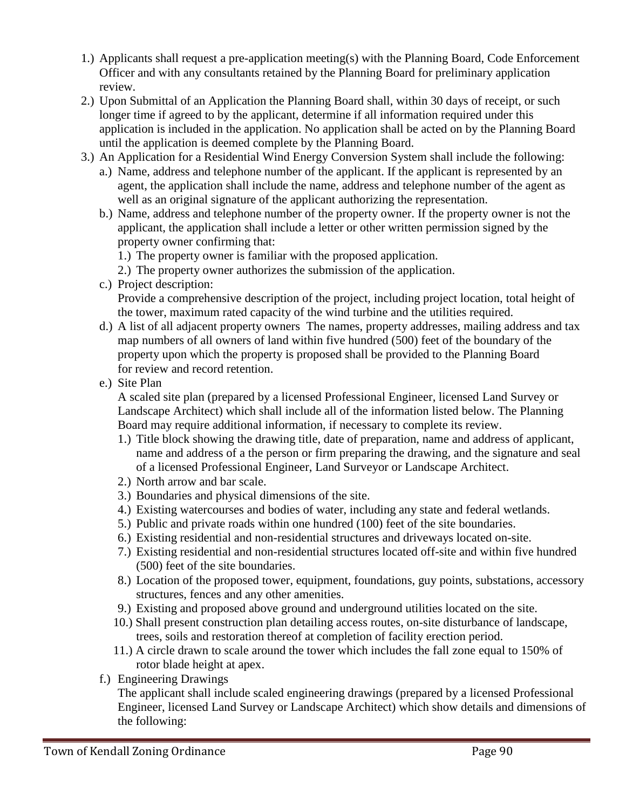- 1.) Applicants shall request a pre-application meeting(s) with the Planning Board, Code Enforcement Officer and with any consultants retained by the Planning Board for preliminary application review.
- 2.) Upon Submittal of an Application the Planning Board shall, within 30 days of receipt, or such longer time if agreed to by the applicant, determine if all information required under this application is included in the application. No application shall be acted on by the Planning Board until the application is deemed complete by the Planning Board.
- 3.) An Application for a Residential Wind Energy Conversion System shall include the following:
	- a.) Name, address and telephone number of the applicant. If the applicant is represented by an agent, the application shall include the name, address and telephone number of the agent as well as an original signature of the applicant authorizing the representation.
	- b.) Name, address and telephone number of the property owner. If the property owner is not the applicant, the application shall include a letter or other written permission signed by the property owner confirming that:
		- 1.) The property owner is familiar with the proposed application.
		- 2.) The property owner authorizes the submission of the application.
	- c.) Project description: Provide a comprehensive description of the project, including project location, total height of the tower, maximum rated capacity of the wind turbine and the utilities required.
	- d.) A list of all adjacent property owners The names, property addresses, mailing address and tax map numbers of all owners of land within five hundred (500) feet of the boundary of the property upon which the property is proposed shall be provided to the Planning Board for review and record retention.
	- e.) Site Plan

A scaled site plan (prepared by a licensed Professional Engineer, licensed Land Survey or Landscape Architect) which shall include all of the information listed below. The Planning Board may require additional information, if necessary to complete its review.

- 1.) Title block showing the drawing title, date of preparation, name and address of applicant, name and address of a the person or firm preparing the drawing, and the signature and seal of a licensed Professional Engineer, Land Surveyor or Landscape Architect.
- 2.) North arrow and bar scale.
- 3.) Boundaries and physical dimensions of the site.
- 4.) Existing watercourses and bodies of water, including any state and federal wetlands.
- 5.) Public and private roads within one hundred (100) feet of the site boundaries.
- 6.) Existing residential and non-residential structures and driveways located on-site.
- 7.) Existing residential and non-residential structures located off-site and within five hundred (500) feet of the site boundaries.
- 8.) Location of the proposed tower, equipment, foundations, guy points, substations, accessory structures, fences and any other amenities.
- 9.) Existing and proposed above ground and underground utilities located on the site.
- 10.) Shall present construction plan detailing access routes, on-site disturbance of landscape, trees, soils and restoration thereof at completion of facility erection period.
- 11.) A circle drawn to scale around the tower which includes the fall zone equal to 150% of rotor blade height at apex.
- f.) Engineering Drawings

The applicant shall include scaled engineering drawings (prepared by a licensed Professional Engineer, licensed Land Survey or Landscape Architect) which show details and dimensions of the following: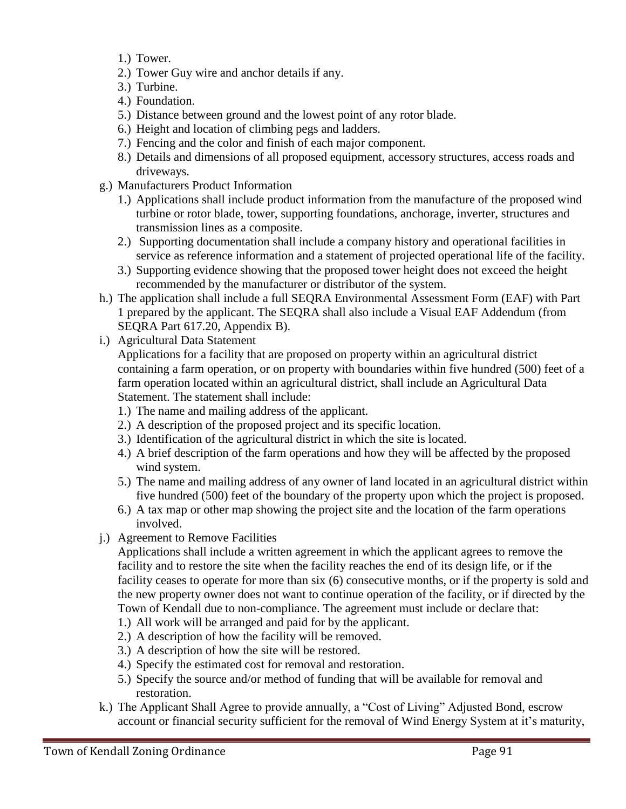- 1.) Tower.
- 2.) Tower Guy wire and anchor details if any.
- 3.) Turbine.
- 4.) Foundation.
- 5.) Distance between ground and the lowest point of any rotor blade.
- 6.) Height and location of climbing pegs and ladders.
- 7.) Fencing and the color and finish of each major component.
- 8.) Details and dimensions of all proposed equipment, accessory structures, access roads and driveways.
- g.) Manufacturers Product Information
	- 1.) Applications shall include product information from the manufacture of the proposed wind turbine or rotor blade, tower, supporting foundations, anchorage, inverter, structures and transmission lines as a composite.
	- 2.) Supporting documentation shall include a company history and operational facilities in service as reference information and a statement of projected operational life of the facility.
	- 3.) Supporting evidence showing that the proposed tower height does not exceed the height recommended by the manufacturer or distributor of the system.
- h.) The application shall include a full SEQRA Environmental Assessment Form (EAF) with Part 1 prepared by the applicant. The SEQRA shall also include a Visual EAF Addendum (from SEQRA Part 617.20, Appendix B).
- i.) Agricultural Data Statement

Applications for a facility that are proposed on property within an agricultural district containing a farm operation, or on property with boundaries within five hundred (500) feet of a farm operation located within an agricultural district, shall include an Agricultural Data Statement. The statement shall include:

- 1.) The name and mailing address of the applicant.
- 2.) A description of the proposed project and its specific location.
- 3.) Identification of the agricultural district in which the site is located.
- 4.) A brief description of the farm operations and how they will be affected by the proposed wind system.
- 5.) The name and mailing address of any owner of land located in an agricultural district within five hundred (500) feet of the boundary of the property upon which the project is proposed.
- 6.) A tax map or other map showing the project site and the location of the farm operations involved.
- j.) Agreement to Remove Facilities

Applications shall include a written agreement in which the applicant agrees to remove the facility and to restore the site when the facility reaches the end of its design life, or if the facility ceases to operate for more than six (6) consecutive months, or if the property is sold and the new property owner does not want to continue operation of the facility, or if directed by the Town of Kendall due to non-compliance. The agreement must include or declare that:

- 1.) All work will be arranged and paid for by the applicant.
- 2.) A description of how the facility will be removed.
- 3.) A description of how the site will be restored.
- 4.) Specify the estimated cost for removal and restoration.
- 5.) Specify the source and/or method of funding that will be available for removal and restoration.
- k.) The Applicant Shall Agree to provide annually, a "Cost of Living" Adjusted Bond, escrow account or financial security sufficient for the removal of Wind Energy System at it's maturity,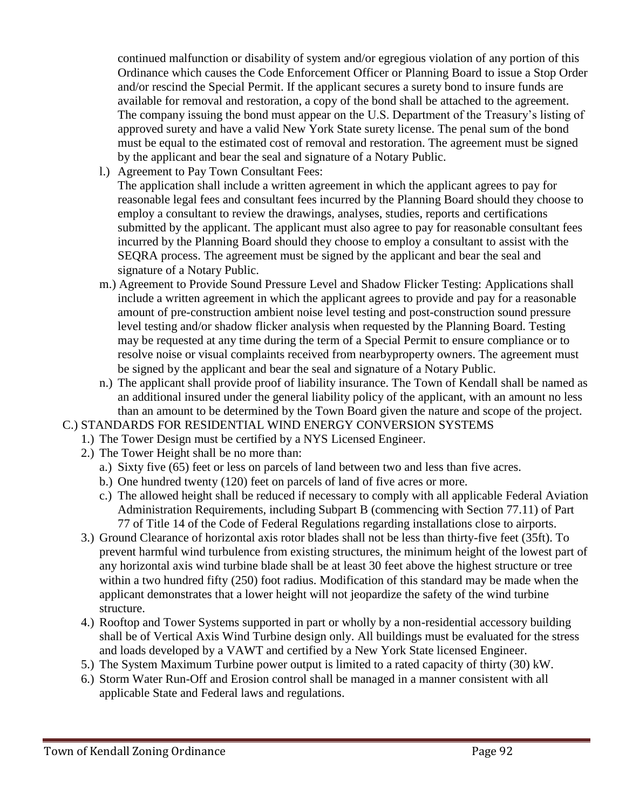continued malfunction or disability of system and/or egregious violation of any portion of this Ordinance which causes the Code Enforcement Officer or Planning Board to issue a Stop Order and/or rescind the Special Permit. If the applicant secures a surety bond to insure funds are available for removal and restoration, a copy of the bond shall be attached to the agreement. The company issuing the bond must appear on the U.S. Department of the Treasury's listing of approved surety and have a valid New York State surety license. The penal sum of the bond must be equal to the estimated cost of removal and restoration. The agreement must be signed by the applicant and bear the seal and signature of a Notary Public.

l.) Agreement to Pay Town Consultant Fees:

The application shall include a written agreement in which the applicant agrees to pay for reasonable legal fees and consultant fees incurred by the Planning Board should they choose to employ a consultant to review the drawings, analyses, studies, reports and certifications submitted by the applicant. The applicant must also agree to pay for reasonable consultant fees incurred by the Planning Board should they choose to employ a consultant to assist with the SEQRA process. The agreement must be signed by the applicant and bear the seal and signature of a Notary Public.

- m.) Agreement to Provide Sound Pressure Level and Shadow Flicker Testing: Applications shall include a written agreement in which the applicant agrees to provide and pay for a reasonable amount of pre-construction ambient noise level testing and post-construction sound pressure level testing and/or shadow flicker analysis when requested by the Planning Board. Testing may be requested at any time during the term of a Special Permit to ensure compliance or to resolve noise or visual complaints received from nearbyproperty owners. The agreement must be signed by the applicant and bear the seal and signature of a Notary Public.
- n.) The applicant shall provide proof of liability insurance. The Town of Kendall shall be named as an additional insured under the general liability policy of the applicant, with an amount no less than an amount to be determined by the Town Board given the nature and scope of the project.

#### C.) STANDARDS FOR RESIDENTIAL WIND ENERGY CONVERSION SYSTEMS

- 1.) The Tower Design must be certified by a NYS Licensed Engineer.
- 2.) The Tower Height shall be no more than:
	- a.) Sixty five (65) feet or less on parcels of land between two and less than five acres.
	- b.) One hundred twenty (120) feet on parcels of land of five acres or more.
	- c.) The allowed height shall be reduced if necessary to comply with all applicable Federal Aviation Administration Requirements, including Subpart B (commencing with Section 77.11) of Part 77 of Title 14 of the Code of Federal Regulations regarding installations close to airports.
- 3.) Ground Clearance of horizontal axis rotor blades shall not be less than thirty-five feet (35ft). To prevent harmful wind turbulence from existing structures, the minimum height of the lowest part of any horizontal axis wind turbine blade shall be at least 30 feet above the highest structure or tree within a two hundred fifty (250) foot radius. Modification of this standard may be made when the applicant demonstrates that a lower height will not jeopardize the safety of the wind turbine structure.
- 4.) Rooftop and Tower Systems supported in part or wholly by a non-residential accessory building shall be of Vertical Axis Wind Turbine design only. All buildings must be evaluated for the stress and loads developed by a VAWT and certified by a New York State licensed Engineer.
- 5.) The System Maximum Turbine power output is limited to a rated capacity of thirty (30) kW.
- 6.) Storm Water Run-Off and Erosion control shall be managed in a manner consistent with all applicable State and Federal laws and regulations.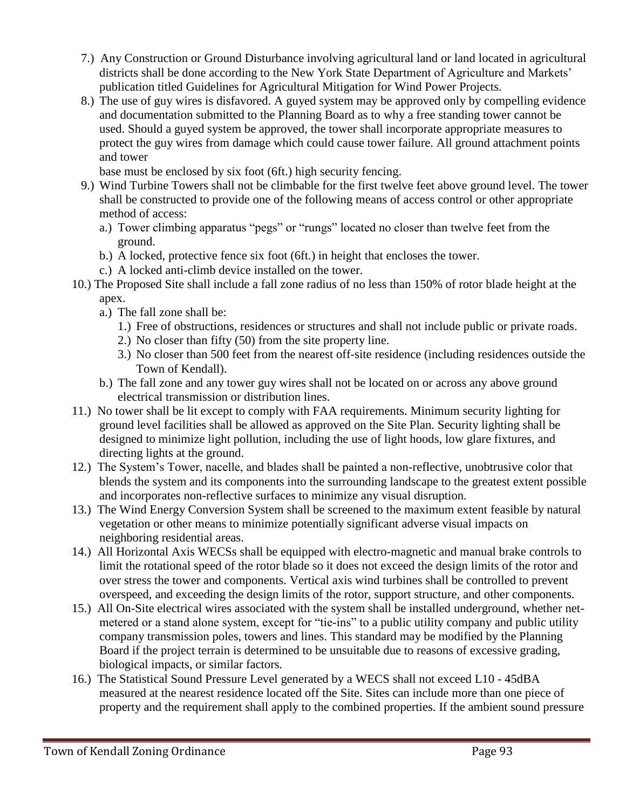- 7.) Any Construction or Ground Disturbance involving agricultural land or land located in agricultural districts shall be done according to the New York State Department of Agriculture and Markets' publication titled Guidelines for Agricultural Mitigation for Wind Power Projects.
- 8.) The use of guy wires is disfavored. A guyed system may be approved only by compelling evidence and documentation submitted to the Planning Board as to why a free standing tower cannot be used. Should a guyed system be approved, the tower shall incorporate appropriate measures to protect the guy wires from damage which could cause tower failure. All ground attachment points and tower
	- base must be enclosed by six foot (6ft.) high security fencing.
- 9.) Wind Turbine Towers shall not be climbable for the first twelve feet above ground level. The tower shall be constructed to provide one of the following means of access control or other appropriate method of access:
	- a.) Tower climbing apparatus "pegs" or "rungs" located no closer than twelve feet from the ground.
	- b.) A locked, protective fence six foot (6ft.) in height that encloses the tower.
	- c.) A locked anti-climb device installed on the tower.
- 10.) The Proposed Site shall include a fall zone radius of no less than 150% of rotor blade height at the apex.
	- a.) The fall zone shall be:
		- 1.) Free of obstructions, residences or structures and shall not include public or private roads.
		- 2.) No closer than fifty (50) from the site property line.
		- 3.) No closer than 500 feet from the nearest off-site residence (including residences outside the Town of Kendall).
	- b.) The fall zone and any tower guy wires shall not be located on or across any above ground electrical transmission or distribution lines.
- 11.) No tower shall be lit except to comply with FAA requirements. Minimum security lighting for ground level facilities shall be allowed as approved on the Site Plan. Security lighting shall be designed to minimize light pollution, including the use of light hoods, low glare fixtures, and directing lights at the ground.
- 12.) The System's Tower, nacelle, and blades shall be painted a non-reflective, unobtrusive color that blends the system and its components into the surrounding landscape to the greatest extent possible and incorporates non-reflective surfaces to minimize any visual disruption.
- 13.) The Wind Energy Conversion System shall be screened to the maximum extent feasible by natural vegetation or other means to minimize potentially significant adverse visual impacts on neighboring residential areas.
- 14.) All Horizontal Axis WECSs shall be equipped with electro-magnetic and manual brake controls to limit the rotational speed of the rotor blade so it does not exceed the design limits of the rotor and over stress the tower and components. Vertical axis wind turbines shall be controlled to prevent overspeed, and exceeding the design limits of the rotor, support structure, and other components.
- 15.) All On-Site electrical wires associated with the system shall be installed underground, whether netmetered or a stand alone system, except for "tie-ins" to a public utility company and public utility company transmission poles, towers and lines. This standard may be modified by the Planning Board if the project terrain is determined to be unsuitable due to reasons of excessive grading, biological impacts, or similar factors.
- 16.) The Statistical Sound Pressure Level generated by a WECS shall not exceed L10 45dBA measured at the nearest residence located off the Site. Sites can include more than one piece of property and the requirement shall apply to the combined properties. If the ambient sound pressure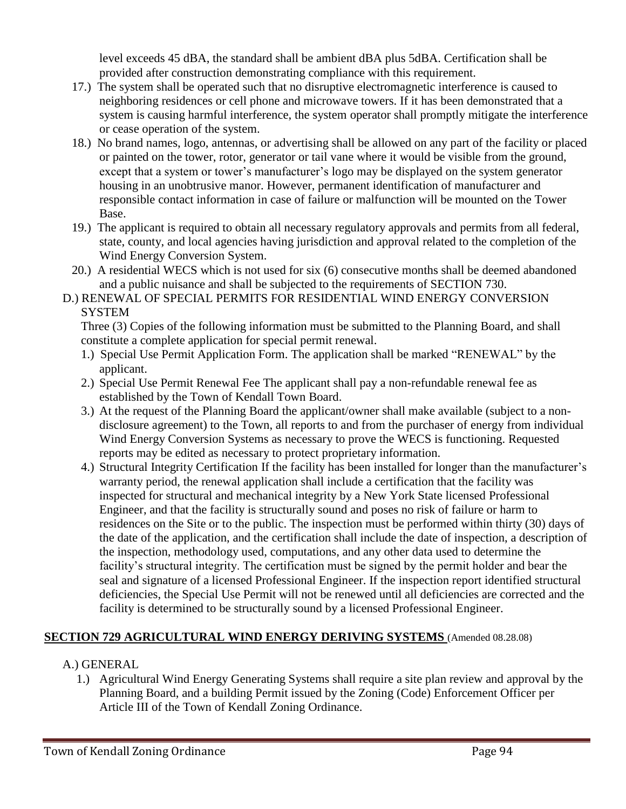level exceeds 45 dBA, the standard shall be ambient dBA plus 5dBA. Certification shall be provided after construction demonstrating compliance with this requirement.

- 17.) The system shall be operated such that no disruptive electromagnetic interference is caused to neighboring residences or cell phone and microwave towers. If it has been demonstrated that a system is causing harmful interference, the system operator shall promptly mitigate the interference or cease operation of the system.
- 18.) No brand names, logo, antennas, or advertising shall be allowed on any part of the facility or placed or painted on the tower, rotor, generator or tail vane where it would be visible from the ground, except that a system or tower's manufacturer's logo may be displayed on the system generator housing in an unobtrusive manor. However, permanent identification of manufacturer and responsible contact information in case of failure or malfunction will be mounted on the Tower Base.
- 19.) The applicant is required to obtain all necessary regulatory approvals and permits from all federal, state, county, and local agencies having jurisdiction and approval related to the completion of the Wind Energy Conversion System.
- 20.) A residential WECS which is not used for six (6) consecutive months shall be deemed abandoned and a public nuisance and shall be subjected to the requirements of SECTION 730.
- D.) RENEWAL OF SPECIAL PERMITS FOR RESIDENTIAL WIND ENERGY CONVERSION **SYSTEM**

Three (3) Copies of the following information must be submitted to the Planning Board, and shall constitute a complete application for special permit renewal.

- 1.) Special Use Permit Application Form. The application shall be marked "RENEWAL" by the applicant.
- 2.) Special Use Permit Renewal Fee The applicant shall pay a non-refundable renewal fee as established by the Town of Kendall Town Board.
- 3.) At the request of the Planning Board the applicant/owner shall make available (subject to a nondisclosure agreement) to the Town, all reports to and from the purchaser of energy from individual Wind Energy Conversion Systems as necessary to prove the WECS is functioning. Requested reports may be edited as necessary to protect proprietary information.
- 4.) Structural Integrity Certification If the facility has been installed for longer than the manufacturer's warranty period, the renewal application shall include a certification that the facility was inspected for structural and mechanical integrity by a New York State licensed Professional Engineer, and that the facility is structurally sound and poses no risk of failure or harm to residences on the Site or to the public. The inspection must be performed within thirty (30) days of the date of the application, and the certification shall include the date of inspection, a description of the inspection, methodology used, computations, and any other data used to determine the facility's structural integrity. The certification must be signed by the permit holder and bear the seal and signature of a licensed Professional Engineer. If the inspection report identified structural deficiencies, the Special Use Permit will not be renewed until all deficiencies are corrected and the facility is determined to be structurally sound by a licensed Professional Engineer.

# **SECTION 729 AGRICULTURAL WIND ENERGY DERIVING SYSTEMS** (Amended 08.28.08)

- A.) GENERAL
	- 1.) Agricultural Wind Energy Generating Systems shall require a site plan review and approval by the Planning Board, and a building Permit issued by the Zoning (Code) Enforcement Officer per Article III of the Town of Kendall Zoning Ordinance.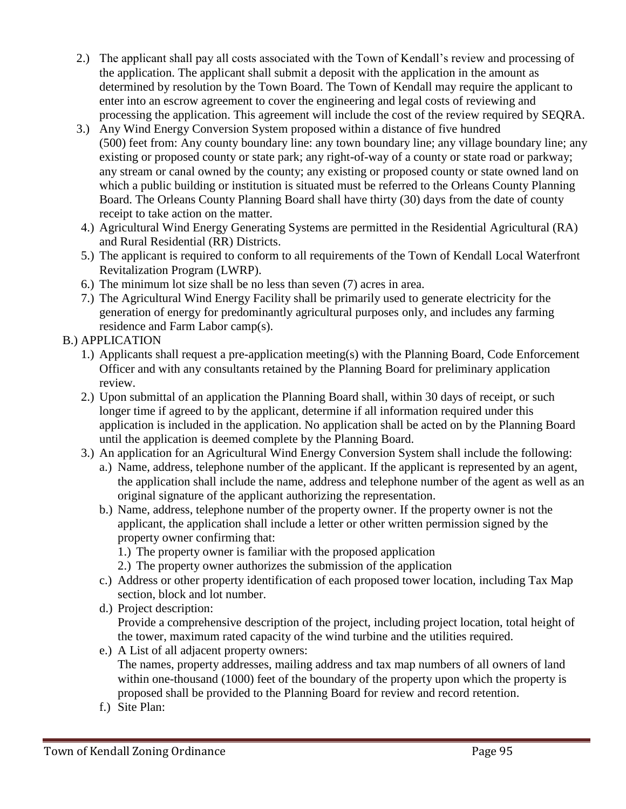- 2.) The applicant shall pay all costs associated with the Town of Kendall's review and processing of the application. The applicant shall submit a deposit with the application in the amount as determined by resolution by the Town Board. The Town of Kendall may require the applicant to enter into an escrow agreement to cover the engineering and legal costs of reviewing and processing the application. This agreement will include the cost of the review required by SEQRA.
- 3.) Any Wind Energy Conversion System proposed within a distance of five hundred (500) feet from: Any county boundary line: any town boundary line; any village boundary line; any existing or proposed county or state park; any right-of-way of a county or state road or parkway; any stream or canal owned by the county; any existing or proposed county or state owned land on which a public building or institution is situated must be referred to the Orleans County Planning Board. The Orleans County Planning Board shall have thirty (30) days from the date of county receipt to take action on the matter.
- 4.) Agricultural Wind Energy Generating Systems are permitted in the Residential Agricultural (RA) and Rural Residential (RR) Districts.
- 5.) The applicant is required to conform to all requirements of the Town of Kendall Local Waterfront Revitalization Program (LWRP).
- 6.) The minimum lot size shall be no less than seven (7) acres in area.
- 7.) The Agricultural Wind Energy Facility shall be primarily used to generate electricity for the generation of energy for predominantly agricultural purposes only, and includes any farming residence and Farm Labor camp(s).
- B.) APPLICATION
	- 1.) Applicants shall request a pre-application meeting(s) with the Planning Board, Code Enforcement Officer and with any consultants retained by the Planning Board for preliminary application review.
	- 2.) Upon submittal of an application the Planning Board shall, within 30 days of receipt, or such longer time if agreed to by the applicant, determine if all information required under this application is included in the application. No application shall be acted on by the Planning Board until the application is deemed complete by the Planning Board.
	- 3.) An application for an Agricultural Wind Energy Conversion System shall include the following:
		- a.) Name, address, telephone number of the applicant. If the applicant is represented by an agent, the application shall include the name, address and telephone number of the agent as well as an original signature of the applicant authorizing the representation.
		- b.) Name, address, telephone number of the property owner. If the property owner is not the applicant, the application shall include a letter or other written permission signed by the property owner confirming that:
			- 1.) The property owner is familiar with the proposed application
			- 2.) The property owner authorizes the submission of the application
		- c.) Address or other property identification of each proposed tower location, including Tax Map section, block and lot number.
		- d.) Project description:
			- Provide a comprehensive description of the project, including project location, total height of the tower, maximum rated capacity of the wind turbine and the utilities required.
		- e.) A List of all adjacent property owners: The names, property addresses, mailing address and tax map numbers of all owners of land within one-thousand (1000) feet of the boundary of the property upon which the property is proposed shall be provided to the Planning Board for review and record retention.
		- f.) Site Plan: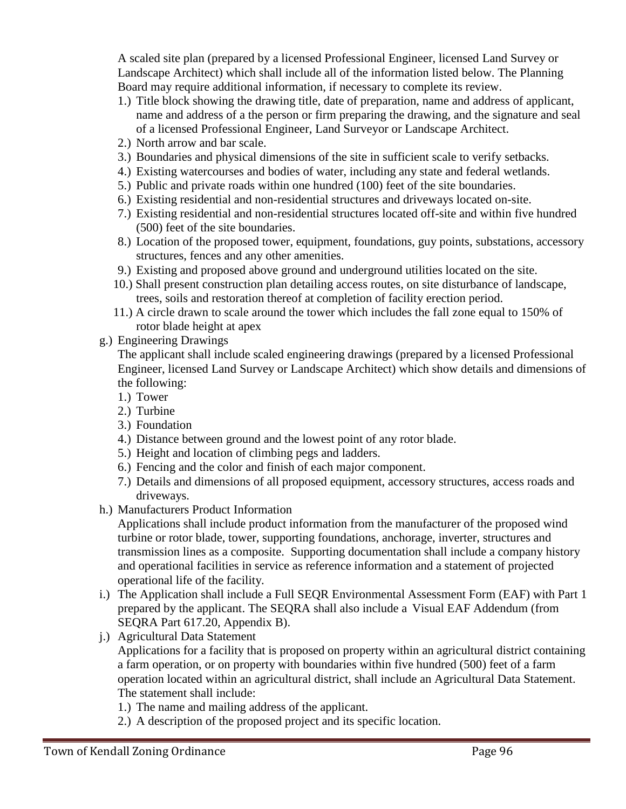A scaled site plan (prepared by a licensed Professional Engineer, licensed Land Survey or Landscape Architect) which shall include all of the information listed below. The Planning Board may require additional information, if necessary to complete its review.

- 1.) Title block showing the drawing title, date of preparation, name and address of applicant, name and address of a the person or firm preparing the drawing, and the signature and seal of a licensed Professional Engineer, Land Surveyor or Landscape Architect.
- 2.) North arrow and bar scale.
- 3.) Boundaries and physical dimensions of the site in sufficient scale to verify setbacks.
- 4.) Existing watercourses and bodies of water, including any state and federal wetlands.
- 5.) Public and private roads within one hundred (100) feet of the site boundaries.
- 6.) Existing residential and non-residential structures and driveways located on-site.
- 7.) Existing residential and non-residential structures located off-site and within five hundred (500) feet of the site boundaries.
- 8.) Location of the proposed tower, equipment, foundations, guy points, substations, accessory structures, fences and any other amenities.
- 9.) Existing and proposed above ground and underground utilities located on the site.
- 10.) Shall present construction plan detailing access routes, on site disturbance of landscape, trees, soils and restoration thereof at completion of facility erection period.
- 11.) A circle drawn to scale around the tower which includes the fall zone equal to 150% of rotor blade height at apex
- g.) Engineering Drawings

The applicant shall include scaled engineering drawings (prepared by a licensed Professional Engineer, licensed Land Survey or Landscape Architect) which show details and dimensions of the following:

- 1.) Tower
- 2.) Turbine
- 3.) Foundation
- 4.) Distance between ground and the lowest point of any rotor blade.
- 5.) Height and location of climbing pegs and ladders.
- 6.) Fencing and the color and finish of each major component.
- 7.) Details and dimensions of all proposed equipment, accessory structures, access roads and driveways.
- h.) Manufacturers Product Information

Applications shall include product information from the manufacturer of the proposed wind turbine or rotor blade, tower, supporting foundations, anchorage, inverter, structures and transmission lines as a composite. Supporting documentation shall include a company history and operational facilities in service as reference information and a statement of projected operational life of the facility.

- i.) The Application shall include a Full SEQR Environmental Assessment Form (EAF) with Part 1 prepared by the applicant. The SEQRA shall also include a Visual EAF Addendum (from SEQRA Part 617.20, Appendix B).
- j.) Agricultural Data Statement Applications for a facility that is proposed on property within an agricultural district containing a farm operation, or on property with boundaries within five hundred (500) feet of a farm operation located within an agricultural district, shall include an Agricultural Data Statement. The statement shall include:
	- 1.) The name and mailing address of the applicant.
	- 2.) A description of the proposed project and its specific location.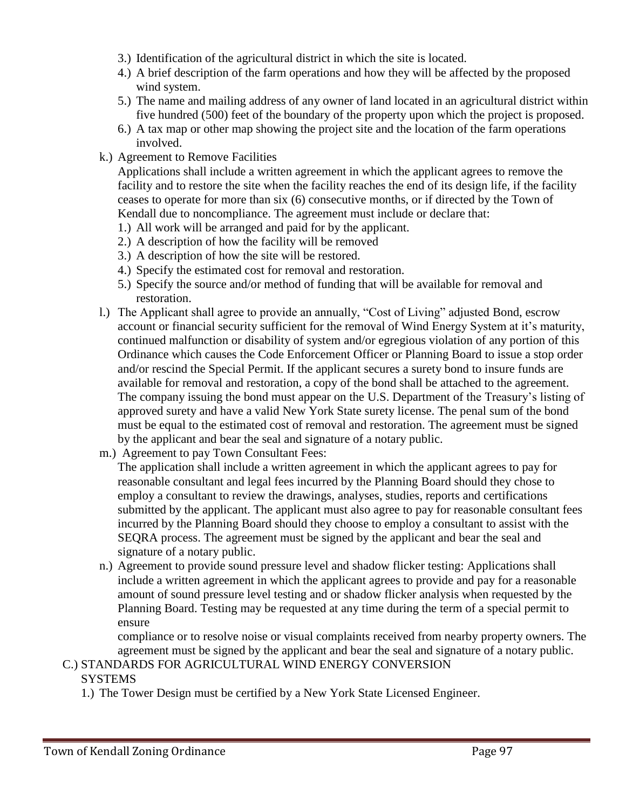- 3.) Identification of the agricultural district in which the site is located.
- 4.) A brief description of the farm operations and how they will be affected by the proposed wind system.
- 5.) The name and mailing address of any owner of land located in an agricultural district within five hundred (500) feet of the boundary of the property upon which the project is proposed.
- 6.) A tax map or other map showing the project site and the location of the farm operations involved.
- k.) Agreement to Remove Facilities

Applications shall include a written agreement in which the applicant agrees to remove the facility and to restore the site when the facility reaches the end of its design life, if the facility ceases to operate for more than six (6) consecutive months, or if directed by the Town of Kendall due to noncompliance. The agreement must include or declare that:

- 1.) All work will be arranged and paid for by the applicant.
- 2.) A description of how the facility will be removed
- 3.) A description of how the site will be restored.
- 4.) Specify the estimated cost for removal and restoration.
- 5.) Specify the source and/or method of funding that will be available for removal and restoration.
- l.) The Applicant shall agree to provide an annually, "Cost of Living" adjusted Bond, escrow account or financial security sufficient for the removal of Wind Energy System at it's maturity, continued malfunction or disability of system and/or egregious violation of any portion of this Ordinance which causes the Code Enforcement Officer or Planning Board to issue a stop order and/or rescind the Special Permit. If the applicant secures a surety bond to insure funds are available for removal and restoration, a copy of the bond shall be attached to the agreement. The company issuing the bond must appear on the U.S. Department of the Treasury's listing of approved surety and have a valid New York State surety license. The penal sum of the bond must be equal to the estimated cost of removal and restoration. The agreement must be signed by the applicant and bear the seal and signature of a notary public.
- m.) Agreement to pay Town Consultant Fees:

The application shall include a written agreement in which the applicant agrees to pay for reasonable consultant and legal fees incurred by the Planning Board should they chose to employ a consultant to review the drawings, analyses, studies, reports and certifications submitted by the applicant. The applicant must also agree to pay for reasonable consultant fees incurred by the Planning Board should they choose to employ a consultant to assist with the SEQRA process. The agreement must be signed by the applicant and bear the seal and signature of a notary public.

n.) Agreement to provide sound pressure level and shadow flicker testing: Applications shall include a written agreement in which the applicant agrees to provide and pay for a reasonable amount of sound pressure level testing and or shadow flicker analysis when requested by the Planning Board. Testing may be requested at any time during the term of a special permit to ensure

compliance or to resolve noise or visual complaints received from nearby property owners. The agreement must be signed by the applicant and bear the seal and signature of a notary public.

## C.) STANDARDS FOR AGRICULTURAL WIND ENERGY CONVERSION **SYSTEMS**

1.) The Tower Design must be certified by a New York State Licensed Engineer.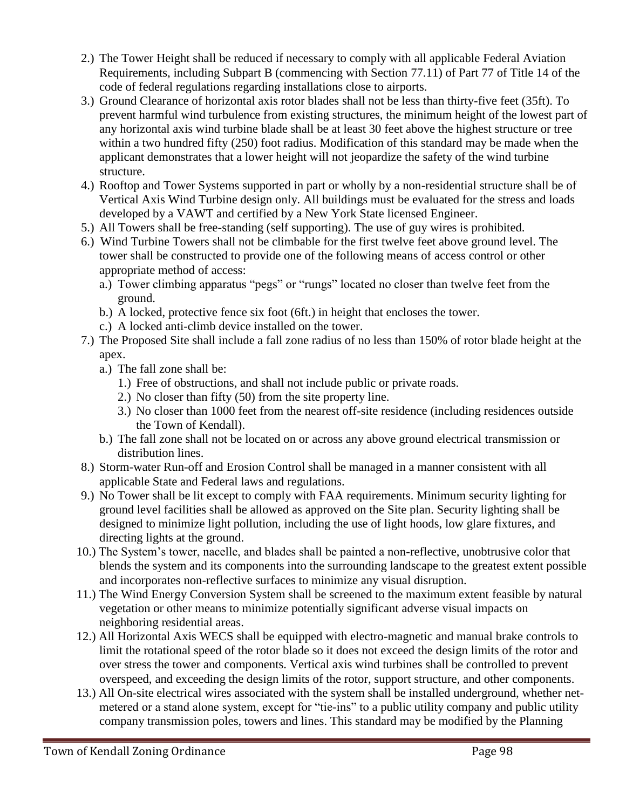- 2.) The Tower Height shall be reduced if necessary to comply with all applicable Federal Aviation Requirements, including Subpart B (commencing with Section 77.11) of Part 77 of Title 14 of the code of federal regulations regarding installations close to airports.
- 3.) Ground Clearance of horizontal axis rotor blades shall not be less than thirty-five feet (35ft). To prevent harmful wind turbulence from existing structures, the minimum height of the lowest part of any horizontal axis wind turbine blade shall be at least 30 feet above the highest structure or tree within a two hundred fifty (250) foot radius. Modification of this standard may be made when the applicant demonstrates that a lower height will not jeopardize the safety of the wind turbine structure.
- 4.) Rooftop and Tower Systems supported in part or wholly by a non-residential structure shall be of Vertical Axis Wind Turbine design only. All buildings must be evaluated for the stress and loads developed by a VAWT and certified by a New York State licensed Engineer.
- 5.) All Towers shall be free-standing (self supporting). The use of guy wires is prohibited.
- 6.) Wind Turbine Towers shall not be climbable for the first twelve feet above ground level. The tower shall be constructed to provide one of the following means of access control or other appropriate method of access:
	- a.) Tower climbing apparatus "pegs" or "rungs" located no closer than twelve feet from the ground.
	- b.) A locked, protective fence six foot (6ft.) in height that encloses the tower.
	- c.) A locked anti-climb device installed on the tower.
- 7.) The Proposed Site shall include a fall zone radius of no less than 150% of rotor blade height at the apex.
	- a.) The fall zone shall be:
		- 1.) Free of obstructions, and shall not include public or private roads.
		- 2.) No closer than fifty (50) from the site property line.
		- 3.) No closer than 1000 feet from the nearest off-site residence (including residences outside the Town of Kendall).
	- b.) The fall zone shall not be located on or across any above ground electrical transmission or distribution lines.
- 8.) Storm-water Run-off and Erosion Control shall be managed in a manner consistent with all applicable State and Federal laws and regulations.
- 9.) No Tower shall be lit except to comply with FAA requirements. Minimum security lighting for ground level facilities shall be allowed as approved on the Site plan. Security lighting shall be designed to minimize light pollution, including the use of light hoods, low glare fixtures, and directing lights at the ground.
- 10.) The System's tower, nacelle, and blades shall be painted a non-reflective, unobtrusive color that blends the system and its components into the surrounding landscape to the greatest extent possible and incorporates non-reflective surfaces to minimize any visual disruption.
- 11.) The Wind Energy Conversion System shall be screened to the maximum extent feasible by natural vegetation or other means to minimize potentially significant adverse visual impacts on neighboring residential areas.
- 12.) All Horizontal Axis WECS shall be equipped with electro-magnetic and manual brake controls to limit the rotational speed of the rotor blade so it does not exceed the design limits of the rotor and over stress the tower and components. Vertical axis wind turbines shall be controlled to prevent overspeed, and exceeding the design limits of the rotor, support structure, and other components.
- 13.) All On-site electrical wires associated with the system shall be installed underground, whether netmetered or a stand alone system, except for "tie-ins" to a public utility company and public utility company transmission poles, towers and lines. This standard may be modified by the Planning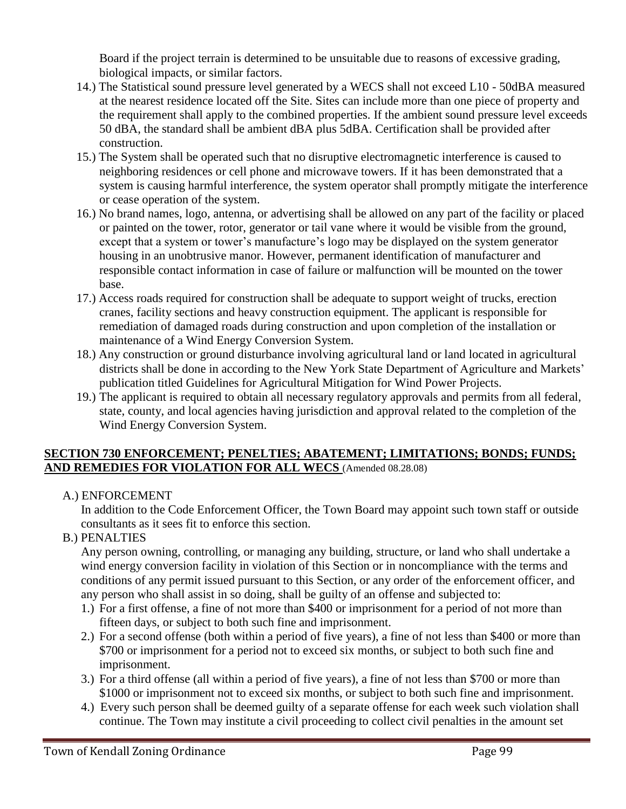Board if the project terrain is determined to be unsuitable due to reasons of excessive grading, biological impacts, or similar factors.

- 14.) The Statistical sound pressure level generated by a WECS shall not exceed L10 50dBA measured at the nearest residence located off the Site. Sites can include more than one piece of property and the requirement shall apply to the combined properties. If the ambient sound pressure level exceeds 50 dBA, the standard shall be ambient dBA plus 5dBA. Certification shall be provided after construction.
- 15.) The System shall be operated such that no disruptive electromagnetic interference is caused to neighboring residences or cell phone and microwave towers. If it has been demonstrated that a system is causing harmful interference, the system operator shall promptly mitigate the interference or cease operation of the system.
- 16.) No brand names, logo, antenna, or advertising shall be allowed on any part of the facility or placed or painted on the tower, rotor, generator or tail vane where it would be visible from the ground, except that a system or tower's manufacture's logo may be displayed on the system generator housing in an unobtrusive manor. However, permanent identification of manufacturer and responsible contact information in case of failure or malfunction will be mounted on the tower base.
- 17.) Access roads required for construction shall be adequate to support weight of trucks, erection cranes, facility sections and heavy construction equipment. The applicant is responsible for remediation of damaged roads during construction and upon completion of the installation or maintenance of a Wind Energy Conversion System.
- 18.) Any construction or ground disturbance involving agricultural land or land located in agricultural districts shall be done in according to the New York State Department of Agriculture and Markets' publication titled Guidelines for Agricultural Mitigation for Wind Power Projects.
- 19.) The applicant is required to obtain all necessary regulatory approvals and permits from all federal, state, county, and local agencies having jurisdiction and approval related to the completion of the Wind Energy Conversion System.

### **SECTION 730 ENFORCEMENT; PENELTIES; ABATEMENT; LIMITATIONS; BONDS; FUNDS; AND REMEDIES FOR VIOLATION FOR ALL WECS** (Amended 08.28.08)

A.) ENFORCEMENT

In addition to the Code Enforcement Officer, the Town Board may appoint such town staff or outside consultants as it sees fit to enforce this section.

B.) PENALTIES

Any person owning, controlling, or managing any building, structure, or land who shall undertake a wind energy conversion facility in violation of this Section or in noncompliance with the terms and conditions of any permit issued pursuant to this Section, or any order of the enforcement officer, and any person who shall assist in so doing, shall be guilty of an offense and subjected to:

- 1.) For a first offense, a fine of not more than \$400 or imprisonment for a period of not more than fifteen days, or subject to both such fine and imprisonment.
- 2.) For a second offense (both within a period of five years), a fine of not less than \$400 or more than \$700 or imprisonment for a period not to exceed six months, or subject to both such fine and imprisonment.
- 3.) For a third offense (all within a period of five years), a fine of not less than \$700 or more than \$1000 or imprisonment not to exceed six months, or subject to both such fine and imprisonment.
- 4.) Every such person shall be deemed guilty of a separate offense for each week such violation shall continue. The Town may institute a civil proceeding to collect civil penalties in the amount set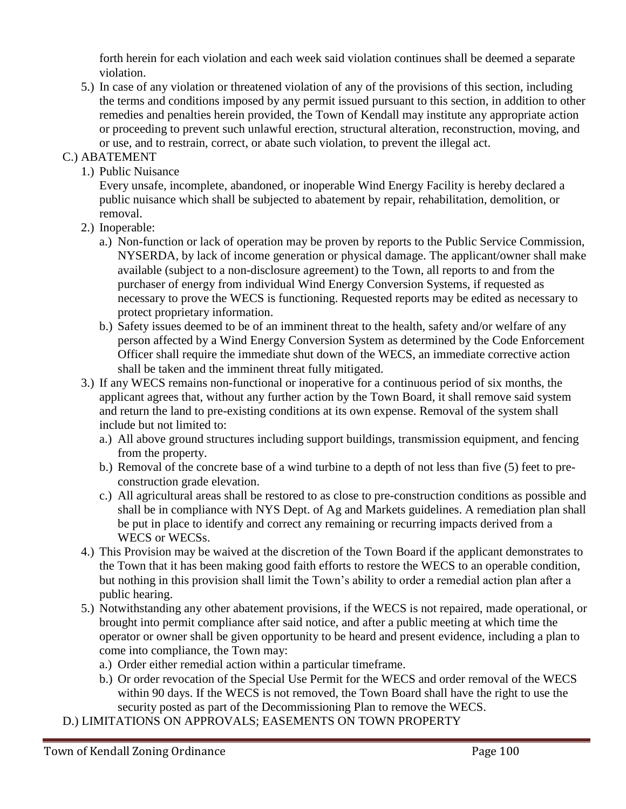forth herein for each violation and each week said violation continues shall be deemed a separate violation.

5.) In case of any violation or threatened violation of any of the provisions of this section, including the terms and conditions imposed by any permit issued pursuant to this section, in addition to other remedies and penalties herein provided, the Town of Kendall may institute any appropriate action or proceeding to prevent such unlawful erection, structural alteration, reconstruction, moving, and or use, and to restrain, correct, or abate such violation, to prevent the illegal act.

## C.) ABATEMENT

1.) Public Nuisance

Every unsafe, incomplete, abandoned, or inoperable Wind Energy Facility is hereby declared a public nuisance which shall be subjected to abatement by repair, rehabilitation, demolition, or removal.

- 2.) Inoperable:
	- a.) Non-function or lack of operation may be proven by reports to the Public Service Commission, NYSERDA, by lack of income generation or physical damage. The applicant/owner shall make available (subject to a non-disclosure agreement) to the Town, all reports to and from the purchaser of energy from individual Wind Energy Conversion Systems, if requested as necessary to prove the WECS is functioning. Requested reports may be edited as necessary to protect proprietary information.
	- b.) Safety issues deemed to be of an imminent threat to the health, safety and/or welfare of any person affected by a Wind Energy Conversion System as determined by the Code Enforcement Officer shall require the immediate shut down of the WECS, an immediate corrective action shall be taken and the imminent threat fully mitigated.
- 3.) If any WECS remains non-functional or inoperative for a continuous period of six months, the applicant agrees that, without any further action by the Town Board, it shall remove said system and return the land to pre-existing conditions at its own expense. Removal of the system shall include but not limited to:
	- a.) All above ground structures including support buildings, transmission equipment, and fencing from the property.
	- b.) Removal of the concrete base of a wind turbine to a depth of not less than five (5) feet to preconstruction grade elevation.
	- c.) All agricultural areas shall be restored to as close to pre-construction conditions as possible and shall be in compliance with NYS Dept. of Ag and Markets guidelines. A remediation plan shall be put in place to identify and correct any remaining or recurring impacts derived from a WECS or WECSs.
- 4.) This Provision may be waived at the discretion of the Town Board if the applicant demonstrates to the Town that it has been making good faith efforts to restore the WECS to an operable condition, but nothing in this provision shall limit the Town's ability to order a remedial action plan after a public hearing.
- 5.) Notwithstanding any other abatement provisions, if the WECS is not repaired, made operational, or brought into permit compliance after said notice, and after a public meeting at which time the operator or owner shall be given opportunity to be heard and present evidence, including a plan to come into compliance, the Town may:
	- a.) Order either remedial action within a particular timeframe.
	- b.) Or order revocation of the Special Use Permit for the WECS and order removal of the WECS within 90 days. If the WECS is not removed, the Town Board shall have the right to use the security posted as part of the Decommissioning Plan to remove the WECS.
- D.) LIMITATIONS ON APPROVALS; EASEMENTS ON TOWN PROPERTY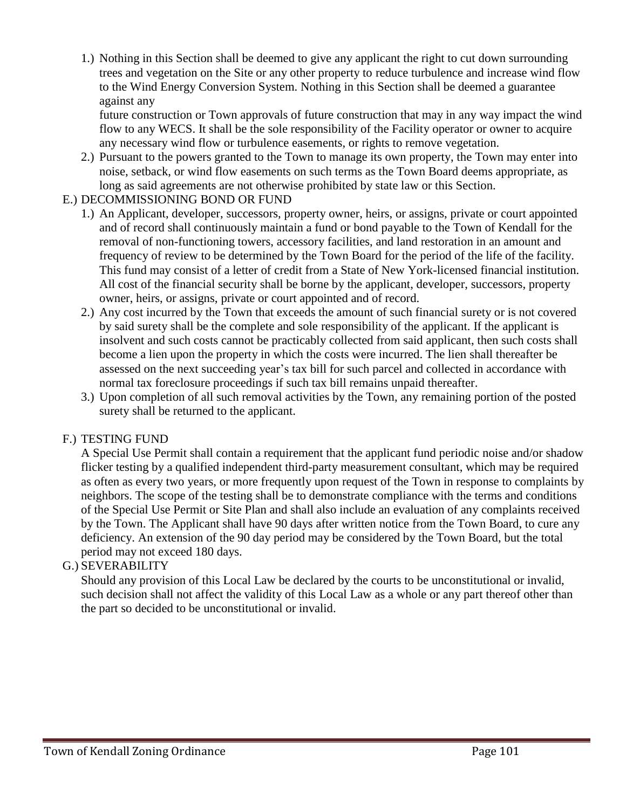1.) Nothing in this Section shall be deemed to give any applicant the right to cut down surrounding trees and vegetation on the Site or any other property to reduce turbulence and increase wind flow to the Wind Energy Conversion System. Nothing in this Section shall be deemed a guarantee against any

future construction or Town approvals of future construction that may in any way impact the wind flow to any WECS. It shall be the sole responsibility of the Facility operator or owner to acquire any necessary wind flow or turbulence easements, or rights to remove vegetation.

2.) Pursuant to the powers granted to the Town to manage its own property, the Town may enter into noise, setback, or wind flow easements on such terms as the Town Board deems appropriate, as long as said agreements are not otherwise prohibited by state law or this Section.

### E.) DECOMMISSIONING BOND OR FUND

- 1.) An Applicant, developer, successors, property owner, heirs, or assigns, private or court appointed and of record shall continuously maintain a fund or bond payable to the Town of Kendall for the removal of non-functioning towers, accessory facilities, and land restoration in an amount and frequency of review to be determined by the Town Board for the period of the life of the facility. This fund may consist of a letter of credit from a State of New York-licensed financial institution. All cost of the financial security shall be borne by the applicant, developer, successors, property owner, heirs, or assigns, private or court appointed and of record.
- 2.) Any cost incurred by the Town that exceeds the amount of such financial surety or is not covered by said surety shall be the complete and sole responsibility of the applicant. If the applicant is insolvent and such costs cannot be practicably collected from said applicant, then such costs shall become a lien upon the property in which the costs were incurred. The lien shall thereafter be assessed on the next succeeding year's tax bill for such parcel and collected in accordance with normal tax foreclosure proceedings if such tax bill remains unpaid thereafter.
- 3.) Upon completion of all such removal activities by the Town, any remaining portion of the posted surety shall be returned to the applicant.

#### F.) TESTING FUND

A Special Use Permit shall contain a requirement that the applicant fund periodic noise and/or shadow flicker testing by a qualified independent third-party measurement consultant, which may be required as often as every two years, or more frequently upon request of the Town in response to complaints by neighbors. The scope of the testing shall be to demonstrate compliance with the terms and conditions of the Special Use Permit or Site Plan and shall also include an evaluation of any complaints received by the Town. The Applicant shall have 90 days after written notice from the Town Board, to cure any deficiency. An extension of the 90 day period may be considered by the Town Board, but the total period may not exceed 180 days.

#### G.) SEVERABILITY

Should any provision of this Local Law be declared by the courts to be unconstitutional or invalid, such decision shall not affect the validity of this Local Law as a whole or any part thereof other than the part so decided to be unconstitutional or invalid.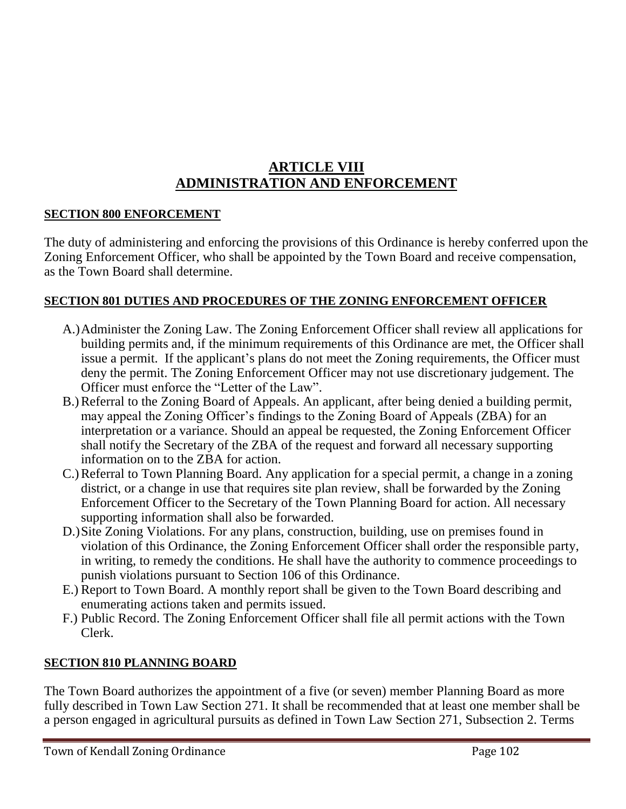# **ARTICLE VIII ADMINISTRATION AND ENFORCEMENT**

# **SECTION 800 ENFORCEMENT**

The duty of administering and enforcing the provisions of this Ordinance is hereby conferred upon the Zoning Enforcement Officer, who shall be appointed by the Town Board and receive compensation, as the Town Board shall determine.

# **SECTION 801 DUTIES AND PROCEDURES OF THE ZONING ENFORCEMENT OFFICER**

- A.)Administer the Zoning Law. The Zoning Enforcement Officer shall review all applications for building permits and, if the minimum requirements of this Ordinance are met, the Officer shall issue a permit. If the applicant's plans do not meet the Zoning requirements, the Officer must deny the permit. The Zoning Enforcement Officer may not use discretionary judgement. The Officer must enforce the "Letter of the Law".
- B.)Referral to the Zoning Board of Appeals. An applicant, after being denied a building permit, may appeal the Zoning Officer's findings to the Zoning Board of Appeals (ZBA) for an interpretation or a variance. Should an appeal be requested, the Zoning Enforcement Officer shall notify the Secretary of the ZBA of the request and forward all necessary supporting information on to the ZBA for action.
- C.)Referral to Town Planning Board. Any application for a special permit, a change in a zoning district, or a change in use that requires site plan review, shall be forwarded by the Zoning Enforcement Officer to the Secretary of the Town Planning Board for action. All necessary supporting information shall also be forwarded.
- D.)Site Zoning Violations. For any plans, construction, building, use on premises found in violation of this Ordinance, the Zoning Enforcement Officer shall order the responsible party, in writing, to remedy the conditions. He shall have the authority to commence proceedings to punish violations pursuant to Section 106 of this Ordinance.
- E.) Report to Town Board. A monthly report shall be given to the Town Board describing and enumerating actions taken and permits issued.
- F.) Public Record. The Zoning Enforcement Officer shall file all permit actions with the Town Clerk.

# **SECTION 810 PLANNING BOARD**

The Town Board authorizes the appointment of a five (or seven) member Planning Board as more fully described in Town Law Section 271. It shall be recommended that at least one member shall be a person engaged in agricultural pursuits as defined in Town Law Section 271, Subsection 2. Terms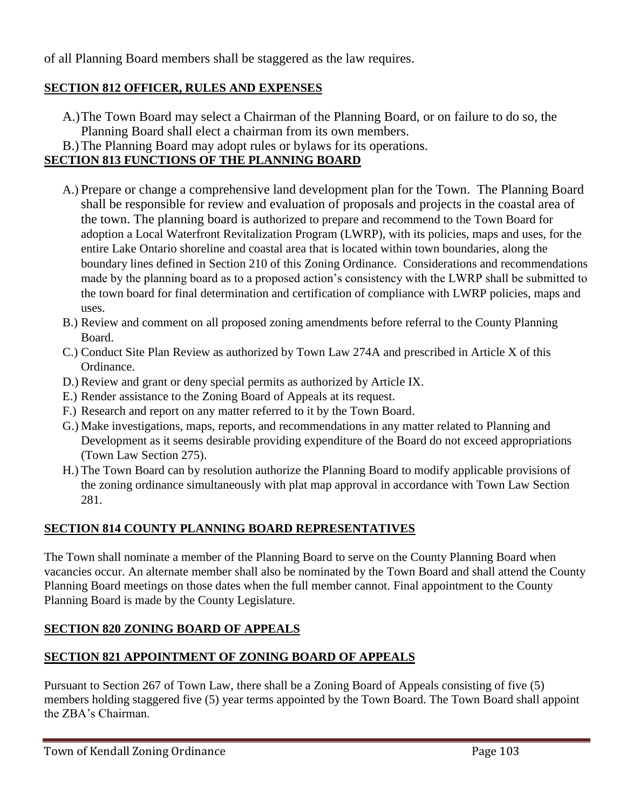of all Planning Board members shall be staggered as the law requires.

# **SECTION 812 OFFICER, RULES AND EXPENSES**

- A.)The Town Board may select a Chairman of the Planning Board, or on failure to do so, the Planning Board shall elect a chairman from its own members.
- B.)The Planning Board may adopt rules or bylaws for its operations.

# **SECTION 813 FUNCTIONS OF THE PLANNING BOARD**

- A.) Prepare or change a comprehensive land development plan for the Town. The Planning Board shall be responsible for review and evaluation of proposals and projects in the coastal area of the town. The planning board is authorized to prepare and recommend to the Town Board for adoption a Local Waterfront Revitalization Program (LWRP), with its policies, maps and uses, for the entire Lake Ontario shoreline and coastal area that is located within town boundaries, along the boundary lines defined in Section 210 of this Zoning Ordinance. Considerations and recommendations made by the planning board as to a proposed action's consistency with the LWRP shall be submitted to the town board for final determination and certification of compliance with LWRP policies, maps and uses.
- B.) Review and comment on all proposed zoning amendments before referral to the County Planning Board.
- C.) Conduct Site Plan Review as authorized by Town Law 274A and prescribed in Article X of this Ordinance.
- D.) Review and grant or deny special permits as authorized by Article IX.
- E.) Render assistance to the Zoning Board of Appeals at its request.
- F.) Research and report on any matter referred to it by the Town Board.
- G.) Make investigations, maps, reports, and recommendations in any matter related to Planning and Development as it seems desirable providing expenditure of the Board do not exceed appropriations (Town Law Section 275).
- H.) The Town Board can by resolution authorize the Planning Board to modify applicable provisions of the zoning ordinance simultaneously with plat map approval in accordance with Town Law Section 281.

# **SECTION 814 COUNTY PLANNING BOARD REPRESENTATIVES**

The Town shall nominate a member of the Planning Board to serve on the County Planning Board when vacancies occur. An alternate member shall also be nominated by the Town Board and shall attend the County Planning Board meetings on those dates when the full member cannot. Final appointment to the County Planning Board is made by the County Legislature.

# **SECTION 820 ZONING BOARD OF APPEALS**

# **SECTION 821 APPOINTMENT OF ZONING BOARD OF APPEALS**

Pursuant to Section 267 of Town Law, there shall be a Zoning Board of Appeals consisting of five (5) members holding staggered five (5) year terms appointed by the Town Board. The Town Board shall appoint the ZBA's Chairman.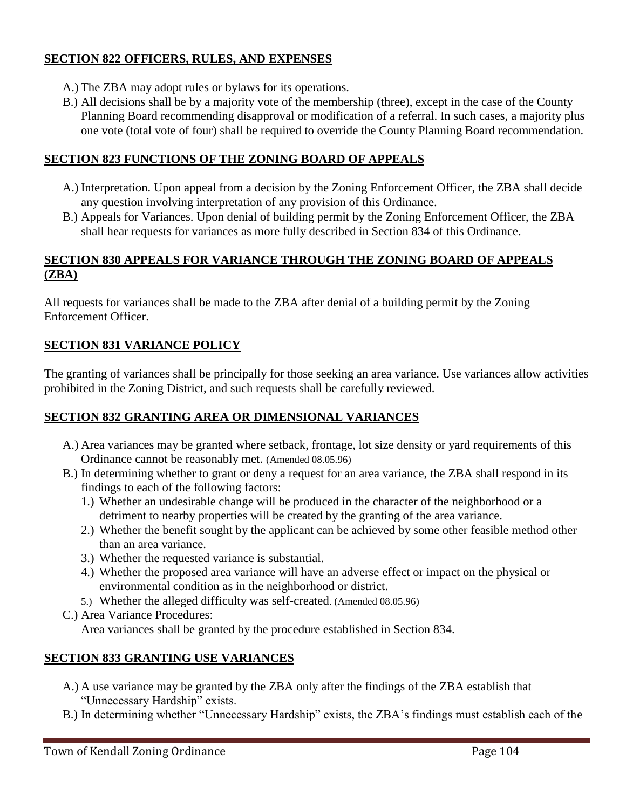# **SECTION 822 OFFICERS, RULES, AND EXPENSES**

- A.) The ZBA may adopt rules or bylaws for its operations.
- B.) All decisions shall be by a majority vote of the membership (three), except in the case of the County Planning Board recommending disapproval or modification of a referral. In such cases, a majority plus one vote (total vote of four) shall be required to override the County Planning Board recommendation.

## **SECTION 823 FUNCTIONS OF THE ZONING BOARD OF APPEALS**

- A.) Interpretation. Upon appeal from a decision by the Zoning Enforcement Officer, the ZBA shall decide any question involving interpretation of any provision of this Ordinance.
- B.) Appeals for Variances. Upon denial of building permit by the Zoning Enforcement Officer, the ZBA shall hear requests for variances as more fully described in Section 834 of this Ordinance.

#### **SECTION 830 APPEALS FOR VARIANCE THROUGH THE ZONING BOARD OF APPEALS (ZBA)**

All requests for variances shall be made to the ZBA after denial of a building permit by the Zoning Enforcement Officer.

# **SECTION 831 VARIANCE POLICY**

The granting of variances shall be principally for those seeking an area variance. Use variances allow activities prohibited in the Zoning District, and such requests shall be carefully reviewed.

# **SECTION 832 GRANTING AREA OR DIMENSIONAL VARIANCES**

- A.) Area variances may be granted where setback, frontage, lot size density or yard requirements of this Ordinance cannot be reasonably met. (Amended 08.05.96)
- B.) In determining whether to grant or deny a request for an area variance, the ZBA shall respond in its findings to each of the following factors:
	- 1.) Whether an undesirable change will be produced in the character of the neighborhood or a detriment to nearby properties will be created by the granting of the area variance.
	- 2.) Whether the benefit sought by the applicant can be achieved by some other feasible method other than an area variance.
	- 3.) Whether the requested variance is substantial.
	- 4.) Whether the proposed area variance will have an adverse effect or impact on the physical or environmental condition as in the neighborhood or district.
	- 5.) Whether the alleged difficulty was self-created. (Amended 08.05.96)
- C.) Area Variance Procedures:

Area variances shall be granted by the procedure established in Section 834.

### **SECTION 833 GRANTING USE VARIANCES**

- A.) A use variance may be granted by the ZBA only after the findings of the ZBA establish that "Unnecessary Hardship" exists.
- B.) In determining whether "Unnecessary Hardship" exists, the ZBA's findings must establish each of the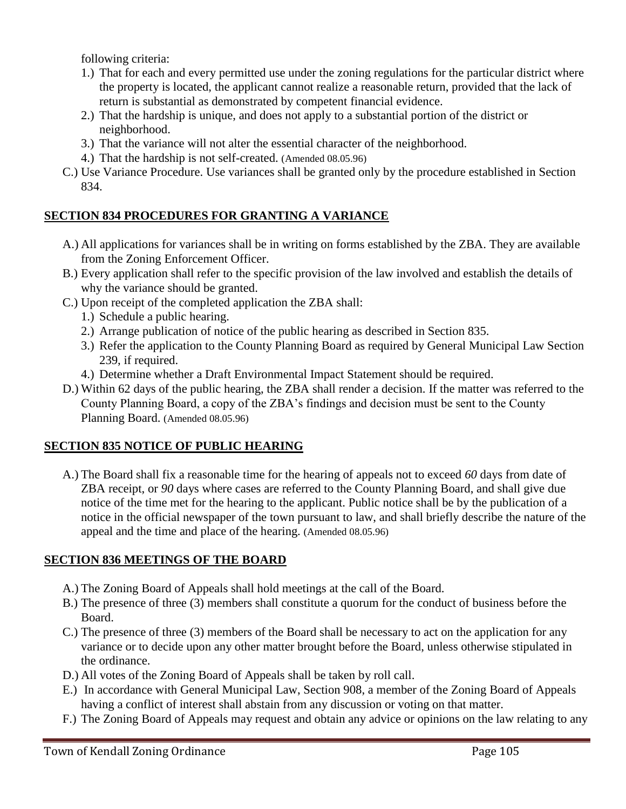following criteria:

- 1.) That for each and every permitted use under the zoning regulations for the particular district where the property is located, the applicant cannot realize a reasonable return, provided that the lack of return is substantial as demonstrated by competent financial evidence.
- 2.) That the hardship is unique, and does not apply to a substantial portion of the district or neighborhood.
- 3.) That the variance will not alter the essential character of the neighborhood.
- 4.) That the hardship is not self-created. (Amended 08.05.96)
- C.) Use Variance Procedure. Use variances shall be granted only by the procedure established in Section 834.

### **SECTION 834 PROCEDURES FOR GRANTING A VARIANCE**

- A.) All applications for variances shall be in writing on forms established by the ZBA. They are available from the Zoning Enforcement Officer.
- B.) Every application shall refer to the specific provision of the law involved and establish the details of why the variance should be granted.
- C.) Upon receipt of the completed application the ZBA shall:
	- 1.) Schedule a public hearing.
	- 2.) Arrange publication of notice of the public hearing as described in Section 835.
	- 3.) Refer the application to the County Planning Board as required by General Municipal Law Section 239, if required.
	- 4.) Determine whether a Draft Environmental Impact Statement should be required.
- D.) Within 62 days of the public hearing, the ZBA shall render a decision. If the matter was referred to the County Planning Board, a copy of the ZBA's findings and decision must be sent to the County Planning Board. (Amended 08.05.96)

# **SECTION 835 NOTICE OF PUBLIC HEARING**

A.) The Board shall fix a reasonable time for the hearing of appeals not to exceed *60* days from date of ZBA receipt, or *90* days where cases are referred to the County Planning Board, and shall give due notice of the time met for the hearing to the applicant. Public notice shall be by the publication of a notice in the official newspaper of the town pursuant to law, and shall briefly describe the nature of the appeal and the time and place of the hearing. (Amended 08.05.96)

### **SECTION 836 MEETINGS OF THE BOARD**

- A.) The Zoning Board of Appeals shall hold meetings at the call of the Board.
- B.) The presence of three (3) members shall constitute a quorum for the conduct of business before the Board.
- C.) The presence of three (3) members of the Board shall be necessary to act on the application for any variance or to decide upon any other matter brought before the Board, unless otherwise stipulated in the ordinance.
- D.) All votes of the Zoning Board of Appeals shall be taken by roll call.
- E.) In accordance with General Municipal Law, Section 908, a member of the Zoning Board of Appeals having a conflict of interest shall abstain from any discussion or voting on that matter.
- F.) The Zoning Board of Appeals may request and obtain any advice or opinions on the law relating to any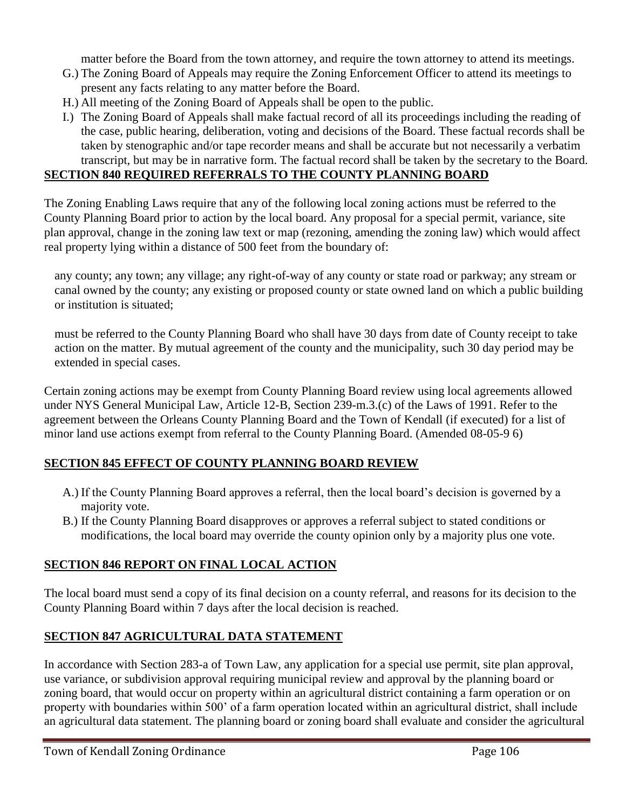matter before the Board from the town attorney, and require the town attorney to attend its meetings.

- G.) The Zoning Board of Appeals may require the Zoning Enforcement Officer to attend its meetings to present any facts relating to any matter before the Board.
- H.) All meeting of the Zoning Board of Appeals shall be open to the public.
- I.) The Zoning Board of Appeals shall make factual record of all its proceedings including the reading of the case, public hearing, deliberation, voting and decisions of the Board. These factual records shall be taken by stenographic and/or tape recorder means and shall be accurate but not necessarily a verbatim transcript, but may be in narrative form. The factual record shall be taken by the secretary to the Board.

#### **SECTION 840 REQUIRED REFERRALS TO THE COUNTY PLANNING BOARD**

The Zoning Enabling Laws require that any of the following local zoning actions must be referred to the County Planning Board prior to action by the local board. Any proposal for a special permit, variance, site plan approval, change in the zoning law text or map (rezoning, amending the zoning law) which would affect real property lying within a distance of 500 feet from the boundary of:

any county; any town; any village; any right-of-way of any county or state road or parkway; any stream or canal owned by the county; any existing or proposed county or state owned land on which a public building or institution is situated;

must be referred to the County Planning Board who shall have 30 days from date of County receipt to take action on the matter. By mutual agreement of the county and the municipality, such 30 day period may be extended in special cases.

Certain zoning actions may be exempt from County Planning Board review using local agreements allowed under NYS General Municipal Law, Article 12-B, Section 239-m.3.(c) of the Laws of 1991. Refer to the agreement between the Orleans County Planning Board and the Town of Kendall (if executed) for a list of minor land use actions exempt from referral to the County Planning Board. (Amended 08-05-9 6)

### **SECTION 845 EFFECT OF COUNTY PLANNING BOARD REVIEW**

- A.) If the County Planning Board approves a referral, then the local board's decision is governed by a majority vote.
- B.) If the County Planning Board disapproves or approves a referral subject to stated conditions or modifications, the local board may override the county opinion only by a majority plus one vote.

### **SECTION 846 REPORT ON FINAL LOCAL ACTION**

The local board must send a copy of its final decision on a county referral, and reasons for its decision to the County Planning Board within 7 days after the local decision is reached.

### **SECTION 847 AGRICULTURAL DATA STATEMENT**

In accordance with Section 283-a of Town Law, any application for a special use permit, site plan approval, use variance, or subdivision approval requiring municipal review and approval by the planning board or zoning board, that would occur on property within an agricultural district containing a farm operation or on property with boundaries within 500' of a farm operation located within an agricultural district, shall include an agricultural data statement. The planning board or zoning board shall evaluate and consider the agricultural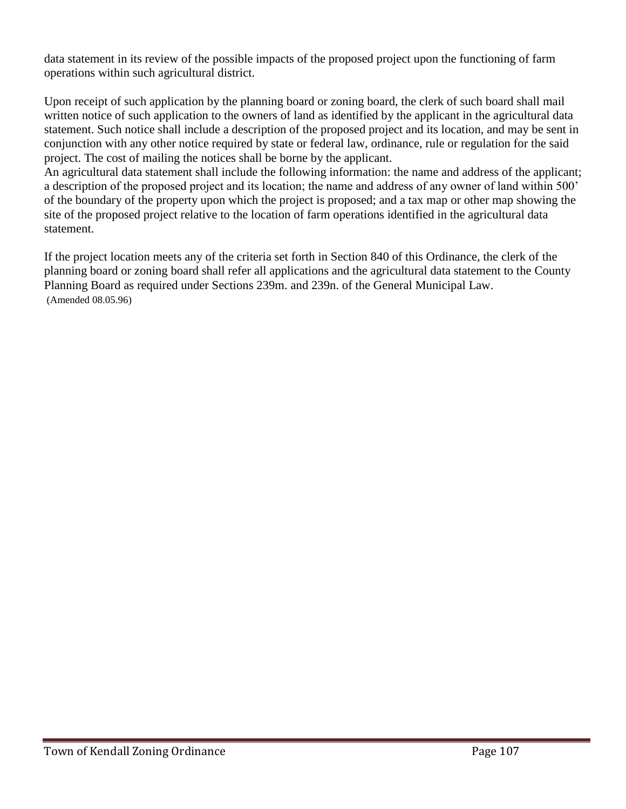data statement in its review of the possible impacts of the proposed project upon the functioning of farm operations within such agricultural district.

Upon receipt of such application by the planning board or zoning board, the clerk of such board shall mail written notice of such application to the owners of land as identified by the applicant in the agricultural data statement. Such notice shall include a description of the proposed project and its location, and may be sent in conjunction with any other notice required by state or federal law, ordinance, rule or regulation for the said project. The cost of mailing the notices shall be borne by the applicant.

An agricultural data statement shall include the following information: the name and address of the applicant; a description of the proposed project and its location; the name and address of any owner of land within 500' of the boundary of the property upon which the project is proposed; and a tax map or other map showing the site of the proposed project relative to the location of farm operations identified in the agricultural data statement.

If the project location meets any of the criteria set forth in Section 840 of this Ordinance, the clerk of the planning board or zoning board shall refer all applications and the agricultural data statement to the County Planning Board as required under Sections 239m. and 239n. of the General Municipal Law. (Amended 08.05.96)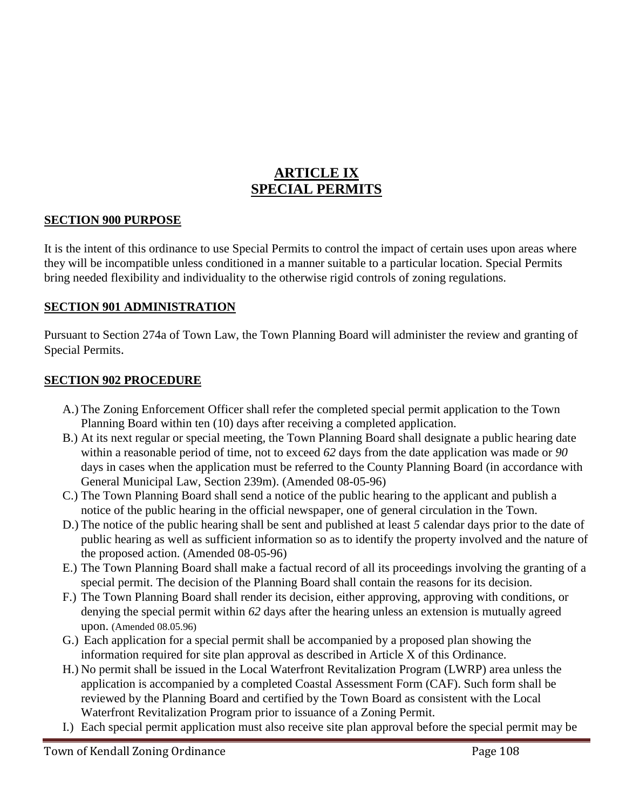# **ARTICLE IX SPECIAL PERMITS**

#### **SECTION 900 PURPOSE**

It is the intent of this ordinance to use Special Permits to control the impact of certain uses upon areas where they will be incompatible unless conditioned in a manner suitable to a particular location. Special Permits bring needed flexibility and individuality to the otherwise rigid controls of zoning regulations.

#### **SECTION 901 ADMINISTRATION**

Pursuant to Section 274a of Town Law, the Town Planning Board will administer the review and granting of Special Permits.

#### **SECTION 902 PROCEDURE**

- A.) The Zoning Enforcement Officer shall refer the completed special permit application to the Town Planning Board within ten (10) days after receiving a completed application.
- B.) At its next regular or special meeting, the Town Planning Board shall designate a public hearing date within a reasonable period of time, not to exceed *62* days from the date application was made or *90*  days in cases when the application must be referred to the County Planning Board (in accordance with General Municipal Law, Section 239m). (Amended 08-05-96)
- C.) The Town Planning Board shall send a notice of the public hearing to the applicant and publish a notice of the public hearing in the official newspaper, one of general circulation in the Town.
- D.) The notice of the public hearing shall be sent and published at least *5* calendar days prior to the date of public hearing as well as sufficient information so as to identify the property involved and the nature of the proposed action. (Amended 08-05-96)
- E.) The Town Planning Board shall make a factual record of all its proceedings involving the granting of a special permit. The decision of the Planning Board shall contain the reasons for its decision.
- F.) The Town Planning Board shall render its decision, either approving, approving with conditions, or denying the special permit within *62* days after the hearing unless an extension is mutually agreed upon. (Amended 08.05.96)
- G.) Each application for a special permit shall be accompanied by a proposed plan showing the information required for site plan approval as described in Article X of this Ordinance.
- H.) No permit shall be issued in the Local Waterfront Revitalization Program (LWRP) area unless the application is accompanied by a completed Coastal Assessment Form (CAF). Such form shall be reviewed by the Planning Board and certified by the Town Board as consistent with the Local Waterfront Revitalization Program prior to issuance of a Zoning Permit.
- I.) Each special permit application must also receive site plan approval before the special permit may be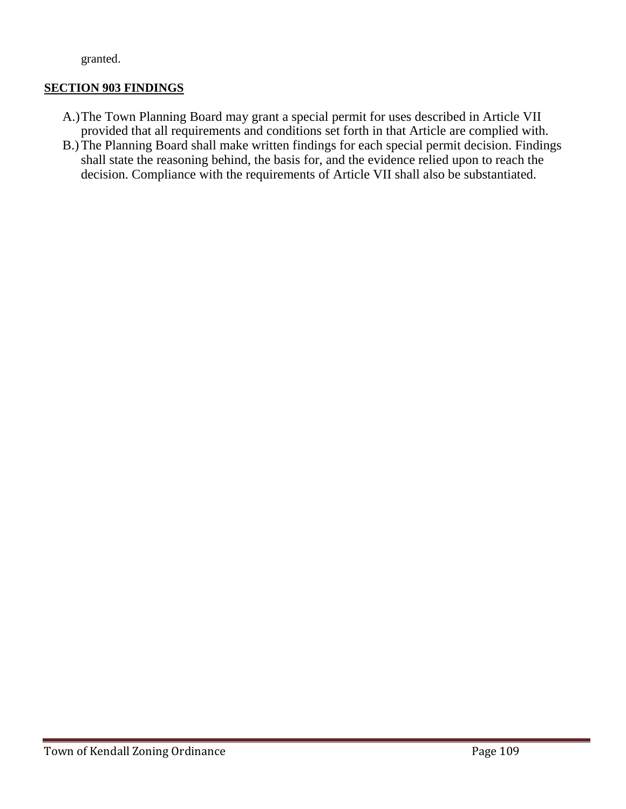granted.

## **SECTION 903 FINDINGS**

- A.)The Town Planning Board may grant a special permit for uses described in Article VII provided that all requirements and conditions set forth in that Article are complied with.
- B.)The Planning Board shall make written findings for each special permit decision. Findings shall state the reasoning behind, the basis for, and the evidence relied upon to reach the decision. Compliance with the requirements of Article VII shall also be substantiated.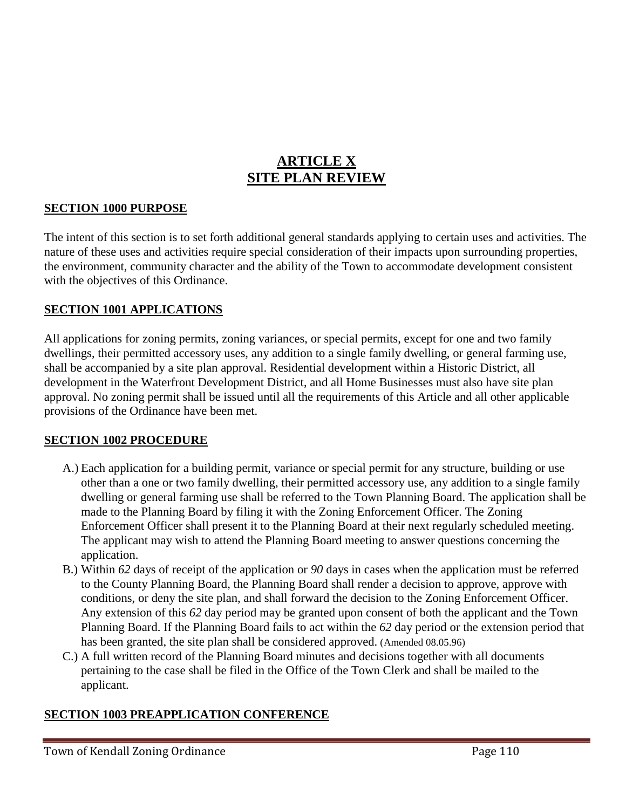# **ARTICLE X SITE PLAN REVIEW**

#### **SECTION 1000 PURPOSE**

The intent of this section is to set forth additional general standards applying to certain uses and activities. The nature of these uses and activities require special consideration of their impacts upon surrounding properties, the environment, community character and the ability of the Town to accommodate development consistent with the objectives of this Ordinance.

#### **SECTION 1001 APPLICATIONS**

All applications for zoning permits, zoning variances, or special permits, except for one and two family dwellings, their permitted accessory uses, any addition to a single family dwelling, or general farming use, shall be accompanied by a site plan approval. Residential development within a Historic District, all development in the Waterfront Development District, and all Home Businesses must also have site plan approval. No zoning permit shall be issued until all the requirements of this Article and all other applicable provisions of the Ordinance have been met.

#### **SECTION 1002 PROCEDURE**

- A.) Each application for a building permit, variance or special permit for any structure, building or use other than a one or two family dwelling, their permitted accessory use, any addition to a single family dwelling or general farming use shall be referred to the Town Planning Board. The application shall be made to the Planning Board by filing it with the Zoning Enforcement Officer. The Zoning Enforcement Officer shall present it to the Planning Board at their next regularly scheduled meeting. The applicant may wish to attend the Planning Board meeting to answer questions concerning the application.
- B.) Within *62* days of receipt of the application or *90* days in cases when the application must be referred to the County Planning Board, the Planning Board shall render a decision to approve, approve with conditions, or deny the site plan, and shall forward the decision to the Zoning Enforcement Officer. Any extension of this *62* day period may be granted upon consent of both the applicant and the Town Planning Board. If the Planning Board fails to act within the *62* day period or the extension period that has been granted, the site plan shall be considered approved. (Amended 08.05.96)
- C.) A full written record of the Planning Board minutes and decisions together with all documents pertaining to the case shall be filed in the Office of the Town Clerk and shall be mailed to the applicant.

### **SECTION 1003 PREAPPLICATION CONFERENCE**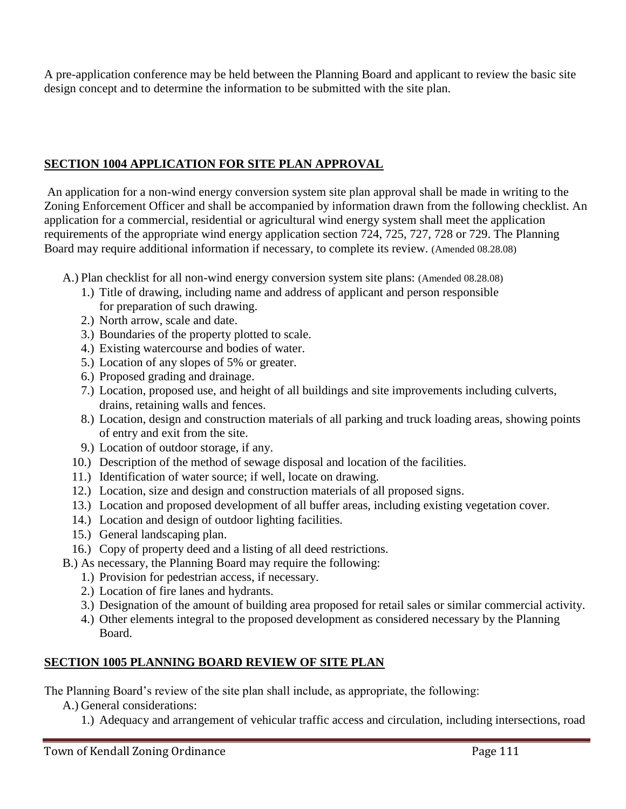A pre-application conference may be held between the Planning Board and applicant to review the basic site design concept and to determine the information to be submitted with the site plan.

# **SECTION 1004 APPLICATION FOR SITE PLAN APPROVAL**

An application for a non-wind energy conversion system site plan approval shall be made in writing to the Zoning Enforcement Officer and shall be accompanied by information drawn from the following checklist. An application for a commercial, residential or agricultural wind energy system shall meet the application requirements of the appropriate wind energy application section 724, 725, 727, 728 or 729. The Planning Board may require additional information if necessary, to complete its review. (Amended 08.28.08)

- A.) Plan checklist for all non-wind energy conversion system site plans: (Amended 08.28.08)
	- 1.) Title of drawing, including name and address of applicant and person responsible for preparation of such drawing.
	- 2.) North arrow, scale and date.
	- 3.) Boundaries of the property plotted to scale.
	- 4.) Existing watercourse and bodies of water.
	- 5.) Location of any slopes of 5% or greater.
	- 6.) Proposed grading and drainage.
	- 7.) Location, proposed use, and height of all buildings and site improvements including culverts, drains, retaining walls and fences.
	- 8.) Location, design and construction materials of all parking and truck loading areas, showing points of entry and exit from the site.
	- 9.) Location of outdoor storage, if any.
	- 10.) Description of the method of sewage disposal and location of the facilities.
	- 11.) Identification of water source; if well, locate on drawing.
	- 12.) Location, size and design and construction materials of all proposed signs.
	- 13.) Location and proposed development of all buffer areas, including existing vegetation cover.
	- 14.) Location and design of outdoor lighting facilities.
	- 15.) General landscaping plan.
	- 16.) Copy of property deed and a listing of all deed restrictions.
- B.) As necessary, the Planning Board may require the following:
	- 1.) Provision for pedestrian access, if necessary.
	- 2.) Location of fire lanes and hydrants.
	- 3.) Designation of the amount of building area proposed for retail sales or similar commercial activity.
	- 4.) Other elements integral to the proposed development as considered necessary by the Planning Board.

# **SECTION 1005 PLANNING BOARD REVIEW OF SITE PLAN**

The Planning Board's review of the site plan shall include, as appropriate, the following:

- A.) General considerations:
	- 1.) Adequacy and arrangement of vehicular traffic access and circulation, including intersections, road